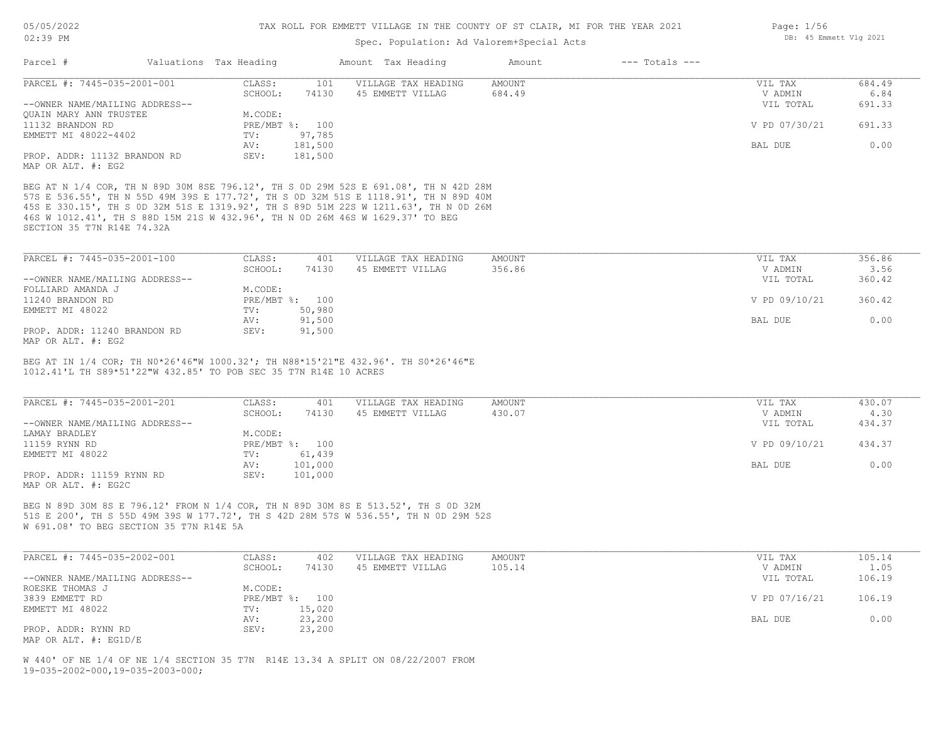## Spec. Population: Ad Valorem+Special Acts

| Page: $1/56$ |                        |  |
|--------------|------------------------|--|
|              | DB: 45 Emmett Vlg 2021 |  |

| Parcel #                       | Valuations Tax Heading |                | Amount Tax Heading  | Amount | $---$ Totals $---$ |               |        |
|--------------------------------|------------------------|----------------|---------------------|--------|--------------------|---------------|--------|
| PARCEL #: 7445-035-2001-001    | CLASS:                 | 101            | VILLAGE TAX HEADING | AMOUNT |                    | VIL TAX       | 684.49 |
|                                | SCHOOL:                | 74130          | 45 EMMETT VILLAG    | 684.49 |                    | V ADMIN       | 6.84   |
| --OWNER NAME/MAILING ADDRESS-- |                        |                |                     |        |                    | VIL TOTAL     | 691.33 |
| OUAIN MARY ANN TRUSTEE         | M.CODE:                |                |                     |        |                    |               |        |
| 11132 BRANDON RD               |                        | PRE/MBT %: 100 |                     |        |                    | V PD 07/30/21 | 691.33 |
| EMMETT MI 48022-4402           | TV:                    | 97,785         |                     |        |                    |               |        |
|                                | AV:                    | 181,500        |                     |        |                    | BAL DUE       | 0.00   |
| PROP. ADDR: 11132 BRANDON RD   | SEV:                   | 181,500        |                     |        |                    |               |        |
| MAP OR ALT. #: EG2             |                        |                |                     |        |                    |               |        |

SECTION 35 T7N R14E 74.32A 46S W 1012.41', TH S 88D 15M 21S W 432.96', TH N 0D 26M 46S W 1629.37' TO BEG 45S E 330.15', TH S 0D 32M 51S E 1319.92', TH S 89D 51M 22S W 1211.63', TH N 0D 26M 57S E 536.55', TH N 55D 49M 39S E 177.72', TH S 0D 32M 51S E 1118.91', TH N 89D 40M BEG AT N 1/4 COR, TH N 89D 30M 8SE 796.12', TH S 0D 29M 52S E 691.08', TH N 42D 28M

| PARCEL #: 7445-035-2001-100    | CLASS:  | 401            | VILLAGE TAX HEADING | AMOUNT | VIL TAX       | 356.86 |
|--------------------------------|---------|----------------|---------------------|--------|---------------|--------|
|                                | SCHOOL: | 74130          | 45 EMMETT VILLAG    | 356.86 | V ADMIN       | 3.56   |
| --OWNER NAME/MAILING ADDRESS-- |         |                |                     |        | VIL TOTAL     | 360.42 |
| FOLLIARD AMANDA J              | M.CODE: |                |                     |        |               |        |
| 11240 BRANDON RD               |         | PRE/MBT %: 100 |                     |        | V PD 09/10/21 | 360.42 |
| EMMETT MI 48022                | TV:     | 50,980         |                     |        |               |        |
|                                | AV:     | 91,500         |                     |        | BAL DUE       | 0.00   |
| PROP. ADDR: 11240 BRANDON RD   | SEV:    | 91,500         |                     |        |               |        |
|                                |         |                |                     |        |               |        |

MAP OR ALT. #: EG2

1012.41'L TH S89\*51'22"W 432.85' TO POB SEC 35 T7N R14E 10 ACRES BEG AT IN 1/4 COR; TH N0\*26'46"W 1000.32'; TH N88\*15'21"E 432.96'. TH S0\*26'46"E

| PARCEL #: 7445-035-2001-201    | CLASS:  | 401            | VILLAGE TAX HEADING | AMOUNT | VIL TAX       | 430.07 |
|--------------------------------|---------|----------------|---------------------|--------|---------------|--------|
|                                | SCHOOL: | 74130          | 45 EMMETT VILLAG    | 430.07 | V ADMIN       | 4.30   |
| --OWNER NAME/MAILING ADDRESS-- |         |                |                     |        | VIL TOTAL     | 434.37 |
| LAMAY BRADLEY                  | M.CODE: |                |                     |        |               |        |
| 11159 RYNN RD                  |         | PRE/MBT %: 100 |                     |        | V PD 09/10/21 | 434.37 |
| EMMETT MI 48022                | TV:     | 61,439         |                     |        |               |        |
|                                | AV:     | 101,000        |                     |        | BAL DUE       | 0.00   |
| PROP. ADDR: 11159 RYNN RD      | SEV:    | 101,000        |                     |        |               |        |
| MAP OR ALT. #: EG2C            |         |                |                     |        |               |        |

W 691.08' TO BEG SECTION 35 T7N R14E 5A 51S E 200', TH S 55D 49M 39S W 177.72', TH S 42D 28M 57S W 536.55', TH N 0D 29M 52S BEG N 89D 30M 8S E 796.12' FROM N 1/4 COR, TH N 89D 30M 8S E 513.52', TH S 0D 32M

| PARCEL #: 7445-035-2002-001                | CLASS:  | 402            | VILLAGE TAX HEADING | AMOUNT | VIL TAX       | 105.14 |
|--------------------------------------------|---------|----------------|---------------------|--------|---------------|--------|
|                                            | SCHOOL: | 74130          | 45 EMMETT VILLAG    | 105.14 | V ADMIN       | 1.05   |
| --OWNER NAME/MAILING ADDRESS--             |         |                |                     |        | VIL TOTAL     | 106.19 |
| ROESKE THOMAS J                            | M.CODE: |                |                     |        |               |        |
| 3839 EMMETT RD                             |         | PRE/MBT %: 100 |                     |        | V PD 07/16/21 | 106.19 |
| EMMETT MI 48022                            | TV:     | 15,020         |                     |        |               |        |
|                                            | AV:     | 23,200         |                     |        | BAL DUE       | 0.00   |
| PROP. ADDR: RYNN RD                        | SEV:    | 23,200         |                     |        |               |        |
| $M3D$ $CD$ $3T$ $m$ $\pm$ , $D$ $C1D$ $/D$ |         |                |                     |        |               |        |

MAP OR ALT. #: EG1D/E

19-035-2002-000,19-035-2003-000; W 440' OF NE 1/4 OF NE 1/4 SECTION 35 T7N R14E 13.34 A SPLIT ON 08/22/2007 FROM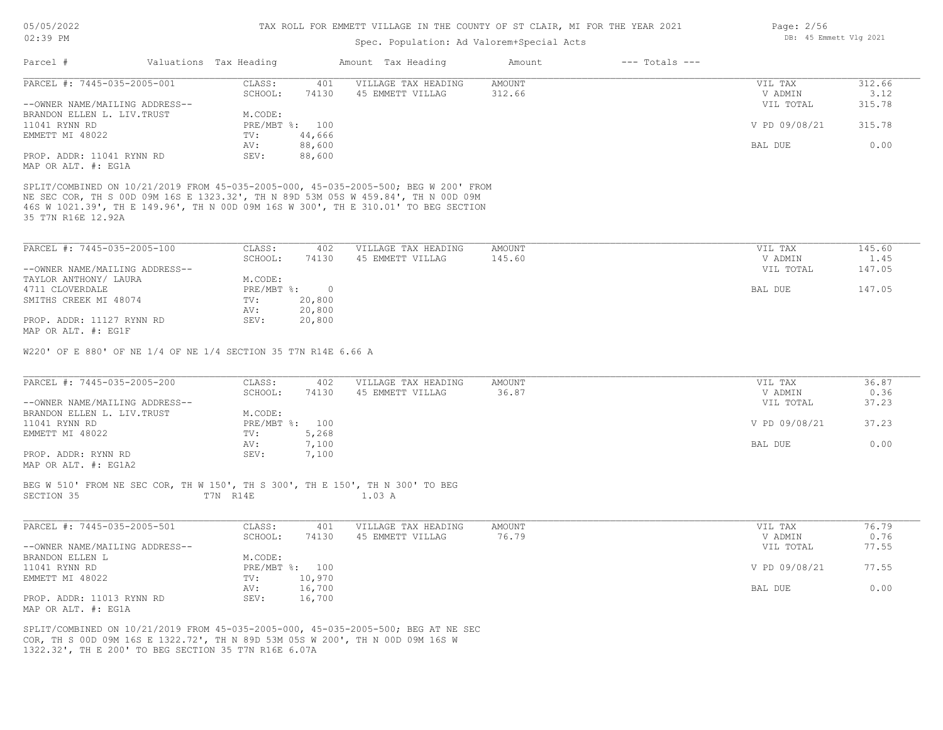| 05/05/2022 |  |
|------------|--|
|------------|--|

# 02:39 PM

# TAX ROLL FOR EMMETT VILLAGE IN THE COUNTY OF ST CLAIR, MI FOR THE YEAR 2021

Page: 2/56

DB: 45 Emmett Vlg 2021

# Spec. Population: Ad Valorem+Special Acts

| Parcel #                                                                                                                                                                                                                                                       | Valuations Tax Heading    |              | Amount Tax Heading                      | Amount                  | $---$ Totals $---$ |                    |                |
|----------------------------------------------------------------------------------------------------------------------------------------------------------------------------------------------------------------------------------------------------------------|---------------------------|--------------|-----------------------------------------|-------------------------|--------------------|--------------------|----------------|
| PARCEL #: 7445-035-2005-001                                                                                                                                                                                                                                    | CLASS:<br>SCHOOL:         | 401<br>74130 | VILLAGE TAX HEADING                     | <b>AMOUNT</b><br>312.66 |                    | VIL TAX<br>V ADMIN | 312.66<br>3.12 |
| --OWNER NAME/MAILING ADDRESS--                                                                                                                                                                                                                                 |                           |              | 45 EMMETT VILLAG                        |                         |                    | VIL TOTAL          | 315.78         |
| BRANDON ELLEN L. LIV. TRUST                                                                                                                                                                                                                                    | M.CODE:                   |              |                                         |                         |                    |                    |                |
| 11041 RYNN RD                                                                                                                                                                                                                                                  | PRE/MBT %: 100            |              |                                         |                         |                    | V PD 09/08/21      | 315.78         |
| EMMETT MI 48022                                                                                                                                                                                                                                                | TV:                       | 44,666       |                                         |                         |                    |                    |                |
|                                                                                                                                                                                                                                                                | AV:                       | 88,600       |                                         |                         |                    | BAL DUE            | 0.00           |
| PROP. ADDR: 11041 RYNN RD<br>MAP OR ALT. #: EG1A                                                                                                                                                                                                               | SEV:                      | 88,600       |                                         |                         |                    |                    |                |
| SPLIT/COMBINED ON 10/21/2019 FROM 45-035-2005-000, 45-035-2005-500; BEG W 200' FROM<br>NE SEC COR, TH S 00D 09M 16S E 1323.32', TH N 89D 53M 05S W 459.84', TH N 00D 09M<br>46S W 1021.39', TH E 149.96', TH N 00D 09M 16S W 300', TH E 310.01' TO BEG SECTION |                           |              |                                         |                         |                    |                    |                |
| 35 T7N R16E 12.92A                                                                                                                                                                                                                                             |                           |              |                                         |                         |                    |                    |                |
| PARCEL #: 7445-035-2005-100                                                                                                                                                                                                                                    | CLASS:                    | 402          | VILLAGE TAX HEADING                     | <b>AMOUNT</b>           |                    | VIL TAX            | 145.60         |
|                                                                                                                                                                                                                                                                | SCHOOL:                   | 74130        | 45 EMMETT VILLAG                        | 145.60                  |                    | V ADMIN            | 1.45           |
| --OWNER NAME/MAILING ADDRESS--                                                                                                                                                                                                                                 |                           |              |                                         |                         |                    | VIL TOTAL          | 147.05         |
| TAYLOR ANTHONY/ LAURA                                                                                                                                                                                                                                          | M.CODE:                   |              |                                         |                         |                    |                    |                |
| 4711 CLOVERDALE                                                                                                                                                                                                                                                | PRE/MBT %: 0              |              |                                         |                         |                    | BAL DUE            | 147.05         |
| SMITHS CREEK MI 48074                                                                                                                                                                                                                                          | TV:                       | 20,800       |                                         |                         |                    |                    |                |
|                                                                                                                                                                                                                                                                | AV:                       | 20,800       |                                         |                         |                    |                    |                |
| PROP. ADDR: 11127 RYNN RD                                                                                                                                                                                                                                      | SEV:                      | 20,800       |                                         |                         |                    |                    |                |
| MAP OR ALT. #: EG1F                                                                                                                                                                                                                                            |                           |              |                                         |                         |                    |                    |                |
| PARCEL #: 7445-035-2005-200                                                                                                                                                                                                                                    | CLASS:<br>SCHOOL:         | 402<br>74130 | VILLAGE TAX HEADING<br>45 EMMETT VILLAG | AMOUNT<br>36.87         |                    | VIL TAX<br>V ADMIN | 36.87<br>0.36  |
| --OWNER NAME/MAILING ADDRESS--                                                                                                                                                                                                                                 |                           |              |                                         |                         |                    | VIL TOTAL          | 37.23          |
| BRANDON ELLEN L. LIV. TRUST                                                                                                                                                                                                                                    | M.CODE:                   |              |                                         |                         |                    |                    |                |
| 11041 RYNN RD                                                                                                                                                                                                                                                  | PRE/MBT %: 100            |              |                                         |                         |                    | V PD 09/08/21      | 37.23          |
| EMMETT MI 48022                                                                                                                                                                                                                                                | TV:                       | 5,268        |                                         |                         |                    |                    |                |
|                                                                                                                                                                                                                                                                | AV:                       | 7,100        |                                         |                         |                    | BAL DUE            | 0.00           |
| PROP. ADDR: RYNN RD<br>MAP OR ALT. #: EG1A2                                                                                                                                                                                                                    | SEV:                      | 7,100        |                                         |                         |                    |                    |                |
| BEG W 510' FROM NE SEC COR, TH W 150', TH S 300', TH E 150', TH N 300' TO BEG<br>SECTION 35                                                                                                                                                                    | T7N R14E                  |              | 1.03A                                   |                         |                    |                    |                |
| PARCEL #: 7445-035-2005-501                                                                                                                                                                                                                                    | CLASS:                    | 401          | VILLAGE TAX HEADING                     | AMOUNT                  |                    | VIL TAX            | 76.79          |
|                                                                                                                                                                                                                                                                | SCHOOL:                   | 74130        | 45 EMMETT VILLAG                        | 76.79                   |                    | V ADMIN            | 0.76           |
| --OWNER NAME/MAILING ADDRESS--<br>BRANDON ELLEN L                                                                                                                                                                                                              |                           |              |                                         |                         |                    | VIL TOTAL          | 77.55          |
| 11041 RYNN RD                                                                                                                                                                                                                                                  | M.CODE:<br>PRE/MBT %: 100 |              |                                         |                         |                    | V PD 09/08/21      | 77.55          |
| EMMETT MI 48022                                                                                                                                                                                                                                                | TV:                       | 10,970       |                                         |                         |                    |                    |                |
|                                                                                                                                                                                                                                                                | AV:                       | 16,700       |                                         |                         |                    | BAL DUE            | 0.00           |
| PROP. ADDR: 11013 RYNN RD<br>MAP OR ALT. #: EG1A                                                                                                                                                                                                               | SEV:                      | 16,700       |                                         |                         |                    |                    |                |
| SPLIT/COMBINED ON 10/21/2019 FROM 45-035-2005-000, 45-035-2005-500; BEG AT NE SEC<br>COR, TH S 00D 09M 16S E 1322.72', TH N 89D 53M 05S W 200', TH N 00D 09M 16S W<br>1322.32', TH E 200' TO BEG SECTION 35 T7N R16E 6.07A                                     |                           |              |                                         |                         |                    |                    |                |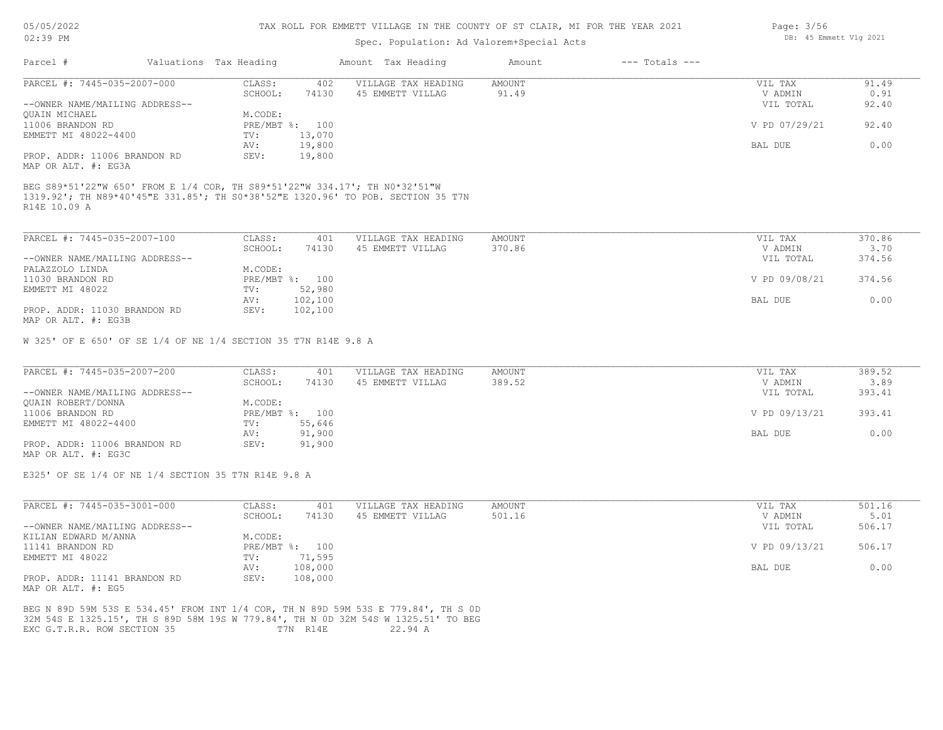| 05/05/2022 |  |
|------------|--|
|            |  |

## Spec. Population: Ad Valorem+Special Acts

| Parcel #                       | Valuations Tax Heading |                | Amount Tax Heading  | Amount | $---$ Totals $---$ |               |       |
|--------------------------------|------------------------|----------------|---------------------|--------|--------------------|---------------|-------|
| PARCEL #: 7445-035-2007-000    | CLASS:                 | 402            | VILLAGE TAX HEADING | AMOUNT |                    | VIL TAX       | 91.49 |
|                                | SCHOOL:                | 74130          | 45 EMMETT VILLAG    | 91.49  |                    | V ADMIN       | 0.91  |
| --OWNER NAME/MAILING ADDRESS-- |                        |                |                     |        |                    | VIL TOTAL     | 92.40 |
| QUAIN MICHAEL                  | M.CODE:                |                |                     |        |                    |               |       |
| 11006 BRANDON RD               |                        | PRE/MBT %: 100 |                     |        |                    | V PD 07/29/21 | 92.40 |
| EMMETT MI 48022-4400           | TV:                    | 13,070         |                     |        |                    |               |       |
|                                | AV:                    | 19,800         |                     |        |                    | BAL DUE       | 0.00  |
| PROP. ADDR: 11006 BRANDON RD   | SEV:                   | 19,800         |                     |        |                    |               |       |
| MAP OR ALT. #: EG3A            |                        |                |                     |        |                    |               |       |

<sup>1319.92&#</sup>x27;; TH N89\*40'45"E 331.85'; TH S0\*38'52"E 1320.96' TO POB. SECTION 35 T7N

R14E 10.09 A

| PARCEL #: 7445-035-2007-100    | CLASS:  | 401            | VILLAGE TAX HEADING | AMOUNT | VIL TAX       | 370.86 |
|--------------------------------|---------|----------------|---------------------|--------|---------------|--------|
|                                | SCHOOL: | 74130          | 45 EMMETT VILLAG    | 370.86 | V ADMIN       | 3.70   |
| --OWNER NAME/MAILING ADDRESS-- |         |                |                     |        | VIL TOTAL     | 374.56 |
| PALAZZOLO LINDA                | M.CODE: |                |                     |        |               |        |
| 11030 BRANDON RD               |         | PRE/MBT %: 100 |                     |        | V PD 09/08/21 | 374.56 |
| EMMETT MI 48022                | TV:     | 52,980         |                     |        |               |        |
|                                | AV:     | 102,100        |                     |        | BAL DUE       | 0.00   |
| PROP. ADDR: 11030 BRANDON RD   | SEV:    | 102,100        |                     |        |               |        |
| MAP OR ALT. #: EG3B            |         |                |                     |        |               |        |

W 325' OF E 650' OF SE 1/4 OF NE 1/4 SECTION 35 T7N R14E 9.8 A

| PARCEL #: 7445-035-2007-200    | CLASS:  | 401            | VILLAGE TAX HEADING | AMOUNT | VIL TAX       | 389.52 |
|--------------------------------|---------|----------------|---------------------|--------|---------------|--------|
|                                | SCHOOL: | 74130          | 45 EMMETT VILLAG    | 389.52 | V ADMIN       | 3.89   |
| --OWNER NAME/MAILING ADDRESS-- |         |                |                     |        | VIL TOTAL     | 393.41 |
| QUAIN ROBERT/DONNA             | M.CODE: |                |                     |        |               |        |
| 11006 BRANDON RD               |         | PRE/MBT %: 100 |                     |        | V PD 09/13/21 | 393.41 |
| EMMETT MI 48022-4400           | TV:     | 55,646         |                     |        |               |        |
|                                | AV:     | 91,900         |                     |        | BAL DUE       | 0.00   |
| PROP. ADDR: 11006 BRANDON RD   | SEV:    | 91,900         |                     |        |               |        |
| MAP OR ALT. #: EG3C            |         |                |                     |        |               |        |

E325' OF SE 1/4 OF NE 1/4 SECTION 35 T7N R14E 9.8 A

| PARCEL #: 7445-035-3001-000    | CLASS:       | 401     | VILLAGE TAX HEADING | AMOUNT | VIL TAX       | 501.16 |
|--------------------------------|--------------|---------|---------------------|--------|---------------|--------|
|                                | SCHOOL:      | 74130   | 45 EMMETT VILLAG    | 501.16 | V ADMIN       | 5.01   |
| --OWNER NAME/MAILING ADDRESS-- |              |         |                     |        | VIL TOTAL     | 506.17 |
| KILIAN EDWARD M/ANNA           | M.CODE:      |         |                     |        |               |        |
| 11141 BRANDON RD               | $PRE/MBT$ %: | 100     |                     |        | V PD 09/13/21 | 506.17 |
| EMMETT MI 48022                | TV:          | 71,595  |                     |        |               |        |
|                                | AV:          | 108,000 |                     |        | BAL DUE       | 0.00   |
| PROP. ADDR: 11141 BRANDON RD   | SEV:         | 108,000 |                     |        |               |        |
| MAP OR ALT. #: EG5             |              |         |                     |        |               |        |

EXC G.T.R.R. ROW SECTION 35 T7N R14E 22.94 A 32M 54S E 1325.15', TH S 89D 58M 19S W 779.84', TH N 0D 32M 54S W 1325.51' TO BEG BEG N 89D 59M 53S E 534.45' FROM INT 1/4 COR, TH N 89D 59M 53S E 779.84', TH S 0D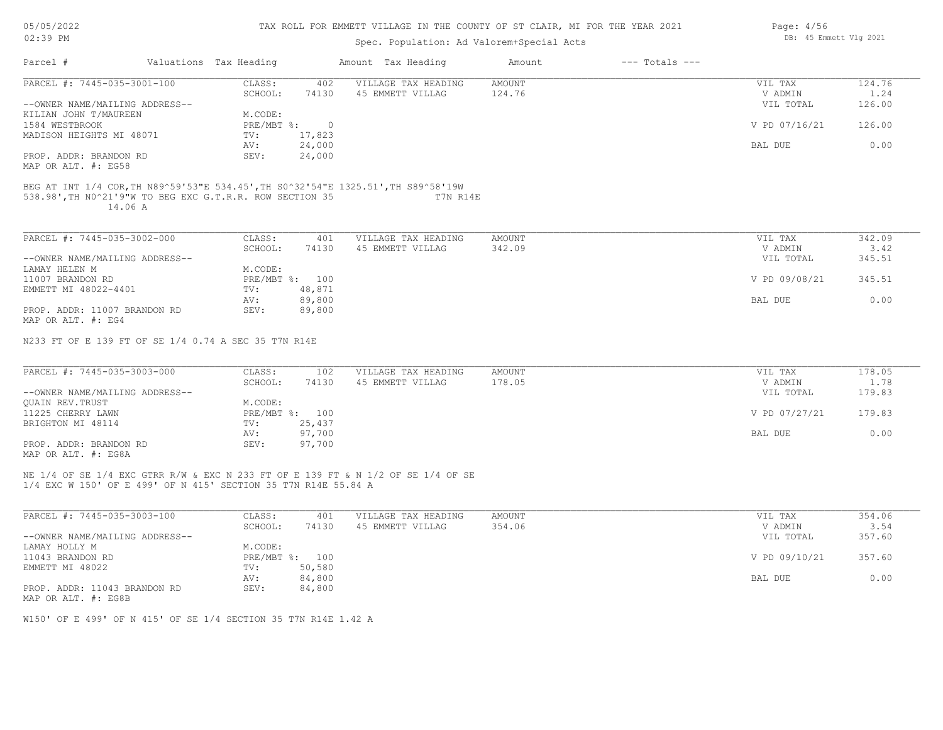|  |  | 05/05/2022 |
|--|--|------------|
|--|--|------------|

| 02:39 PM                                      |                                                                     |                |         | Spec. Population: Ad Valorem+Special Acts                                                     |               |                    | DB: 45 Emmett Vlg 2021 |        |
|-----------------------------------------------|---------------------------------------------------------------------|----------------|---------|-----------------------------------------------------------------------------------------------|---------------|--------------------|------------------------|--------|
| Parcel #                                      | Valuations Tax Heading                                              |                |         | Amount Tax Heading                                                                            | Amount        | $---$ Totals $---$ |                        |        |
| PARCEL #: 7445-035-3001-100                   |                                                                     | CLASS:         | 402     | VILLAGE TAX HEADING                                                                           | <b>AMOUNT</b> |                    | VIL TAX                | 124.76 |
|                                               |                                                                     | SCHOOL:        | 74130   | 45 EMMETT VILLAG                                                                              | 124.76        |                    | V ADMIN                | 1.24   |
| --OWNER NAME/MAILING ADDRESS--                |                                                                     |                |         |                                                                                               |               |                    | VIL TOTAL              | 126.00 |
| KILIAN JOHN T/MAUREEN                         |                                                                     | M.CODE:        |         |                                                                                               |               |                    |                        |        |
| 1584 WESTBROOK                                |                                                                     | PRE/MBT %:     | $\circ$ |                                                                                               |               |                    | V PD 07/16/21          | 126.00 |
| MADISON HEIGHTS MI 48071                      |                                                                     | TV:            | 17,823  |                                                                                               |               |                    |                        |        |
|                                               |                                                                     | AV:            | 24,000  |                                                                                               |               |                    | BAL DUE                | 0.00   |
| PROP. ADDR: BRANDON RD<br>MAP OR ALT. #: EG58 |                                                                     | SEV:           | 24,000  |                                                                                               |               |                    |                        |        |
|                                               | 538.98', TH NO^21'9"W TO BEG EXC G.T.R.R. ROW SECTION 35<br>14.06 A |                |         | BEG AT INT 1/4 COR, TH N89^59'53"E 534.45', TH S0^32'54"E 1325.51', TH S89^58'19W<br>T7N R14E |               |                    |                        |        |
| PARCEL #: 7445-035-3002-000                   |                                                                     | CLASS:         | 401     | VILLAGE TAX HEADING                                                                           | AMOUNT        |                    | VIL TAX                | 342.09 |
|                                               |                                                                     | SCHOOL:        | 74130   | 45 EMMETT VILLAG                                                                              | 342.09        |                    | V ADMIN                | 3.42   |
| --OWNER NAME/MAILING ADDRESS--                |                                                                     |                |         |                                                                                               |               |                    | VIL TOTAL              | 345.51 |
| LAMAY HELEN M                                 |                                                                     | M.CODE:        |         |                                                                                               |               |                    |                        |        |
| 11007 BRANDON RD                              |                                                                     | PRE/MBT %: 100 |         |                                                                                               |               |                    | V PD 09/08/21          | 345.51 |
| EMMETT MI 48022-4401                          |                                                                     | TV:            | 48,871  |                                                                                               |               |                    |                        |        |
|                                               |                                                                     | AV:            | 89,800  |                                                                                               |               |                    | BAL DUE                | 0.00   |
| PROP. ADDR: 11007 BRANDON RD                  |                                                                     | SEV:           | 89,800  |                                                                                               |               |                    |                        |        |
| MAP OR ALT. #: EG4                            |                                                                     |                |         |                                                                                               |               |                    |                        |        |
|                                               | N233 FT OF E 139 FT OF SE 1/4 0.74 A SEC 35 T7N R14E                |                |         |                                                                                               |               |                    |                        |        |
| PARCEL #: 7445-035-3003-000                   |                                                                     | CLASS:         | 102     | VILLAGE TAX HEADING                                                                           | AMOUNT        |                    | VIL TAX                | 178.05 |
|                                               |                                                                     | SCHOOL:        | 74130   | 45 EMMETT VILLAG                                                                              | 178.05        |                    | V ADMIN                | 1.78   |
| --OWNER NAME/MAILING ADDRESS--                |                                                                     |                |         |                                                                                               |               |                    | VIL TOTAL              | 179.83 |
| QUAIN REV. TRUST                              |                                                                     | M.CODE:        |         |                                                                                               |               |                    |                        |        |
| 11225 CHERRY LAWN                             |                                                                     | PRE/MBT %: 100 |         |                                                                                               |               |                    | V PD 07/27/21          | 179.83 |
| BRIGHTON MI 48114                             |                                                                     | TV:            | 25,437  |                                                                                               |               |                    |                        |        |
|                                               |                                                                     | AV:            | 97,700  |                                                                                               |               |                    | BAL DUE                | 0.00   |
| PROP. ADDR: BRANDON RD                        |                                                                     | SEV:           | 97,700  |                                                                                               |               |                    |                        |        |
| MAP OR ALT. #: EG8A                           |                                                                     |                |         |                                                                                               |               |                    |                        |        |
|                                               | 1/4 EXC W 150' OF E 499' OF N 415' SECTION 35 T7N R14E 55.84 A      |                |         | NE 1/4 OF SE 1/4 EXC GTRR R/W & EXC N 233 FT OF E 139 FT & N 1/2 OF SE 1/4 OF SE              |               |                    |                        |        |
|                                               |                                                                     |                |         |                                                                                               |               |                    |                        |        |
| PARCEL #: 7445-035-3003-100                   |                                                                     | CLASS:         | 401     | VILLAGE TAX HEADING                                                                           | <b>AMOUNT</b> |                    | VIL TAX                | 354.06 |
|                                               |                                                                     | SCHOOL:        | 74130   | 45 EMMETT VILLAG                                                                              | 354.06        |                    | V ADMIN                | 3.54   |
| --OWNER NAME/MAILING ADDRESS--                |                                                                     |                |         |                                                                                               |               |                    | VIL TOTAL              | 357.60 |
| LAMAY HOLLY M                                 |                                                                     | M.CODE:        |         |                                                                                               |               |                    |                        |        |
| 11043 BRANDON RD                              |                                                                     | PRE/MBT %: 100 |         |                                                                                               |               |                    | V PD 09/10/21          | 357.60 |
| EMMETT MI 48022                               |                                                                     | TV:            | 50,580  |                                                                                               |               |                    |                        |        |
|                                               |                                                                     | AV:            | 84,800  |                                                                                               |               |                    | BAL DUE                | 0.00   |
| PROP. ADDR: 11043 BRANDON RD                  |                                                                     | SEV:           | 84,800  |                                                                                               |               |                    |                        |        |

MAP OR ALT. #: EG8B

W150' OF E 499' OF N 415' OF SE 1/4 SECTION 35 T7N R14E 1.42 A

Page: 4/56 DB: 45 Emmett Vlg 2021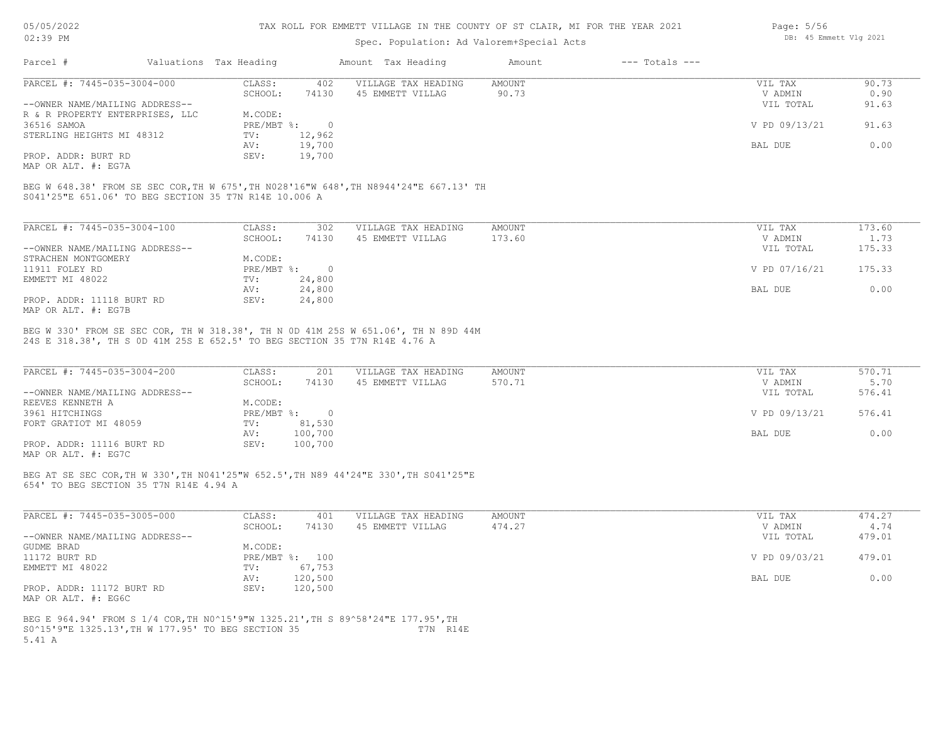#### TAX ROLL FOR EMMETT VILLAGE IN THE COUNTY OF ST CLAIR, MI FOR THE YEAR 2021

## Spec. Population: Ad Valorem+Special Acts

| Parcel #                        | Valuations Tax Heading |        | Amount Tax Heading  | Amount | $---$ Totals $---$ |               |       |
|---------------------------------|------------------------|--------|---------------------|--------|--------------------|---------------|-------|
| PARCEL #: 7445-035-3004-000     | CLASS:                 | 402    | VILLAGE TAX HEADING | AMOUNT |                    | VIL TAX       | 90.73 |
|                                 | SCHOOL:                | 74130  | 45 EMMETT VILLAG    | 90.73  |                    | V ADMIN       | 0.90  |
| --OWNER NAME/MAILING ADDRESS--  |                        |        |                     |        |                    | VIL TOTAL     | 91.63 |
| R & R PROPERTY ENTERPRISES, LLC | M.CODE:                |        |                     |        |                    |               |       |
| 36516 SAMOA                     | PRE/MBT %:             |        |                     |        |                    | V PD 09/13/21 | 91.63 |
| STERLING HEIGHTS MI 48312       | TV:                    | 12,962 |                     |        |                    |               |       |
|                                 | AV:                    | 19,700 |                     |        |                    | BAL DUE       | 0.00  |
| PROP. ADDR: BURT RD             | SEV:                   | 19,700 |                     |        |                    |               |       |
|                                 |                        |        |                     |        |                    |               |       |

MAP OR ALT. #: EG7A

S041'25"E 651.06' TO BEG SECTION 35 T7N R14E 10.006 A BEG W 648.38' FROM SE SEC COR,TH W 675',TH N028'16"W 648',TH N8944'24"E 667.13' TH

| PARCEL #: 7445-035-3004-100    | CLASS:     | 302    | VILLAGE TAX HEADING | AMOUNT | VIL TAX       | 173.60 |
|--------------------------------|------------|--------|---------------------|--------|---------------|--------|
|                                | SCHOOL:    | 74130  | 45 EMMETT VILLAG    | 173.60 | V ADMIN       | 1.73   |
| --OWNER NAME/MAILING ADDRESS-- |            |        |                     |        | VIL TOTAL     | 175.33 |
| STRACHEN MONTGOMERY            | M.CODE:    |        |                     |        |               |        |
| 11911 FOLEY RD                 | PRE/MBT %: |        |                     |        | V PD 07/16/21 | 175.33 |
| EMMETT MI 48022                | TV:        | 24,800 |                     |        |               |        |
|                                | AV:        | 24,800 |                     |        | BAL DUE       | 0.00   |
| PROP. ADDR: 11118 BURT RD      | SEV:       | 24,800 |                     |        |               |        |
| MAP OR ALT. #: EG7B            |            |        |                     |        |               |        |

24S E 318.38', TH S 0D 41M 25S E 652.5' TO BEG SECTION 35 T7N R14E 4.76 A BEG W 330' FROM SE SEC COR, TH W 318.38', TH N 0D 41M 25S W 651.06', TH N 89D 44M

| PARCEL #: 7445-035-3004-200    | CLASS:       | 201     | VILLAGE TAX HEADING | AMOUNT | VIL TAX       | 570.71 |
|--------------------------------|--------------|---------|---------------------|--------|---------------|--------|
|                                | SCHOOL:      | 74130   | 45 EMMETT VILLAG    | 570.71 | V ADMIN       | 5.70   |
| --OWNER NAME/MAILING ADDRESS-- |              |         |                     |        | VIL TOTAL     | 576.41 |
| REEVES KENNETH A               | M.CODE:      |         |                     |        |               |        |
| 3961 HITCHINGS                 | $PRE/MBT$ %: |         |                     |        | V PD 09/13/21 | 576.41 |
| FORT GRATIOT MI 48059          | TV:          | 81,530  |                     |        |               |        |
|                                | AV:          | 100,700 |                     |        | BAL DUE       | 0.00   |
| PROP. ADDR: 11116 BURT RD      | SEV:         | 100,700 |                     |        |               |        |
| MAP OR ALT. #: EG7C            |              |         |                     |        |               |        |

654' TO BEG SECTION 35 T7N R14E 4.94 A BEG AT SE SEC COR,TH W 330',TH N041'25"W 652.5',TH N89 44'24"E 330',TH S041'25"E

| PARCEL #: 7445-035-3005-000    | CLASS:  | 401            | VILLAGE TAX HEADING | AMOUNT | VIL TAX       | 474.27 |
|--------------------------------|---------|----------------|---------------------|--------|---------------|--------|
|                                | SCHOOL: | 74130          | 45 EMMETT VILLAG    | 474.27 | V ADMIN       | 4.74   |
| --OWNER NAME/MAILING ADDRESS-- |         |                |                     |        | VIL TOTAL     | 479.01 |
| GUDME BRAD                     | M.CODE: |                |                     |        |               |        |
| 11172 BURT RD                  |         | PRE/MBT %: 100 |                     |        | V PD 09/03/21 | 479.01 |
| EMMETT MI 48022                | TV:     | 67,753         |                     |        |               |        |
|                                | AV:     | 120,500        |                     |        | BAL DUE       | 0.00   |
| PROP. ADDR: 11172 BURT RD      | SEV:    | 120,500        |                     |        |               |        |
| MAP OR ALT. #: EG6C            |         |                |                     |        |               |        |

5.41 A S0^15'9"E 1325.13',TH W 177.95' TO BEG SECTION 35 T7N R14E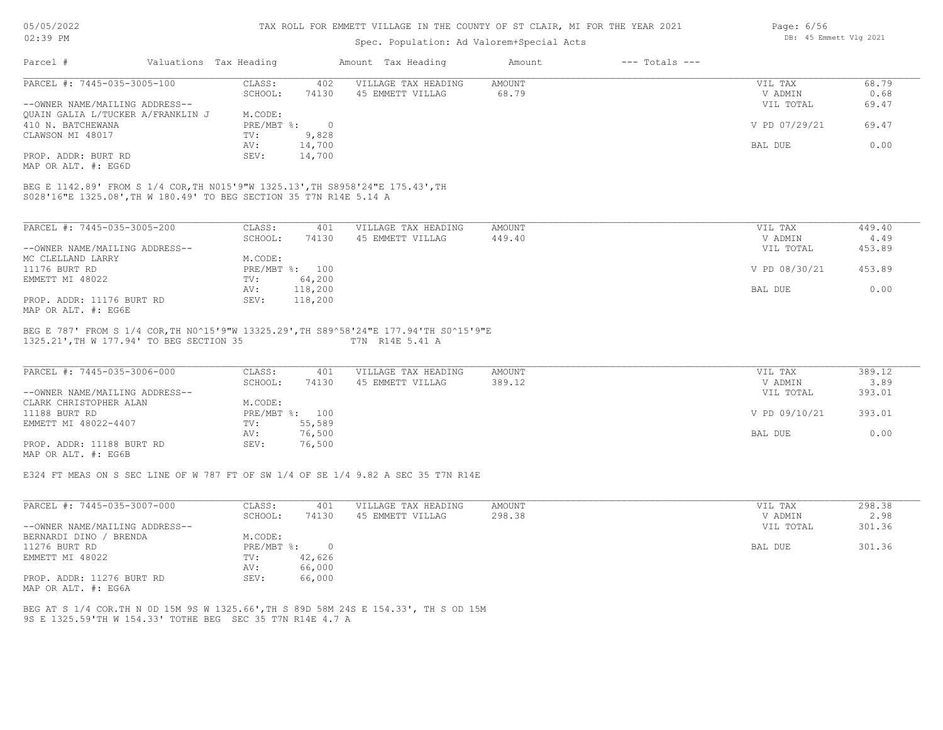| 05/05/2022 |    |
|------------|----|
| 02:39      | PМ |

# Spec. Population: Ad Valorem+Special Acts

|                                                                                       |                              | spec. ropulation. Ad valorem special Acts               |        |                    |                  |            |
|---------------------------------------------------------------------------------------|------------------------------|---------------------------------------------------------|--------|--------------------|------------------|------------|
| Parcel #                                                                              | Valuations Tax Heading       | Amount Tax Heading                                      | Amount | $---$ Totals $---$ |                  |            |
| PARCEL #: 7445-035-3005-100                                                           | CLASS:<br>402                | VILLAGE TAX HEADING                                     | AMOUNT |                    | VIL TAX          | 68.79      |
|                                                                                       | 74130<br>SCHOOL:             | 45 EMMETT VILLAG                                        | 68.79  |                    | V ADMIN          | 0.68       |
| --OWNER NAME/MAILING ADDRESS--                                                        |                              |                                                         |        |                    | VIL TOTAL        | 69.47      |
| OUAIN GALIA L/TUCKER A/FRANKLIN J                                                     | M.CODE:                      |                                                         |        |                    |                  |            |
| 410 N. BATCHEWANA                                                                     | PRE/MBT %:<br>$\overline{0}$ |                                                         |        |                    | V PD 07/29/21    | 69.47      |
| CLAWSON MI 48017                                                                      | 9,828<br>TV:                 |                                                         |        |                    |                  |            |
|                                                                                       | 14,700<br>AV:                |                                                         |        |                    | BAL DUE          | 0.00       |
| PROP. ADDR: BURT RD                                                                   | 14,700<br>SEV:               |                                                         |        |                    |                  |            |
| MAP OR ALT. #: EG6D                                                                   |                              |                                                         |        |                    |                  |            |
|                                                                                       |                              |                                                         |        |                    |                  |            |
| BEG E 1142.89' FROM S 1/4 COR,TH N015'9"W 1325.13',TH S8958'24"E 175.43',TH           |                              |                                                         |        |                    |                  |            |
| S028'16"E 1325.08', TH W 180.49' TO BEG SECTION 35 T7N R14E 5.14 A                    |                              |                                                         |        |                    |                  |            |
|                                                                                       |                              |                                                         |        |                    |                  |            |
| PARCEL #: 7445-035-3005-200                                                           | CLASS:<br>401                | VILLAGE TAX HEADING                                     | AMOUNT |                    | VIL TAX          | 449.40     |
|                                                                                       | SCHOOL:<br>74130             | 45 EMMETT VILLAG                                        | 449.40 |                    | V ADMIN          | 4.49       |
| --OWNER NAME/MAILING ADDRESS--                                                        |                              |                                                         |        |                    | VIL TOTAL        | 453.89     |
| MC CLELLAND LARRY                                                                     | M.CODE:                      |                                                         |        |                    |                  |            |
| 11176 BURT RD                                                                         | PRE/MBT %: 100               |                                                         |        |                    | V PD 08/30/21    | 453.89     |
|                                                                                       |                              |                                                         |        |                    |                  |            |
| EMMETT MI 48022                                                                       | 64,200<br>$\texttt{TV}$ :    |                                                         |        |                    |                  |            |
|                                                                                       | 118,200<br>AV:               |                                                         |        |                    | BAL DUE          | 0.00       |
| PROP. ADDR: 11176 BURT RD                                                             | SEV:<br>118,200              |                                                         |        |                    |                  |            |
| MAP OR ALT. #: EG6E                                                                   |                              |                                                         |        |                    |                  |            |
| BEG E 787' FROM S 1/4 COR, TH NO^15'9"W 13325.29', TH S89^58'24"E 177.94'TH SO^15'9"E |                              |                                                         |        |                    |                  |            |
| 1325.21', TH W 177.94' TO BEG SECTION 35                                              |                              | T7N R14E 5.41 A                                         |        |                    |                  |            |
|                                                                                       |                              |                                                         |        |                    |                  |            |
|                                                                                       |                              |                                                         |        |                    |                  |            |
| PARCEL #: 7445-035-3006-000                                                           | CLASS:<br>401                | VILLAGE TAX HEADING                                     | AMOUNT |                    | VIL TAX          | 389.12     |
|                                                                                       | 74130<br>SCHOOL:             | 45 EMMETT VILLAG                                        | 389.12 |                    | V ADMIN          | 3.89       |
| --OWNER NAME/MAILING ADDRESS--                                                        |                              |                                                         |        |                    | VIL TOTAL        | 393.01     |
| CLARK CHRISTOPHER ALAN                                                                | M.CODE:                      |                                                         |        |                    |                  |            |
| 11188 BURT RD                                                                         | PRE/MBT %: 100               |                                                         |        |                    | V PD 09/10/21    | 393.01     |
| EMMETT MI 48022-4407                                                                  | TV:<br>55,589                |                                                         |        |                    |                  |            |
|                                                                                       | 76,500<br>AV:                |                                                         |        |                    | BAL DUE          | 0.00       |
| PROP. ADDR: 11188 BURT RD                                                             | SEV:<br>76,500               |                                                         |        |                    |                  |            |
| MAP OR ALT. #: EG6B                                                                   |                              |                                                         |        |                    |                  |            |
|                                                                                       |                              |                                                         |        |                    |                  |            |
| E324 FT MEAS ON S SEC LINE OF W 787 FT OF SW 1/4 OF SE 1/4 9.82 A SEC 35 T7N R14E     |                              |                                                         |        |                    |                  |            |
|                                                                                       |                              |                                                         |        |                    |                  |            |
| PARCEL #: 7445-035-3007-000                                                           | CLASS:<br>401                | VILLAGE TAX HEADING                                     | AMOUNT |                    | VIL TAX          | 298.38     |
|                                                                                       |                              | $C \cap \{11001, \ldots, 74120\}$ $AE$ EMMERIE $UTTTAC$ | 20020  |                    | <b>IZ ADMINI</b> | $\sim$ 0.0 |

|                                | ------       | ---    |                  | ------ |           | ------ |
|--------------------------------|--------------|--------|------------------|--------|-----------|--------|
|                                | SCHOOL:      | 74130  | 45 EMMETT VILLAG | 298.38 | V ADMIN   | 2.98   |
| --OWNER NAME/MAILING ADDRESS-- |              |        |                  |        | VIL TOTAL | 301.36 |
| BERNARDI DINO / BRENDA         | M.CODE:      |        |                  |        |           |        |
| 11276 BURT RD                  | $PRE/MBT$ %: |        |                  |        | BAL DUE   | 301.36 |
| EMMETT MI 48022                | TV:          | 42,626 |                  |        |           |        |
|                                | AV:          | 66,000 |                  |        |           |        |
| PROP. ADDR: 11276 BURT RD      | SEV:         | 66,000 |                  |        |           |        |
| MAP OR ALT. #: EG6A            |              |        |                  |        |           |        |

BEG AT S 1/4 COR.TH N 0D 15M 9S W 1325.66',TH S 89D 58M 24S E 154.33', TH S OD 15M

9S E 1325.59'TH W 154.33' TOTHE BEG SEC 35 T7N R14E 4.7 A

Page: 6/56 DB: 45 Emmett Vlg 2021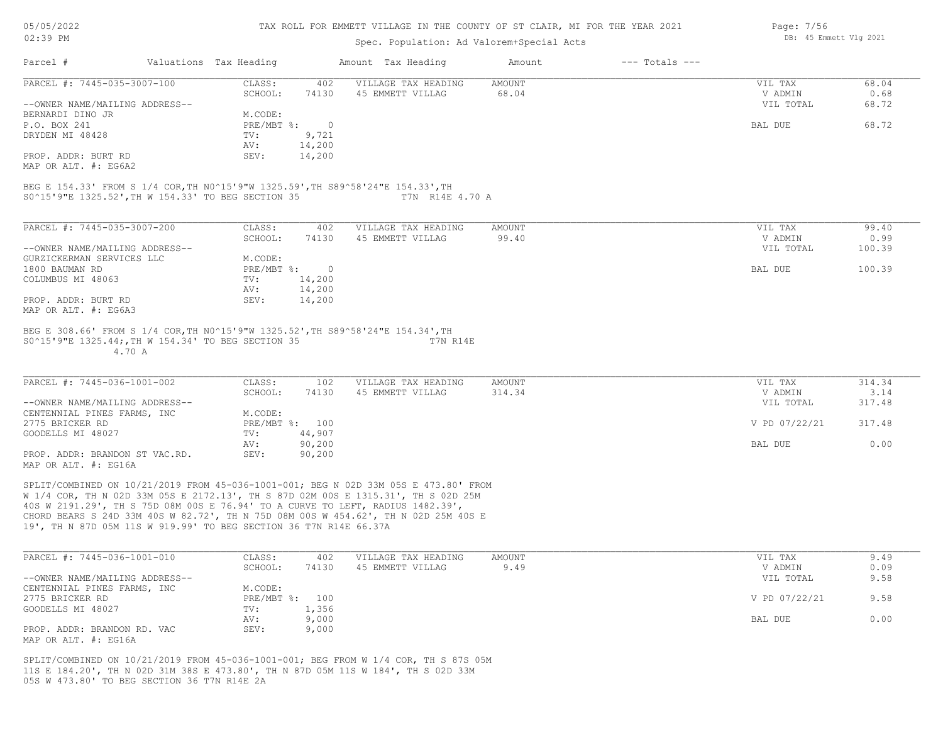#### TAX ROLL FOR EMMETT VILLAGE IN THE COUNTY OF ST CLAIR, MI FOR THE YEAR 2021

## Spec. Population: Ad Valorem+Special Acts

| Page: 7/56 |                        |  |
|------------|------------------------|--|
|            | DB: 45 Emmett Vlg 2021 |  |

| Parcel #                       | Valuations Tax Heading |        | Amount Tax Heading  | Amount | $---$ Totals $---$ |           |       |
|--------------------------------|------------------------|--------|---------------------|--------|--------------------|-----------|-------|
| PARCEL #: 7445-035-3007-100    | CLASS:                 | 402    | VILLAGE TAX HEADING | AMOUNT |                    | VIL TAX   | 68.04 |
|                                | SCHOOL:                | 74130  | 45 EMMETT VILLAG    | 68.04  |                    | V ADMIN   | 0.68  |
| --OWNER NAME/MAILING ADDRESS-- |                        |        |                     |        |                    | VIL TOTAL | 68.72 |
| BERNARDI DINO JR               | M.CODE:                |        |                     |        |                    |           |       |
| P.O. BOX 241                   | PRE/MBT %:             |        |                     |        |                    | BAL DUE   | 68.72 |
| DRYDEN MI 48428                | TV:                    | 9,721  |                     |        |                    |           |       |
|                                | AV:                    | 14,200 |                     |        |                    |           |       |
| PROP. ADDR: BURT RD            | SEV:                   | 14,200 |                     |        |                    |           |       |
| MAP OR ALT. #: EG6A2           |                        |        |                     |        |                    |           |       |

S0^15'9"E 1325.52',TH W 154.33' TO BEG SECTION 35 T7N R14E 4.70 A BEG E 154.33' FROM S 1/4 COR,TH N0^15'9"W 1325.59',TH S89^58'24"E 154.33',TH

| PARCEL #: 7445-035-3007-200    | CLASS:     | 402        | VILLAGE TAX HEADING | AMOUNT | VIL TAX           | 99.40  |
|--------------------------------|------------|------------|---------------------|--------|-------------------|--------|
|                                | SCHOOL:    | 74130      | 45 EMMETT VILLAG    | 99.40  | V ADMIN           | 0.99   |
| --OWNER NAME/MAILING ADDRESS-- |            |            |                     |        | VIL TOTAL         | 100.39 |
| GURZICKERMAN SERVICES LLC      | M.CODE:    |            |                     |        |                   |        |
| 1800 BAUMAN RD                 | PRE/MBT %: | $\bigcirc$ |                     |        | 100.39<br>BAL DUE |        |
| COLUMBUS MI 48063              | TV:        | 14,200     |                     |        |                   |        |
|                                | AV:        | 14,200     |                     |        |                   |        |
| PROP. ADDR: BURT RD            | SEV:       | 14,200     |                     |        |                   |        |
| MAP OR ALT. #: EG6A3           |            |            |                     |        |                   |        |
|                                |            |            |                     |        |                   |        |

 4.70 A S0^15'9"E 1325.44;,TH W 154.34' TO BEG SECTION 35 T7N R14E BEG E 308.66' FROM S 1/4 COR,TH N0^15'9"W 1325.52',TH S89^58'24"E 154.34',TH

| PARCEL #: 7445-036-1001-002    | CLASS:  | 102            | VILLAGE TAX HEADING | AMOUNT | VIL TAX       | 314.34 |
|--------------------------------|---------|----------------|---------------------|--------|---------------|--------|
|                                | SCHOOL: | 74130          | 45 EMMETT VILLAG    | 314.34 | V ADMIN       | 3.14   |
| --OWNER NAME/MAILING ADDRESS-- |         |                |                     |        | VIL TOTAL     | 317.48 |
| CENTENNIAL PINES FARMS, INC    | M.CODE: |                |                     |        |               |        |
| 2775 BRICKER RD                |         | PRE/MBT %: 100 |                     |        | V PD 07/22/21 | 317.48 |
| GOODELLS MI 48027              | TV:     | 44,907         |                     |        |               |        |
|                                | AV:     | 90,200         |                     |        | BAL DUE       | 0.00   |
| PROP. ADDR: BRANDON ST VAC.RD. | SEV:    | 90,200         |                     |        |               |        |
| $MAD$ $CD$ $ATH$ $H$ , $DCD$   |         |                |                     |        |               |        |

MAP OR ALT. #: EG16A

19', TH N 87D 05M 11S W 919.99' TO BEG SECTION 36 T7N R14E 66.37A CHORD BEARS S 24D 33M 40S W 82.72', TH N 75D 08M 00S W 454.62', TH N 02D 25M 40S E 40S W 2191.29', TH S 75D 08M 00S E 76.94' TO A CURVE TO LEFT, RADIUS 1482.39', W 1/4 COR, TH N 02D 33M 05S E 2172.13', TH S 87D 02M 00S E 1315.31', TH S 02D 25M SPLIT/COMBINED ON 10/21/2019 FROM 45-036-1001-001; BEG N 02D 33M 05S E 473.80' FROM

| PARCEL #: 7445-036-1001-010    | CLASS:  | 402            | VILLAGE TAX HEADING | AMOUNT | VIL TAX       | 9.49 |
|--------------------------------|---------|----------------|---------------------|--------|---------------|------|
|                                | SCHOOL: | 74130          | 45 EMMETT VILLAG    | 9.49   | V ADMIN       | 0.09 |
| --OWNER NAME/MAILING ADDRESS-- |         |                |                     |        | VIL TOTAL     | 9.58 |
| CENTENNIAL PINES FARMS, INC    | M.CODE: |                |                     |        |               |      |
| 2775 BRICKER RD                |         | PRE/MBT %: 100 |                     |        | V PD 07/22/21 | 9.58 |
| GOODELLS MI 48027              | TV:     | 1,356          |                     |        |               |      |
|                                | AV:     | 9,000          |                     |        | BAL DUE       | 0.00 |
| PROP. ADDR: BRANDON RD. VAC    | SEV:    | 9,000          |                     |        |               |      |
| MAP OR ALT. #: EG16A           |         |                |                     |        |               |      |

05S W 473.80' TO BEG SECTION 36 T7N R14E 2A 11S E 184.20', TH N 02D 31M 38S E 473.80', TH N 87D 05M 11S W 184', TH S 02D 33M SPLIT/COMBINED ON 10/21/2019 FROM 45-036-1001-001; BEG FROM W 1/4 COR, TH S 87S 05M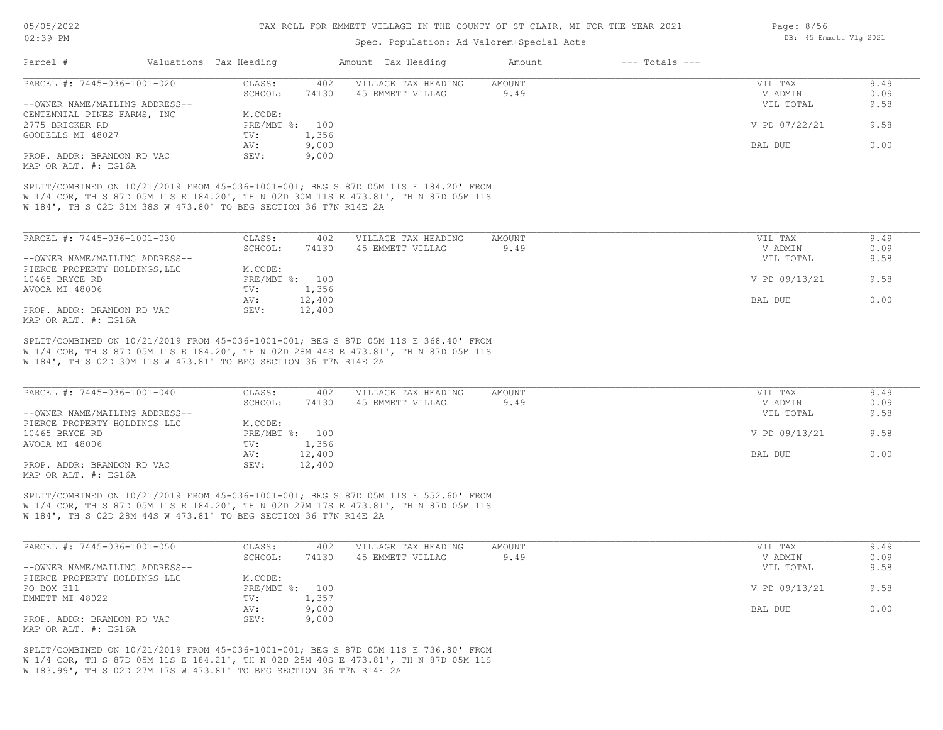## Spec. Population: Ad Valorem+Special Acts

| Parcel #                       | Valuations Tax Heading |       | Amount Tax Heading  | Amount | $---$ Totals $---$ |               |      |
|--------------------------------|------------------------|-------|---------------------|--------|--------------------|---------------|------|
| PARCEL #: 7445-036-1001-020    | CLASS:                 | 402   | VILLAGE TAX HEADING | AMOUNT |                    | VIL TAX       | 9.49 |
|                                | SCHOOL:                | 74130 | 45 EMMETT VILLAG    | 9.49   |                    | V ADMIN       | 0.09 |
| --OWNER NAME/MAILING ADDRESS-- |                        |       |                     |        |                    | VIL TOTAL     | 9.58 |
| CENTENNIAL PINES FARMS, INC    | M.CODE:                |       |                     |        |                    |               |      |
| 2775 BRICKER RD                | PRE/MBT %: 100         |       |                     |        |                    | V PD 07/22/21 | 9.58 |
| GOODELLS MI 48027              | TV:                    | 1,356 |                     |        |                    |               |      |
|                                | AV:                    | 9,000 |                     |        |                    | BAL DUE       | 0.00 |
| PROP. ADDR: BRANDON RD VAC     | SEV:                   | 9,000 |                     |        |                    |               |      |
| MAP OR ALT, #: EG16A           |                        |       |                     |        |                    |               |      |

W 184', TH S 02D 31M 38S W 473.80' TO BEG SECTION 36 T7N R14E 2A W 1/4 COR, TH S 87D 05M 11S E 184.20', TH N 02D 30M 11S E 473.81', TH N 87D 05M 11S SPLIT/COMBINED ON 10/21/2019 FROM 45-036-1001-001; BEG S 87D 05M 11S E 184.20' FROM

| PARCEL #: 7445-036-1001-030    | CLASS:       | 402    | VILLAGE TAX HEADING | AMOUNT | VIL TAX       | 9.49 |
|--------------------------------|--------------|--------|---------------------|--------|---------------|------|
|                                | SCHOOL:      | 74130  | 45 EMMETT VILLAG    | 9.49   | V ADMIN       | 0.09 |
| --OWNER NAME/MAILING ADDRESS-- |              |        |                     |        | VIL TOTAL     | 9.58 |
| PIERCE PROPERTY HOLDINGS, LLC  | M.CODE:      |        |                     |        |               |      |
| 10465 BRYCE RD                 | $PRE/MBT$ %: | 100    |                     |        | V PD 09/13/21 | 9.58 |
| AVOCA MI 48006                 | TV:          | 1,356  |                     |        |               |      |
|                                | AV:          | 12,400 |                     |        | BAL DUE       | 0.00 |
| PROP. ADDR: BRANDON RD VAC     | SEV:         | 12,400 |                     |        |               |      |
| MAP OR ALT. #: EG16A           |              |        |                     |        |               |      |

W 184', TH S 02D 30M 11S W 473.81' TO BEG SECTION 36 T7N R14E 2A W 1/4 COR, TH S 87D 05M 11S E 184.20', TH N 02D 28M 44S E 473.81', TH N 87D 05M 11S SPLIT/COMBINED ON 10/21/2019 FROM 45-036-1001-001; BEG S 87D 05M 11S E 368.40' FROM

| PARCEL #: 7445-036-1001-040    | CLASS:  | 402            | VILLAGE TAX HEADING | AMOUNT | VIL TAX       | 9.49 |
|--------------------------------|---------|----------------|---------------------|--------|---------------|------|
|                                | SCHOOL: | 74130          | 45 EMMETT VILLAG    | 9.49   | V ADMIN       | 0.09 |
| --OWNER NAME/MAILING ADDRESS-- |         |                |                     |        | VIL TOTAL     | 9.58 |
| PIERCE PROPERTY HOLDINGS LLC   | M.CODE: |                |                     |        |               |      |
| 10465 BRYCE RD                 |         | PRE/MBT %: 100 |                     |        | V PD 09/13/21 | 9.58 |
| AVOCA MI 48006                 | TV:     | 1,356          |                     |        |               |      |
|                                | AV:     | 12,400         |                     |        | BAL DUE       | 0.00 |
| PROP. ADDR: BRANDON RD VAC     | SEV:    | 12,400         |                     |        |               |      |
| MAP OR ALT. #: EG16A           |         |                |                     |        |               |      |

W 184', TH S 02D 28M 44S W 473.81' TO BEG SECTION 36 T7N R14E 2A W 1/4 COR, TH S 87D 05M 11S E 184.20', TH N 02D 27M 17S E 473.81', TH N 87D 05M 11S SPLIT/COMBINED ON 10/21/2019 FROM 45-036-1001-001; BEG S 87D 05M 11S E 552.60' FROM

| PARCEL #: 7445-036-1001-050    | CLASS:  | 402            | VILLAGE TAX HEADING | AMOUNT | VIL TAX       | 9.49 |
|--------------------------------|---------|----------------|---------------------|--------|---------------|------|
|                                | SCHOOL: | 74130          | 45 EMMETT VILLAG    | 9.49   | V ADMIN       | 0.09 |
| --OWNER NAME/MAILING ADDRESS-- |         |                |                     |        | VIL TOTAL     | 9.58 |
| PIERCE PROPERTY HOLDINGS LLC   | M.CODE: |                |                     |        |               |      |
| PO BOX 311                     |         | PRE/MBT %: 100 |                     |        | V PD 09/13/21 | 9.58 |
| EMMETT MI 48022                | TV:     | 1,357          |                     |        |               |      |
|                                | AV:     | 9,000          |                     |        | BAL DUE       | 0.00 |
| PROP. ADDR: BRANDON RD VAC     | SEV:    | 9,000          |                     |        |               |      |
| MAP OR ALT. #: EG16A           |         |                |                     |        |               |      |

W 183.99', TH S 02D 27M 17S W 473.81' TO BEG SECTION 36 T7N R14E 2A W 1/4 COR, TH S 87D 05M 11S E 184.21', TH N 02D 25M 40S E 473.81', TH N 87D 05M 11S SPLIT/COMBINED ON 10/21/2019 FROM 45-036-1001-001; BEG S 87D 05M 11S E 736.80' FROM Page: 8/56 DB: 45 Emmett Vlg 2021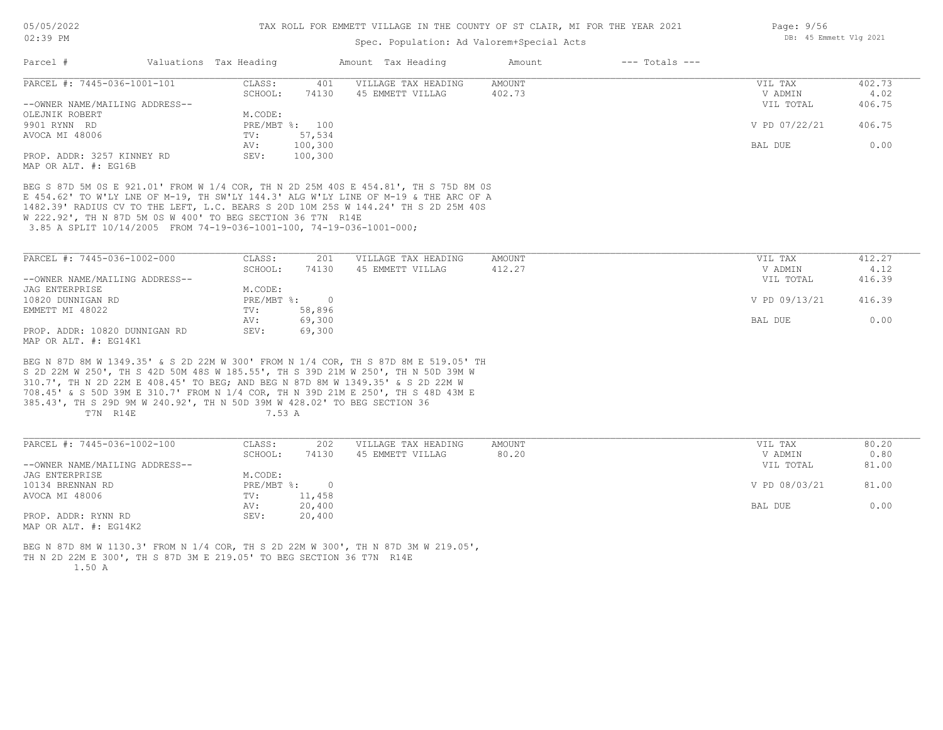## Spec. Population: Ad Valorem+Special Acts

| Parcel #                       | Valuations Tax Heading |                | Amount Tax Heading  | Amount | $---$ Totals $---$ |               |        |
|--------------------------------|------------------------|----------------|---------------------|--------|--------------------|---------------|--------|
| PARCEL #: 7445-036-1001-101    | CLASS:                 | 401            | VILLAGE TAX HEADING | AMOUNT |                    | VIL TAX       | 402.73 |
|                                | SCHOOL:                | 74130          | 45 EMMETT VILLAG    | 402.73 |                    | V ADMIN       | 4.02   |
| --OWNER NAME/MAILING ADDRESS-- |                        |                |                     |        |                    | VIL TOTAL     | 406.75 |
| OLEJNIK ROBERT                 | M.CODE:                |                |                     |        |                    |               |        |
| 9901 RYNN RD                   |                        | PRE/MBT %: 100 |                     |        |                    | V PD 07/22/21 | 406.75 |
| AVOCA MI 48006                 | TV:                    | 57,534         |                     |        |                    |               |        |
|                                | AV:                    | 100,300        |                     |        |                    | BAL DUE       | 0.00   |
| PROP. ADDR: 3257 KINNEY RD     | SEV:                   | 100,300        |                     |        |                    |               |        |
| MAP OR ALT. #: EG16B           |                        |                |                     |        |                    |               |        |

 3.85 A SPLIT 10/14/2005 FROM 74-19-036-1001-100, 74-19-036-1001-000; W 222.92', TH N 87D 5M 0S W 400' TO BEG SECTION 36 T7N R14E 1482.39' RADIUS CV TO THE LEFT, L.C. BEARS S 20D 10M 25S W 144.24' TH S 2D 25M 40S E 454.62' TO W'LY LNE OF M-19, TH SW'LY 144.3' ALG W'LY LINE OF M-19 & THE ARC OF A BEG S 87D 5M 0S E 921.01' FROM W 1/4 COR, TH N 2D 25M 40S E 454.81', TH S 75D 8M 0S

| PARCEL #: 7445-036-1002-000    | CLASS:       | 201    | VILLAGE TAX HEADING | AMOUNT | VIL TAX       | 412.27 |
|--------------------------------|--------------|--------|---------------------|--------|---------------|--------|
|                                | SCHOOL:      | 74130  | 45 EMMETT VILLAG    | 412.27 | V ADMIN       | 4.12   |
| --OWNER NAME/MAILING ADDRESS-- |              |        |                     |        | VIL TOTAL     | 416.39 |
| JAG ENTERPRISE                 | M.CODE:      |        |                     |        |               |        |
| 10820 DUNNIGAN RD              | $PRE/MBT$ %: |        |                     |        | V PD 09/13/21 | 416.39 |
| EMMETT MI 48022                | TV:          | 58,896 |                     |        |               |        |
|                                | AV:          | 69,300 |                     |        | BAL DUE       | 0.00   |
| PROP. ADDR: 10820 DUNNIGAN RD  | SEV:         | 69,300 |                     |        |               |        |
| MAP OR ALT. #: EG14K1          |              |        |                     |        |               |        |

T7N R14E 7.53 A 385.43', TH S 29D 9M W 240.92', TH N 50D 39M W 428.02' TO BEG SECTION 36 708.45' & S 50D 39M E 310.7' FROM N 1/4 COR, TH N 39D 21M E 250', TH S 48D 43M E 310.7', TH N 2D 22M E 408.45' TO BEG; AND BEG N 87D 8M W 1349.35' & S 2D 22M W S 2D 22M W 250', TH S 42D 50M 48S W 185.55', TH S 39D 21M W 250', TH N 50D 39M W BEG N 87D 8M W 1349.35' & S 2D 22M W 300' FROM N 1/4 COR, TH S 87D 8M E 519.05' TH

| PARCEL #: 7445-036-1002-100         | CLASS:     | 202    | VILLAGE TAX HEADING | AMOUNT | VIL TAX       | 80.20 |
|-------------------------------------|------------|--------|---------------------|--------|---------------|-------|
|                                     | SCHOOL:    | 74130  | 45 EMMETT VILLAG    | 80.20  | V ADMIN       | 0.80  |
| --OWNER NAME/MAILING ADDRESS--      |            |        |                     |        | VIL TOTAL     | 81.00 |
| JAG ENTERPRISE                      | M.CODE:    |        |                     |        |               |       |
| 10134 BRENNAN RD                    | PRE/MBT %: |        |                     |        | V PD 08/03/21 | 81.00 |
| AVOCA MI 48006                      | TV:        | 11,458 |                     |        |               |       |
|                                     | AV:        | 20,400 |                     |        | BAL DUE       | 0.00  |
| PROP. ADDR: RYNN RD                 | SEV:       | 20,400 |                     |        |               |       |
| $\cdots$ $\cdots$ $\cdots$ $\cdots$ |            |        |                     |        |               |       |

MAP OR ALT. #: EG14K2

 1.50 A TH N 2D 22M E 300', TH S 87D 3M E 219.05' TO BEG SECTION 36 T7N R14E BEG N 87D 8M W 1130.3' FROM N 1/4 COR, TH S 2D 22M W 300', TH N 87D 3M W 219.05',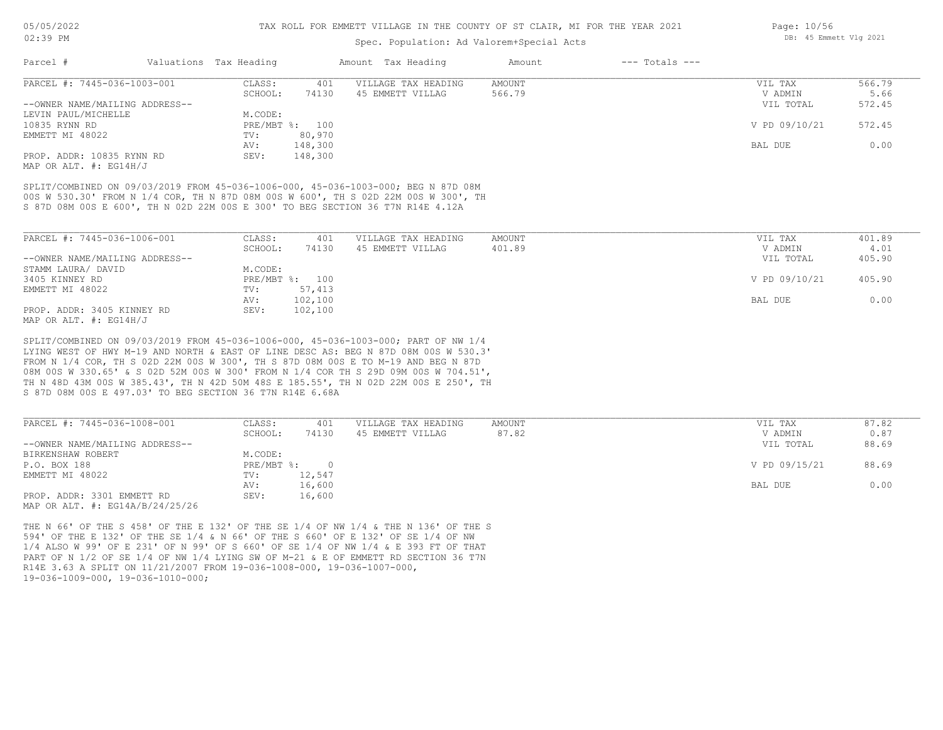# Spec. Population: Ad Valorem+Special Acts

| Parcel #                       | Valuations Tax Heading |                | Amount Tax Heading  | Amount | $---$ Totals $---$ |               |        |
|--------------------------------|------------------------|----------------|---------------------|--------|--------------------|---------------|--------|
| PARCEL #: 7445-036-1003-001    | CLASS:                 | 401            | VILLAGE TAX HEADING | AMOUNT |                    | VIL TAX       | 566.79 |
|                                | SCHOOL:                | 74130          | 45 EMMETT VILLAG    | 566.79 |                    | V ADMIN       | 5.66   |
| --OWNER NAME/MAILING ADDRESS-- |                        |                |                     |        |                    | VIL TOTAL     | 572.45 |
| LEVIN PAUL/MICHELLE            | M.CODE:                |                |                     |        |                    |               |        |
| 10835 RYNN RD                  |                        | PRE/MBT %: 100 |                     |        |                    | V PD 09/10/21 | 572.45 |
| EMMETT MI 48022                | TV:                    | 80,970         |                     |        |                    |               |        |
|                                | AV:                    | 148,300        |                     |        |                    | BAL DUE       | 0.00   |
| PROP. ADDR: 10835 RYNN RD      | SEV:                   | 148,300        |                     |        |                    |               |        |

MAP OR ALT. #: EG14H/J

S 87D 08M 00S E 600', TH N 02D 22M 00S E 300' TO BEG SECTION 36 T7N R14E 4.12A 00S W 530.30' FROM N 1/4 COR, TH N 87D 08M 00S W 600', TH S 02D 22M 00S W 300', TH SPLIT/COMBINED ON 09/03/2019 FROM 45-036-1006-000, 45-036-1003-000; BEG N 87D 08M

| PARCEL #: 7445-036-1006-001    | CLASS:  | 401            | VILLAGE TAX HEADING | AMOUNT | VIL TAX       | 401.89 |
|--------------------------------|---------|----------------|---------------------|--------|---------------|--------|
|                                | SCHOOL: | 74130          | 45 EMMETT VILLAG    | 401.89 | V ADMIN       | 4.01   |
| --OWNER NAME/MAILING ADDRESS-- |         |                |                     |        | VIL TOTAL     | 405.90 |
| STAMM LAURA/ DAVID             | M.CODE: |                |                     |        |               |        |
| 3405 KINNEY RD                 |         | PRE/MBT %: 100 |                     |        | V PD 09/10/21 | 405.90 |
| EMMETT MI 48022                | TV:     | 57,413         |                     |        |               |        |
|                                | AV:     | 102,100        |                     |        | BAL DUE       | 0.00   |
| PROP. ADDR: 3405 KINNEY RD     | SEV:    | 102,100        |                     |        |               |        |
| MAP OR ALT. $\#$ : EG14H/J     |         |                |                     |        |               |        |

S 87D 08M 00S E 497.03' TO BEG SECTION 36 T7N R14E 6.68A TH N 48D 43M 00S W 385.43', TH N 42D 50M 48S E 185.55', TH N 02D 22M 00S E 250', TH 08M 00S W 330.65' & S 02D 52M 00S W 300' FROM N 1/4 COR TH S 29D 09M 00S W 704.51', FROM N 1/4 COR, TH S 02D 22M 00S W 300', TH S 87D 08M 00S E TO M-19 AND BEG N 87D LYING WEST OF HWY M-19 AND NORTH & EAST OF LINE DESC AS: BEG N 87D 08M 00S W 530.3' SPLIT/COMBINED ON 09/03/2019 FROM 45-036-1006-000, 45-036-1003-000; PART OF NW 1/4

| PARCEL #: 7445-036-1008-001         | CLASS:     | 401      | VILLAGE TAX HEADING | AMOUNT | VIL TAX       | 87.82 |
|-------------------------------------|------------|----------|---------------------|--------|---------------|-------|
|                                     | SCHOOL:    | 74130    | 45 EMMETT VILLAG    | 87.82  | V ADMIN       | 0.87  |
| --OWNER NAME/MAILING ADDRESS--      |            |          |                     |        | VIL TOTAL     | 88.69 |
| BIRKENSHAW ROBERT                   | M.CODE:    |          |                     |        |               |       |
| P.O. BOX 188                        | PRE/MBT %: | $\Omega$ |                     |        | V PD 09/15/21 | 88.69 |
| EMMETT MI 48022                     | TV:        | 12,547   |                     |        |               |       |
|                                     | AV:        | 16,600   |                     |        | BAL DUE       | 0.00  |
| PROP. ADDR: 3301 EMMETT RD          | SEV:       | 16,600   |                     |        |               |       |
| MAP OR ALT. $\#$ : EG14A/B/24/25/26 |            |          |                     |        |               |       |

19-036-1009-000, 19-036-1010-000; R14E 3.63 A SPLIT ON 11/21/2007 FROM 19-036-1008-000, 19-036-1007-000, PART OF N 1/2 OF SE 1/4 OF NW 1/4 LYING SW OF M-21 & E OF EMMETT RD SECTION 36 T7N 1/4 ALSO W 99' OF E 231' OF N 99' OF S 660' OF SE 1/4 OF NW 1/4 & E 393 FT OF THAT 594' OF THE E 132' OF THE SE 1/4 & N 66' OF THE S 660' OF E 132' OF SE 1/4 OF NW THE N 66' OF THE S 458' OF THE E 132' OF THE SE 1/4 OF NW 1/4 & THE N 136' OF THE S Page: 10/56 DB: 45 Emmett Vlg 2021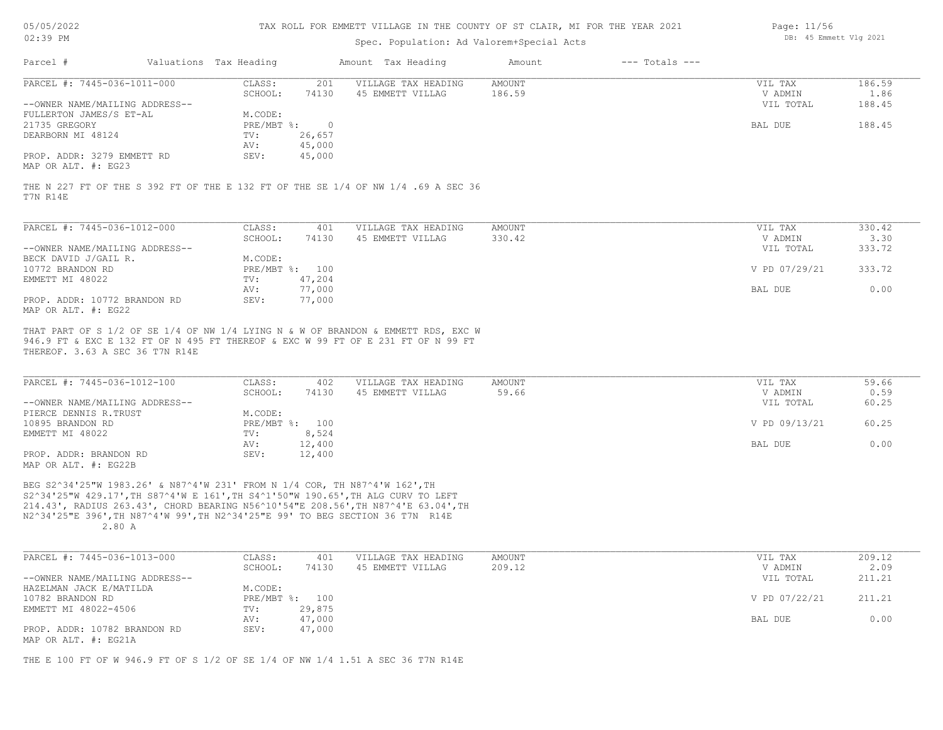| 05/05/2022 |  |
|------------|--|
|            |  |

## Spec. Population: Ad Valorem+Special Acts

| Page: 11/56 |                        |  |
|-------------|------------------------|--|
|             | DB: 45 Emmett Vlg 2021 |  |

| Parcel #                                          | Valuations Tax Heading |        | Amount Tax Heading  | Amount | $---$ Totals $---$ |           |        |
|---------------------------------------------------|------------------------|--------|---------------------|--------|--------------------|-----------|--------|
| PARCEL #: 7445-036-1011-000                       | CLASS:                 | 201    | VILLAGE TAX HEADING | AMOUNT |                    | VIL TAX   | 186.59 |
|                                                   | SCHOOL:                | 74130  | 45 EMMETT VILLAG    | 186.59 |                    | V ADMIN   | 1.86   |
| --OWNER NAME/MAILING ADDRESS--                    |                        |        |                     |        |                    | VIL TOTAL | 188.45 |
| FULLERTON JAMES/S ET-AL                           | M.CODE:                |        |                     |        |                    |           |        |
| 21735 GREGORY                                     | $PRE/MBT$ %:           |        |                     |        |                    | BAL DUE   | 188.45 |
| DEARBORN MI 48124                                 | TV:                    | 26,657 |                     |        |                    |           |        |
|                                                   | AV:                    | 45,000 |                     |        |                    |           |        |
| PROP. ADDR: 3279 EMMETT RD<br>MAP OR ALT. #: EG23 | SEV:                   | 45,000 |                     |        |                    |           |        |
|                                                   |                        |        |                     |        |                    |           |        |

T7N R14E THE N 227 FT OF THE S 392 FT OF THE E 132 FT OF THE SE 1/4 OF NW 1/4 .69 A SEC 36

| PARCEL #: 7445-036-1012-000    | CLASS:     | 401    | VILLAGE TAX HEADING | AMOUNT | VIL TAX       | 330.42 |
|--------------------------------|------------|--------|---------------------|--------|---------------|--------|
|                                | SCHOOL:    | 74130  | 45 EMMETT VILLAG    | 330.42 | V ADMIN       | 3.30   |
| --OWNER NAME/MAILING ADDRESS-- |            |        |                     |        | VIL TOTAL     | 333.72 |
| BECK DAVID J/GAIL R.           | M.CODE:    |        |                     |        |               |        |
| 10772 BRANDON RD               | PRE/MBT %: | 100    |                     |        | V PD 07/29/21 | 333.72 |
| EMMETT MI 48022                | TV:        | 47,204 |                     |        |               |        |
|                                | AV:        | 77,000 |                     |        | BAL DUE       | 0.00   |
| PROP. ADDR: 10772 BRANDON RD   | SEV:       | 77,000 |                     |        |               |        |
| MAP OR ALT. #: EG22            |            |        |                     |        |               |        |

THEREOF. 3.63 A SEC 36 T7N R14E 946.9 FT & EXC E 132 FT OF N 495 FT THEREOF & EXC W 99 FT OF E 231 FT OF N 99 FT THAT PART OF S 1/2 OF SE 1/4 OF NW 1/4 LYING N & W OF BRANDON & EMMETT RDS, EXC W

| PARCEL #: 7445-036-1012-100                                                                                                                                                                                                                                                                                                                   | CLASS:  | 402            | VILLAGE TAX HEADING | AMOUNT | VIL TAX       | 59.66 |
|-----------------------------------------------------------------------------------------------------------------------------------------------------------------------------------------------------------------------------------------------------------------------------------------------------------------------------------------------|---------|----------------|---------------------|--------|---------------|-------|
|                                                                                                                                                                                                                                                                                                                                               | SCHOOL: | 74130          | 45 EMMETT VILLAG    | 59.66  | V ADMIN       | 0.59  |
| --OWNER NAME/MAILING ADDRESS--                                                                                                                                                                                                                                                                                                                |         |                |                     |        | VIL TOTAL     | 60.25 |
| PIERCE DENNIS R.TRUST                                                                                                                                                                                                                                                                                                                         | M.CODE: |                |                     |        |               |       |
| 10895 BRANDON RD                                                                                                                                                                                                                                                                                                                              |         | PRE/MBT %: 100 |                     |        | V PD 09/13/21 | 60.25 |
| EMMETT MI 48022                                                                                                                                                                                                                                                                                                                               | TV:     | 8,524          |                     |        |               |       |
|                                                                                                                                                                                                                                                                                                                                               | AV:     | 12,400         |                     |        | BAL DUE       | 0.00  |
| PROP. ADDR: BRANDON RD                                                                                                                                                                                                                                                                                                                        | SEV:    | 12,400         |                     |        |               |       |
| $M \wedge D$ $\wedge D$ $\wedge T$ $\wedge D$ $\wedge$ $\wedge$ $\wedge$ $\wedge$ $\wedge$ $\wedge$ $\wedge$ $\wedge$ $\wedge$ $\wedge$ $\wedge$ $\wedge$ $\wedge$ $\wedge$ $\wedge$ $\wedge$ $\wedge$ $\wedge$ $\wedge$ $\wedge$ $\wedge$ $\wedge$ $\wedge$ $\wedge$ $\wedge$ $\wedge$ $\wedge$ $\wedge$ $\wedge$ $\wedge$ $\wedge$ $\wedge$ |         |                |                     |        |               |       |

MAP OR ALT. #: EG22B

 2.80 A N2^34'25"E 396',TH N87^4'W 99',TH N2^34'25"E 99' TO BEG SECTION 36 T7N R14E 214.43', RADIUS 263.43', CHORD BEARING N56^10'54"E 208.56',TH N87^4'E 63.04',TH S2^34'25"W 429.17',TH S87^4'W E 161',TH S4^1'50"W 190.65',TH ALG CURV TO LEFT BEG S2^34'25"W 1983.26' & N87^4'W 231' FROM N 1/4 COR, TH N87^4'W 162',TH

| PARCEL #: 7445-036-1013-000    | CLASS:  | 401            | VILLAGE TAX HEADING | AMOUNT | VIL TAX       | 209.12 |
|--------------------------------|---------|----------------|---------------------|--------|---------------|--------|
|                                | SCHOOL: | 74130          | 45 EMMETT VILLAG    | 209.12 | V ADMIN       | 2.09   |
| --OWNER NAME/MAILING ADDRESS-- |         |                |                     |        | VIL TOTAL     | 211.21 |
| HAZELMAN JACK E/MATILDA        | M.CODE: |                |                     |        |               |        |
| 10782 BRANDON RD               |         | PRE/MBT %: 100 |                     |        | V PD 07/22/21 | 211.21 |
| EMMETT MI 48022-4506           | TV:     | 29,875         |                     |        |               |        |
|                                | AV:     | 47,000         |                     |        | BAL DUE       | 0.00   |
| PROP. ADDR: 10782 BRANDON RD   | SEV:    | 47,000         |                     |        |               |        |
| MAP OR ALT. #: EG21A           |         |                |                     |        |               |        |

THE E 100 FT OF W 946.9 FT OF S 1/2 OF SE 1/4 OF NW 1/4 1.51 A SEC 36 T7N R14E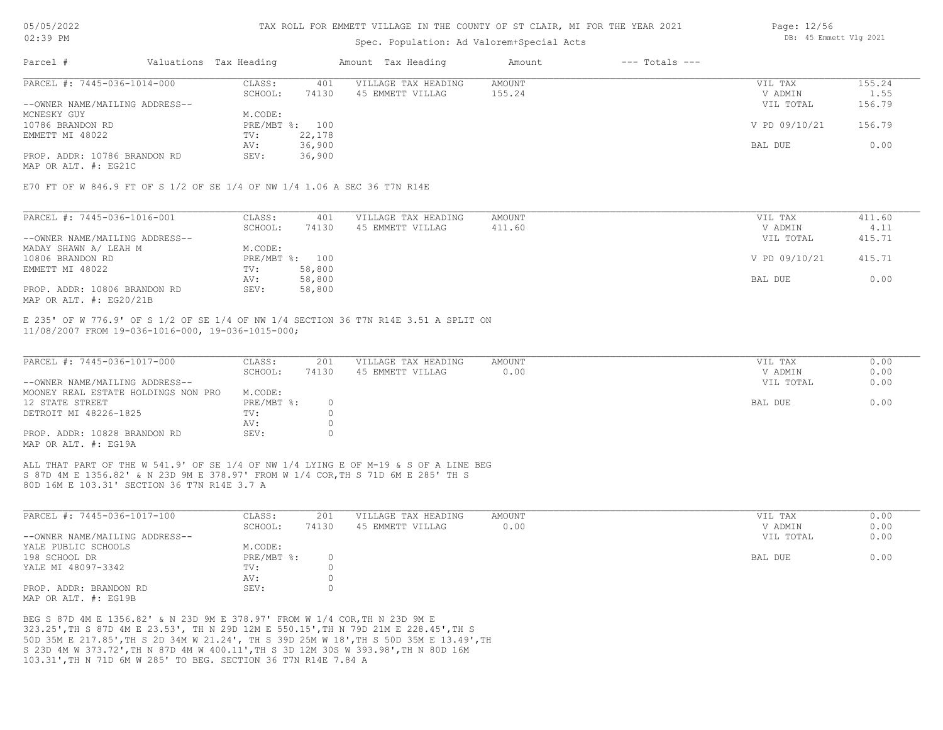# Spec. Population: Ad Valorem+Special Acts

| Parcel #                       | Valuations Tax Heading |        | Amount Tax Heading  | Amount | $---$ Totals $---$ |               |        |
|--------------------------------|------------------------|--------|---------------------|--------|--------------------|---------------|--------|
| PARCEL #: 7445-036-1014-000    | CLASS:                 | 401    | VILLAGE TAX HEADING | AMOUNT |                    | VIL TAX       | 155.24 |
|                                | SCHOOL:                | 74130  | 45 EMMETT VILLAG    | 155.24 |                    | V ADMIN       | 1.55   |
| --OWNER NAME/MAILING ADDRESS-- |                        |        |                     |        |                    | VIL TOTAL     | 156.79 |
| MCNESKY GUY                    | M.CODE:                |        |                     |        |                    |               |        |
| 10786 BRANDON RD               | PRE/MBT %: 100         |        |                     |        |                    | V PD 09/10/21 | 156.79 |
| EMMETT MI 48022                | TV:                    | 22,178 |                     |        |                    |               |        |
|                                | AV:                    | 36,900 |                     |        |                    | BAL DUE       | 0.00   |
| PROP. ADDR: 10786 BRANDON RD   | SEV:                   | 36,900 |                     |        |                    |               |        |
|                                |                        |        |                     |        |                    |               |        |

MAP OR ALT. #: EG21C

E70 FT OF W 846.9 FT OF S 1/2 OF SE 1/4 OF NW 1/4 1.06 A SEC 36 T7N R14E

| PARCEL #: 7445-036-1016-001    | CLASS:  | 401            | VILLAGE TAX HEADING | AMOUNT | VIL TAX       | 411.60 |
|--------------------------------|---------|----------------|---------------------|--------|---------------|--------|
|                                | SCHOOL: | 74130          | 45 EMMETT VILLAG    | 411.60 | V ADMIN       | 4.11   |
| --OWNER NAME/MAILING ADDRESS-- |         |                |                     |        | VIL TOTAL     | 415.71 |
| MADAY SHAWN A/ LEAH M          | M.CODE: |                |                     |        |               |        |
| 10806 BRANDON RD               |         | PRE/MBT %: 100 |                     |        | V PD 09/10/21 | 415.71 |
| EMMETT MI 48022                | TV:     | 58,800         |                     |        |               |        |
|                                | AV:     | 58,800         |                     |        | BAL DUE       | 0.00   |
| PROP. ADDR: 10806 BRANDON RD   | SEV:    | 58,800         |                     |        |               |        |
| MAP OR ALT. $\#$ : EG20/21B    |         |                |                     |        |               |        |

11/08/2007 FROM 19-036-1016-000, 19-036-1015-000; E 235' OF W 776.9' OF S 1/2 OF SE 1/4 OF NW 1/4 SECTION 36 T7N R14E 3.51 A SPLIT ON

| PARCEL #: 7445-036-1017-000         | CLASS:     | 201   | VILLAGE TAX HEADING | AMOUNT | VIL TAX   | 0.00 |
|-------------------------------------|------------|-------|---------------------|--------|-----------|------|
|                                     | SCHOOL:    | 74130 | 45 EMMETT VILLAG    | 0.00   | V ADMIN   | 0.00 |
| --OWNER NAME/MAILING ADDRESS--      |            |       |                     |        | VIL TOTAL | 0.00 |
| MOONEY REAL ESTATE HOLDINGS NON PRO | M.CODE:    |       |                     |        |           |      |
| 12 STATE STREET                     | PRE/MBT %: |       |                     |        | BAL DUE   | 0.00 |
| DETROIT MI 48226-1825               | TV:        |       |                     |        |           |      |
|                                     | AV:        |       |                     |        |           |      |
| PROP. ADDR: 10828 BRANDON RD        | SEV:       |       |                     |        |           |      |
| MAP OR ALT. #: EG19A                |            |       |                     |        |           |      |

80D 16M E 103.31' SECTION 36 T7N R14E 3.7 A S 87D 4M E 1356.82' & N 23D 9M E 378.97' FROM W 1/4 COR,TH S 71D 6M E 285' TH S ALL THAT PART OF THE W 541.9' OF SE 1/4 OF NW 1/4 LYING E OF M-19 & S OF A LINE BEG

| PARCEL #: 7445-036-1017-100    | CLASS:     | 201   | VILLAGE TAX HEADING | AMOUNT | VIL TAX   | 0.00 |
|--------------------------------|------------|-------|---------------------|--------|-----------|------|
|                                | SCHOOL:    | 74130 | 45 EMMETT VILLAG    | 0.00   | V ADMIN   | 0.00 |
| --OWNER NAME/MAILING ADDRESS-- |            |       |                     |        | VIL TOTAL | 0.00 |
| YALE PUBLIC SCHOOLS            | M.CODE:    |       |                     |        |           |      |
| 198 SCHOOL DR                  | PRE/MBT %: |       |                     |        | BAL DUE   | 0.00 |
| YALE MI 48097-3342             | TV:        |       |                     |        |           |      |
|                                | AV:        |       |                     |        |           |      |
| PROP. ADDR: BRANDON RD         | SEV:       |       |                     |        |           |      |
| MAP OR ALT. #: EG19B           |            |       |                     |        |           |      |

103.31',TH N 71D 6M W 285' TO BEG. SECTION 36 T7N R14E 7.84 A S 23D 4M W 373.72',TH N 87D 4M W 400.11',TH S 3D 12M 30S W 393.98',TH N 80D 16M 50D 35M E 217.85',TH S 2D 34M W 21.24', TH S 39D 25M W 18',TH S 50D 35M E 13.49',TH 323.25',TH S 87D 4M E 23.53', TH N 29D 12M E 550.15',TH N 79D 21M E 228.45',TH S BEG S 87D 4M E 1356.82' & N 23D 9M E 378.97' FROM W 1/4 COR,TH N 23D 9M E

Page: 12/56 DB: 45 Emmett Vlg 2021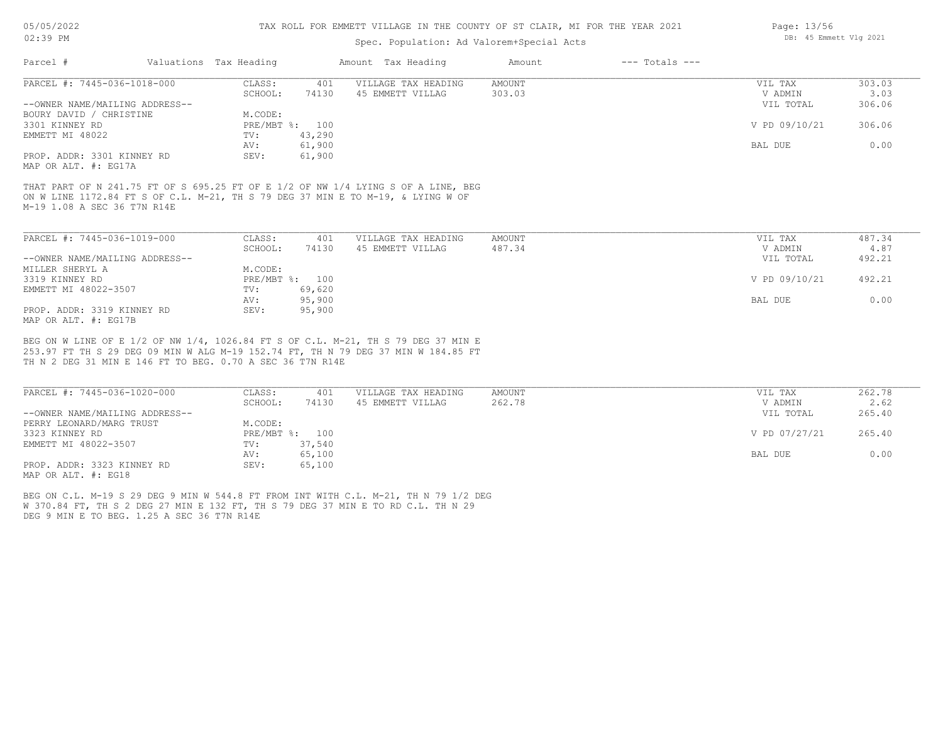# Spec. Population: Ad Valorem+Special Acts

| Parcel #                       | Valuations Tax Heading |        | Amount Tax Heading  | Amount | $---$ Totals $---$ |               |        |
|--------------------------------|------------------------|--------|---------------------|--------|--------------------|---------------|--------|
| PARCEL #: 7445-036-1018-000    | CLASS:                 | 401    | VILLAGE TAX HEADING | AMOUNT |                    | VIL TAX       | 303.03 |
|                                | SCHOOL:                | 74130  | 45 EMMETT VILLAG    | 303.03 |                    | V ADMIN       | 3.03   |
| --OWNER NAME/MAILING ADDRESS-- |                        |        |                     |        |                    | VIL TOTAL     | 306.06 |
| BOURY DAVID / CHRISTINE        | M.CODE:                |        |                     |        |                    |               |        |
| 3301 KINNEY RD                 | PRE/MBT %: 100         |        |                     |        |                    | V PD 09/10/21 | 306.06 |
| EMMETT MI 48022                | TV:                    | 43,290 |                     |        |                    |               |        |
|                                | AV:                    | 61,900 |                     |        |                    | BAL DUE       | 0.00   |
| PROP. ADDR: 3301 KINNEY RD     | SEV:                   | 61,900 |                     |        |                    |               |        |
| MAP OR ALT. #: EG17A           |                        |        |                     |        |                    |               |        |

M-19 1.08 A SEC 36 T7N R14E ON W LINE 1172.84 FT S OF C.L. M-21, TH S 79 DEG 37 MIN E TO M-19, & LYING W OF THAT PART OF N 241.75 FT OF S 695.25 FT OF E 1/2 OF NW 1/4 LYING S OF A LINE, BEG

| PARCEL #: 7445-036-1019-000    | CLASS:  | 401            | VILLAGE TAX HEADING | AMOUNT | VIL TAX       | 487.34 |
|--------------------------------|---------|----------------|---------------------|--------|---------------|--------|
|                                | SCHOOL: | 74130          | 45 EMMETT VILLAG    | 487.34 | V ADMIN       | 4.87   |
| --OWNER NAME/MAILING ADDRESS-- |         |                |                     |        | VIL TOTAL     | 492.21 |
| MILLER SHERYL A                | M.CODE: |                |                     |        |               |        |
| 3319 KINNEY RD                 |         | PRE/MBT %: 100 |                     |        | V PD 09/10/21 | 492.21 |
| EMMETT MI 48022-3507           | TV:     | 69,620         |                     |        |               |        |
|                                | AV:     | 95,900         |                     |        | BAL DUE       | 0.00   |
| PROP. ADDR: 3319 KINNEY RD     | SEV:    | 95,900         |                     |        |               |        |
| MAP OR ALT. #: EG17B           |         |                |                     |        |               |        |

TH N 2 DEG 31 MIN E 146 FT TO BEG. 0.70 A SEC 36 T7N R14E 253.97 FT TH S 29 DEG 09 MIN W ALG M-19 152.74 FT, TH N 79 DEG 37 MIN W 184.85 FT BEG ON W LINE OF E 1/2 OF NW 1/4, 1026.84 FT S OF C.L. M-21, TH S 79 DEG 37 MIN E

| PARCEL #: 7445-036-1020-000    | CLASS:  | 401            | VILLAGE TAX HEADING | AMOUNT | VIL TAX       | 262.78 |
|--------------------------------|---------|----------------|---------------------|--------|---------------|--------|
|                                | SCHOOL: | 74130          | 45 EMMETT VILLAG    | 262.78 | V ADMIN       | 2.62   |
| --OWNER NAME/MAILING ADDRESS-- |         |                |                     |        | VIL TOTAL     | 265.40 |
| PERRY LEONARD/MARG TRUST       | M.CODE: |                |                     |        |               |        |
| 3323 KINNEY RD                 |         | PRE/MBT %: 100 |                     |        | V PD 07/27/21 | 265.40 |
| EMMETT MI 48022-3507           | TV:     | 37,540         |                     |        |               |        |
|                                | AV:     | 65,100         |                     |        | BAL DUE       | 0.00   |
| PROP. ADDR: 3323 KINNEY RD     | SEV:    | 65,100         |                     |        |               |        |
| MAP OR ALT. #: EG18            |         |                |                     |        |               |        |

DEG 9 MIN E TO BEG. 1.25 A SEC 36 T7N R14E W 370.84 FT, TH S 2 DEG 27 MIN E 132 FT, TH S 79 DEG 37 MIN E TO RD C.L. TH N 29 BEG ON C.L. M-19 S 29 DEG 9 MIN W 544.8 FT FROM INT WITH C.L. M-21, TH N 79 1/2 DEG Page: 13/56 DB: 45 Emmett Vlg 2021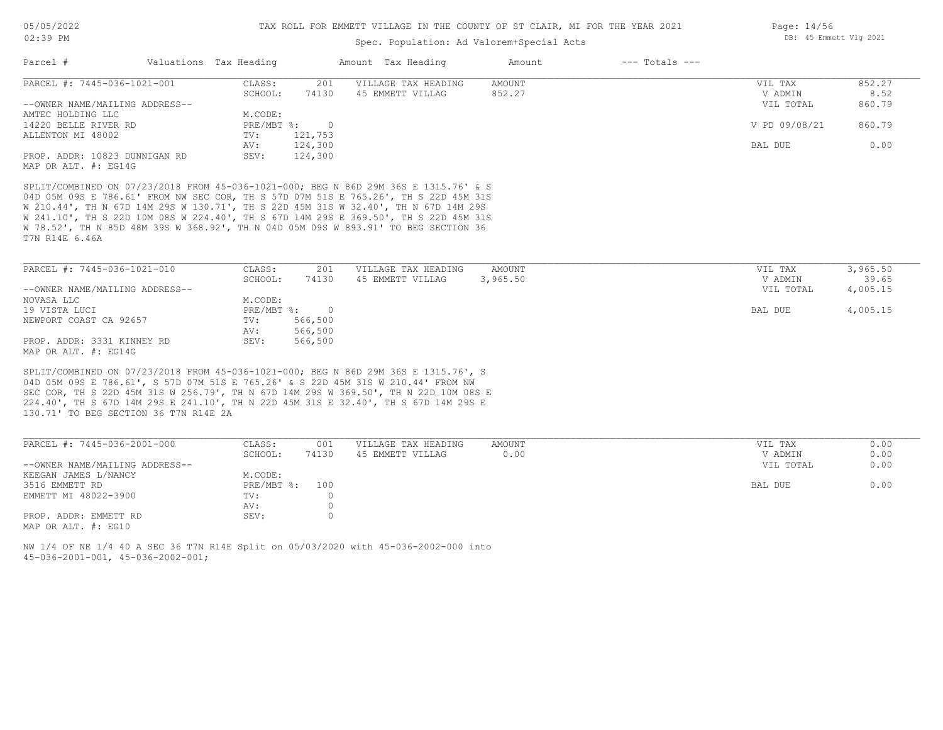## Spec. Population: Ad Valorem+Special Acts

| Parcel #                       | Valuations Tax Heading    |         | Amount Tax Heading  | Amount | $---$ Totals $---$ |               |        |
|--------------------------------|---------------------------|---------|---------------------|--------|--------------------|---------------|--------|
| PARCEL #: 7445-036-1021-001    | CLASS:                    | 201     | VILLAGE TAX HEADING | AMOUNT |                    | VIL TAX       | 852.27 |
|                                | SCHOOL:                   | 74130   | 45 EMMETT VILLAG    | 852.27 |                    | V ADMIN       | 8.52   |
| --OWNER NAME/MAILING ADDRESS-- |                           |         |                     |        |                    | VIL TOTAL     | 860.79 |
| AMTEC HOLDING LLC              | M.CODE:                   |         |                     |        |                    |               |        |
| 14220 BELLE RIVER RD           | $PRE/MBT$ $\frac{1}{6}$ : |         |                     |        |                    | V PD 09/08/21 | 860.79 |
| ALLENTON MI 48002              | TV:                       | 121,753 |                     |        |                    |               |        |
|                                | AV:                       | 124,300 |                     |        |                    | BAL DUE       | 0.00   |
| PROP. ADDR: 10823 DUNNIGAN RD  | SEV:                      | 124,300 |                     |        |                    |               |        |
| MAP OR ALT. #: EG14G           |                           |         |                     |        |                    |               |        |

T7N R14E 6.46A W 78.52', TH N 85D 48M 39S W 368.92', TH N 04D 05M 09S W 893.91' TO BEG SECTION 36 W 241.10', TH S 22D 10M 08S W 224.40', TH S 67D 14M 29S E 369.50', TH S 22D 45M 31S W 210.44', TH N 67D 14M 29S W 130.71', TH S 22D 45M 31S W 32.40', TH N 67D 14M 29S 04D 05M 09S E 786.61' FROM NW SEC COR, TH S 57D 07M 51S E 765.26', TH S 22D 45M 31S

| PARCEL #: 7445-036-1021-010    | CLASS:       | 201     | VILLAGE TAX HEADING | AMOUNT   | VIL TAX   | 3,965.50 |
|--------------------------------|--------------|---------|---------------------|----------|-----------|----------|
|                                | SCHOOL:      | 74130   | 45 EMMETT VILLAG    | 3,965.50 | V ADMIN   | 39.65    |
| --OWNER NAME/MAILING ADDRESS-- |              |         |                     |          | VIL TOTAL | 4,005.15 |
| NOVASA LLC                     | M.CODE:      |         |                     |          |           |          |
| 19 VISTA LUCI                  | $PRE/MBT$ %: |         |                     |          | BAL DUE   | 4,005.15 |
| NEWPORT COAST CA 92657         | TV:          | 566,500 |                     |          |           |          |
|                                | AV:          | 566,500 |                     |          |           |          |
| PROP. ADDR: 3331 KINNEY RD     | SEV:         | 566,500 |                     |          |           |          |
| MAP OR ALT. #: EG14G           |              |         |                     |          |           |          |

130.71' TO BEG SECTION 36 T7N R14E 2A 224.40', TH S 67D 14M 29S E 241.10', TH N 22D 45M 31S E 32.40', TH S 67D 14M 29S E SEC COR, TH S 22D 45M 31S W 256.79', TH N 67D 14M 29S W 369.50', TH N 22D 10M 08S E 04D 05M 09S E 786.61', S 57D 07M 51S E 765.26' & S 22D 45M 31S W 210.44' FROM NW SPLIT/COMBINED ON 07/23/2018 FROM 45-036-1021-000; BEG N 86D 29M 36S E 1315.76', S

| PARCEL #: 7445-036-2001-000    | CLASS:       | 001   | VILLAGE TAX HEADING | AMOUNT | VIL TAX   | 0.00 |
|--------------------------------|--------------|-------|---------------------|--------|-----------|------|
|                                | SCHOOL:      | 74130 | 45 EMMETT VILLAG    | 0.00   | V ADMIN   | 0.00 |
| --OWNER NAME/MAILING ADDRESS-- |              |       |                     |        | VIL TOTAL | 0.00 |
| KEEGAN JAMES L/NANCY           | M.CODE:      |       |                     |        |           |      |
| 3516 EMMETT RD                 | $PRE/MBT$ %: | 100   |                     |        | BAL DUE   | 0.00 |
| EMMETT MI 48022-3900           | TV:          |       |                     |        |           |      |
|                                | AV:          |       |                     |        |           |      |
| PROP. ADDR: EMMETT RD          | SEV:         |       |                     |        |           |      |
| MAP OR ALT. #: EG10            |              |       |                     |        |           |      |

45-036-2001-001, 45-036-2002-001; NW 1/4 OF NE 1/4 40 A SEC 36 T7N R14E Split on 05/03/2020 with 45-036-2002-000 into Page: 14/56 DB: 45 Emmett Vlg 2021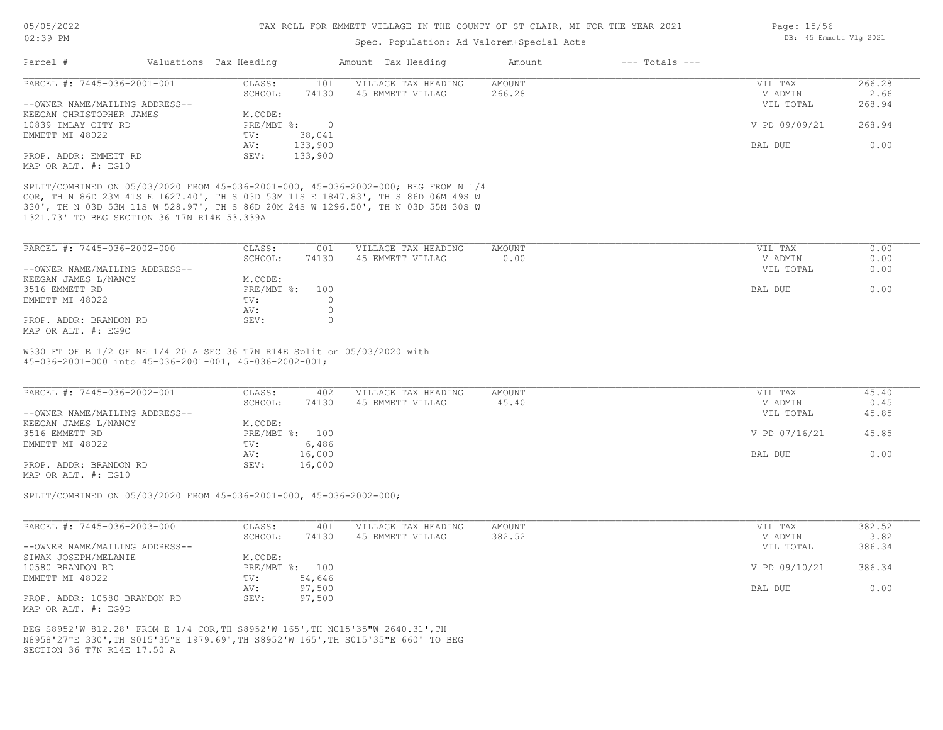# Spec. Population: Ad Valorem+Special Acts

| Parcel #                       | Valuations Tax Heading |         | Amount Tax Heading  | Amount | $---$ Totals $---$ |               |        |
|--------------------------------|------------------------|---------|---------------------|--------|--------------------|---------------|--------|
| PARCEL #: 7445-036-2001-001    | CLASS:                 | 101     | VILLAGE TAX HEADING | AMOUNT |                    | VIL TAX       | 266.28 |
|                                | SCHOOL:                | 74130   | 45 EMMETT VILLAG    | 266.28 |                    | V ADMIN       | 2.66   |
| --OWNER NAME/MAILING ADDRESS-- |                        |         |                     |        |                    | VIL TOTAL     | 268.94 |
| KEEGAN CHRISTOPHER JAMES       | M.CODE:                |         |                     |        |                    |               |        |
| 10839 IMLAY CITY RD            | PRE/MBT %:             |         |                     |        |                    | V PD 09/09/21 | 268.94 |
| EMMETT MI 48022                | TV:                    | 38,041  |                     |        |                    |               |        |
|                                | AV:                    | 133,900 |                     |        |                    | BAL DUE       | 0.00   |
| PROP. ADDR: EMMETT RD          | SEV:                   | 133,900 |                     |        |                    |               |        |
| MAP OR ALT. #: EG10            |                        |         |                     |        |                    |               |        |

1321.73' TO BEG SECTION 36 T7N R14E 53.339A 330', TH N 03D 53M 11S W 528.97', TH S 86D 20M 24S W 1296.50', TH N 03D 55M 30S W COR, TH N 86D 23M 41S E 1627.40', TH S 03D 53M 11S E 1847.83', TH S 86D 06M 49S W SPLIT/COMBINED ON 05/03/2020 FROM 45-036-2001-000, 45-036-2002-000; BEG FROM N 1/4

| PARCEL #: 7445-036-2002-000    | CLASS:       | 001   | VILLAGE TAX HEADING | AMOUNT | VIL TAX<br>0.00   |
|--------------------------------|--------------|-------|---------------------|--------|-------------------|
|                                | SCHOOL:      | 74130 | 45 EMMETT VILLAG    | 0.00   | 0.00<br>V ADMIN   |
| --OWNER NAME/MAILING ADDRESS-- |              |       |                     |        | 0.00<br>VIL TOTAL |
| KEEGAN JAMES L/NANCY           | M.CODE:      |       |                     |        |                   |
| 3516 EMMETT RD                 | $PRE/MBT$ %: | 100   |                     |        | 0.00<br>BAL DUE   |
| EMMETT MI 48022                | TV:          |       |                     |        |                   |
|                                | AV:          |       |                     |        |                   |
| PROP. ADDR: BRANDON RD         | SEV:         |       |                     |        |                   |
| MAP OR ALT. #: EG9C            |              |       |                     |        |                   |

45-036-2001-000 into 45-036-2001-001, 45-036-2002-001; W330 FT OF E 1/2 OF NE 1/4 20 A SEC 36 T7N R14E Split on 05/03/2020 with

| PARCEL #: 7445-036-2002-001    | CLASS:  | 402            | VILLAGE TAX HEADING | AMOUNT | VIL TAX       | 45.40 |
|--------------------------------|---------|----------------|---------------------|--------|---------------|-------|
|                                | SCHOOL: | 74130          | 45 EMMETT VILLAG    | 45.40  | V ADMIN       | 0.45  |
| --OWNER NAME/MAILING ADDRESS-- |         |                |                     |        | VIL TOTAL     | 45.85 |
| KEEGAN JAMES L/NANCY           | M.CODE: |                |                     |        |               |       |
| 3516 EMMETT RD                 |         | PRE/MBT %: 100 |                     |        | V PD 07/16/21 | 45.85 |
| EMMETT MI 48022                | TV:     | 6,486          |                     |        |               |       |
|                                | AV:     | 16,000         |                     |        | BAL DUE       | 0.00  |
| PROP. ADDR: BRANDON RD         | SEV:    | 16,000         |                     |        |               |       |
| MAP OR ALT. #: EG10            |         |                |                     |        |               |       |

SPLIT/COMBINED ON 05/03/2020 FROM 45-036-2001-000, 45-036-2002-000;

| PARCEL #: 7445-036-2003-000    | CLASS:  | 401            | VILLAGE TAX HEADING | AMOUNT | VIL TAX       | 382.52 |
|--------------------------------|---------|----------------|---------------------|--------|---------------|--------|
|                                | SCHOOL: | 74130          | 45 EMMETT VILLAG    | 382.52 | V ADMIN       | 3.82   |
| --OWNER NAME/MAILING ADDRESS-- |         |                |                     |        | VIL TOTAL     | 386.34 |
| SIWAK JOSEPH/MELANIE           | M.CODE: |                |                     |        |               |        |
| 10580 BRANDON RD               |         | PRE/MBT %: 100 |                     |        | V PD 09/10/21 | 386.34 |
| EMMETT MI 48022                | TV:     | 54,646         |                     |        |               |        |
|                                | AV:     | 97,500         |                     |        | BAL DUE       | 0.00   |
| PROP. ADDR: 10580 BRANDON RD   | SEV:    | 97,500         |                     |        |               |        |
| MAP OR ALT. #: EG9D            |         |                |                     |        |               |        |

SECTION 36 T7N R14E 17.50 A N8958'27"E 330',TH S015'35"E 1979.69',TH S8952'W 165',TH S015'35"E 660' TO BEG BEG S8952'W 812.28' FROM E 1/4 COR,TH S8952'W 165',TH N015'35"W 2640.31',TH

Page: 15/56 DB: 45 Emmett Vlg 2021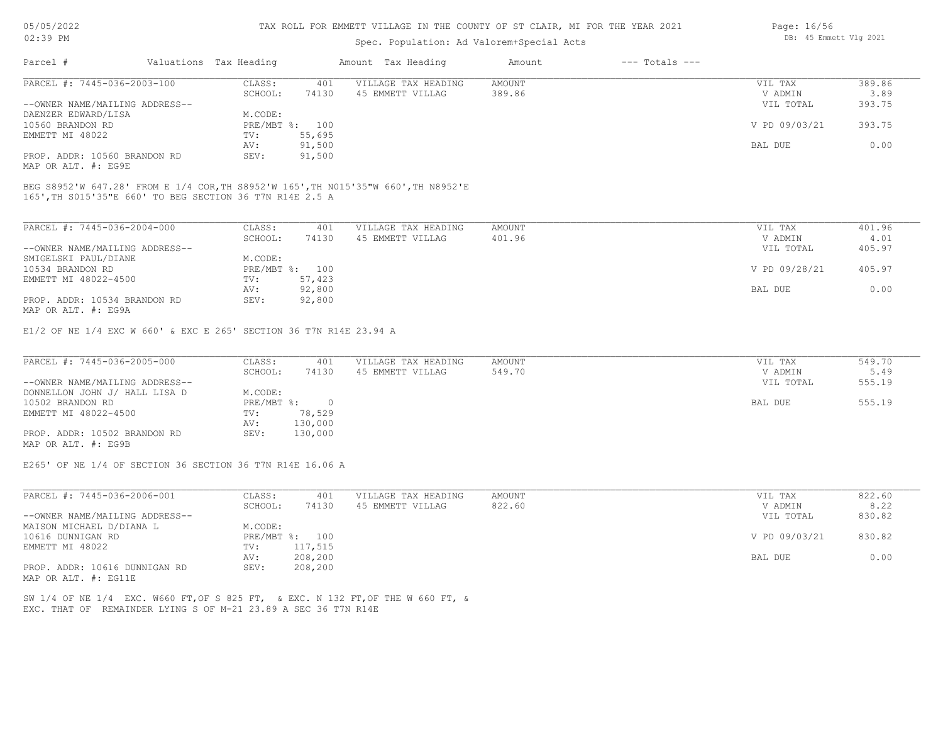# Spec. Population: Ad Valorem+Special Acts

| Page: 16/56 |                        |  |
|-------------|------------------------|--|
|             | DB: 45 Emmett Vlg 2021 |  |

| Parcel #                       | Valuations Tax Heading |        | Amount Tax Heading  | Amount | $---$ Totals $---$ |               |        |
|--------------------------------|------------------------|--------|---------------------|--------|--------------------|---------------|--------|
| PARCEL #: 7445-036-2003-100    | CLASS:                 | 401    | VILLAGE TAX HEADING | AMOUNT |                    | VIL TAX       | 389.86 |
|                                | SCHOOL:                | 74130  | 45 EMMETT VILLAG    | 389.86 |                    | V ADMIN       | 3.89   |
| --OWNER NAME/MAILING ADDRESS-- |                        |        |                     |        |                    | VIL TOTAL     | 393.75 |
| DAENZER EDWARD/LISA            | M.CODE:                |        |                     |        |                    |               |        |
| 10560 BRANDON RD               | PRE/MBT %: 100         |        |                     |        |                    | V PD 09/03/21 | 393.75 |
| EMMETT MI 48022                | TV:                    | 55,695 |                     |        |                    |               |        |
|                                | AV:                    | 91,500 |                     |        |                    | BAL DUE       | 0.00   |
| PROP. ADDR: 10560 BRANDON RD   | SEV:                   | 91,500 |                     |        |                    |               |        |
| MAP OR ALT. #: EG9E            |                        |        |                     |        |                    |               |        |

165',TH S015'35"E 660' TO BEG SECTION 36 T7N R14E 2.5 A BEG S8952'W 647.28' FROM E 1/4 COR,TH S8952'W 165',TH N015'35"W 660',TH N8952'E

| PARCEL #: 7445-036-2004-000                                                            | CLASS:       | 401    | VILLAGE TAX HEADING | AMOUNT | VIL TAX       | 401.96 |
|----------------------------------------------------------------------------------------|--------------|--------|---------------------|--------|---------------|--------|
|                                                                                        | SCHOOL:      | 74130  | 45 EMMETT VILLAG    | 401.96 | V ADMIN       | 4.01   |
| --OWNER NAME/MAILING ADDRESS--                                                         |              |        |                     |        | VIL TOTAL     | 405.97 |
| SMIGELSKI PAUL/DIANE                                                                   | M.CODE:      |        |                     |        |               |        |
| 10534 BRANDON RD                                                                       | $PRE/MBT$ %: | 100    |                     |        | V PD 09/28/21 | 405.97 |
| EMMETT MI 48022-4500                                                                   | TV:          | 57,423 |                     |        |               |        |
|                                                                                        | AV:          | 92,800 |                     |        | BAL DUE       | 0.00   |
| PROP. ADDR: 10534 BRANDON RD<br>$M \land D$ $\land T$ $m$ $\#$ , $D \land \land \land$ | SEV:         | 92,800 |                     |        |               |        |

MAP OR ALT. #: EG9A

E1/2 OF NE 1/4 EXC W 660' & EXC E 265' SECTION 36 T7N R14E 23.94 A

| PARCEL #: 7445-036-2005-000    | CLASS:     | 401     | VILLAGE TAX HEADING | AMOUNT | VIL TAX   | 549.70 |
|--------------------------------|------------|---------|---------------------|--------|-----------|--------|
|                                | SCHOOL:    | 74130   | 45 EMMETT VILLAG    | 549.70 | V ADMIN   | 5.49   |
| --OWNER NAME/MAILING ADDRESS-- |            |         |                     |        | VIL TOTAL | 555.19 |
| DONNELLON JOHN J/ HALL LISA D  | M.CODE:    |         |                     |        |           |        |
| 10502 BRANDON RD               | PRE/MBT %: |         |                     |        | BAL DUE   | 555.19 |
| EMMETT MI 48022-4500           | TV:        | 78,529  |                     |        |           |        |
|                                | AV:        | 130,000 |                     |        |           |        |
| PROP. ADDR: 10502 BRANDON RD   | SEV:       | 130,000 |                     |        |           |        |
| MAP OR ALT. #: EG9B            |            |         |                     |        |           |        |

E265' OF NE 1/4 OF SECTION 36 SECTION 36 T7N R14E 16.06 A

| PARCEL #: 7445-036-2006-001    | CLASS:  | 401            | VILLAGE TAX HEADING | AMOUNT | VIL TAX       | 822.60 |
|--------------------------------|---------|----------------|---------------------|--------|---------------|--------|
|                                | SCHOOL: | 74130          | 45 EMMETT VILLAG    | 822.60 | V ADMIN       | 8.22   |
| --OWNER NAME/MAILING ADDRESS-- |         |                |                     |        | VIL TOTAL     | 830.82 |
| MAISON MICHAEL D/DIANA L       | M.CODE: |                |                     |        |               |        |
| 10616 DUNNIGAN RD              |         | PRE/MBT %: 100 |                     |        | V PD 09/03/21 | 830.82 |
| EMMETT MI 48022                | TV:     | 117,515        |                     |        |               |        |
|                                | AV:     | 208,200        |                     |        | BAL DUE       | 0.00   |
| PROP. ADDR: 10616 DUNNIGAN RD  | SEV:    | 208,200        |                     |        |               |        |
| MAP OR ALT. #: EG11E           |         |                |                     |        |               |        |

EXC. THAT OF REMAINDER LYING S OF M-21 23.89 A SEC 36 T7N R14E SW 1/4 OF NE 1/4 EXC. W660 FT,OF S 825 FT, & EXC. N 132 FT,OF THE W 660 FT, &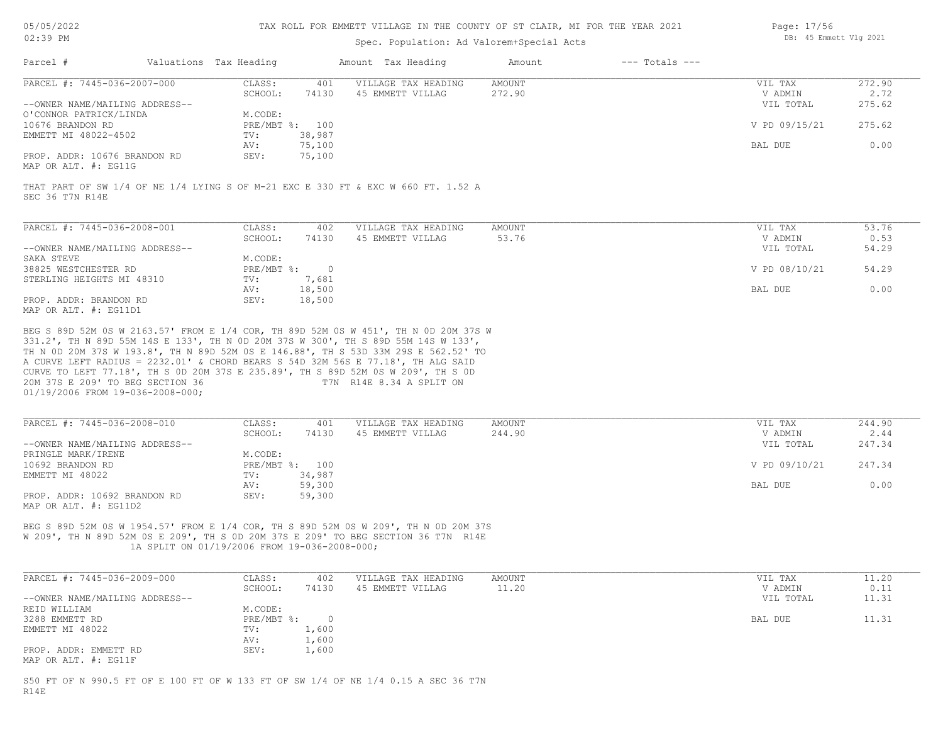| 05/05/2022 |  |
|------------|--|
|            |  |

## Spec. Population: Ad Valorem+Special Acts

| Page: 17/56 |                        |  |
|-------------|------------------------|--|
|             | DB: 45 Emmett Vlg 2021 |  |

| Parcel #                                             | Valuations Tax Heading |                | Amount Tax Heading                                                                | Amount | $---$ Totals $---$ |               |        |
|------------------------------------------------------|------------------------|----------------|-----------------------------------------------------------------------------------|--------|--------------------|---------------|--------|
| PARCEL #: 7445-036-2007-000                          | CLASS:                 | 401            | VILLAGE TAX HEADING                                                               | AMOUNT |                    | VIL TAX       | 272.90 |
|                                                      | SCHOOL:                | 74130          | 45 EMMETT VILLAG                                                                  | 272.90 |                    | V ADMIN       | 2.72   |
| --OWNER NAME/MAILING ADDRESS--                       |                        |                |                                                                                   |        |                    | VIL TOTAL     | 275.62 |
| O'CONNOR PATRICK/LINDA                               | M.CODE:                |                |                                                                                   |        |                    |               |        |
| 10676 BRANDON RD                                     |                        | PRE/MBT %: 100 |                                                                                   |        |                    | V PD 09/15/21 | 275.62 |
| EMMETT MI 48022-4502                                 | TV:                    | 38,987         |                                                                                   |        |                    |               |        |
|                                                      | AV:                    | 75,100         |                                                                                   |        |                    | BAL DUE       | 0.00   |
| PROP. ADDR: 10676 BRANDON RD<br>MAP OR ALT. #: EG11G | SEV:                   | 75,100         |                                                                                   |        |                    |               |        |
| SEC 36 T7N R14E                                      |                        |                | THAT PART OF SW 1/4 OF NE 1/4 LYING S OF M-21 EXC E 330 FT & EXC W 660 FT. 1.52 A |        |                    |               |        |
| PARCEL #: 7445-036-2008-001                          | CLASS:                 | 402            | VILLAGE TAX HEADING                                                               | AMOUNT |                    | VIL TAX       | 53.76  |
|                                                      | SCHOOL:                | 74130          | 45 EMMETT VILLAG                                                                  | 53.76  |                    | V ADMIN       | 0.53   |
| --OWNER NAME/MAILING ADDRESS--                       |                        |                |                                                                                   |        |                    | VIL TOTAL     | 54.29  |
| SAKA STEVE                                           | M.CODE:                |                |                                                                                   |        |                    |               |        |
| 38825 WESTCHESTER RD                                 | $PRE/MBT$ %:           | $\circ$        |                                                                                   |        |                    | V PD 08/10/21 | 54.29  |
| STERLING HEIGHTS MI 48310                            | TV:                    | 7,681          |                                                                                   |        |                    |               |        |
|                                                      | AV:                    | 18.500         |                                                                                   |        |                    | BAL DUE       | 0.00   |

|                                      | $\Delta SI$<br><b><i>L</i> L</b> | 10 F00<br>8,500                                                                                                           | BAL<br>DUE | v.vv |
|--------------------------------------|----------------------------------|---------------------------------------------------------------------------------------------------------------------------|------------|------|
| PROP. ADDR: BRANDON RD               | SEV:                             | 18,500<br>the contract of the contract of the contract of the contract of the contract of the contract of the contract of |            |      |
| max155<br>$\cdots$ $\cdots$ $\cdots$ |                                  |                                                                                                                           |            |      |

MAP OR ALT. #: EG11D1

01/19/2006 FROM 19-036-2008-000; 20M 37S E 209' TO BEG SECTION 36 T7N R14E 8.34 A SPLIT ON CURVE TO LEFT 77.18', TH S 0D 20M 37S E 235.89', TH S 89D 52M 0S W 209', TH S 0D A CURVE LEFT RADIUS = 2232.01' & CHORD BEARS S 54D 32M 56S E 77.18', TH ALG SAID TH N 0D 20M 37S W 193.8', TH N 89D 52M 0S E 146.88', TH S 53D 33M 29S E 562.52' TO 331.2', TH N 89D 55M 14S E 133', TH N 0D 20M 37S W 300', TH S 89D 55M 14S W 133', BEG S 89D 52M 0S W 2163.57' FROM E 1/4 COR, TH 89D 52M 0S W 451', TH N 0D 20M 37S W

| PARCEL #: 7445-036-2008-010    | CLASS:       | 401    | VILLAGE TAX HEADING | AMOUNT | 244.90<br>VIL TAX       |
|--------------------------------|--------------|--------|---------------------|--------|-------------------------|
|                                | SCHOOL:      | 74130  | 45 EMMETT VILLAG    | 244.90 | 2.44<br>V ADMIN         |
| --OWNER NAME/MAILING ADDRESS-- |              |        |                     |        | 247.34<br>VIL TOTAL     |
| PRINGLE MARK/IRENE             | M.CODE:      |        |                     |        |                         |
| 10692 BRANDON RD               | $PRE/MBT$ %: | 100    |                     |        | V PD 09/10/21<br>247.34 |
| EMMETT MI 48022                | TV:          | 34,987 |                     |        |                         |
|                                | AV:          | 59,300 |                     |        | 0.00<br>BAL DUE         |
| PROP. ADDR: 10692 BRANDON RD   | SEV:         | 59,300 |                     |        |                         |
| MAP OR ALT. #: EG11D2          |              |        |                     |        |                         |

 1A SPLIT ON 01/19/2006 FROM 19-036-2008-000; W 209', TH N 89D 52M 0S E 209', TH S 0D 20M 37S E 209' TO BEG SECTION 36 T7N R14E BEG S 89D 52M 0S W 1954.57' FROM E 1/4 COR, TH S 89D 52M 0S W 209', TH N 0D 20M 37S

| PARCEL #: 7445-036-2009-000    | CLASS:     | 402   | VILLAGE TAX HEADING | AMOUNT | VIL TAX   | 11.20 |
|--------------------------------|------------|-------|---------------------|--------|-----------|-------|
|                                | SCHOOL:    | 74130 | 45 EMMETT VILLAG    | 11.20  | V ADMIN   | 0.11  |
| --OWNER NAME/MAILING ADDRESS-- |            |       |                     |        | VIL TOTAL | 11.31 |
| REID WILLIAM                   | M.CODE:    |       |                     |        |           |       |
| 3288 EMMETT RD                 | PRE/MBT %: |       |                     |        | BAL DUE   | 11.31 |
| EMMETT MI 48022                | TV:        | 1,600 |                     |        |           |       |
|                                | AV:        | 1,600 |                     |        |           |       |
| PROP. ADDR: EMMETT RD          | SEV:       | 1,600 |                     |        |           |       |
| MAP OR ALT. #: EG11F           |            |       |                     |        |           |       |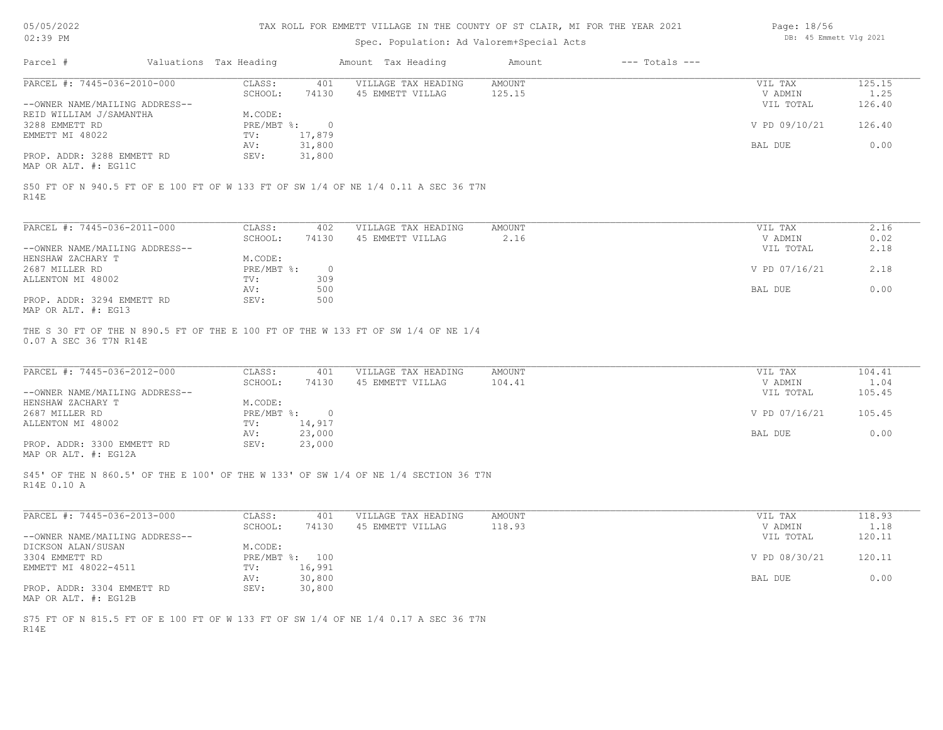|  |  | 05/05/2022 |
|--|--|------------|
|--|--|------------|

| Page: 18/56 |                        |  |
|-------------|------------------------|--|
|             | DB: 45 Emmett Vlg 2021 |  |

| 05/05/2022                                          |                        |                  | TAX ROLL FOR EMMETT VILLAGE IN THE COUNTY OF ST CLAIR, MI FOR THE YEAR 2021         |                         |                    | Page: 18/56            |                |
|-----------------------------------------------------|------------------------|------------------|-------------------------------------------------------------------------------------|-------------------------|--------------------|------------------------|----------------|
| 02:39 PM                                            |                        |                  | Spec. Population: Ad Valorem+Special Acts                                           |                         |                    | DB: 45 Emmett Vlg 2021 |                |
| Parcel #                                            | Valuations Tax Heading |                  | Amount Tax Heading                                                                  | Amount                  | $---$ Totals $---$ |                        |                |
| PARCEL #: 7445-036-2010-000                         | CLASS:                 | 401              | VILLAGE TAX HEADING                                                                 | <b>AMOUNT</b>           |                    | VIL TAX                | 125.15         |
|                                                     | SCHOOL:                | 74130            | 45 EMMETT VILLAG                                                                    | 125.15                  |                    | V ADMIN                | 1.25           |
| --OWNER NAME/MAILING ADDRESS--                      |                        |                  |                                                                                     |                         |                    | VIL TOTAL              | 126.40         |
| REID WILLIAM J/SAMANTHA                             | M.CODE:                |                  |                                                                                     |                         |                    |                        |                |
| 3288 EMMETT RD<br>EMMETT MI 48022                   | PRE/MBT %:<br>TV:      | $\overline{0}$   |                                                                                     |                         |                    | V PD 09/10/21          | 126.40         |
|                                                     | AV:                    | 17,879<br>31,800 |                                                                                     |                         |                    | BAL DUE                | 0.00           |
| PROP. ADDR: 3288 EMMETT RD<br>MAP OR ALT. #: EG11C  | SEV:                   | 31,800           |                                                                                     |                         |                    |                        |                |
| R14E                                                |                        |                  | S50 FT OF N 940.5 FT OF E 100 FT OF W 133 FT OF SW 1/4 OF NE 1/4 0.11 A SEC 36 T7N  |                         |                    |                        |                |
| PARCEL #: 7445-036-2011-000                         | CLASS:                 | 402              | VILLAGE TAX HEADING                                                                 | <b>AMOUNT</b>           |                    | VIL TAX                | 2.16           |
|                                                     | SCHOOL:                | 74130            | 45 EMMETT VILLAG                                                                    | 2.16                    |                    | V ADMIN                | 0.02           |
| --OWNER NAME/MAILING ADDRESS--                      |                        |                  |                                                                                     |                         |                    | VIL TOTAL              | 2.18           |
| HENSHAW ZACHARY T                                   | M.CODE:                |                  |                                                                                     |                         |                    |                        |                |
| 2687 MILLER RD                                      | PRE/MBT %:             | $\overline{0}$   |                                                                                     |                         |                    | V PD 07/16/21          | 2.18           |
| ALLENTON MI 48002                                   | TV:                    | 309              |                                                                                     |                         |                    |                        |                |
| PROP. ADDR: 3294 EMMETT RD                          | AV:<br>SEV:            | 500<br>500       |                                                                                     |                         |                    | BAL DUE                | 0.00           |
| MAP OR ALT. #: EG13                                 |                        |                  |                                                                                     |                         |                    |                        |                |
| PARCEL #: 7445-036-2012-000                         | CLASS:<br>SCHOOL:      | 401<br>74130     | VILLAGE TAX HEADING<br>45 EMMETT VILLAG                                             | <b>AMOUNT</b><br>104.41 |                    | VIL TAX<br>V ADMIN     | 104.41<br>1.04 |
| --OWNER NAME/MAILING ADDRESS--<br>HENSHAW ZACHARY T | M.CODE:                |                  |                                                                                     |                         |                    | VIL TOTAL              | 105.45         |
| 2687 MILLER RD                                      | PRE/MBT %:             | $\overline{0}$   |                                                                                     |                         |                    | V PD 07/16/21          | 105.45         |
| ALLENTON MI 48002                                   | TV:                    | 14,917           |                                                                                     |                         |                    |                        |                |
|                                                     | AV:                    | 23,000           |                                                                                     |                         |                    | BAL DUE                | 0.00           |
| PROP. ADDR: 3300 EMMETT RD<br>MAP OR ALT. #: EG12A  | SEV:                   | 23,000           |                                                                                     |                         |                    |                        |                |
| R14E 0.10 A                                         |                        |                  | S45' OF THE N 860.5' OF THE E 100' OF THE W 133' OF SW 1/4 OF NE 1/4 SECTION 36 T7N |                         |                    |                        |                |
| PARCEL #: 7445-036-2013-000                         | CLASS:                 | 401              | VILLAGE TAX HEADING                                                                 | <b>AMOUNT</b>           |                    | VIL TAX                | 118.93         |
|                                                     | SCHOOL:                | 74130            | 45 EMMETT VILLAG                                                                    | 118.93                  |                    | V ADMIN                | 1.18           |
| --OWNER NAME/MAILING ADDRESS--                      |                        |                  |                                                                                     |                         |                    | VIL TOTAL              | 120.11         |
| DICKSON ALAN/SUSAN<br>3304 EMMETT RD                | M.CODE:                | PRE/MBT %: 100   |                                                                                     |                         |                    | V PD 08/30/21          | 120.11         |
| EMMETT MI 48022-4511                                | TV:                    | 16,991           |                                                                                     |                         |                    |                        |                |
|                                                     | AV:                    | 30,800           |                                                                                     |                         |                    | BAL DUE                | 0.00           |
| PROP. ADDR: 3304 EMMETT RD                          | SEV:                   | 30,800           |                                                                                     |                         |                    |                        |                |
| MAP OR ALT. #: EG12B                                |                        |                  |                                                                                     |                         |                    |                        |                |
| R14E                                                |                        |                  | S75 FT OF N 815.5 FT OF E 100 FT OF W 133 FT OF SW 1/4 OF NE 1/4 0.17 A SEC 36 T7N  |                         |                    |                        |                |
|                                                     |                        |                  |                                                                                     |                         |                    |                        |                |
|                                                     |                        |                  |                                                                                     |                         |                    |                        |                |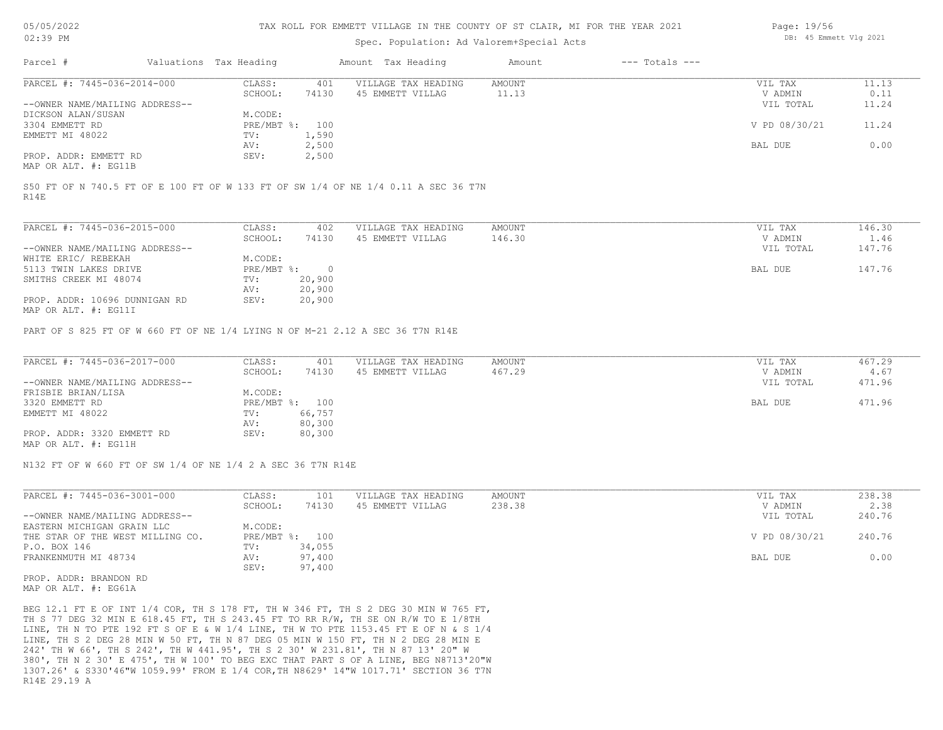#### TAX ROLL FOR EMMETT VILLAGE IN THE COUNTY OF ST CLAIR, MI FOR THE YEAR 2021

# Spec. Population: Ad Valorem+Special Acts

| Page: 19/56 |                        |  |
|-------------|------------------------|--|
|             | DB: 45 Emmett Vlg 2021 |  |

| Parcel #                       | Valuations Tax Heading |       | Amount Tax Heading  | Amount | $---$ Totals $---$ |               |       |
|--------------------------------|------------------------|-------|---------------------|--------|--------------------|---------------|-------|
| PARCEL #: 7445-036-2014-000    | CLASS:                 | 401   | VILLAGE TAX HEADING | AMOUNT |                    | VIL TAX       | 11.13 |
|                                | SCHOOL:                | 74130 | 45 EMMETT VILLAG    | 11.13  |                    | V ADMIN       | 0.11  |
| --OWNER NAME/MAILING ADDRESS-- |                        |       |                     |        |                    | VIL TOTAL     | 11.24 |
| DICKSON ALAN/SUSAN             | M.CODE:                |       |                     |        |                    |               |       |
| 3304 EMMETT RD                 | PRE/MBT %: 100         |       |                     |        |                    | V PD 08/30/21 | 11.24 |
| EMMETT MI 48022                | TV:                    | 1,590 |                     |        |                    |               |       |
|                                | AV:                    | 2,500 |                     |        |                    | BAL DUE       | 0.00  |
| PROP. ADDR: EMMETT RD          | SEV:                   | 2,500 |                     |        |                    |               |       |
|                                |                        |       |                     |        |                    |               |       |

MAP OR ALT. #: EG11B

R14E S50 FT OF N 740.5 FT OF E 100 FT OF W 133 FT OF SW 1/4 OF NE 1/4 0.11 A SEC 36 T7N

| PARCEL #: 7445-036-2015-000                                                                                                                                                                                                                                                                                                                                                                                                                                                                                                                                 | CLASS:     | 402    | VILLAGE TAX HEADING | AMOUNT | VIL TAX   | 146.30 |
|-------------------------------------------------------------------------------------------------------------------------------------------------------------------------------------------------------------------------------------------------------------------------------------------------------------------------------------------------------------------------------------------------------------------------------------------------------------------------------------------------------------------------------------------------------------|------------|--------|---------------------|--------|-----------|--------|
|                                                                                                                                                                                                                                                                                                                                                                                                                                                                                                                                                             | SCHOOL:    | 74130  | 45 EMMETT VILLAG    | 146.30 | V ADMIN   | 1.46   |
| --OWNER NAME/MAILING ADDRESS--                                                                                                                                                                                                                                                                                                                                                                                                                                                                                                                              |            |        |                     |        | VIL TOTAL | 147.76 |
| WHITE ERIC/ REBEKAH                                                                                                                                                                                                                                                                                                                                                                                                                                                                                                                                         | M.CODE:    |        |                     |        |           |        |
| 5113 TWIN LAKES DRIVE                                                                                                                                                                                                                                                                                                                                                                                                                                                                                                                                       | PRE/MBT %: |        |                     |        | BAL DUE   | 147.76 |
| SMITHS CREEK MI 48074                                                                                                                                                                                                                                                                                                                                                                                                                                                                                                                                       | TV:        | 20,900 |                     |        |           |        |
|                                                                                                                                                                                                                                                                                                                                                                                                                                                                                                                                                             | AV:        | 20,900 |                     |        |           |        |
| PROP. ADDR: 10696 DUNNIGAN RD<br>$M\lambda D$ $\cap$ $\overline{\lambda}$ $\overline{\lambda}$ $\overline{\lambda}$ $\overline{\lambda}$ $\overline{\lambda}$ $\overline{\lambda}$ $\overline{\lambda}$ $\overline{\lambda}$ $\overline{\lambda}$ $\overline{\lambda}$ $\overline{\lambda}$ $\overline{\lambda}$ $\overline{\lambda}$ $\overline{\lambda}$ $\overline{\lambda}$ $\overline{\lambda}$ $\overline{\lambda}$ $\overline{\lambda}$ $\overline{\lambda}$ $\overline{\lambda}$ $\overline{\lambda}$ $\overline{\lambda}$ $\overline{\lambda}$ $\$ | SEV:       | 20,900 |                     |        |           |        |

MAP OR ALT. #: EG11I

PART OF S 825 FT OF W 660 FT OF NE 1/4 LYING N OF M-21 2.12 A SEC 36 T7N R14E

| PARCEL #: 7445-036-2017-000    | CLASS:  | 401            | VILLAGE TAX HEADING | AMOUNT | VIL TAX   | 467.29 |
|--------------------------------|---------|----------------|---------------------|--------|-----------|--------|
|                                | SCHOOL: | 74130          | 45 EMMETT VILLAG    | 467.29 | V ADMIN   | 4.67   |
| --OWNER NAME/MAILING ADDRESS-- |         |                |                     |        | VIL TOTAL | 471.96 |
| FRISBIE BRIAN/LISA             | M.CODE: |                |                     |        |           |        |
| 3320 EMMETT RD                 |         | PRE/MBT %: 100 |                     |        | BAL DUE   | 471.96 |
| EMMETT MI 48022                | TV:     | 66,757         |                     |        |           |        |
|                                | AV:     | 80,300         |                     |        |           |        |
| PROP. ADDR: 3320 EMMETT RD     | SEV:    | 80,300         |                     |        |           |        |
| MAP OR ALT. #: EG11H           |         |                |                     |        |           |        |

N132 FT OF W 660 FT OF SW 1/4 OF NE 1/4 2 A SEC 36 T7N R14E

| PARCEL #: 7445-036-3001-000      | CLASS:     | 101    | VILLAGE TAX HEADING | AMOUNT | VIL TAX       | 238.38 |
|----------------------------------|------------|--------|---------------------|--------|---------------|--------|
|                                  | SCHOOL:    | 74130  | 45 EMMETT VILLAG    | 238.38 | V ADMIN       | 2.38   |
| --OWNER NAME/MAILING ADDRESS--   |            |        |                     |        | VIL TOTAL     | 240.76 |
| EASTERN MICHIGAN GRAIN LLC       | M.CODE:    |        |                     |        |               |        |
| THE STAR OF THE WEST MILLING CO. | PRE/MBT %: | 100    |                     |        | V PD 08/30/21 | 240.76 |
| P.O. BOX 146                     | TV:        | 34,055 |                     |        |               |        |
| FRANKENMUTH MI 48734             | AV:        | 97,400 |                     |        | BAL DUE       | 0.00   |
|                                  | SEV:       | 97,400 |                     |        |               |        |

MAP OR ALT. #: EG61A PROP. ADDR: BRANDON RD

R14E 29.19 A 1307.26' & S330'46"W 1059.99' FROM E 1/4 COR,TH N8629' 14"W 1017.71' SECTION 36 T7N 380', TH N 2 30' E 475', TH W 100' TO BEG EXC THAT PART S OF A LINE, BEG N8713'20"W 242' TH W 66', TH S 242', TH W 441.95', TH S 2 30' W 231.81', TH N 87 13' 20" W LINE, TH S 2 DEG 28 MIN W 50 FT, TH N 87 DEG 05 MIN W 150 FT, TH N 2 DEG 28 MIN E LINE, TH N TO PTE 192 FT S OF E & W 1/4 LINE, TH W TO PTE 1153.45 FT E OF N & S 1/4 TH S 77 DEG 32 MIN E 618.45 FT, TH S 243.45 FT TO RR R/W, TH SE ON R/W TO E 1/8TH BEG 12.1 FT E OF INT 1/4 COR, TH S 178 FT, TH W 346 FT, TH S 2 DEG 30 MIN W 765 FT,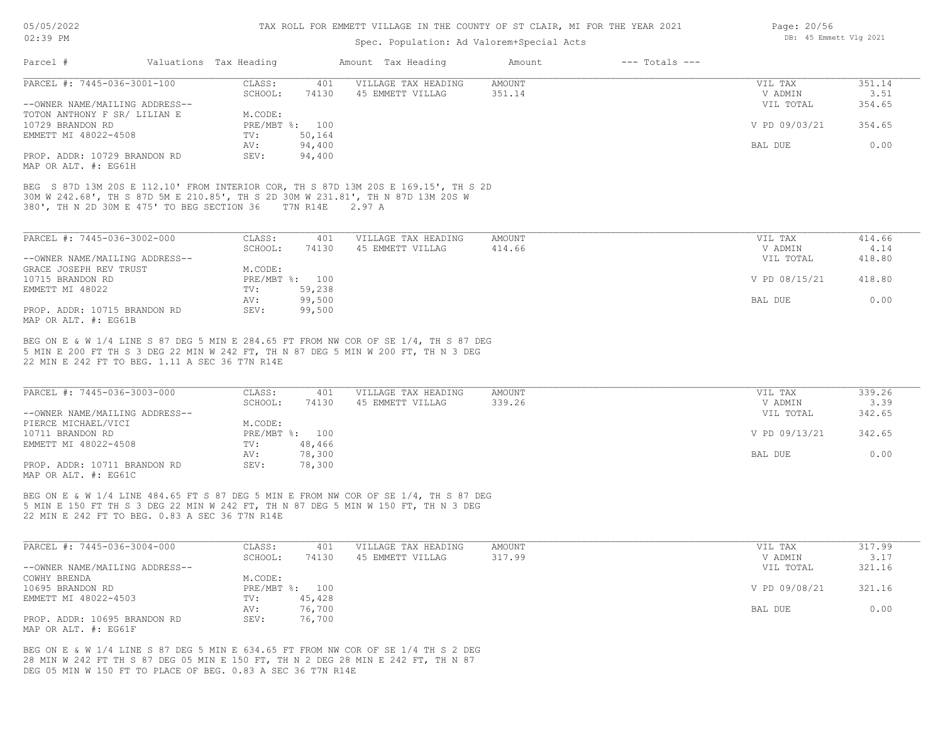# Spec. Population: Ad Valorem+Special Acts

| PARCEL #: 7445-036-3001-100                                                                                                                                                                                                                                                                                                                                                                                                                                                                                                                                                                                                                                                                                 | CLASS:<br>401                              | VILLAGE TAX HEADING                     | AMOUNT                  | VIL TAX                         | 351.14                   |
|-------------------------------------------------------------------------------------------------------------------------------------------------------------------------------------------------------------------------------------------------------------------------------------------------------------------------------------------------------------------------------------------------------------------------------------------------------------------------------------------------------------------------------------------------------------------------------------------------------------------------------------------------------------------------------------------------------------|--------------------------------------------|-----------------------------------------|-------------------------|---------------------------------|--------------------------|
| --OWNER NAME/MAILING ADDRESS--                                                                                                                                                                                                                                                                                                                                                                                                                                                                                                                                                                                                                                                                              | SCHOOL:<br>74130                           | 45 EMMETT VILLAG                        | 351.14                  | V ADMIN<br>VIL TOTAL            | 3.51<br>354.65           |
| TOTON ANTHONY F SR/ LILIAN E<br>10729 BRANDON RD                                                                                                                                                                                                                                                                                                                                                                                                                                                                                                                                                                                                                                                            | M.CODE:<br>PRE/MBT %: 100                  |                                         |                         | V PD 09/03/21                   | 354.65                   |
| EMMETT MI 48022-4508                                                                                                                                                                                                                                                                                                                                                                                                                                                                                                                                                                                                                                                                                        | 50,164<br>TV:<br>94,400<br>AV:             |                                         |                         | BAL DUE                         | 0.00                     |
| PROP. ADDR: 10729 BRANDON RD<br>MAP OR ALT. #: EG61H                                                                                                                                                                                                                                                                                                                                                                                                                                                                                                                                                                                                                                                        | 94,400<br>SEV:                             |                                         |                         |                                 |                          |
| BEG S 87D 13M 20S E 112.10' FROM INTERIOR COR, TH S 87D 13M 20S E 169.15', TH S 2D<br>30M W 242.68', TH S 87D 5M E 210.85', TH S 2D 30M W 231.81', TH N 87D 13M 20S W<br>380', TH N 2D 30M E 475' TO BEG SECTION 36 T7N R14E 2.97 A                                                                                                                                                                                                                                                                                                                                                                                                                                                                         |                                            |                                         |                         |                                 |                          |
| PARCEL #: 7445-036-3002-000                                                                                                                                                                                                                                                                                                                                                                                                                                                                                                                                                                                                                                                                                 | CLASS:<br>401                              | VILLAGE TAX HEADING                     | AMOUNT                  | VIL TAX                         | 414.66                   |
| --OWNER NAME/MAILING ADDRESS--<br>GRACE JOSEPH REV TRUST                                                                                                                                                                                                                                                                                                                                                                                                                                                                                                                                                                                                                                                    | SCHOOL:<br>74130<br>M.CODE:                | 45 EMMETT VILLAG                        | 414.66                  | V ADMIN<br>VIL TOTAL            | 4.14<br>418.80           |
| 10715 BRANDON RD                                                                                                                                                                                                                                                                                                                                                                                                                                                                                                                                                                                                                                                                                            | PRE/MBT %: 100                             |                                         |                         | V PD 08/15/21                   | 418.80                   |
| EMMETT MI 48022                                                                                                                                                                                                                                                                                                                                                                                                                                                                                                                                                                                                                                                                                             | 59,238<br>TV:<br>99,500<br>AV:             |                                         |                         | BAL DUE                         | 0.00                     |
| PROP. ADDR: 10715 BRANDON RD                                                                                                                                                                                                                                                                                                                                                                                                                                                                                                                                                                                                                                                                                | 99,500<br>SEV:                             |                                         |                         |                                 |                          |
|                                                                                                                                                                                                                                                                                                                                                                                                                                                                                                                                                                                                                                                                                                             |                                            |                                         |                         |                                 |                          |
|                                                                                                                                                                                                                                                                                                                                                                                                                                                                                                                                                                                                                                                                                                             | CLASS:<br>401<br>SCHOOL:<br>74130          | VILLAGE TAX HEADING<br>45 EMMETT VILLAG | <b>AMOUNT</b><br>339.26 | VIL TAX<br>V ADMIN<br>VIL TOTAL | 339.26<br>3.39<br>342.65 |
|                                                                                                                                                                                                                                                                                                                                                                                                                                                                                                                                                                                                                                                                                                             | M.CODE:<br>PRE/MBT %: 100<br>48,466<br>TV: |                                         |                         | V PD 09/13/21                   | 342.65                   |
|                                                                                                                                                                                                                                                                                                                                                                                                                                                                                                                                                                                                                                                                                                             | 78,300<br>AV:<br>SEV:<br>78,300            |                                         |                         | BAL DUE                         | 0.00                     |
|                                                                                                                                                                                                                                                                                                                                                                                                                                                                                                                                                                                                                                                                                                             |                                            |                                         |                         |                                 |                          |
| MAP OR ALT. #: EG61B<br>BEG ON E & W 1/4 LINE S 87 DEG 5 MIN E 284.65 FT FROM NW COR OF SE 1/4, TH S 87 DEG<br>5 MIN E 200 FT TH S 3 DEG 22 MIN W 242 FT, TH N 87 DEG 5 MIN W 200 FT, TH N 3 DEG<br>22 MIN E 242 FT TO BEG. 1.11 A SEC 36 T7N R14E<br>PARCEL #: 7445-036-3003-000<br>--OWNER NAME/MAILING ADDRESS--<br>PIERCE MICHAEL/VICI<br>10711 BRANDON RD<br>EMMETT MI 48022-4508<br>PROP. ADDR: 10711 BRANDON RD<br>MAP OR ALT. #: EG61C<br>BEG ON E & W 1/4 LINE 484.65 FT S 87 DEG 5 MIN E FROM NW COR OF SE 1/4, TH S 87 DEG<br>5 MIN E 150 FT TH S 3 DEG 22 MIN W 242 FT, TH N 87 DEG 5 MIN W 150 FT, TH N 3 DEG<br>22 MIN E 242 FT TO BEG. 0.83 A SEC 36 T7N R14E<br>PARCEL #: 7445-036-3004-000 | CLASS:<br>401<br>SCHOOL:<br>74130          | VILLAGE TAX HEADING<br>45 EMMETT VILLAG | AMOUNT<br>317.99        | VIL TAX<br>V ADMIN              | 317.99<br>3.17           |
| --OWNER NAME/MAILING ADDRESS--<br>COWHY BRENDA                                                                                                                                                                                                                                                                                                                                                                                                                                                                                                                                                                                                                                                              | M.CODE:                                    |                                         |                         | VIL TOTAL                       | 321.16                   |
| 10695 BRANDON RD<br>EMMETT MI 48022-4503                                                                                                                                                                                                                                                                                                                                                                                                                                                                                                                                                                                                                                                                    | PRE/MBT %: 100<br>45,428<br>TV:            |                                         |                         | V PD 09/08/21                   | 321.16                   |

Page: 20/56 DB: 45 Emmett Vlg 2021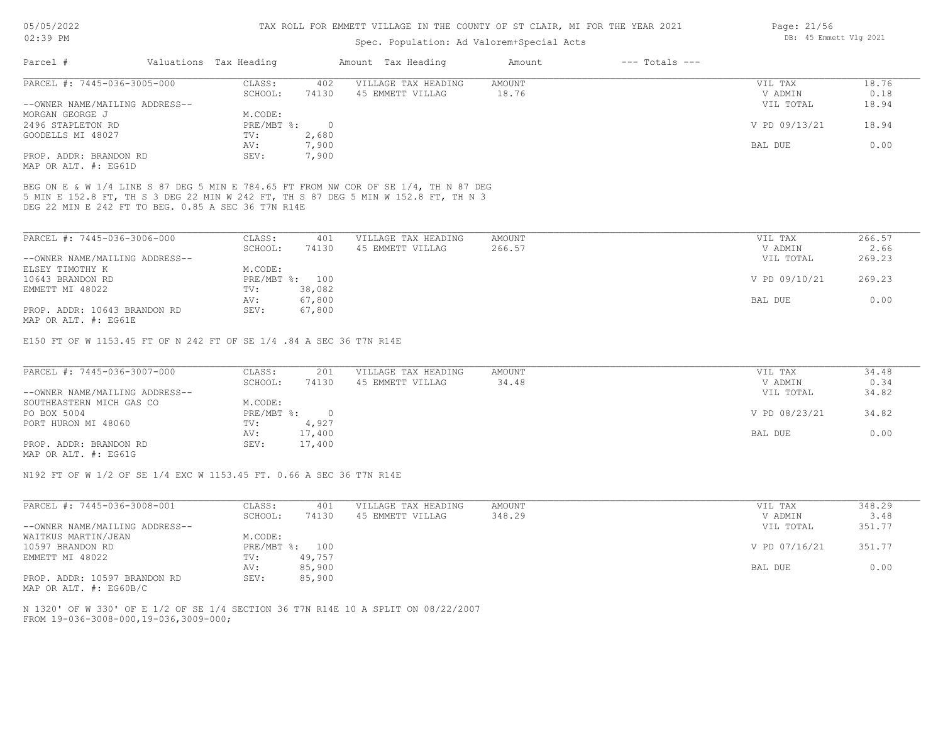## Spec. Population: Ad Valorem+Special Acts

| Parcel #                       | Valuations Tax Heading |        | Amount Tax Heading  | Amount | $---$ Totals $---$ |               |       |
|--------------------------------|------------------------|--------|---------------------|--------|--------------------|---------------|-------|
| PARCEL #: 7445-036-3005-000    | CLASS:                 | 402    | VILLAGE TAX HEADING | AMOUNT |                    | VIL TAX       | 18.76 |
|                                | SCHOOL:                | 74130  | 45 EMMETT VILLAG    | 18.76  |                    | V ADMIN       | 0.18  |
| --OWNER NAME/MAILING ADDRESS-- |                        |        |                     |        |                    | VIL TOTAL     | 18.94 |
| MORGAN GEORGE J                | M.CODE:                |        |                     |        |                    |               |       |
| 2496 STAPLETON RD              | $PRE/MBT$ %:           | $\cap$ |                     |        |                    | V PD 09/13/21 | 18.94 |
| GOODELLS MI 48027              | TV:                    | 2,680  |                     |        |                    |               |       |
|                                | AV:                    | 7,900  |                     |        |                    | BAL DUE       | 0.00  |
| PROP. ADDR: BRANDON RD         | SEV:                   | 7,900  |                     |        |                    |               |       |
| MAP OR ALT. #: EG61D           |                        |        |                     |        |                    |               |       |

DEG 22 MIN E 242 FT TO BEG. 0.85 A SEC 36 T7N R14E 5 MIN E 152.8 FT, TH S 3 DEG 22 MIN W 242 FT, TH S 87 DEG 5 MIN W 152.8 FT, TH N 3 BEG ON E & W 1/4 LINE S 87 DEG 5 MIN E 784.65 FT FROM NW COR OF SE 1/4, TH N 87 DEG

| PARCEL #: 7445-036-3006-000    | CLASS:  | 401            | VILLAGE TAX HEADING | AMOUNT | VIL TAX       | 266.57 |
|--------------------------------|---------|----------------|---------------------|--------|---------------|--------|
|                                | SCHOOL: | 74130          | 45 EMMETT VILLAG    | 266.57 | V ADMIN       | 2.66   |
| --OWNER NAME/MAILING ADDRESS-- |         |                |                     |        | VIL TOTAL     | 269.23 |
| ELSEY TIMOTHY K                | M.CODE: |                |                     |        |               |        |
| 10643 BRANDON RD               |         | PRE/MBT %: 100 |                     |        | V PD 09/10/21 | 269.23 |
| EMMETT MI 48022                | TV:     | 38,082         |                     |        |               |        |
|                                | AV:     | 67,800         |                     |        | BAL DUE       | 0.00   |
| PROP. ADDR: 10643 BRANDON RD   | SEV:    | 67,800         |                     |        |               |        |
| MAP OR ALT. #: EG61E           |         |                |                     |        |               |        |

E150 FT OF W 1153.45 FT OF N 242 FT OF SE 1/4 .84 A SEC 36 T7N R14E

| PARCEL #: 7445-036-3007-000    | CLASS:     | 201    | VILLAGE TAX HEADING | AMOUNT | VIL TAX       | 34.48 |
|--------------------------------|------------|--------|---------------------|--------|---------------|-------|
|                                | SCHOOL:    | 74130  | 45 EMMETT VILLAG    | 34.48  | V ADMIN       | 0.34  |
| --OWNER NAME/MAILING ADDRESS-- |            |        |                     |        | VIL TOTAL     | 34.82 |
| SOUTHEASTERN MICH GAS CO       | M.CODE:    |        |                     |        |               |       |
| PO BOX 5004                    | PRE/MBT %: |        |                     |        | V PD 08/23/21 | 34.82 |
| PORT HURON MI 48060            | TV:        | 4,927  |                     |        |               |       |
|                                | AV:        | 17,400 |                     |        | BAL DUE       | 0.00  |
| PROP. ADDR: BRANDON RD         | SEV:       | 17,400 |                     |        |               |       |
| MAP OR ALT. #: EG61G           |            |        |                     |        |               |       |

N192 FT OF W 1/2 OF SE 1/4 EXC W 1153.45 FT. 0.66 A SEC 36 T7N R14E

| PARCEL #: 7445-036-3008-001    | CLASS:     | 401    | VILLAGE TAX HEADING | AMOUNT | VIL TAX       | 348.29 |
|--------------------------------|------------|--------|---------------------|--------|---------------|--------|
|                                | SCHOOL:    | 74130  | 45 EMMETT VILLAG    | 348.29 | V ADMIN       | 3.48   |
| --OWNER NAME/MAILING ADDRESS-- |            |        |                     |        | VIL TOTAL     | 351.77 |
| WAITKUS MARTIN/JEAN            | M.CODE:    |        |                     |        |               |        |
| 10597 BRANDON RD               | PRE/MBT %: | 100    |                     |        | V PD 07/16/21 | 351.77 |
| EMMETT MI 48022                | TV:        | 49,757 |                     |        |               |        |
|                                | AV:        | 85,900 |                     |        | BAL DUE       | 0.00   |
| PROP. ADDR: 10597 BRANDON RD   | SEV:       | 85,900 |                     |        |               |        |

MAP OR ALT. #: EG60B/C

FROM 19-036-3008-000,19-036,3009-000; N 1320' OF W 330' OF E 1/2 OF SE 1/4 SECTION 36 T7N R14E 10 A SPLIT ON 08/22/2007 Page: 21/56 DB: 45 Emmett Vlg 2021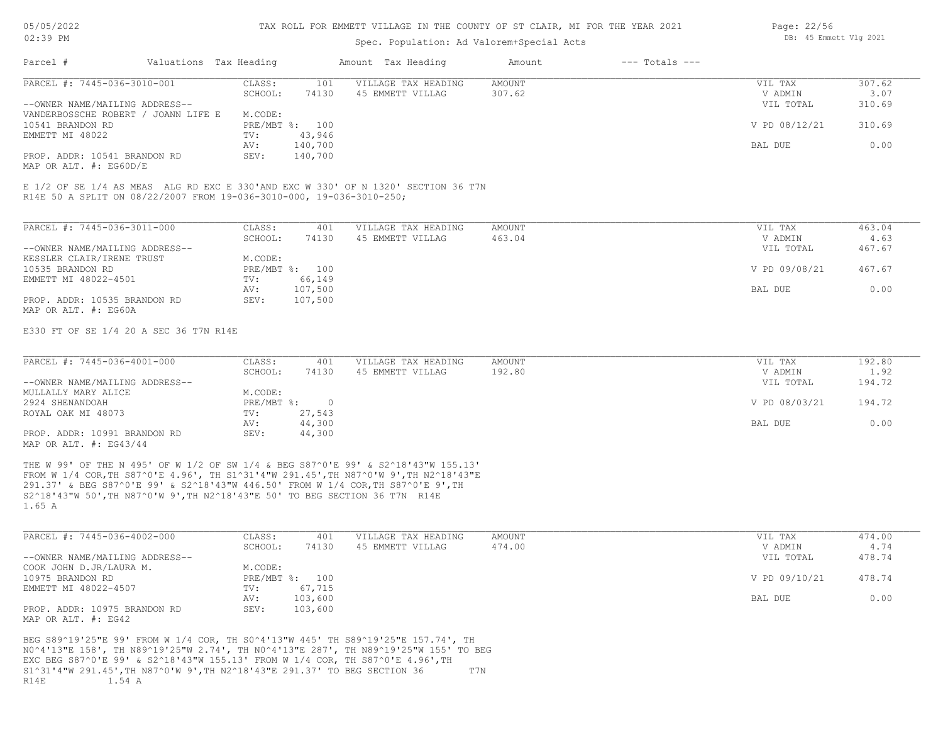# Spec. Population: Ad Valorem+Special Acts

| Page: 22/56 |                        |  |
|-------------|------------------------|--|
|             | DB: 45 Emmett Vlg 2021 |  |

| Parcel #                                                             | Valuations Tax Heading |         |                | Amount Tax Heading                                                                | Amount | $---$ Totals $---$ |               |        |
|----------------------------------------------------------------------|------------------------|---------|----------------|-----------------------------------------------------------------------------------|--------|--------------------|---------------|--------|
| PARCEL #: 7445-036-3010-001                                          |                        | CLASS:  | 101            | VILLAGE TAX HEADING                                                               | AMOUNT |                    | VIL TAX       | 307.62 |
|                                                                      |                        | SCHOOL: | 74130          | 45 EMMETT VILLAG                                                                  | 307.62 |                    | V ADMIN       | 3.07   |
| --OWNER NAME/MAILING ADDRESS--                                       |                        |         |                |                                                                                   |        |                    | VIL TOTAL     | 310.69 |
| VANDERBOSSCHE ROBERT / JOANN LIFE E                                  |                        | M.CODE: |                |                                                                                   |        |                    |               |        |
| 10541 BRANDON RD                                                     |                        |         | PRE/MBT %: 100 |                                                                                   |        |                    | V PD 08/12/21 | 310.69 |
| EMMETT MI 48022                                                      |                        | TV:     | 43,946         |                                                                                   |        |                    |               |        |
|                                                                      |                        | AV:     | 140,700        |                                                                                   |        |                    | BAL DUE       | 0.00   |
| PROP. ADDR: 10541 BRANDON RD                                         |                        | SEV:    | 140,700        |                                                                                   |        |                    |               |        |
| MAP OR ALT. #: EG60D/E                                               |                        |         |                |                                                                                   |        |                    |               |        |
|                                                                      |                        |         |                |                                                                                   |        |                    |               |        |
|                                                                      |                        |         |                | E 1/2 OF SE 1/4 AS MEAS ALG RD EXC E 330'AND EXC W 330' OF N 1320' SECTION 36 T7N |        |                    |               |        |
| R14E 50 A SPLIT ON 08/22/2007 FROM 19-036-3010-000, 19-036-3010-250; |                        |         |                |                                                                                   |        |                    |               |        |
|                                                                      |                        |         |                |                                                                                   |        |                    |               |        |

| PARCEL #: 7445-036-3011-000    | CLASS:  | 401            | VILLAGE TAX HEADING | AMOUNT | VIL TAX       | 463.04 |
|--------------------------------|---------|----------------|---------------------|--------|---------------|--------|
|                                | SCHOOL: | 74130          | 45 EMMETT VILLAG    | 463.04 | V ADMIN       | 4.63   |
| --OWNER NAME/MAILING ADDRESS-- |         |                |                     |        | VIL TOTAL     | 467.67 |
| KESSLER CLAIR/IRENE TRUST      | M.CODE: |                |                     |        |               |        |
| 10535 BRANDON RD               |         | PRE/MBT %: 100 |                     |        | V PD 09/08/21 | 467.67 |
| EMMETT MI 48022-4501           | TV:     | 66,149         |                     |        |               |        |
|                                | AV:     | 107,500        |                     |        | BAL DUE       | 0.00   |
| PROP. ADDR: 10535 BRANDON RD   | SEV:    | 107,500        |                     |        |               |        |
| MAP OR ALT. #: EG60A           |         |                |                     |        |               |        |

E330 FT OF SE 1/4 20 A SEC 36 T7N R14E

| PARCEL #: 7445-036-4001-000                                                                                                                                                                                                                                                                                                                                                                                                                                                                                                          | CLASS:     | 401    | VILLAGE TAX HEADING | AMOUNT | VIL TAX       | 192.80 |
|--------------------------------------------------------------------------------------------------------------------------------------------------------------------------------------------------------------------------------------------------------------------------------------------------------------------------------------------------------------------------------------------------------------------------------------------------------------------------------------------------------------------------------------|------------|--------|---------------------|--------|---------------|--------|
|                                                                                                                                                                                                                                                                                                                                                                                                                                                                                                                                      | SCHOOL:    | 74130  | 45 EMMETT VILLAG    | 192.80 | V ADMIN       | 1.92   |
| --OWNER NAME/MAILING ADDRESS--                                                                                                                                                                                                                                                                                                                                                                                                                                                                                                       |            |        |                     |        | VIL TOTAL     | 194.72 |
| MULLALLY MARY ALICE                                                                                                                                                                                                                                                                                                                                                                                                                                                                                                                  | M.CODE:    |        |                     |        |               |        |
| 2924 SHENANDOAH                                                                                                                                                                                                                                                                                                                                                                                                                                                                                                                      | PRE/MBT %: |        |                     |        | V PD 08/03/21 | 194.72 |
| ROYAL OAK MI 48073                                                                                                                                                                                                                                                                                                                                                                                                                                                                                                                   | TV:        | 27,543 |                     |        |               |        |
|                                                                                                                                                                                                                                                                                                                                                                                                                                                                                                                                      | AV:        | 44,300 |                     |        | BAL DUE       | 0.00   |
| PROP. ADDR: 10991 BRANDON RD<br>$M\lambda D$ $\cap$ $\overline{\lambda}$ $\overline{\Gamma}$ $\overline{\Gamma}$ $\overline{\Gamma}$ $\overline{\Gamma}$ $\overline{\Gamma}$ $\overline{\Gamma}$ $\overline{\Gamma}$ $\overline{\Gamma}$ $\overline{\Gamma}$ $\overline{\Gamma}$ $\overline{\Gamma}$ $\overline{\Gamma}$ $\overline{\Gamma}$ $\overline{\Gamma}$ $\overline{\Gamma}$ $\overline{\Gamma}$ $\overline{\Gamma}$ $\overline{\Gamma}$ $\overline{\Gamma}$ $\overline{\Gamma}$ $\overline{\Gamma}$ $\overline{\Gamma}$ $\$ | SEV:       | 44,300 |                     |        |               |        |

MAP OR ALT. #: EG43/44

1.65 A S2^18'43"W 50',TH N87^0'W 9',TH N2^18'43"E 50' TO BEG SECTION 36 T7N R14E 291.37' & BEG S87^0'E 99' & S2^18'43"W 446.50' FROM W 1/4 COR,TH S87^0'E 9',TH FROM W 1/4 COR,TH S87^0'E 4.96', TH S1^31'4"W 291.45',TH N87^0'W 9',TH N2^18'43"E THE W 99' OF THE N 495' OF W 1/2 OF SW 1/4 & BEG S87^0'E 99' & S2^18'43"W 155.13'

| PARCEL #: 7445-036-4002-000    | CLASS:  | 401            | VILLAGE TAX HEADING | AMOUNT | VIL TAX       | 474.00 |
|--------------------------------|---------|----------------|---------------------|--------|---------------|--------|
|                                | SCHOOL: | 74130          | 45 EMMETT VILLAG    | 474.00 | V ADMIN       | 4.74   |
| --OWNER NAME/MAILING ADDRESS-- |         |                |                     |        | VIL TOTAL     | 478.74 |
| COOK JOHN D.JR/LAURA M.        | M.CODE: |                |                     |        |               |        |
| 10975 BRANDON RD               |         | PRE/MBT %: 100 |                     |        | V PD 09/10/21 | 478.74 |
| EMMETT MI 48022-4507           | TV:     | 67,715         |                     |        |               |        |
|                                | AV:     | 103,600        |                     |        | BAL DUE       | 0.00   |
| PROP. ADDR: 10975 BRANDON RD   | SEV:    | 103,600        |                     |        |               |        |
| MAP OR ALT. #: EG42            |         |                |                     |        |               |        |

R14E 1.54 A S1^31'4"W 291.45',TH N87^0'W 9',TH N2^18'43"E 291.37' TO BEG SECTION 36 T7N EXC BEG S87^0'E 99' & S2^18'43"W 155.13' FROM W 1/4 COR, TH S87^0'E 4.96',TH N0^4'13"E 158', TH N89^19'25"W 2.74', TH N0^4'13"E 287', TH N89^19'25"W 155' TO BEG BEG S89^19'25"E 99' FROM W 1/4 COR, TH S0^4'13"W 445' TH S89^19'25"E 157.74', TH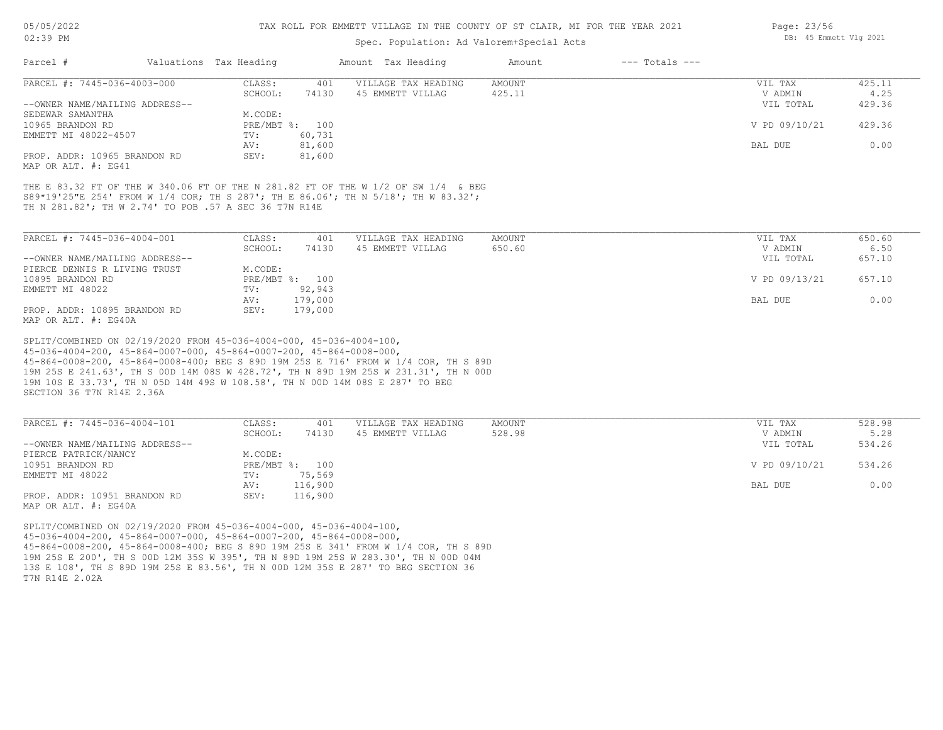05/05/2022

# TAX ROLL FOR EMMETT VILLAGE IN THE COUNTY OF ST CLAIR, MI FOR THE YEAR 2021

| 02:39 PM                                                                                                                                                                                                                                                                                                                                                                                                                                 |                           | Spec. Population: Ad Valorem+Special Acts               | DB: 45 Emmett Vlg 2021 |                    |                      |                |
|------------------------------------------------------------------------------------------------------------------------------------------------------------------------------------------------------------------------------------------------------------------------------------------------------------------------------------------------------------------------------------------------------------------------------------------|---------------------------|---------------------------------------------------------|------------------------|--------------------|----------------------|----------------|
| Parcel #                                                                                                                                                                                                                                                                                                                                                                                                                                 | Valuations Tax Heading    | Amount Tax Heading                                      | Amount                 | $---$ Totals $---$ |                      |                |
| PARCEL #: 7445-036-4003-000                                                                                                                                                                                                                                                                                                                                                                                                              | CLASS:                    | 401<br>VILLAGE TAX HEADING                              | AMOUNT                 |                    | VIL TAX              | 425.11         |
| --OWNER NAME/MAILING ADDRESS--                                                                                                                                                                                                                                                                                                                                                                                                           | SCHOOL:                   | 74130<br>45 EMMETT VILLAG                               | 425.11                 |                    | V ADMIN<br>VIL TOTAL | 4.25<br>429.36 |
| SEDEWAR SAMANTHA<br>10965 BRANDON RD                                                                                                                                                                                                                                                                                                                                                                                                     | M.CODE:<br>PRE/MBT %: 100 |                                                         |                        |                    | V PD 09/10/21        | 429.36         |
| EMMETT MI 48022-4507                                                                                                                                                                                                                                                                                                                                                                                                                     | TV:<br>AV:                | 60,731<br>81,600                                        |                        |                    | BAL DUE              | 0.00           |
| PROP. ADDR: 10965 BRANDON RD<br>MAP OR ALT. #: EG41                                                                                                                                                                                                                                                                                                                                                                                      | SEV:                      | 81,600                                                  |                        |                    |                      |                |
| THE E 83.32 FT OF THE W 340.06 FT OF THE N 281.82 FT OF THE W 1/2 OF SW 1/4 & BEG<br>S89*19'25"E 254' FROM W 1/4 COR; TH S 287'; TH E 86.06'; TH N 5/18'; TH W 83.32';<br>TH N 281.82'; TH W 2.74' TO POB .57 A SEC 36 T7N R14E                                                                                                                                                                                                          |                           |                                                         |                        |                    |                      |                |
| PARCEL #: 7445-036-4004-001                                                                                                                                                                                                                                                                                                                                                                                                              | CLASS:<br>SCHOOL:         | 401<br>VILLAGE TAX HEADING<br>74130<br>45 EMMETT VILLAG | AMOUNT<br>650.60       |                    | VIL TAX<br>V ADMIN   | 650.60<br>6.50 |
| --OWNER NAME/MAILING ADDRESS--<br>PIERCE DENNIS R LIVING TRUST                                                                                                                                                                                                                                                                                                                                                                           | M.CODE:                   |                                                         |                        |                    | VIL TOTAL            | 657.10         |
| 10895 BRANDON RD<br>EMMETT MI 48022                                                                                                                                                                                                                                                                                                                                                                                                      | PRE/MBT %: 100<br>TV:     | 92,943                                                  |                        |                    | V PD 09/13/21        | 657.10         |
|                                                                                                                                                                                                                                                                                                                                                                                                                                          | AV:                       | 179,000                                                 |                        |                    | BAL DUE              | 0.00           |
| PROP. ADDR: 10895 BRANDON RD<br>MAP OR ALT. #: EG40A                                                                                                                                                                                                                                                                                                                                                                                     | SEV:                      | 179,000                                                 |                        |                    |                      |                |
| SPLIT/COMBINED ON 02/19/2020 FROM 45-036-4004-000, 45-036-4004-100,<br>45-036-4004-200, 45-864-0007-000, 45-864-0007-200, 45-864-0008-000,<br>45-864-0008-200, 45-864-0008-400; BEG S 89D 19M 25S E 716' FROM W 1/4 COR, TH S 89D<br>19M 25S E 241.63', TH S OOD 14M 08S W 428.72', TH N 89D 19M 25S W 231.31', TH N OOD<br>19M 10S E 33.73', TH N 05D 14M 49S W 108.58', TH N 00D 14M 08S E 287' TO BEG<br>SECTION 36 T7N R14E 2.36A    |                           |                                                         |                        |                    |                      |                |
| PARCEL #: 7445-036-4004-101                                                                                                                                                                                                                                                                                                                                                                                                              | CLASS:                    | 401<br>VILLAGE TAX HEADING                              | AMOUNT                 |                    | VIL TAX              | 528.98         |
| --OWNER NAME/MAILING ADDRESS--                                                                                                                                                                                                                                                                                                                                                                                                           | SCHOOL:                   | 74130<br>45 EMMETT VILLAG                               | 528.98                 |                    | V ADMIN<br>VIL TOTAL | 5.28<br>534.26 |
| PIERCE PATRICK/NANCY<br>10951 BRANDON RD                                                                                                                                                                                                                                                                                                                                                                                                 | M.CODE:<br>PRE/MBT %: 100 |                                                         |                        |                    | V PD 09/10/21        | 534.26         |
| EMMETT MI 48022                                                                                                                                                                                                                                                                                                                                                                                                                          | TV:<br>AV:                | 75,569<br>116,900                                       |                        |                    | BAL DUE              | 0.00           |
| PROP. ADDR: 10951 BRANDON RD<br>MAP OR ALT. #: EG40A                                                                                                                                                                                                                                                                                                                                                                                     | SEV:                      | 116,900                                                 |                        |                    |                      |                |
| SPLIT/COMBINED ON 02/19/2020 FROM 45-036-4004-000, 45-036-4004-100,<br>$45-036-4004-200$ , $45-864-0007-000$ , $45-864-0007-200$ , $45-864-0008-000$ ,<br>45-864-0008-200, 45-864-0008-400; BEG S 89D 19M 25S E 341' FROM W 1/4 COR, TH S 89D<br>19M 25S E 200', TH S 00D 12M 35S W 395', TH N 89D 19M 25S W 283.30', TH N 00D 04M<br>13S E 108', TH S 89D 19M 25S E 83.56', TH N 00D 12M 35S E 287' TO BEG SECTION 36<br>T7N R14E 2.02A |                           |                                                         |                        |                    |                      |                |
|                                                                                                                                                                                                                                                                                                                                                                                                                                          |                           |                                                         |                        |                    |                      |                |

Page: 23/56  $\overline{B}$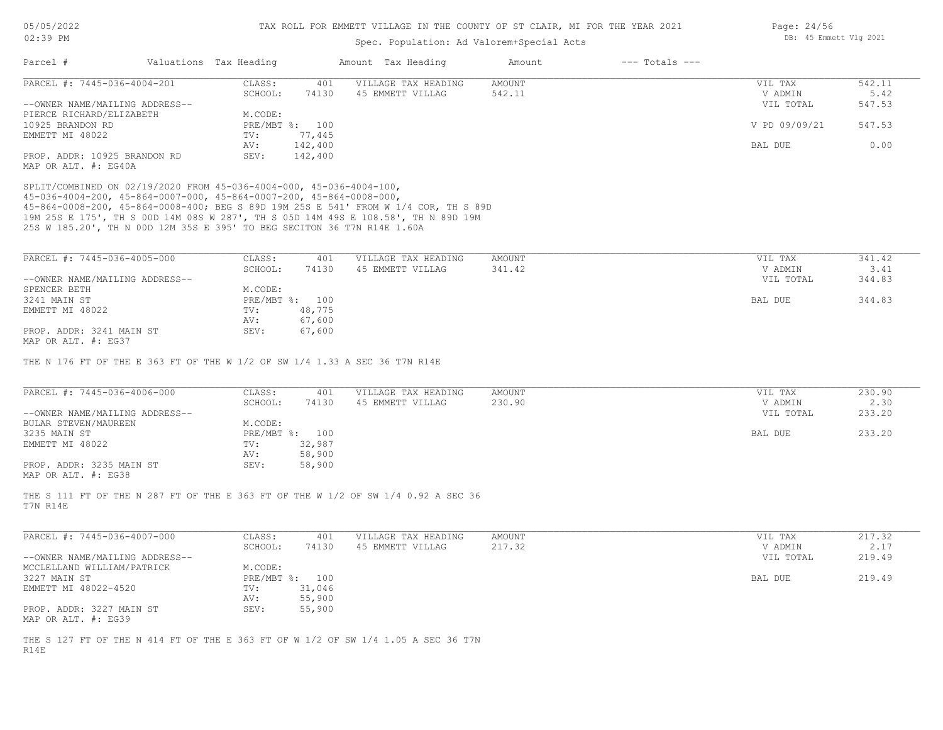MAP OR ALT. #: EG38

## TAX ROLL FOR EMMETT VILLAGE IN THE COUNTY OF ST CLAIR, MI FOR THE YEAR 2021

| $02:39$ PM                                                                                                                                                                                                                                          |                        |         |                | Spec. Population: Ad Valorem+Special Acts | DB: 45 Emmett Vlg 2021 |                    |               |        |
|-----------------------------------------------------------------------------------------------------------------------------------------------------------------------------------------------------------------------------------------------------|------------------------|---------|----------------|-------------------------------------------|------------------------|--------------------|---------------|--------|
| Parcel #                                                                                                                                                                                                                                            | Valuations Tax Heading |         |                | Amount Tax Heading                        | Amount                 | $---$ Totals $---$ |               |        |
| PARCEL #: 7445-036-4004-201                                                                                                                                                                                                                         |                        | CLASS:  | 401            | VILLAGE TAX HEADING                       | <b>AMOUNT</b>          |                    | VIL TAX       | 542.11 |
|                                                                                                                                                                                                                                                     |                        | SCHOOL: | 74130          | 45 EMMETT VILLAG                          | 542.11                 |                    | V ADMIN       | 5.42   |
| --OWNER NAME/MAILING ADDRESS--                                                                                                                                                                                                                      |                        |         |                |                                           |                        |                    | VIL TOTAL     | 547.53 |
| PIERCE RICHARD/ELIZABETH                                                                                                                                                                                                                            |                        | M.CODE: |                |                                           |                        |                    |               |        |
| 10925 BRANDON RD                                                                                                                                                                                                                                    |                        |         | PRE/MBT %: 100 |                                           |                        |                    | V PD 09/09/21 | 547.53 |
| EMMETT MI 48022                                                                                                                                                                                                                                     |                        | TV:     | 77,445         |                                           |                        |                    |               |        |
|                                                                                                                                                                                                                                                     |                        | AV:     | 142,400        |                                           |                        |                    | BAL DUE       | 0.00   |
| PROP. ADDR: 10925 BRANDON RD<br>MAP OR ALT. #: EG40A                                                                                                                                                                                                |                        | SEV:    | 142,400        |                                           |                        |                    |               |        |
| 45-864-0008-200, 45-864-0008-400; BEG S 89D 19M 25S E 541' FROM W 1/4 COR, TH S 89D<br>19M 25S E 175', TH S 00D 14M 08S W 287', TH S 05D 14M 49S E 108.58', TH N 89D 19M<br>25S W 185.20', TH N 00D 12M 35S E 395' TO BEG SECITON 36 T7N R14E 1.60A |                        |         |                |                                           |                        |                    |               |        |
| PARCEL #: 7445-036-4005-000                                                                                                                                                                                                                         |                        | CLASS:  | 401            | VILLAGE TAX HEADING                       | <b>AMOUNT</b>          |                    | VIL TAX       | 341.42 |
|                                                                                                                                                                                                                                                     |                        | SCHOOL: | 74130          | 45 EMMETT VILLAG                          | 341.42                 |                    | V ADMIN       | 3.41   |
| --OWNER NAME/MAILING ADDRESS--                                                                                                                                                                                                                      |                        |         |                |                                           |                        |                    | VIL TOTAL     | 344.83 |
| SPENCER BETH                                                                                                                                                                                                                                        |                        | M.CODE: |                |                                           |                        |                    |               |        |
| 3241 MAIN ST                                                                                                                                                                                                                                        |                        |         | PRE/MBT %: 100 |                                           |                        |                    | BAL DUE       | 344.83 |
| EMMETT MI 48022                                                                                                                                                                                                                                     |                        | TV:     | 48,775         |                                           |                        |                    |               |        |
|                                                                                                                                                                                                                                                     |                        | AV:     | 67,600         |                                           |                        |                    |               |        |
| PROP. ADDR: 3241 MAIN ST<br>MAP OR ALT. #: EG37                                                                                                                                                                                                     |                        | SEV:    | 67,600         |                                           |                        |                    |               |        |
| THE N 176 FT OF THE E 363 FT OF THE W 1/2 OF SW 1/4 1.33 A SEC 36 T7N R14E                                                                                                                                                                          |                        |         |                |                                           |                        |                    |               |        |
| PARCEL #: 7445-036-4006-000                                                                                                                                                                                                                         |                        | CLASS:  | 401            | VILLAGE TAX HEADING                       | <b>AMOUNT</b>          |                    | VIL TAX       | 230.90 |
|                                                                                                                                                                                                                                                     |                        | SCHOOL: | 74130          | 45 EMMETT VILLAG                          | 230.90                 |                    | V ADMIN       | 2.30   |
| --OWNER NAME/MAILING ADDRESS--                                                                                                                                                                                                                      |                        |         |                |                                           |                        |                    | VIL TOTAL     | 233.20 |
| BULAR STEVEN/MAUREEN                                                                                                                                                                                                                                |                        | M.CODE: |                |                                           |                        |                    |               |        |
| 3235 MAIN ST                                                                                                                                                                                                                                        |                        |         | PRE/MBT %: 100 |                                           |                        |                    | BAL DUE       | 233.20 |
| EMMETT MI 48022                                                                                                                                                                                                                                     |                        | TV:     | 32,987         |                                           |                        |                    |               |        |
|                                                                                                                                                                                                                                                     |                        | AV:     | 58,900         |                                           |                        |                    |               |        |
| PROP. ADDR: 3235 MAIN ST                                                                                                                                                                                                                            |                        | SEV:    | 58,900         |                                           |                        |                    |               |        |

T7N R14E THE S 111 FT OF THE N 287 FT OF THE E 363 FT OF THE W 1/2 OF SW 1/4 0.92 A SEC 36

| PARCEL #: 7445-036-4007-000    | CLASS:  | 401            | VILLAGE TAX HEADING | AMOUNT | VIL TAX   | 217.32 |
|--------------------------------|---------|----------------|---------------------|--------|-----------|--------|
|                                | SCHOOL: | 74130          | 45 EMMETT VILLAG    | 217.32 | V ADMIN   | 2.17   |
| --OWNER NAME/MAILING ADDRESS-- |         |                |                     |        | VIL TOTAL | 219.49 |
| MCCLELLAND WILLIAM/PATRICK     | M.CODE: |                |                     |        |           |        |
| 3227 MAIN ST                   |         | PRE/MBT %: 100 |                     |        | BAL DUE   | 219.49 |
| EMMETT MI 48022-4520           | TV:     | 31,046         |                     |        |           |        |
|                                | AV:     | 55,900         |                     |        |           |        |
| PROP. ADDR: 3227 MAIN ST       | SEV:    | 55,900         |                     |        |           |        |
| MAP OR ALT. #: EG39            |         |                |                     |        |           |        |

R14E THE S 127 FT OF THE N 414 FT OF THE E 363 FT OF W 1/2 OF SW 1/4 1.05 A SEC 36 T7N Page: 24/56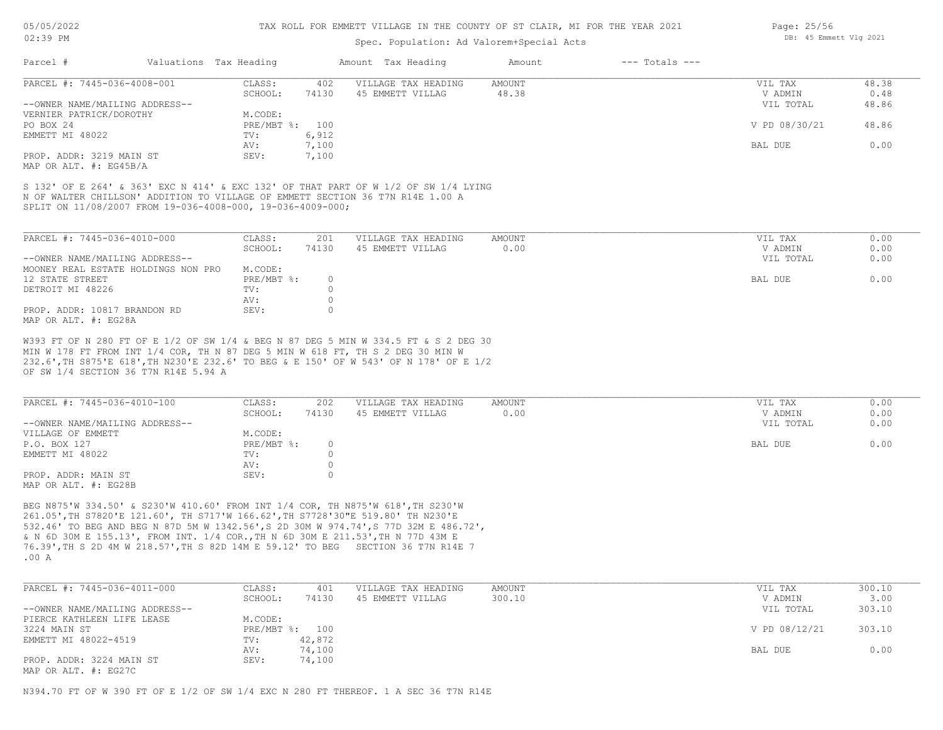## Spec. Population: Ad Valorem+Special Acts

| Parcel #                       | Valuations Tax Heading |       | Amount Tax Heading  | Amount | $---$ Totals $---$ |               |       |
|--------------------------------|------------------------|-------|---------------------|--------|--------------------|---------------|-------|
| PARCEL #: 7445-036-4008-001    | CLASS:                 | 402   | VILLAGE TAX HEADING | AMOUNT |                    | VIL TAX       | 48.38 |
|                                | SCHOOL:                | 74130 | 45 EMMETT VILLAG    | 48.38  |                    | V ADMIN       | 0.48  |
| --OWNER NAME/MAILING ADDRESS-- |                        |       |                     |        |                    | VIL TOTAL     | 48.86 |
| VERNIER PATRICK/DOROTHY        | M.CODE:                |       |                     |        |                    |               |       |
| PO BOX 24                      | PRE/MBT %: 100         |       |                     |        |                    | V PD 08/30/21 | 48.86 |
| EMMETT MI 48022                | TV:                    | 6,912 |                     |        |                    |               |       |
|                                | AV:                    | 7,100 |                     |        |                    | BAL DUE       | 0.00  |
| PROP. ADDR: 3219 MAIN ST       | SEV:                   | 7,100 |                     |        |                    |               |       |
|                                |                        |       |                     |        |                    |               |       |

MAP OR ALT. #: EG45B/A

SPLIT ON 11/08/2007 FROM 19-036-4008-000, 19-036-4009-000; N OF WALTER CHILLSON' ADDITION TO VILLAGE OF EMMETT SECTION 36 T7N R14E 1.00 A S 132' OF E 264' & 363' EXC N 414' & EXC 132' OF THAT PART OF W 1/2 OF SW 1/4 LYING

| PARCEL #: 7445-036-4010-000         | CLASS:     | 201   | VILLAGE TAX HEADING | AMOUNT | VIL TAX   | 0.00 |
|-------------------------------------|------------|-------|---------------------|--------|-----------|------|
|                                     | SCHOOL:    | 74130 | 45 EMMETT VILLAG    | 0.00   | V ADMIN   | 0.00 |
| --OWNER NAME/MAILING ADDRESS--      |            |       |                     |        | VIL TOTAL | 0.00 |
| MOONEY REAL ESTATE HOLDINGS NON PRO | M.CODE:    |       |                     |        |           |      |
| 12 STATE STREET                     | PRE/MBT %: |       |                     |        | BAL DUE   | 0.00 |
| DETROIT MI 48226                    | TV:        |       |                     |        |           |      |
|                                     | AV:        |       |                     |        |           |      |
| PROP. ADDR: 10817 BRANDON RD        | SEV:       |       |                     |        |           |      |
| MAP OR ALT. #: EG28A                |            |       |                     |        |           |      |

OF SW 1/4 SECTION 36 T7N R14E 5.94 A 232.6',TH S875'E 618',TH N230'E 232.6' TO BEG & E 150' OF W 543' OF N 178' OF E 1/2 MIN W 178 FT FROM INT 1/4 COR, TH N 87 DEG 5 MIN W 618 FT, TH S 2 DEG 30 MIN W W393 FT OF N 280 FT OF E 1/2 OF SW 1/4 & BEG N 87 DEG 5 MIN W 334.5 FT & S 2 DEG 30

| PARCEL #: 7445-036-4010-100    | CLASS:     | 202   | VILLAGE TAX HEADING | AMOUNT | VIL TAX   | 0.00 |
|--------------------------------|------------|-------|---------------------|--------|-----------|------|
|                                | SCHOOL:    | 74130 | 45 EMMETT VILLAG    | 0.00   | V ADMIN   | 0.00 |
| --OWNER NAME/MAILING ADDRESS-- |            |       |                     |        | VIL TOTAL | 0.00 |
| VILLAGE OF EMMETT              | M.CODE:    |       |                     |        |           |      |
| P.O. BOX 127                   | PRE/MBT %: |       |                     |        | BAL DUE   | 0.00 |
| EMMETT MI 48022                | TV:        |       |                     |        |           |      |
|                                | AV:        |       |                     |        |           |      |
| PROP. ADDR: MAIN ST            | SEV:       |       |                     |        |           |      |
| MAP OR ALT. #: EG28B           |            |       |                     |        |           |      |

.00 A 76.39',TH S 2D 4M W 218.57',TH S 82D 14M E 59.12' TO BEG SECTION 36 T7N R14E 7 & N 6D 30M E 155.13', FROM INT. 1/4 COR.,TH N 6D 30M E 211.53',TH N 77D 43M E 532.46' TO BEG AND BEG N 87D 5M W 1342.56',S 2D 30M W 974.74',S 77D 32M E 486.72', 261.05',TH S7820'E 121.60', TH S717'W 166.62',TH S7728'30"E 519.80' TH N230'E BEG N875'W 334.50' & S230'W 410.60' FROM INT 1/4 COR, TH N875'W 618',TH S230'W

| PARCEL #: 7445-036-4011-000    | CLASS:  | 401            | VILLAGE TAX HEADING | AMOUNT | VIL TAX       | 300.10 |
|--------------------------------|---------|----------------|---------------------|--------|---------------|--------|
|                                | SCHOOL: | 74130          | 45 EMMETT VILLAG    | 300.10 | V ADMIN       | 3.00   |
| --OWNER NAME/MAILING ADDRESS-- |         |                |                     |        | VIL TOTAL     | 303.10 |
| PIERCE KATHLEEN LIFE LEASE     | M.CODE: |                |                     |        |               |        |
| 3224 MAIN ST                   |         | PRE/MBT %: 100 |                     |        | V PD 08/12/21 | 303.10 |
| EMMETT MI 48022-4519           | TV:     | 42,872         |                     |        |               |        |
|                                | AV:     | 74,100         |                     |        | BAL DUE       | 0.00   |
| PROP. ADDR: 3224 MAIN ST       | SEV:    | 74,100         |                     |        |               |        |
| MAP OR ALT. #: EG27C           |         |                |                     |        |               |        |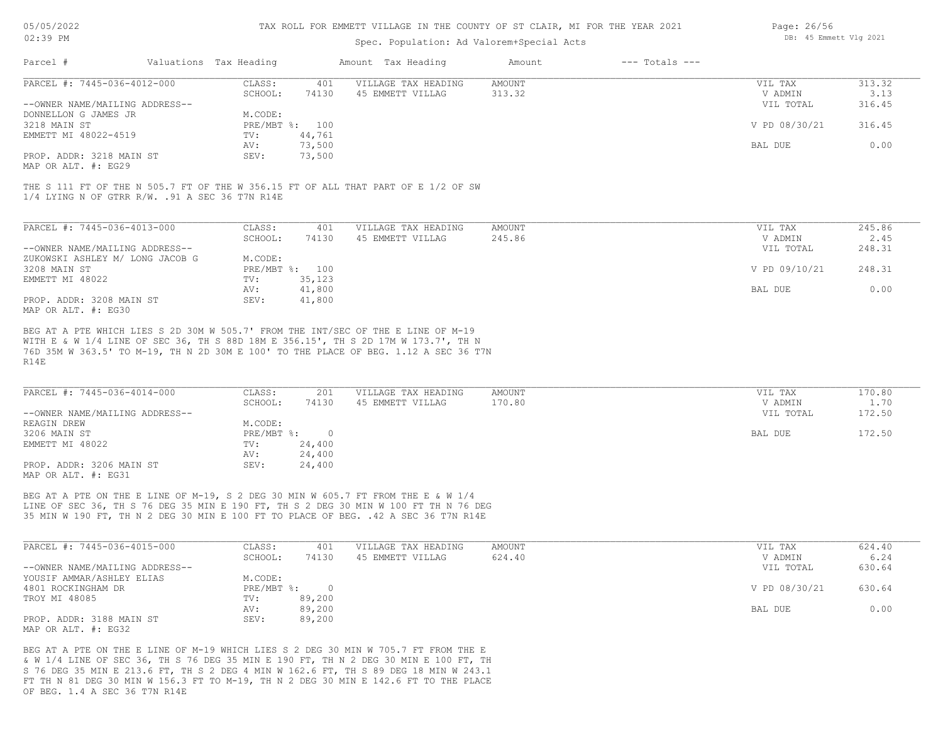#### TAX ROLL FOR EMMETT VILLAGE IN THE COUNTY OF ST CLAIR, MI FOR THE YEAR 2021

# Spec. Population: Ad Valorem+Special Acts

| Parcel #                       | Valuations Tax Heading |                | Amount Tax Heading  | Amount | $---$ Totals $---$ |               |        |
|--------------------------------|------------------------|----------------|---------------------|--------|--------------------|---------------|--------|
| PARCEL #: 7445-036-4012-000    | CLASS:                 | 401            | VILLAGE TAX HEADING | AMOUNT |                    | VIL TAX       | 313.32 |
|                                | SCHOOL:                | 74130          | 45 EMMETT VILLAG    | 313.32 |                    | V ADMIN       | 3.13   |
| --OWNER NAME/MAILING ADDRESS-- |                        |                |                     |        |                    | VIL TOTAL     | 316.45 |
| DONNELLON G JAMES JR           | M.CODE:                |                |                     |        |                    |               |        |
| 3218 MAIN ST                   |                        | PRE/MBT %: 100 |                     |        |                    | V PD 08/30/21 | 316.45 |
| EMMETT MI 48022-4519           | TV:                    | 44,761         |                     |        |                    |               |        |
|                                | AV:                    | 73,500         |                     |        |                    | BAL DUE       | 0.00   |
| PROP. ADDR: 3218 MAIN ST       | SEV:                   | 73,500         |                     |        |                    |               |        |
|                                |                        |                |                     |        |                    |               |        |

MAP OR ALT. #: EG29

1/4 LYING N OF GTRR R/W. .91 A SEC 36 T7N R14E THE S 111 FT OF THE N 505.7 FT OF THE W 356.15 FT OF ALL THAT PART OF E 1/2 OF SW

| PARCEL #: 7445-036-4013-000     | CLASS:  | 401            | VILLAGE TAX HEADING | AMOUNT | VIL TAX       | 245.86 |
|---------------------------------|---------|----------------|---------------------|--------|---------------|--------|
|                                 | SCHOOL: | 74130          | 45 EMMETT VILLAG    | 245.86 | V ADMIN       | 2.45   |
| --OWNER NAME/MAILING ADDRESS--  |         |                |                     |        | VIL TOTAL     | 248.31 |
| ZUKOWSKI ASHLEY M/ LONG JACOB G | M.CODE: |                |                     |        |               |        |
| 3208 MAIN ST                    |         | PRE/MBT %: 100 |                     |        | V PD 09/10/21 | 248.31 |
| EMMETT MI 48022                 | TV:     | 35,123         |                     |        |               |        |
|                                 | AV:     | 41,800         |                     |        | BAL DUE       | 0.00   |
| PROP. ADDR: 3208 MAIN ST        | SEV:    | 41,800         |                     |        |               |        |
| MAP OR ALT. #: EG30             |         |                |                     |        |               |        |

R14E 76D 35M W 363.5' TO M-19, TH N 2D 30M E 100' TO THE PLACE OF BEG. 1.12 A SEC 36 T7N WITH E & W 1/4 LINE OF SEC 36, TH S 88D 18M E 356.15', TH S 2D 17M W 173.7', TH N BEG AT A PTE WHICH LIES S 2D 30M W 505.7' FROM THE INT/SEC OF THE E LINE OF M-19

| PARCEL #: 7445-036-4014-000    | CLASS:     | 201    | VILLAGE TAX HEADING | AMOUNT | VIL TAX   | 170.80 |
|--------------------------------|------------|--------|---------------------|--------|-----------|--------|
|                                | SCHOOL:    | 74130  | 45 EMMETT VILLAG    | 170.80 | V ADMIN   | 1.70   |
| --OWNER NAME/MAILING ADDRESS-- |            |        |                     |        | VIL TOTAL | 172.50 |
| REAGIN DREW                    | M.CODE:    |        |                     |        |           |        |
| 3206 MAIN ST                   | PRE/MBT %: |        |                     |        | BAL DUE   | 172.50 |
| EMMETT MI 48022                | TV:        | 24,400 |                     |        |           |        |
|                                | AV:        | 24,400 |                     |        |           |        |
| PROP. ADDR: 3206 MAIN ST       | SEV:       | 24,400 |                     |        |           |        |
| MAP OR ALT. #: EG31            |            |        |                     |        |           |        |

35 MIN W 190 FT, TH N 2 DEG 30 MIN E 100 FT TO PLACE OF BEG. .42 A SEC 36 T7N R14E LINE OF SEC 36, TH S 76 DEG 35 MIN E 190 FT, TH S 2 DEG 30 MIN W 100 FT TH N 76 DEG BEG AT A PTE ON THE E LINE OF M-19, S 2 DEG 30 MIN W 605.7 FT FROM THE E & W 1/4

| PARCEL #: 7445-036-4015-000    | CLASS:       | 401    | VILLAGE TAX HEADING | AMOUNT | VIL TAX       | 624.40 |
|--------------------------------|--------------|--------|---------------------|--------|---------------|--------|
|                                | SCHOOL:      | 74130  | 45 EMMETT VILLAG    | 624.40 | V ADMIN       | 6.24   |
| --OWNER NAME/MAILING ADDRESS-- |              |        |                     |        | VIL TOTAL     | 630.64 |
| YOUSIF AMMAR/ASHLEY ELIAS      | M.CODE:      |        |                     |        |               |        |
| 4801 ROCKINGHAM DR             | $PRE/MBT$ %: |        |                     |        | V PD 08/30/21 | 630.64 |
| TROY MI 48085                  | TV:          | 89,200 |                     |        |               |        |
|                                | AV:          | 89,200 |                     |        | BAL DUE       | 0.00   |
| PROP. ADDR: 3188 MAIN ST       | SEV:         | 89,200 |                     |        |               |        |
| MAP OR ALT. $\#$ : EG32        |              |        |                     |        |               |        |

OF BEG. 1.4 A SEC 36 T7N R14E FT TH N 81 DEG 30 MIN W 156.3 FT TO M-19, TH N 2 DEG 30 MIN E 142.6 FT TO THE PLACE S 76 DEG 35 MIN E 213.6 FT, TH S 2 DEG 4 MIN W 162.6 FT, TH S 89 DEG 18 MIN W 243.1 & W 1/4 LINE OF SEC 36, TH S 76 DEG 35 MIN E 190 FT, TH N 2 DEG 30 MIN E 100 FT, TH BEG AT A PTE ON THE E LINE OF M-19 WHICH LIES S 2 DEG 30 MIN W 705.7 FT FROM THE E

Page: 26/56 DB: 45 Emmett Vlg 2021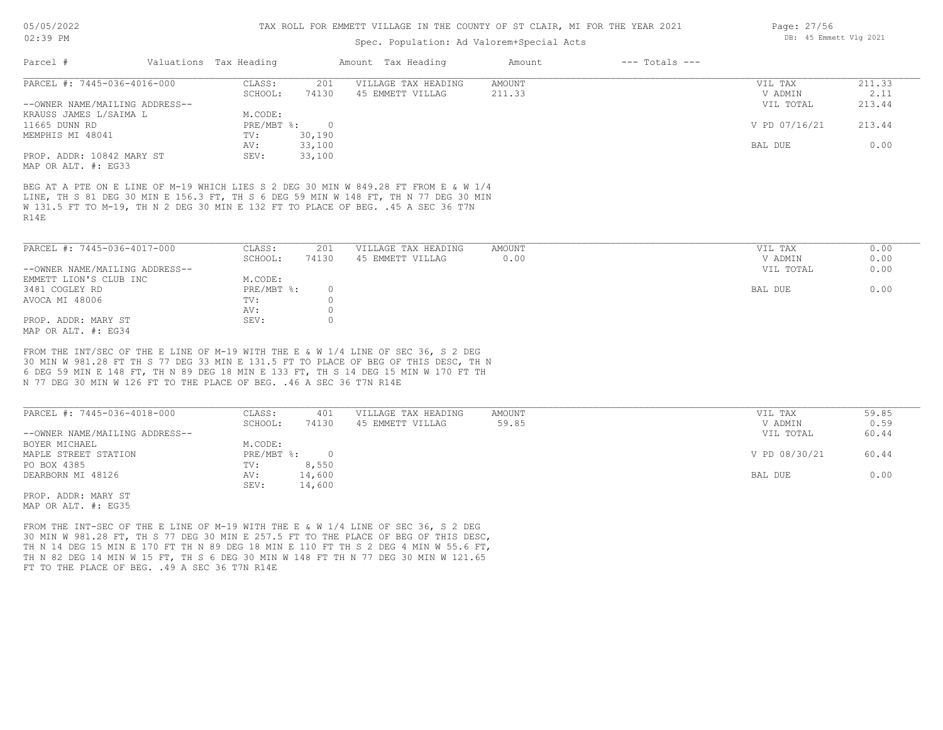## Spec. Population: Ad Valorem+Special Acts

| Parcel #                       | Valuations Tax Heading |        | Amount Tax Heading  | Amount | $---$ Totals $---$ |               |        |
|--------------------------------|------------------------|--------|---------------------|--------|--------------------|---------------|--------|
| PARCEL #: 7445-036-4016-000    | CLASS:                 | 201    | VILLAGE TAX HEADING | AMOUNT |                    | VIL TAX       | 211.33 |
|                                | SCHOOL:                | 74130  | 45 EMMETT VILLAG    | 211.33 |                    | V ADMIN       | 2.11   |
| --OWNER NAME/MAILING ADDRESS-- |                        |        |                     |        |                    | VIL TOTAL     | 213.44 |
| KRAUSS JAMES L/SAIMA L         | M.CODE:                |        |                     |        |                    |               |        |
| 11665 DUNN RD                  | $PRE/MBT$ %:           |        |                     |        |                    | V PD 07/16/21 | 213.44 |
| MEMPHIS MI 48041               | TV:                    | 30,190 |                     |        |                    |               |        |
|                                | AV:                    | 33,100 |                     |        |                    | BAL DUE       | 0.00   |
| PROP. ADDR: 10842 MARY ST      | SEV:                   | 33,100 |                     |        |                    |               |        |
| MAP OR ALT. #: EG33            |                        |        |                     |        |                    |               |        |

R14E W 131.5 FT TO M-19, TH N 2 DEG 30 MIN E 132 FT TO PLACE OF BEG. .45 A SEC 36 T7N LINE, TH S 81 DEG 30 MIN E 156.3 FT, TH S 6 DEG 59 MIN W 148 FT, TH N 77 DEG 30 MIN BEG AT A PTE ON E LINE OF M-19 WHICH LIES S 2 DEG 30 MIN W 849.28 FT FROM E & W 1/4

| PARCEL #: 7445-036-4017-000    | CLASS:     | 201   | VILLAGE TAX HEADING | AMOUNT | 0.00<br>VIL TAX   |
|--------------------------------|------------|-------|---------------------|--------|-------------------|
|                                | SCHOOL:    | 74130 | 45 EMMETT VILLAG    | 0.00   | 0.00<br>V ADMIN   |
| --OWNER NAME/MAILING ADDRESS-- |            |       |                     |        | 0.00<br>VIL TOTAL |
| EMMETT LION'S CLUB INC         | M.CODE:    |       |                     |        |                   |
| 3481 COGLEY RD                 | PRE/MBT %: |       |                     |        | 0.00<br>BAL DUE   |
| AVOCA MI 48006                 | TV:        |       |                     |        |                   |
|                                | AV:        |       |                     |        |                   |
| PROP. ADDR: MARY ST            | SEV:       |       |                     |        |                   |
| MAP OR ALT. #: EG34            |            |       |                     |        |                   |

N 77 DEG 30 MIN W 126 FT TO THE PLACE OF BEG. .46 A SEC 36 T7N R14E 6 DEG 59 MIN E 148 FT, TH N 89 DEG 18 MIN E 133 FT, TH S 14 DEG 15 MIN W 170 FT TH 30 MIN W 981.28 FT TH S 77 DEG 33 MIN E 131.5 FT TO PLACE OF BEG OF THIS DESC, TH N FROM THE INT/SEC OF THE E LINE OF M-19 WITH THE E & W 1/4 LINE OF SEC 36, S 2 DEG

| PARCEL #: 7445-036-4018-000    | CLASS:     | 401    | VILLAGE TAX HEADING | AMOUNT | VIL TAX       | 59.85 |
|--------------------------------|------------|--------|---------------------|--------|---------------|-------|
|                                | SCHOOL:    | 74130  | 45 EMMETT VILLAG    | 59.85  | V ADMIN       | 0.59  |
| --OWNER NAME/MAILING ADDRESS-- |            |        |                     |        | VIL TOTAL     | 60.44 |
| BOYER MICHAEL                  | M.CODE:    |        |                     |        |               |       |
| MAPLE STREET STATION           | PRE/MBT %: |        |                     |        | V PD 08/30/21 | 60.44 |
| PO BOX 4385                    | TV:        | 8,550  |                     |        |               |       |
| DEARBORN MI 48126              | AV:        | 14,600 |                     |        | BAL DUE       | 0.00  |
|                                | SEV:       | 14,600 |                     |        |               |       |
| PROP. ADDR: MARY ST            |            |        |                     |        |               |       |

MAP OR ALT. #: EG35

FT TO THE PLACE OF BEG. .49 A SEC 36 T7N R14E TH N 82 DEG 14 MIN W 15 FT, TH S 6 DEG 30 MIN W 148 FT TH N 77 DEG 30 MIN W 121.65 TH N 14 DEG 15 MIN E 170 FT TH N 89 DEG 18 MIN E 110 FT TH S 2 DEG 4 MIN W 55.6 FT, 30 MIN W 981.28 FT, TH S 77 DEG 30 MIN E 257.5 FT TO THE PLACE OF BEG OF THIS DESC, FROM THE INT-SEC OF THE E LINE OF M-19 WITH THE E & W 1/4 LINE OF SEC 36, S 2 DEG

Page: 27/56 DB: 45 Emmett Vlg 2021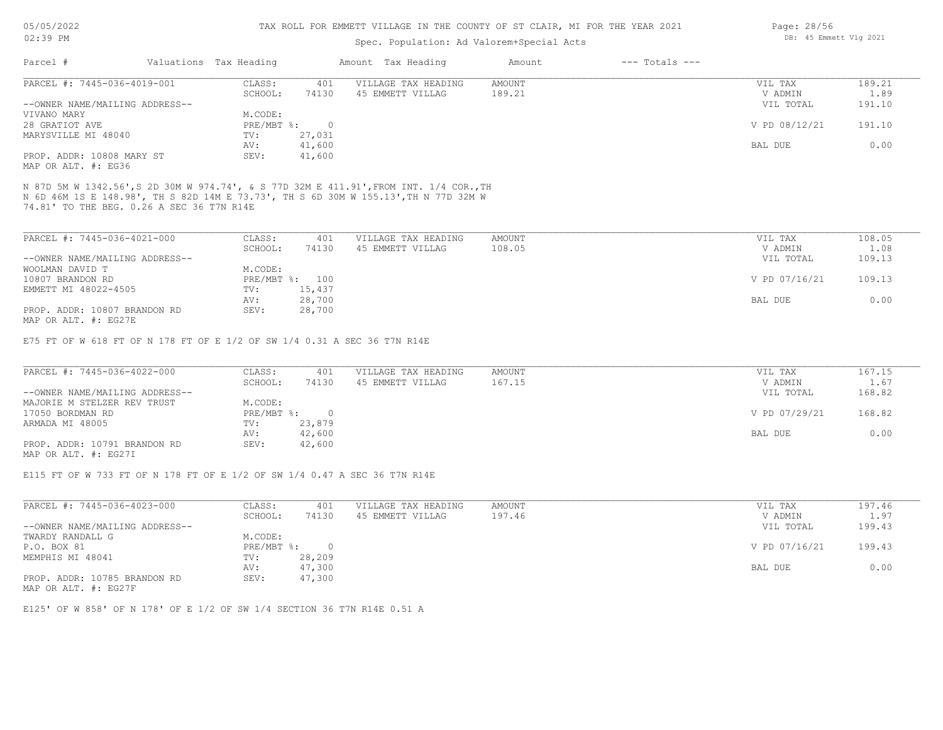#### TAX ROLL FOR EMMETT VILLAGE IN THE COUNTY OF ST CLAIR, MI FOR THE YEAR 2021

# Spec. Population: Ad Valorem+Special Acts

| Parcel #                       | Valuations Tax Heading |        | Amount Tax Heading  | Amount | $---$ Totals $---$ |               |        |
|--------------------------------|------------------------|--------|---------------------|--------|--------------------|---------------|--------|
| PARCEL #: 7445-036-4019-001    | CLASS:                 | 401    | VILLAGE TAX HEADING | AMOUNT |                    | VIL TAX       | 189.21 |
|                                | SCHOOL:                | 74130  | 45 EMMETT VILLAG    | 189.21 |                    | V ADMIN       | 1.89   |
| --OWNER NAME/MAILING ADDRESS-- |                        |        |                     |        |                    | VIL TOTAL     | 191.10 |
| VIVANO MARY                    | M.CODE:                |        |                     |        |                    |               |        |
| 28 GRATIOT AVE                 | PRE/MBT %:             |        |                     |        |                    | V PD 08/12/21 | 191.10 |
| MARYSVILLE MI 48040            | TV:                    | 27,031 |                     |        |                    |               |        |
|                                | AV:                    | 41,600 |                     |        |                    | BAL DUE       | 0.00   |
| PROP. ADDR: 10808 MARY ST      | SEV:                   | 41,600 |                     |        |                    |               |        |
|                                |                        |        |                     |        |                    |               |        |

MAP OR ALT. #: EG36

74.81' TO THE BEG. 0.26 A SEC 36 T7N R14E N 6D 46M 1S E 148.98', TH S 82D 14M E 73.73', TH S 6D 30M W 155.13',TH N 77D 32M W N 87D 5M W 1342.56',S 2D 30M W 974.74', & S 77D 32M E 411.91',FROM INT. 1/4 COR.,TH

| PARCEL #: 7445-036-4021-000    | CLASS:  | 401            | VILLAGE TAX HEADING | AMOUNT | VIL TAX       | 108.05 |
|--------------------------------|---------|----------------|---------------------|--------|---------------|--------|
|                                | SCHOOL: | 74130          | 45 EMMETT VILLAG    | 108.05 | V ADMIN       | 1.08   |
| --OWNER NAME/MAILING ADDRESS-- |         |                |                     |        | VIL TOTAL     | 109.13 |
| WOOLMAN DAVID T                | M.CODE: |                |                     |        |               |        |
| 10807 BRANDON RD               |         | PRE/MBT %: 100 |                     |        | V PD 07/16/21 | 109.13 |
| EMMETT MI 48022-4505           | TV:     | 15,437         |                     |        |               |        |
|                                | AV:     | 28,700         |                     |        | BAL DUE       | 0.00   |
| PROP. ADDR: 10807 BRANDON RD   | SEV:    | 28,700         |                     |        |               |        |
| MAP OR ALT. #: EG27E           |         |                |                     |        |               |        |

E75 FT OF W 618 FT OF N 178 FT OF E 1/2 OF SW 1/4 0.31 A SEC 36 T7N R14E

| PARCEL #: 7445-036-4022-000    | CLASS:     | 401    | VILLAGE TAX HEADING | AMOUNT | VIL TAX       | 167.15 |
|--------------------------------|------------|--------|---------------------|--------|---------------|--------|
|                                | SCHOOL:    | 74130  | 45 EMMETT VILLAG    | 167.15 | V ADMIN       | 1.67   |
| --OWNER NAME/MAILING ADDRESS-- |            |        |                     |        | VIL TOTAL     | 168.82 |
| MAJORIE M STELZER REV TRUST    | M.CODE:    |        |                     |        |               |        |
| 17050 BORDMAN RD               | PRE/MBT %: |        |                     |        | V PD 07/29/21 | 168.82 |
| ARMADA MI 48005                | TV:        | 23,879 |                     |        |               |        |
|                                | AV:        | 42,600 |                     |        | BAL DUE       | 0.00   |
| PROP. ADDR: 10791 BRANDON RD   | SEV:       | 42,600 |                     |        |               |        |
| MAP OR ALT. #: EG27I           |            |        |                     |        |               |        |

E115 FT OF W 733 FT OF N 178 FT OF E 1/2 OF SW 1/4 0.47 A SEC 36 T7N R14E

| PARCEL #: 7445-036-4023-000    | CLASS:     | 401      | VILLAGE TAX HEADING | AMOUNT | VIL TAX       | 197.46 |
|--------------------------------|------------|----------|---------------------|--------|---------------|--------|
|                                | SCHOOL:    | 74130    | 45 EMMETT VILLAG    | 197.46 | V ADMIN       | 1.97   |
| --OWNER NAME/MAILING ADDRESS-- |            |          |                     |        | VIL TOTAL     | 199.43 |
| TWARDY RANDALL G               | M.CODE:    |          |                     |        |               |        |
| P.O. BOX 81                    | PRE/MBT %: | $\Omega$ |                     |        | V PD 07/16/21 | 199.43 |
| MEMPHIS MI 48041               | TV:        | 28,209   |                     |        |               |        |
|                                | AV:        | 47,300   |                     |        | BAL DUE       | 0.00   |
| PROP. ADDR: 10785 BRANDON RD   | SEV:       | 47,300   |                     |        |               |        |

MAP OR ALT. #: EG27F

E125' OF W 858' OF N 178' OF E 1/2 OF SW 1/4 SECTION 36 T7N R14E 0.51 A

Page: 28/56 DB: 45 Emmett Vlg 2021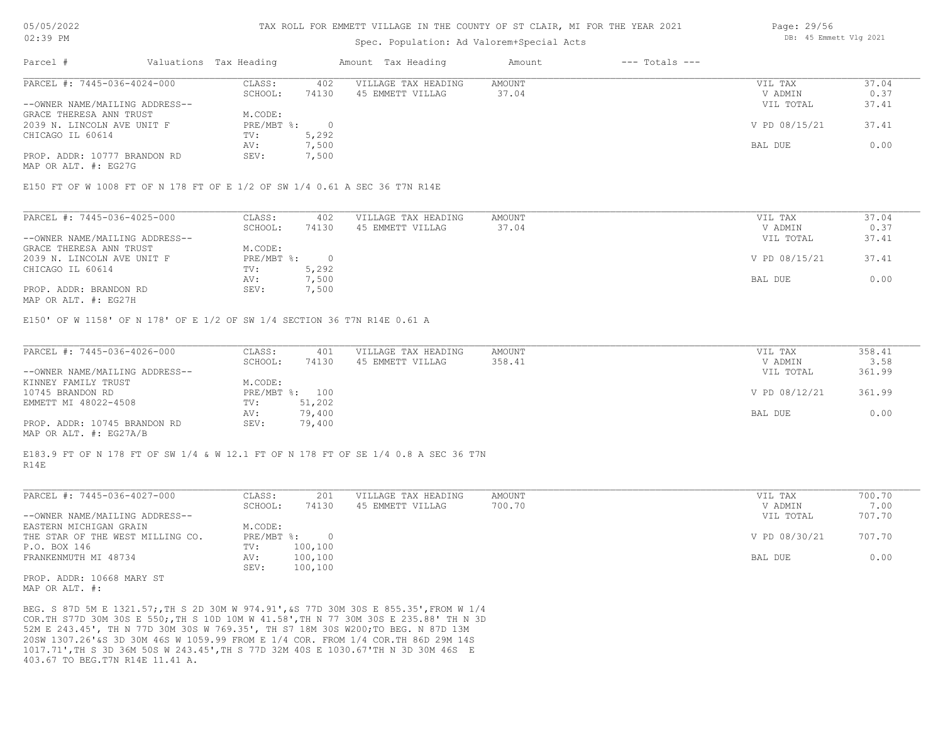# Spec. Population: Ad Valorem+Special Acts

|                                |         |                        |                     | Amount             | $---$ Totals $---$ |               |       |
|--------------------------------|---------|------------------------|---------------------|--------------------|--------------------|---------------|-------|
| PARCEL #: 7445-036-4024-000    | CLASS:  | 402                    | VILLAGE TAX HEADING | AMOUNT             |                    | VIL TAX       | 37.04 |
|                                | SCHOOL: | 74130                  | 45 EMMETT VILLAG    | 37.04              |                    | V ADMIN       | 0.37  |
| --OWNER NAME/MAILING ADDRESS-- |         |                        |                     |                    |                    | VIL TOTAL     | 37.41 |
| GRACE THERESA ANN TRUST        | M.CODE: |                        |                     |                    |                    |               |       |
| 2039 N. LINCOLN AVE UNIT F     |         |                        |                     |                    |                    | V PD 08/15/21 | 37.41 |
|                                | TV:     | 5,292                  |                     |                    |                    |               |       |
|                                | AV:     | 7,500                  |                     |                    |                    | BAL DUE       | 0.00  |
| PROP. ADDR: 10777 BRANDON RD   | SEV:    | 7,500                  |                     |                    |                    |               |       |
|                                |         | Valuations Tax Heading | PRE/MBT %:          | Amount Tax Heading |                    |               |       |

MAP OR ALT. #: EG27G

E150 FT OF W 1008 FT OF N 178 FT OF E 1/2 OF SW 1/4 0.61 A SEC 36 T7N R14E

| PARCEL #: 7445-036-4025-000    | CLASS:     | 402   | VILLAGE TAX HEADING | AMOUNT | VIL TAX       | 37.04 |
|--------------------------------|------------|-------|---------------------|--------|---------------|-------|
|                                | SCHOOL:    | 74130 | 45 EMMETT VILLAG    | 37.04  | V ADMIN       | 0.37  |
| --OWNER NAME/MAILING ADDRESS-- |            |       |                     |        | VIL TOTAL     | 37.41 |
| GRACE THERESA ANN TRUST        | M.CODE:    |       |                     |        |               |       |
| 2039 N. LINCOLN AVE UNIT F     | PRE/MBT %: |       |                     |        | V PD 08/15/21 | 37.41 |
| CHICAGO IL 60614               | TV:        | 5,292 |                     |        |               |       |
|                                | AV:        | 7,500 |                     |        | BAL DUE       | 0.00  |
| PROP. ADDR: BRANDON RD         | SEV:       | 7,500 |                     |        |               |       |
|                                |            |       |                     |        |               |       |

MAP OR ALT. #: EG27H

E150' OF W 1158' OF N 178' OF E 1/2 OF SW 1/4 SECTION 36 T7N R14E 0.61 A

| PARCEL #: 7445-036-4026-000    | CLASS:  | 401            | VILLAGE TAX HEADING | AMOUNT | VIL TAX       | 358.41 |
|--------------------------------|---------|----------------|---------------------|--------|---------------|--------|
|                                | SCHOOL: | 74130          | 45 EMMETT VILLAG    | 358.41 | V ADMIN       | 3.58   |
| --OWNER NAME/MAILING ADDRESS-- |         |                |                     |        | VIL TOTAL     | 361.99 |
| KINNEY FAMILY TRUST            | M.CODE: |                |                     |        |               |        |
| 10745 BRANDON RD               |         | PRE/MBT %: 100 |                     |        | V PD 08/12/21 | 361.99 |
| EMMETT MI 48022-4508           | TV:     | 51,202         |                     |        |               |        |
|                                | AV:     | 79,400         |                     |        | BAL DUE       | 0.00   |
| PROP. ADDR: 10745 BRANDON RD   | SEV:    | 79,400         |                     |        |               |        |

MAP OR ALT. #: EG27A/B

R14E E183.9 FT OF N 178 FT OF SW 1/4 & W 12.1 FT OF N 178 FT OF SE 1/4 0.8 A SEC 36 T7N

| PARCEL #: 7445-036-4027-000      | CLASS:     | 201     | VILLAGE TAX HEADING | AMOUNT | VIL TAX       | 700.70 |
|----------------------------------|------------|---------|---------------------|--------|---------------|--------|
|                                  | SCHOOL:    | 74130   | 45 EMMETT VILLAG    | 700.70 | V ADMIN       | 7.00   |
| --OWNER NAME/MAILING ADDRESS--   |            |         |                     |        | VIL TOTAL     | 707.70 |
| EASTERN MICHIGAN GRAIN           | M.CODE:    |         |                     |        |               |        |
| THE STAR OF THE WEST MILLING CO. | PRE/MBT %: |         |                     |        | V PD 08/30/21 | 707.70 |
| P.O. BOX 146                     | TV:        | 100,100 |                     |        |               |        |
| FRANKENMUTH MI 48734             | AV:        | 100,100 |                     |        | BAL DUE       | 0.00   |
|                                  | SEV:       | 100,100 |                     |        |               |        |

MAP OR ALT. #: PROP. ADDR: 10668 MARY ST

403.67 TO BEG.T7N R14E 11.41 A. 1017.71',TH S 3D 36M 50S W 243.45',TH S 77D 32M 40S E 1030.67'TH N 3D 30M 46S E 20SW 1307.26'&S 3D 30M 46S W 1059.99 FROM E 1/4 COR. FROM 1/4 COR.TH 86D 29M 14S 52M E 243.45', TH N 77D 30M 30S W 769.35', TH S7 18M 30S W200;TO BEG. N 87D 13M COR.TH S77D 30M 30S E 550;,TH S 10D 10M W 41.58',TH N 77 30M 30S E 235.88' TH N 3D BEG. S 87D 5M E 1321.57;,TH S 2D 30M W 974.91',&S 77D 30M 30S E 855.35',FROM W 1/4 Page: 29/56 DB: 45 Emmett Vlg 2021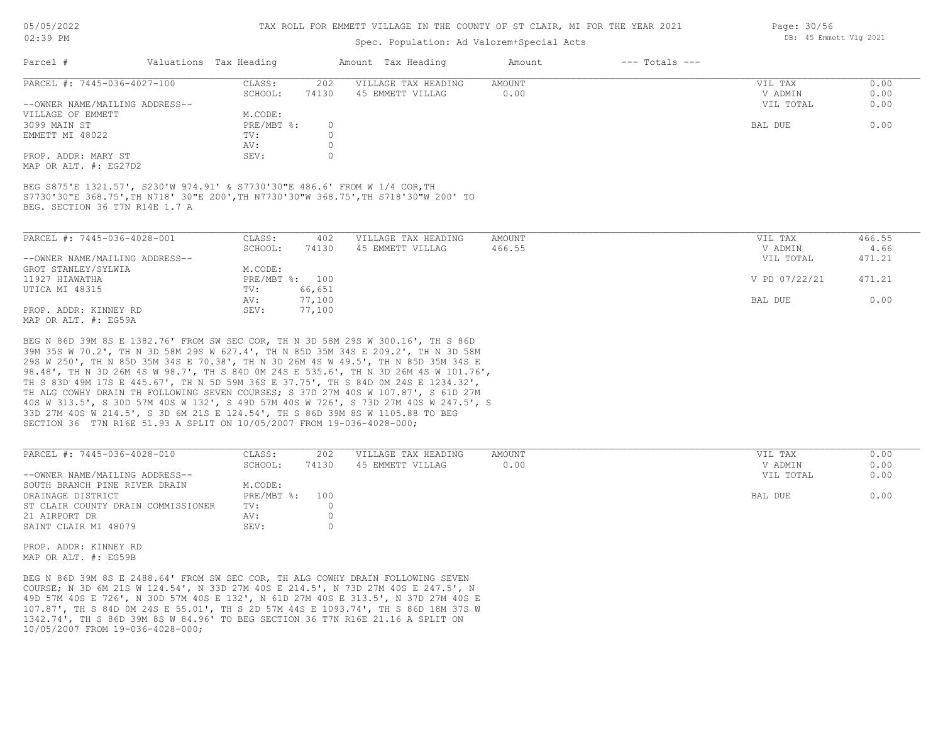05/05/2022

#### 02:39 PM

#### TAX ROLL FOR EMMETT VILLAGE IN THE COUNTY OF ST CLAIR, MI FOR THE YEAR 2021

# Spec. Population: Ad Valorem+Special Acts

| Parcel #                       | Valuations Tax Heading |       | Amount Tax Heading  | Amount | $---$ Totals $---$ |           |      |
|--------------------------------|------------------------|-------|---------------------|--------|--------------------|-----------|------|
| PARCEL #: 7445-036-4027-100    | CLASS:                 | 202   | VILLAGE TAX HEADING | AMOUNT |                    | VIL TAX   | 0.00 |
|                                | SCHOOL:                | 74130 | 45 EMMETT VILLAG    | 0.00   |                    | V ADMIN   | 0.00 |
| --OWNER NAME/MAILING ADDRESS-- |                        |       |                     |        |                    | VIL TOTAL | 0.00 |
| VILLAGE OF EMMETT              | M.CODE:                |       |                     |        |                    |           |      |
| 3099 MAIN ST                   | PRE/MBT %:             |       |                     |        |                    | BAL DUE   | 0.00 |
| EMMETT MI 48022                | TV:                    |       |                     |        |                    |           |      |
|                                | AV:                    |       |                     |        |                    |           |      |
| PROP. ADDR: MARY ST            | SEV:                   |       |                     |        |                    |           |      |
|                                |                        |       |                     |        |                    |           |      |

MAP OR ALT. #: EG27D2

BEG. SECTION 36 T7N R14E 1.7 A S7730'30"E 368.75',TH N718' 30"E 200',TH N7730'30"W 368.75',TH S718'30"W 200' TO BEG S875'E 1321.57', S230'W 974.91' & S7730'30"E 486.6' FROM W 1/4 COR,TH

| PARCEL #: 7445-036-4028-001                                      | CLASS:  | 402            | VILLAGE TAX HEADING | AMOUNT | VIL TAX       | 466.55 |
|------------------------------------------------------------------|---------|----------------|---------------------|--------|---------------|--------|
|                                                                  | SCHOOL: | 74130          | 45 EMMETT VILLAG    | 466.55 | V ADMIN       | 4.66   |
| --OWNER NAME/MAILING ADDRESS--                                   |         |                |                     |        | VIL TOTAL     | 471.21 |
| GROT STANLEY/SYLWIA                                              | M.CODE: |                |                     |        |               |        |
| 11927 HIAWATHA                                                   |         | PRE/MBT %: 100 |                     |        | V PD 07/22/21 | 471.21 |
| UTICA MI 48315                                                   | TV:     | 66,651         |                     |        |               |        |
|                                                                  | AV:     | 77,100         |                     |        | BAL DUE       | 0.00   |
| PROP. ADDR: KINNEY RD                                            | SEV:    | 77,100         |                     |        |               |        |
| $M \land D$ $\land D \land T$ $m$ $\#$ , $D \land E \land \land$ |         |                |                     |        |               |        |

MAP OR ALT. #: EG59A

SECTION 36 T7N R16E 51.93 A SPLIT ON 10/05/2007 FROM 19-036-4028-000; 33D 27M 40S W 214.5', S 3D 6M 21S E 124.54', TH S 86D 39M 8S W 1105.88 TO BEG 40S W 313.5', S 30D 57M 40S W 132', S 49D 57M 40S W 726', S 73D 27M 40S W 247.5', S TH ALG COWHY DRAIN TH FOLLOWING SEVEN COURSES; S 37D 27M 40S W 107.87', S 61D 27M TH S 83D 49M 17S E 445.67', TH N 5D 59M 36S E 37.75', TH S 84D 0M 24S E 1234.32', 98.48', TH N 3D 26M 4S W 98.7', TH S 84D 0M 24S E 535.6', TH N 3D 26M 4S W 101.76', 29S W 250', TH N 85D 35M 34S E 70.38', TH N 3D 26M 4S W 49.5', TH N 85D 35M 34S E 39M 35S W 70.2', TH N 3D 58M 29S W 627.4', TH N 85D 35M 34S E 209.2', TH N 3D 58M BEG N 86D 39M 8S E 1382.76' FROM SW SEC COR, TH N 3D 58M 29S W 300.16', TH S 86D

| PARCEL #: 7445-036-4028-010        | CLASS:         | 202   | VILLAGE TAX HEADING | AMOUNT | VIL TAX   | 0.00 |
|------------------------------------|----------------|-------|---------------------|--------|-----------|------|
|                                    | SCHOOL:        | 74130 | 45 EMMETT VILLAG    | 0.00   | V ADMIN   | 0.00 |
| --OWNER NAME/MAILING ADDRESS--     |                |       |                     |        | VIL TOTAL | 0.00 |
| SOUTH BRANCH PINE RIVER DRAIN      | M.CODE:        |       |                     |        |           |      |
| DRAINAGE DISTRICT                  | PRE/MBT %: 100 |       |                     |        | BAL DUE   | 0.00 |
| ST CLAIR COUNTY DRAIN COMMISSIONER | TV:            |       |                     |        |           |      |
| 21 AIRPORT DR                      | AV:            |       |                     |        |           |      |
| SAINT CLAIR MI 48079               | SEV:           |       |                     |        |           |      |

MAP OR ALT. #: EG59B PROP. ADDR: KINNEY RD

10/05/2007 FROM 19-036-4028-000; 1342.74', TH S 86D 39M 8S W 84.96' TO BEG SECTION 36 T7N R16E 21.16 A SPLIT ON 107.87', TH S 84D 0M 24S E 55.01', TH S 2D 57M 44S E 1093.74', TH S 86D 18M 37S W 49D 57M 40S E 726', N 30D 57M 40S E 132', N 61D 27M 40S E 313.5', N 37D 27M 40S E COURSE; N 3D 6M 21S W 124.54', N 33D 27M 40S E 214.5', N 73D 27M 40S E 247.5', N BEG N 86D 39M 8S E 2488.64' FROM SW SEC COR, TH ALG COWHY DRAIN FOLLOWING SEVEN

Page: 30/56 DB: 45 Emmett Vlg 2021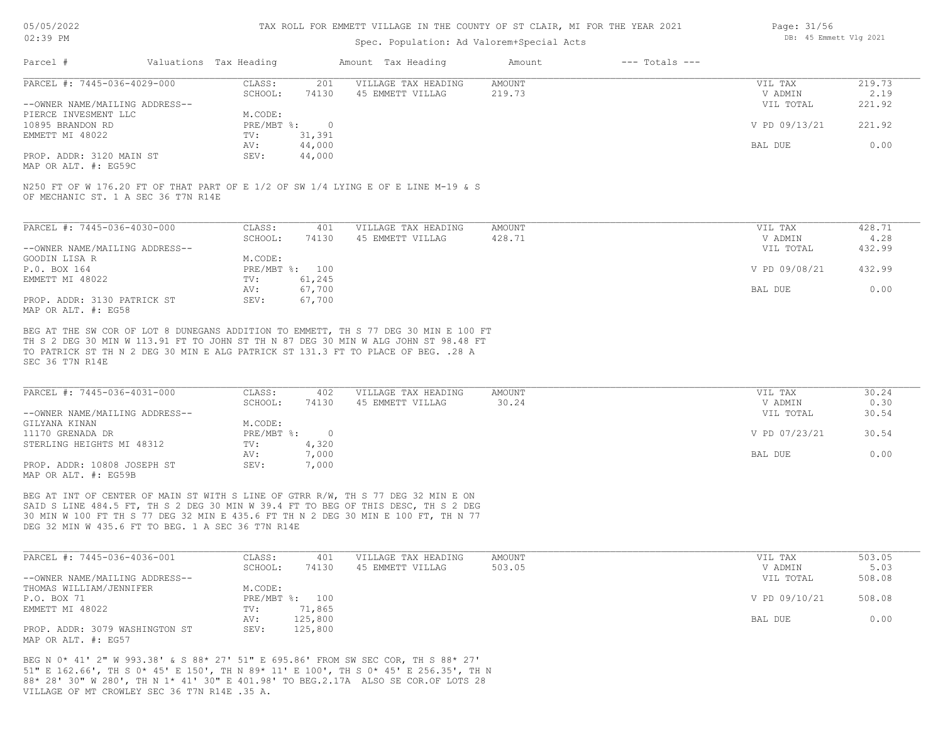#### TAX ROLL FOR EMMETT VILLAGE IN THE COUNTY OF ST CLAIR, MI FOR THE YEAR 2021

# Spec. Population: Ad Valorem+Special Acts

| Page: 31/56 |                        |  |
|-------------|------------------------|--|
|             | DB: 45 Emmett Vlg 2021 |  |

| Parcel #                       | Valuations Tax Heading    |        | Amount Tax Heading  | Amount | $---$ Totals $---$ |               |        |
|--------------------------------|---------------------------|--------|---------------------|--------|--------------------|---------------|--------|
| PARCEL #: 7445-036-4029-000    | CLASS:                    | 201    | VILLAGE TAX HEADING | AMOUNT |                    | VIL TAX       | 219.73 |
|                                | SCHOOL:                   | 74130  | 45 EMMETT VILLAG    | 219.73 |                    | V ADMIN       | 2.19   |
| --OWNER NAME/MAILING ADDRESS-- |                           |        |                     |        |                    | VIL TOTAL     | 221.92 |
| PIERCE INVESMENT LLC           | M.CODE:                   |        |                     |        |                    |               |        |
| 10895 BRANDON RD               | $PRE/MBT$ $\frac{1}{6}$ : |        |                     |        |                    | V PD 09/13/21 | 221.92 |
| EMMETT MI 48022                | TV:                       | 31,391 |                     |        |                    |               |        |
|                                | AV:                       | 44,000 |                     |        |                    | BAL DUE       | 0.00   |
| PROP. ADDR: 3120 MAIN ST       | SEV:                      | 44,000 |                     |        |                    |               |        |
|                                |                           |        |                     |        |                    |               |        |

MAP OR ALT. #: EG59C

OF MECHANIC ST. 1 A SEC 36 T7N R14E N250 FT OF W 176.20 FT OF THAT PART OF E 1/2 OF SW 1/4 LYING E OF E LINE M-19 & S

| PARCEL #: 7445-036-4030-000    | CLASS:       | 401    | VILLAGE TAX HEADING | AMOUNT | VIL TAX       | 428.71 |
|--------------------------------|--------------|--------|---------------------|--------|---------------|--------|
|                                | SCHOOL:      | 74130  | 45 EMMETT VILLAG    | 428.71 | V ADMIN       | 4.28   |
| --OWNER NAME/MAILING ADDRESS-- |              |        |                     |        | VIL TOTAL     | 432.99 |
| GOODIN LISA R                  | M.CODE:      |        |                     |        |               |        |
| P.O. BOX 164                   | $PRE/MBT$ %: | 100    |                     |        | V PD 09/08/21 | 432.99 |
| EMMETT MI 48022                | TV:          | 61,245 |                     |        |               |        |
|                                | AV:          | 67,700 |                     |        | BAL DUE       | 0.00   |
| PROP. ADDR: 3130 PATRICK ST    | SEV:         | 67,700 |                     |        |               |        |
| MAP OR ALT. #: EG58            |              |        |                     |        |               |        |

SEC 36 T7N R14E TO PATRICK ST TH N 2 DEG 30 MIN E ALG PATRICK ST 131.3 FT TO PLACE OF BEG. .28 A TH S 2 DEG 30 MIN W 113.91 FT TO JOHN ST TH N 87 DEG 30 MIN W ALG JOHN ST 98.48 FT BEG AT THE SW COR OF LOT 8 DUNEGANS ADDITION TO EMMETT, TH S 77 DEG 30 MIN E 100 FT

| PARCEL #: 7445-036-4031-000                         | CLASS:       | 402   | VILLAGE TAX HEADING | AMOUNT | VIL TAX       | 30.24 |
|-----------------------------------------------------|--------------|-------|---------------------|--------|---------------|-------|
|                                                     | SCHOOL:      | 74130 | 45 EMMETT VILLAG    | 30.24  | V ADMIN       | 0.30  |
| --OWNER NAME/MAILING ADDRESS--                      |              |       |                     |        | VIL TOTAL     | 30.54 |
| GILYANA KINAN                                       | M.CODE:      |       |                     |        |               |       |
| 11170 GRENADA DR                                    | $PRE/MBT$ %: |       |                     |        | V PD 07/23/21 | 30.54 |
| STERLING HEIGHTS MI 48312                           | TV:          | 4,320 |                     |        |               |       |
|                                                     | AV:          | 7,000 |                     |        | BAL DUE       | 0.00  |
| PROP. ADDR: 10808 JOSEPH ST<br>MAP OR ALT. #: EG59B | SEV:         | 7,000 |                     |        |               |       |

DEG 32 MIN W 435.6 FT TO BEG. 1 A SEC 36 T7N R14E 30 MIN W 100 FT TH S 77 DEG 32 MIN E 435.6 FT TH N 2 DEG 30 MIN E 100 FT, TH N 77 SAID S LINE 484.5 FT, TH S 2 DEG 30 MIN W 39.4 FT TO BEG OF THIS DESC, TH S 2 DEG BEG AT INT OF CENTER OF MAIN ST WITH S LINE OF GTRR R/W, TH S 77 DEG 32 MIN E ON

| PARCEL #: 7445-036-4036-001    | CLASS:  | 401            | VILLAGE TAX HEADING | AMOUNT | VIL TAX       | 503.05 |
|--------------------------------|---------|----------------|---------------------|--------|---------------|--------|
|                                | SCHOOL: | 74130          | 45 EMMETT VILLAG    | 503.05 | V ADMIN       | 5.03   |
| --OWNER NAME/MAILING ADDRESS-- |         |                |                     |        | VIL TOTAL     | 508.08 |
| THOMAS WILLIAM/JENNIFER        | M.CODE: |                |                     |        |               |        |
| P.O. BOX 71                    |         | PRE/MBT %: 100 |                     |        | V PD 09/10/21 | 508.08 |
| EMMETT MI 48022                | TV:     | 71,865         |                     |        |               |        |
|                                | AV:     | 125,800        |                     |        | BAL DUE       | 0.00   |
| PROP. ADDR: 3079 WASHINGTON ST | SEV:    | 125,800        |                     |        |               |        |
| MAP OR ALT. #: EG57            |         |                |                     |        |               |        |

VILLAGE OF MT CROWLEY SEC 36 T7N R14E .35 A. 88\* 28' 30" W 280', TH N 1\* 41' 30" E 401.98' TO BEG.2.17A ALSO SE COR.OF LOTS 28 51" E 162.66', TH S 0\* 45' E 150', TH N 89\* 11' E 100', TH S 0\* 45' E 256.35', TH N BEG N 0\* 41' 2" W 993.38' & S 88\* 27' 51" E 695.86' FROM SW SEC COR, TH S 88\* 27'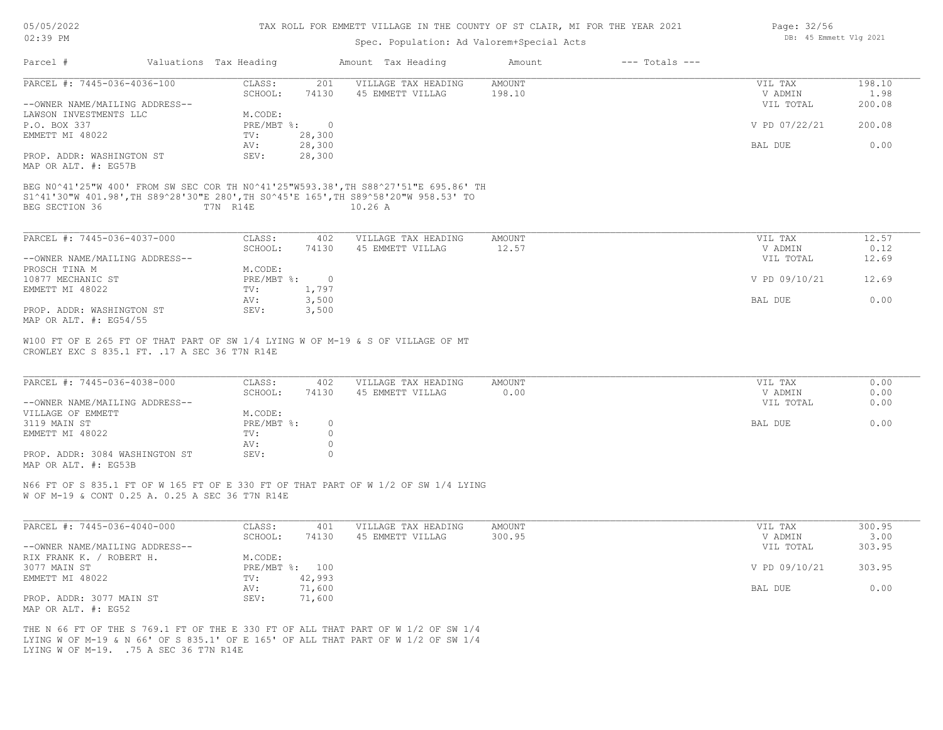| 05/05/2022 |    |
|------------|----|
| 02:39      | PN |

## Spec. Population: Ad Valorem+Special Acts

| Parcel #                                                                                                                                                                | Valuations Tax Heading |                | Amount Tax Heading  | Amount        | $---$ Totals $---$ |               |        |
|-------------------------------------------------------------------------------------------------------------------------------------------------------------------------|------------------------|----------------|---------------------|---------------|--------------------|---------------|--------|
| PARCEL #: 7445-036-4036-100                                                                                                                                             | CLASS:                 | 201            | VILLAGE TAX HEADING | <b>AMOUNT</b> |                    | VIL TAX       | 198.10 |
|                                                                                                                                                                         | SCHOOL:                | 74130          | 45 EMMETT VILLAG    | 198.10        |                    | V ADMIN       | 1.98   |
| --OWNER NAME/MAILING ADDRESS--                                                                                                                                          |                        |                |                     |               |                    | VIL TOTAL     | 200.08 |
| LAWSON INVESTMENTS LLC                                                                                                                                                  | M.CODE:                |                |                     |               |                    |               |        |
| P.O. BOX 337                                                                                                                                                            | $PRE/MBT$ %:           | $\overline{0}$ |                     |               |                    | V PD 07/22/21 | 200.08 |
| EMMETT MI 48022                                                                                                                                                         | TV:                    | 28,300         |                     |               |                    |               |        |
|                                                                                                                                                                         | AV:                    | 28,300         |                     |               |                    | BAL DUE       | 0.00   |
| PROP. ADDR: WASHINGTON ST<br>MAP OR ALT. #: EG57B                                                                                                                       | SEV:                   | 28,300         |                     |               |                    |               |        |
| BEG N0^41'25"W 400' FROM SW SEC COR TH N0^41'25"W593.38', TH S88^27'51"E 695.86' TH<br>S1^41'30"W 401.98',TH S89^28'30"E 280',TH S0^45'E 165',TH S89^58'20"W 958.53' TO |                        |                |                     |               |                    |               |        |
| BEG SECTION 36                                                                                                                                                          | T7N R14E               |                | 10.26A              |               |                    |               |        |
| PARCEL #: 7445-036-4037-000                                                                                                                                             | CLASS:                 | 402            | VILLAGE TAX HEADING | <b>AMOUNT</b> |                    | VIL TAX       | 12.57  |
|                                                                                                                                                                         | SCHOOL:                | 74130          | 45 EMMETT VILLAG    | 12.57         |                    | V ADMIN       | 0.12   |
| --OWNER NAME/MAILING ADDRESS--                                                                                                                                          |                        |                |                     |               |                    | VIL TOTAL     | 12.69  |
| PROSCH TINA M                                                                                                                                                           | M.CODE:                |                |                     |               |                    |               |        |
| 10877 MECHANIC ST                                                                                                                                                       | PRE/MBT %:             | $\overline{0}$ |                     |               |                    | V PD 09/10/21 | 12.69  |
| EMMETT MI 48022                                                                                                                                                         | TV:                    | 1,797          |                     |               |                    |               |        |
|                                                                                                                                                                         | AV:                    | 3,500          |                     |               |                    | BAL DUE       | 0.00   |
| PROP. ADDR: WASHINGTON ST<br>MAP OR ALT. #: EG54/55                                                                                                                     | SEV:                   | 3,500          |                     |               |                    |               |        |
|                                                                                                                                                                         |                        |                |                     |               |                    |               |        |
| W100 FT OF E 265 FT OF THAT PART OF SW 1/4 LYING W OF M-19 & S OF VILLAGE OF MT<br>CROWLEY EXC S 835.1 FT. . 17 A SEC 36 T7N R14E                                       |                        |                |                     |               |                    |               |        |
|                                                                                                                                                                         |                        |                |                     |               |                    |               |        |
| PARCEL #: 7445-036-4038-000                                                                                                                                             | CLASS:                 | 402            | VILLAGE TAX HEADING | AMOUNT        |                    | VIL TAX       | 0.00   |
|                                                                                                                                                                         | SCHOOL:                | 74130          | 45 EMMETT VILLAG    | 0.00          |                    | V ADMIN       | 0.00   |
| --OWNER NAME/MAILING ADDRESS--                                                                                                                                          |                        |                |                     |               |                    | VIL TOTAL     | 0.00   |
| VILLAGE OF EMMETT                                                                                                                                                       | M.CODE:                |                |                     |               |                    |               |        |

| EMMETT MT 48022                | TV : |  |
|--------------------------------|------|--|
|                                | AV.  |  |
| PROP. ADDR: 3084 WASHINGTON ST | SEV: |  |
| MAP OR ALT. #: EG53B           |      |  |

N66 FT OF S 835.1 FT OF W 165 FT OF E 330 FT OF THAT PART OF W 1/2 OF SW 1/4 LYING

W OF M-19 & CONT 0.25 A. 0.25 A SEC 36 T7N R14E

| PARCEL #: 7445-036-4040-000    | CLASS:  | 401            | VILLAGE TAX HEADING | AMOUNT | VIL TAX       | 300.95 |
|--------------------------------|---------|----------------|---------------------|--------|---------------|--------|
|                                | SCHOOL: | 74130          | 45 EMMETT VILLAG    | 300.95 | V ADMIN       | 3.00   |
| --OWNER NAME/MAILING ADDRESS-- |         |                |                     |        | VIL TOTAL     | 303.95 |
| RIX FRANK K. / ROBERT H.       | M.CODE: |                |                     |        |               |        |
| 3077 MAIN ST                   |         | PRE/MBT %: 100 |                     |        | V PD 09/10/21 | 303.95 |
| EMMETT MI 48022                | TV:     | 42,993         |                     |        |               |        |
|                                | AV:     | 71,600         |                     |        | BAL DUE       | 0.00   |
| PROP. ADDR: 3077 MAIN ST       | SEV:    | 71,600         |                     |        |               |        |
| MAP OR ALT. #: EG52            |         |                |                     |        |               |        |

3119 MAIN ST PRE/MBT %: 0 BAL DUE 0.00

LYING W OF M-19. .75 A SEC 36 T7N R14E LYING W OF M-19 & N 66' OF S 835.1' OF E 165' OF ALL THAT PART OF W 1/2 OF SW 1/4 THE N 66 FT OF THE S 769.1 FT OF THE E 330 FT OF ALL THAT PART OF W 1/2 OF SW 1/4 Page: 32/56 DB: 45 Emmett Vlg 2021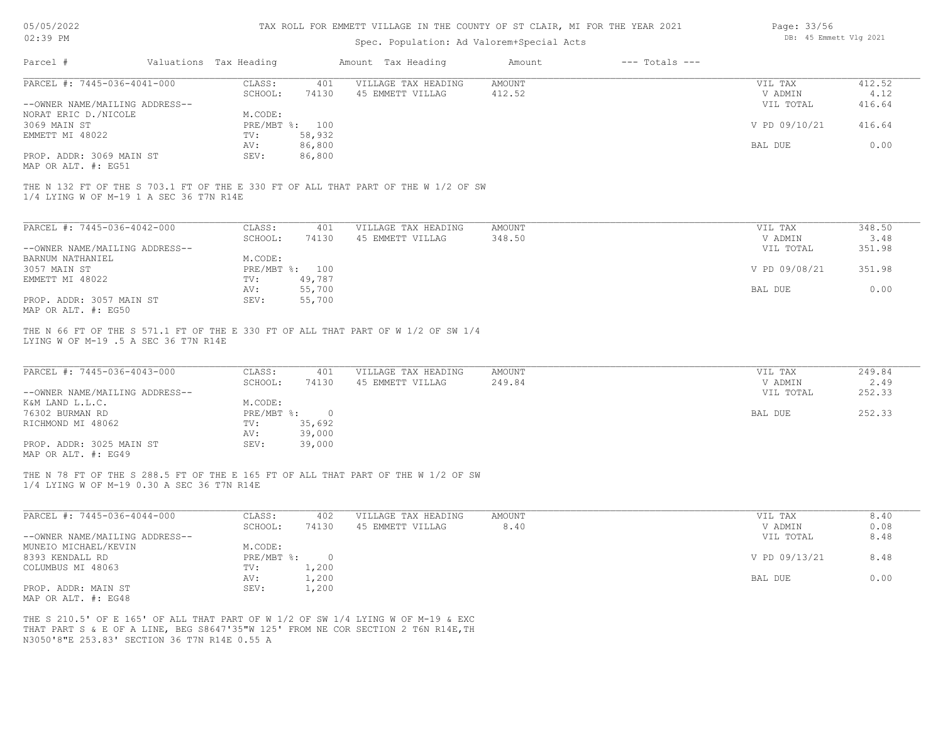| 05/05/2022 |           |
|------------|-----------|
| 02.39      | <b>PM</b> |

# Spec. Population: Ad Valorem+Special Acts

| Page: 33/56 |                        |  |
|-------------|------------------------|--|
|             | DB: 45 Emmett Vlg 2021 |  |

| Parcel #                                                      | Valuations Tax Heading    |                  | Amount Tax Heading                                                                                                                                                    | Amount                  | $---$ Totals $---$ |                                 |                          |
|---------------------------------------------------------------|---------------------------|------------------|-----------------------------------------------------------------------------------------------------------------------------------------------------------------------|-------------------------|--------------------|---------------------------------|--------------------------|
| PARCEL #: 7445-036-4041-000<br>--OWNER NAME/MAILING ADDRESS-- | CLASS:<br>SCHOOL:         | 401<br>74130     | VILLAGE TAX HEADING<br>45 EMMETT VILLAG                                                                                                                               | <b>AMOUNT</b><br>412.52 |                    | VIL TAX<br>V ADMIN<br>VIL TOTAL | 412.52<br>4.12<br>416.64 |
| NORAT ERIC D. / NICOLE<br>3069 MAIN ST                        | M.CODE:<br>PRE/MBT %: 100 |                  |                                                                                                                                                                       |                         |                    | V PD 09/10/21                   | 416.64                   |
| EMMETT MI 48022                                               | TV:<br>AV:                | 58,932<br>86,800 |                                                                                                                                                                       |                         |                    | BAL DUE                         | 0.00                     |
| PROP. ADDR: 3069 MAIN ST<br>MAP OR ALT. #: EG51               | SEV:                      | 86,800           |                                                                                                                                                                       |                         |                    |                                 |                          |
| 1/4 LYING W OF M-19 1 A SEC 36 T7N R14E                       |                           |                  | THE N 132 FT OF THE S 703.1 FT OF THE E 330 FT OF ALL THAT PART OF THE W 1/2 OF SW                                                                                    |                         |                    |                                 |                          |
| PARCEL #: 7445-036-4042-000                                   | CLASS:                    | 401              | VILLAGE TAX HEADING                                                                                                                                                   | AMOUNT                  |                    | VIL TAX                         | 348.50                   |
| --OWNER NAME/MAILING ADDRESS--                                | SCHOOL:                   | 74130            | 45 EMMETT VILLAG                                                                                                                                                      | 348.50                  |                    | V ADMIN<br>VIL TOTAL            | 3.48<br>351.98           |
| BARNUM NATHANIEL                                              | M.CODE:                   |                  |                                                                                                                                                                       |                         |                    |                                 |                          |
| 3057 MAIN ST<br>EMMETT MI 48022                               | PRE/MBT %: 100<br>TV:     | 49,787           |                                                                                                                                                                       |                         |                    | V PD 09/08/21                   | 351.98                   |
| PROP. ADDR: 3057 MAIN ST<br>MAP OR ALT. #: EG50               | AV:<br>SEV:               | 55,700<br>55,700 |                                                                                                                                                                       |                         |                    | BAL DUE                         | 0.00                     |
| LYING W OF M-19 .5 A SEC 36 T7N R14E                          |                           |                  | THE N 66 FT OF THE S 571.1 FT OF THE E 330 FT OF ALL THAT PART OF W 1/2 OF SW 1/4                                                                                     |                         |                    |                                 |                          |
| PARCEL #: 7445-036-4043-000                                   | CLASS:<br>SCHOOL:         | 401<br>74130     | VILLAGE TAX HEADING<br>45 EMMETT VILLAG                                                                                                                               | <b>AMOUNT</b><br>249.84 |                    | VIL TAX<br>V ADMIN              | 249.84<br>2.49           |
| --OWNER NAME/MAILING ADDRESS--                                |                           |                  |                                                                                                                                                                       |                         |                    | VIL TOTAL                       | 252.33                   |
| K&M LAND L.L.C.<br>76302 BURMAN RD                            | M.CODE:<br>PRE/MBT %: 0   |                  |                                                                                                                                                                       |                         |                    | BAL DUE                         | 252.33                   |
| RICHMOND MI 48062                                             | TV:<br>AV:                | 35,692<br>39,000 |                                                                                                                                                                       |                         |                    |                                 |                          |
| PROP. ADDR: 3025 MAIN ST<br>MAP OR ALT. #: EG49               | SEV:                      | 39,000           |                                                                                                                                                                       |                         |                    |                                 |                          |
| 1/4 LYING W OF M-19 0.30 A SEC 36 T7N R14E                    |                           |                  | THE N 78 FT OF THE S 288.5 FT OF THE E 165 FT OF ALL THAT PART OF THE W 1/2 OF SW                                                                                     |                         |                    |                                 |                          |
| PARCEL #: 7445-036-4044-000                                   | CLASS:<br>SCHOOL:         | 402<br>74130     | VILLAGE TAX HEADING<br>45 EMMETT VILLAG                                                                                                                               | <b>AMOUNT</b><br>8.40   |                    | VIL TAX<br>V ADMIN              | 8.40<br>0.08             |
| --OWNER NAME/MAILING ADDRESS--<br>MUNEIO MICHAEL/KEVIN        | M.CODE:                   |                  |                                                                                                                                                                       |                         |                    | VIL TOTAL                       | 8.48                     |
| 8393 KENDALL RD                                               | PRE/MBT %: 0              |                  |                                                                                                                                                                       |                         |                    | V PD 09/13/21                   | 8.48                     |
| COLUMBUS MI 48063                                             | TV:<br>AV:                | 1,200<br>1,200   |                                                                                                                                                                       |                         |                    | BAL DUE                         | 0.00                     |
| PROP. ADDR: MAIN ST<br>MAP OR ALT. #: EG48                    | SEV:                      | 1,200            |                                                                                                                                                                       |                         |                    |                                 |                          |
| N3050'8"E 253.83' SECTION 36 T7N R14E 0.55 A                  |                           |                  | THE S 210.5' OF E 165' OF ALL THAT PART OF W 1/2 OF SW 1/4 LYING W OF M-19 & EXC<br>THAT PART S & E OF A LINE, BEG S8647'35"W 125' FROM NE COR SECTION 2 T6N R14E, TH |                         |                    |                                 |                          |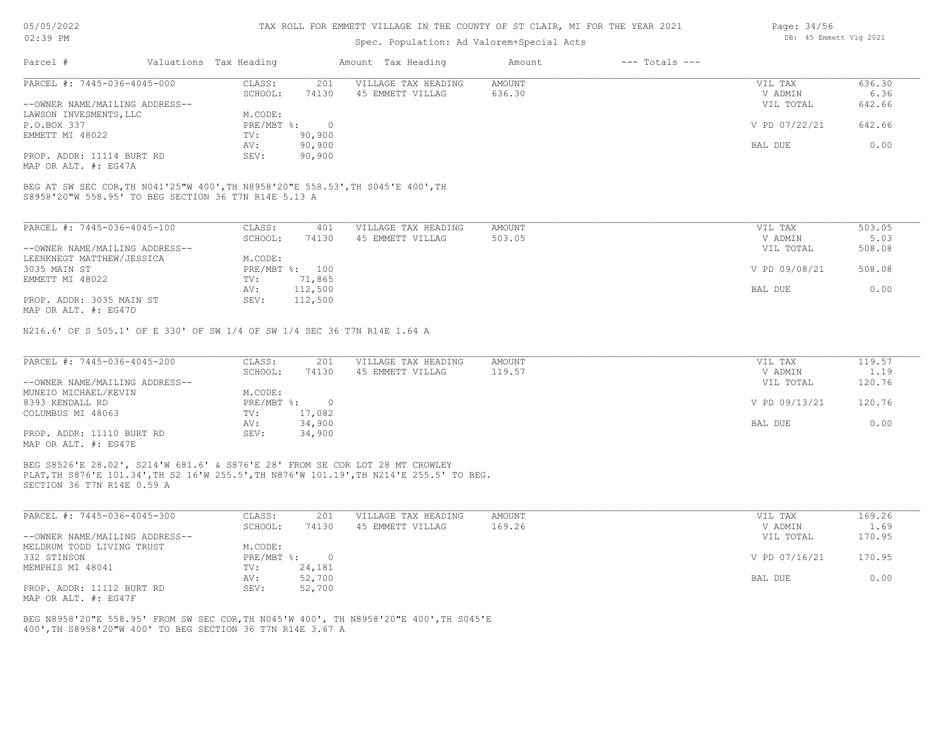# Spec. Population: Ad Valorem+Special Acts

| Page: 34/56 |                        |  |
|-------------|------------------------|--|
|             | DB: 45 Emmett Vlg 2021 |  |

34/56

| 636.30 |
|--------|
| 6.36   |
| 642.66 |
|        |
| 642.66 |
|        |
| 0.00   |
|        |
|        |

MAP OR ALT. #: EG47A

S8958'20"W 558.95' TO BEG SECTION 36 T7N R14E 5.13 A BEG AT SW SEC COR,TH N041'25"W 400',TH N8958'20"E 558.53',TH S045'E 400',TH

| PARCEL #: 7445-036-4045-100                                | CLASS:     | 401     | VILLAGE TAX HEADING | AMOUNT | VIL TAX       | 503.05 |
|------------------------------------------------------------|------------|---------|---------------------|--------|---------------|--------|
|                                                            | SCHOOL:    | 74130   | 45 EMMETT VILLAG    | 503.05 | V ADMIN       | 5.03   |
| --OWNER NAME/MAILING ADDRESS--                             |            |         |                     |        | VIL TOTAL     | 508.08 |
| LEENKNEGT MATTHEW/JESSICA                                  | M.CODE:    |         |                     |        |               |        |
| 3035 MAIN ST                                               | PRE/MBT %: | 100     |                     |        | V PD 09/08/21 | 508.08 |
| EMMETT MI 48022                                            | TV:        | 71,865  |                     |        |               |        |
|                                                            | AV:        | 112,500 |                     |        | BAL DUE       | 0.00   |
| PROP. ADDR: 3035 MAIN ST<br>$MAD$ $CD$ $ATM$ $H$ , $DCACD$ | SEV:       | 112,500 |                     |        |               |        |

MAP OR ALT. #: EG47D

N216.6' OF S 505.1' OF E 330' OF SW 1/4 OF SW 1/4 SEC 36 T7N R14E 1.64 A

| PARCEL #: 7445-036-4045-200    | CLASS:     | 201    | VILLAGE TAX HEADING | AMOUNT | VIL TAX       | 119.57 |
|--------------------------------|------------|--------|---------------------|--------|---------------|--------|
|                                | SCHOOL:    | 74130  | 45 EMMETT VILLAG    | 119.57 | V ADMIN       | 1.19   |
| --OWNER NAME/MAILING ADDRESS-- |            |        |                     |        | VIL TOTAL     | 120.76 |
| MUNEIO MICHAEL/KEVIN           | M.CODE:    |        |                     |        |               |        |
| 8393 KENDALL RD                | PRE/MBT %: |        |                     |        | V PD 09/13/21 | 120.76 |
| COLUMBUS MI 48063              | TV:        | 17,082 |                     |        |               |        |
|                                | AV:        | 34,900 |                     |        | BAL DUE       | 0.00   |
| PROP. ADDR: 11110 BURT RD      | SEV:       | 34,900 |                     |        |               |        |
| MAP OR ALT. #: EG47E           |            |        |                     |        |               |        |

SECTION 36 T7N R14E 0.59 A PLAT,TH S876'E 101.34',TH S2 16'W 255.5',TH N876'W 101.19',TH N214'E 255.5' TO BEG. BEG S8526'E 28.02', S214'W 681.6' & S876'E 28' FROM SE COR LOT 28 MT CROWLEY

| PARCEL #: 7445-036-4045-300    | CLASS:       | 201    | VILLAGE TAX HEADING | AMOUNT | VIL TAX       | 169.26 |
|--------------------------------|--------------|--------|---------------------|--------|---------------|--------|
|                                | SCHOOL:      | 74130  | 45 EMMETT VILLAG    | 169.26 | V ADMIN       | 1.69   |
| --OWNER NAME/MAILING ADDRESS-- |              |        |                     |        | VIL TOTAL     | 170.95 |
| MELDRUM TODD LIVING TRUST      | M.CODE:      |        |                     |        |               |        |
| 332 STINSON                    | $PRE/MBT$ %: |        |                     |        | V PD 07/16/21 | 170.95 |
| MEMPHIS MI 48041               | TV:          | 24,181 |                     |        |               |        |
|                                | AV:          | 52,700 |                     |        | BAL DUE       | 0.00   |
| PROP. ADDR: 11112 BURT RD      | SEV:         | 52,700 |                     |        |               |        |
| MAP OR ALT. #: EG47F           |              |        |                     |        |               |        |

400',TH S8958'20"W 400' TO BEG SECTION 36 T7N R14E 3.67 A BEG N8958'20"E 558.95' FROM SW SEC COR,TH N045'W 400', TH N8958'20"E 400',TH S045'E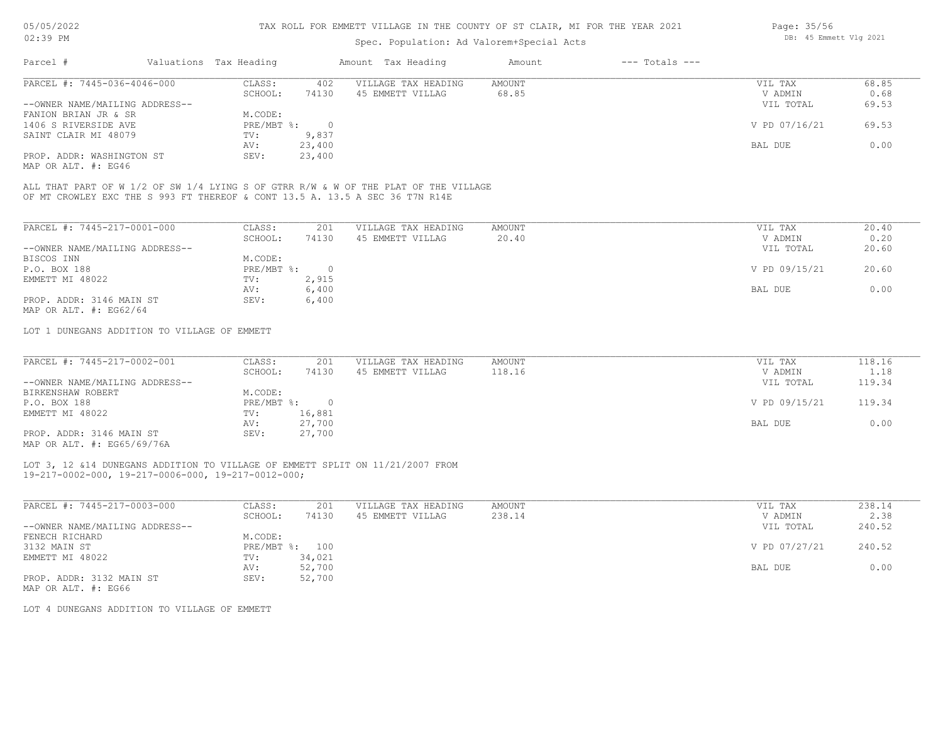# Spec. Population: Ad Valorem+Special Acts

| Page: 35/56 |                        |  |
|-------------|------------------------|--|
|             | DB: 45 Emmett Vlg 2021 |  |

| Parcel #                       | Valuations Tax Heading |        | Amount Tax Heading  | Amount | $---$ Totals $---$ |               |       |
|--------------------------------|------------------------|--------|---------------------|--------|--------------------|---------------|-------|
| PARCEL #: 7445-036-4046-000    | CLASS:                 | 402    | VILLAGE TAX HEADING | AMOUNT |                    | VIL TAX       | 68.85 |
|                                | SCHOOL:                | 74130  | 45 EMMETT VILLAG    | 68.85  |                    | V ADMIN       | 0.68  |
| --OWNER NAME/MAILING ADDRESS-- |                        |        |                     |        |                    | VIL TOTAL     | 69.53 |
| FANION BRIAN JR & SR           | M.CODE:                |        |                     |        |                    |               |       |
| 1406 S RIVERSIDE AVE           | $PRE/MBT$ %:           |        |                     |        |                    | V PD 07/16/21 | 69.53 |
| SAINT CLAIR MI 48079           | TV:                    | 9,837  |                     |        |                    |               |       |
|                                | AV:                    | 23,400 |                     |        |                    | BAL DUE       | 0.00  |
| PROP. ADDR: WASHINGTON ST      | SEV:                   | 23,400 |                     |        |                    |               |       |
|                                |                        |        |                     |        |                    |               |       |

MAP OR ALT. #: EG46

OF MT CROWLEY EXC THE S 993 FT THEREOF & CONT 13.5 A. 13.5 A SEC 36 T7N R14E ALL THAT PART OF W 1/2 OF SW 1/4 LYING S OF GTRR R/W & W OF THE PLAT OF THE VILLAGE

| PARCEL #: 7445-217-0001-000    | CLASS:     | 201   | VILLAGE TAX HEADING | AMOUNT | 20.40<br>VIL TAX       |
|--------------------------------|------------|-------|---------------------|--------|------------------------|
|                                | SCHOOL:    | 74130 | 45 EMMETT VILLAG    | 20.40  | 0.20<br>V ADMIN        |
| --OWNER NAME/MAILING ADDRESS-- |            |       |                     |        | 20.60<br>VIL TOTAL     |
| BISCOS INN                     | M.CODE:    |       |                     |        |                        |
| P.O. BOX 188                   | PRE/MBT %: |       |                     |        | V PD 09/15/21<br>20.60 |
| EMMETT MI 48022                | TV:        | 2,915 |                     |        |                        |
|                                | AV:        | 6,400 |                     |        | 0.00<br>BAL DUE        |
| PROP. ADDR: 3146 MAIN ST       | SEV:       | 6,400 |                     |        |                        |
| MAP OR ALT. $\#$ : EG62/64     |            |       |                     |        |                        |

LOT 1 DUNEGANS ADDITION TO VILLAGE OF EMMETT

| PARCEL #: 7445-217-0002-001                                                                                                                                                                                                                                                                                                                  | CLASS:       | 201    | VILLAGE TAX HEADING | AMOUNT | VIL TAX       | 118.16 |
|----------------------------------------------------------------------------------------------------------------------------------------------------------------------------------------------------------------------------------------------------------------------------------------------------------------------------------------------|--------------|--------|---------------------|--------|---------------|--------|
|                                                                                                                                                                                                                                                                                                                                              | SCHOOL:      | 74130  | 45 EMMETT VILLAG    | 118.16 | V ADMIN       | 1.18   |
| --OWNER NAME/MAILING ADDRESS--                                                                                                                                                                                                                                                                                                               |              |        |                     |        | VIL TOTAL     | 119.34 |
| BIRKENSHAW ROBERT                                                                                                                                                                                                                                                                                                                            | M.CODE:      |        |                     |        |               |        |
| P.O. BOX 188                                                                                                                                                                                                                                                                                                                                 | $PRE/MBT$ %: |        |                     |        | V PD 09/15/21 | 119.34 |
| EMMETT MI 48022                                                                                                                                                                                                                                                                                                                              | TV:          | 16,881 |                     |        |               |        |
|                                                                                                                                                                                                                                                                                                                                              | AV:          | 27,700 |                     |        | BAL DUE       | 0.00   |
| PROP. ADDR: 3146 MAIN ST                                                                                                                                                                                                                                                                                                                     | SEV:         | 27,700 |                     |        |               |        |
| $\cdots$ $\cdots$ $\cdots$ $\cdots$ $\cdots$ $\cdots$ $\cdots$ $\cdots$ $\cdots$ $\cdots$ $\cdots$ $\cdots$ $\cdots$ $\cdots$ $\cdots$ $\cdots$ $\cdots$ $\cdots$ $\cdots$ $\cdots$ $\cdots$ $\cdots$ $\cdots$ $\cdots$ $\cdots$ $\cdots$ $\cdots$ $\cdots$ $\cdots$ $\cdots$ $\cdots$ $\cdots$ $\cdots$ $\cdots$ $\cdots$ $\cdots$ $\cdots$ |              |        |                     |        |               |        |

MAP OR ALT. #: EG65/69/76A

19-217-0002-000, 19-217-0006-000, 19-217-0012-000; LOT 3, 12 &14 DUNEGANS ADDITION TO VILLAGE OF EMMETT SPLIT ON 11/21/2007 FROM

| PARCEL #: 7445-217-0003-000    | CLASS:     | 201    | VILLAGE TAX HEADING | AMOUNT | VIL TAX       | 238.14 |
|--------------------------------|------------|--------|---------------------|--------|---------------|--------|
|                                | SCHOOL:    | 74130  | 45 EMMETT VILLAG    | 238.14 | V ADMIN       | 2.38   |
| --OWNER NAME/MAILING ADDRESS-- |            |        |                     |        | VIL TOTAL     | 240.52 |
| FENECH RICHARD                 | M.CODE:    |        |                     |        |               |        |
| 3132 MAIN ST                   | PRE/MBT %: | 100    |                     |        | V PD 07/27/21 | 240.52 |
| EMMETT MI 48022                | TV:        | 34,021 |                     |        |               |        |
|                                | AV:        | 52,700 |                     |        | BAL DUE       | 0.00   |
| PROP. ADDR: 3132 MAIN ST       | SEV:       | 52,700 |                     |        |               |        |
|                                |            |        |                     |        |               |        |

MAP OR ALT. #: EG66

LOT 4 DUNEGANS ADDITION TO VILLAGE OF EMMETT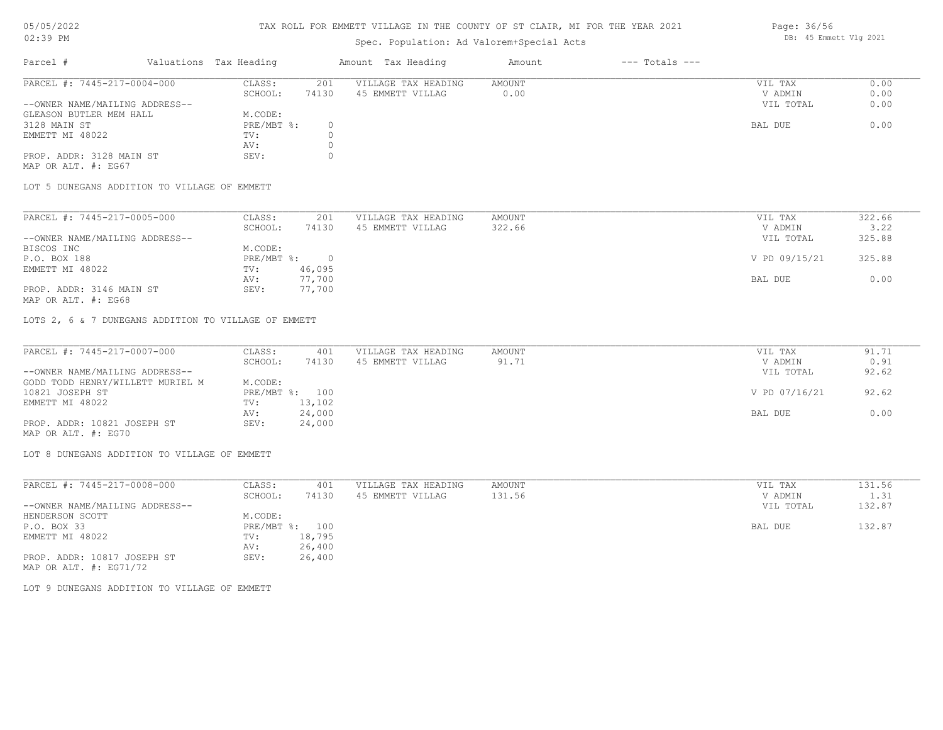# 05/05/2022

02:39 PM

# TAX ROLL FOR EMMETT VILLAGE IN THE COUNTY OF ST CLAIR, MI FOR THE YEAR 2021

# Spec. Population: Ad Valorem+Special Acts

| Page: 36/56 |                        |  |
|-------------|------------------------|--|
|             | DB: 45 Emmett Vlg 2021 |  |

| Parcel #                       | Valuations Tax Heading |       | Amount Tax Heading  | Amount | $---$ Totals $---$ |           |      |
|--------------------------------|------------------------|-------|---------------------|--------|--------------------|-----------|------|
| PARCEL #: 7445-217-0004-000    | CLASS:                 | 201   | VILLAGE TAX HEADING | AMOUNT |                    | VIL TAX   | 0.00 |
|                                | SCHOOL:                | 74130 | 45 EMMETT VILLAG    | 0.00   |                    | V ADMIN   | 0.00 |
| --OWNER NAME/MAILING ADDRESS-- |                        |       |                     |        |                    | VIL TOTAL | 0.00 |
| GLEASON BUTLER MEM HALL        | M.CODE:                |       |                     |        |                    |           |      |
| 3128 MAIN ST                   | $PRE/MBT$ %:           |       |                     |        |                    | BAL DUE   | 0.00 |
| EMMETT MI 48022                | TV:                    |       |                     |        |                    |           |      |
|                                | AV:                    |       |                     |        |                    |           |      |
| PROP. ADDR: 3128 MAIN ST       | SEV:                   |       |                     |        |                    |           |      |
| MAP OR ALT. #: EG67            |                        |       |                     |        |                    |           |      |

LOT 5 DUNEGANS ADDITION TO VILLAGE OF EMMETT

| PARCEL #: 7445-217-0005-000    | CLASS:     | 201    | VILLAGE TAX HEADING | AMOUNT | VIL TAX       | 322.66 |
|--------------------------------|------------|--------|---------------------|--------|---------------|--------|
|                                | SCHOOL:    | 74130  | 45 EMMETT VILLAG    | 322.66 | V ADMIN       | 3.22   |
| --OWNER NAME/MAILING ADDRESS-- |            |        |                     |        | VIL TOTAL     | 325.88 |
| BISCOS INC                     | M.CODE:    |        |                     |        |               |        |
| P.O. BOX 188                   | PRE/MBT %: |        |                     |        | V PD 09/15/21 | 325.88 |
| EMMETT MI 48022                | TV:        | 46,095 |                     |        |               |        |
|                                | AV:        | 77,700 |                     |        | BAL DUE       | 0.00   |
| PROP. ADDR: 3146 MAIN ST       | SEV:       | 77,700 |                     |        |               |        |

MAP OR ALT. #: EG68

LOTS 2, 6 & 7 DUNEGANS ADDITION TO VILLAGE OF EMMETT

| PARCEL #: 7445-217-0007-000      | CLASS:  | 401            | VILLAGE TAX HEADING | AMOUNT | VIL TAX       | 91.71 |
|----------------------------------|---------|----------------|---------------------|--------|---------------|-------|
|                                  | SCHOOL: | 74130          | 45 EMMETT VILLAG    | 91.71  | V ADMIN       | 0.91  |
| --OWNER NAME/MAILING ADDRESS--   |         |                |                     |        | VIL TOTAL     | 92.62 |
| GODD TODD HENRY/WILLETT MURIEL M | M.CODE: |                |                     |        |               |       |
| 10821 JOSEPH ST                  |         | PRE/MBT %: 100 |                     |        | V PD 07/16/21 | 92.62 |
| EMMETT MI 48022                  | TV:     | 13,102         |                     |        |               |       |
|                                  | AV:     | 24,000         |                     |        | BAL DUE       | 0.00  |
| PROP. ADDR: 10821 JOSEPH ST      | SEV:    | 24,000         |                     |        |               |       |
| MAP OR ALT. #: EG70              |         |                |                     |        |               |       |

LOT 8 DUNEGANS ADDITION TO VILLAGE OF EMMETT

| PARCEL #: 7445-217-0008-000    | CLASS:                    | 401    | VILLAGE TAX HEADING | AMOUNT | VIL TAX   | 131.56 |
|--------------------------------|---------------------------|--------|---------------------|--------|-----------|--------|
|                                | SCHOOL:                   | 74130  | 45 EMMETT VILLAG    | 131.56 | V ADMIN   | 1.31   |
| --OWNER NAME/MAILING ADDRESS-- |                           |        |                     |        | VIL TOTAL | 132.87 |
| HENDERSON SCOTT                | M.CODE:                   |        |                     |        |           |        |
| P.O. BOX 33                    | $PRE/MBT$ $\frac{1}{6}$ : | 100    |                     |        | BAL DUE   | 132.87 |
| EMMETT MI 48022                | TV:                       | 18,795 |                     |        |           |        |
|                                | AV:                       | 26,400 |                     |        |           |        |
| PROP. ADDR: 10817 JOSEPH ST    | SEV:                      | 26,400 |                     |        |           |        |
| MAP OR ALT. $\#$ : EG71/72     |                           |        |                     |        |           |        |

LOT 9 DUNEGANS ADDITION TO VILLAGE OF EMMETT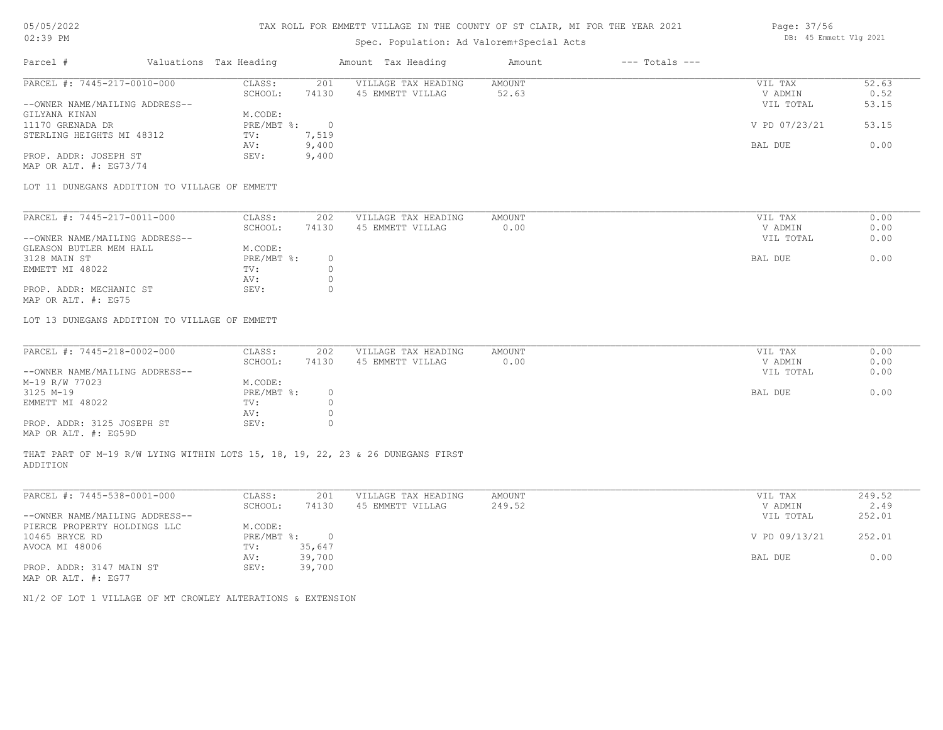## TAX ROLL FOR EMMETT VILLAGE IN THE COUNTY OF ST CLAIR, MI FOR THE YEAR 2021

# Spec. Population: Ad Valorem+Special Acts

## Parcel # Valuations Tax Heading Amount Tax Heading Amount --- Totals ---PROP. ADDR: JOSEPH ST SEV: 9,400 AV: 9,400 BAL DUE 0.00 STERLING HEIGHTS MI 48312 TV: 7,519<br>AV: 9,400 11170 GRENADA DR PRE/MBT %: 0 V PD 07/23/21 53.15 GILYANA KINAN M.CODE: --OWNER NAME/MAILING ADDRESS-- VIL TOTAL 53.15 SCHOOL: 74130 45 EMMETT VILLAG 52.63 52.63 52.000 V ADMIN 0.52 PARCEL #: 7445-217-0010-000 CLASS: 201 VILLAGE TAX HEADING AMOUNT AMOUNT VIL TAX 52.63<br>SCHOOL: 74130 45 EMMETT VILLAG 52.63 VADMIN 0.52  $\mathcal{L}_\mathcal{L} = \mathcal{L}_\mathcal{L} = \mathcal{L}_\mathcal{L} = \mathcal{L}_\mathcal{L} = \mathcal{L}_\mathcal{L} = \mathcal{L}_\mathcal{L} = \mathcal{L}_\mathcal{L} = \mathcal{L}_\mathcal{L} = \mathcal{L}_\mathcal{L} = \mathcal{L}_\mathcal{L} = \mathcal{L}_\mathcal{L} = \mathcal{L}_\mathcal{L} = \mathcal{L}_\mathcal{L} = \mathcal{L}_\mathcal{L} = \mathcal{L}_\mathcal{L} = \mathcal{L}_\mathcal{L} = \mathcal{L}_\mathcal{L}$

MAP OR ALT. #: EG73/74

LOT 11 DUNEGANS ADDITION TO VILLAGE OF EMMETT

| PARCEL #: 7445-217-0011-000    | CLASS:     | 202   | VILLAGE TAX HEADING | AMOUNT | VIL TAX | 0.00              |  |
|--------------------------------|------------|-------|---------------------|--------|---------|-------------------|--|
|                                | SCHOOL:    | 74130 | 45 EMMETT VILLAG    | 0.00   | V ADMIN | 0.00              |  |
| --OWNER NAME/MAILING ADDRESS-- |            |       |                     |        |         | VIL TOTAL<br>0.00 |  |
| GLEASON BUTLER MEM HALL        | M.CODE:    |       |                     |        |         |                   |  |
| 3128 MAIN ST                   | PRE/MBT %: |       |                     |        | BAL DUE | 0.00              |  |
| EMMETT MI 48022                | TV:        |       |                     |        |         |                   |  |
|                                | AV:        |       |                     |        |         |                   |  |
| PROP. ADDR: MECHANIC ST        | SEV:       |       |                     |        |         |                   |  |
| MAP OR ALT. #: EG75            |            |       |                     |        |         |                   |  |

LOT 13 DUNEGANS ADDITION TO VILLAGE OF EMMETT

| PARCEL #: 7445-218-0002-000    | CLASS:       | 202   | VILLAGE TAX HEADING | AMOUNT | VIL TAX   | 0.00 |
|--------------------------------|--------------|-------|---------------------|--------|-----------|------|
|                                | SCHOOL:      | 74130 | 45 EMMETT VILLAG    | 0.00   | V ADMIN   | 0.00 |
| --OWNER NAME/MAILING ADDRESS-- |              |       |                     |        | VIL TOTAL | 0.00 |
| M-19 R/W 77023                 | M.CODE:      |       |                     |        |           |      |
| 3125 M-19                      | $PRE/MBT$ %: |       |                     |        | BAL DUE   | 0.00 |
| EMMETT MI 48022                | TV:          |       |                     |        |           |      |
|                                | AV:          |       |                     |        |           |      |
| PROP. ADDR: 3125 JOSEPH ST     | SEV:         |       |                     |        |           |      |
| MAP OR ALT. #: EG59D           |              |       |                     |        |           |      |

THAT PART OF M-19 R/W LYING WITHIN LOTS 15, 18, 19, 22, 23 & 26 DUNEGANS FIRST

ADDITION

| PARCEL #: 7445-538-0001-000    | CLASS:       | 201    | VILLAGE TAX HEADING | AMOUNT | VIL TAX       | 249.52 |
|--------------------------------|--------------|--------|---------------------|--------|---------------|--------|
|                                | SCHOOL:      | 74130  | 45 EMMETT VILLAG    | 249.52 | V ADMIN       | 2.49   |
| --OWNER NAME/MAILING ADDRESS-- |              |        |                     |        | VIL TOTAL     | 252.01 |
| PIERCE PROPERTY HOLDINGS LLC   | M.CODE:      |        |                     |        |               |        |
| 10465 BRYCE RD                 | $PRE/MBT$ %: |        |                     |        | V PD 09/13/21 | 252.01 |
| AVOCA MI 48006                 | TV:          | 35,647 |                     |        |               |        |
|                                | AV:          | 39,700 |                     |        | BAL DUE       | 0.00   |
| PROP. ADDR: 3147 MAIN ST       | SEV:         | 39,700 |                     |        |               |        |
| MAP OR ALT. #: EG77            |              |        |                     |        |               |        |

N1/2 OF LOT 1 VILLAGE OF MT CROWLEY ALTERATIONS & EXTENSION

Page: 37/56 DB: 45 Emmett Vlg 2021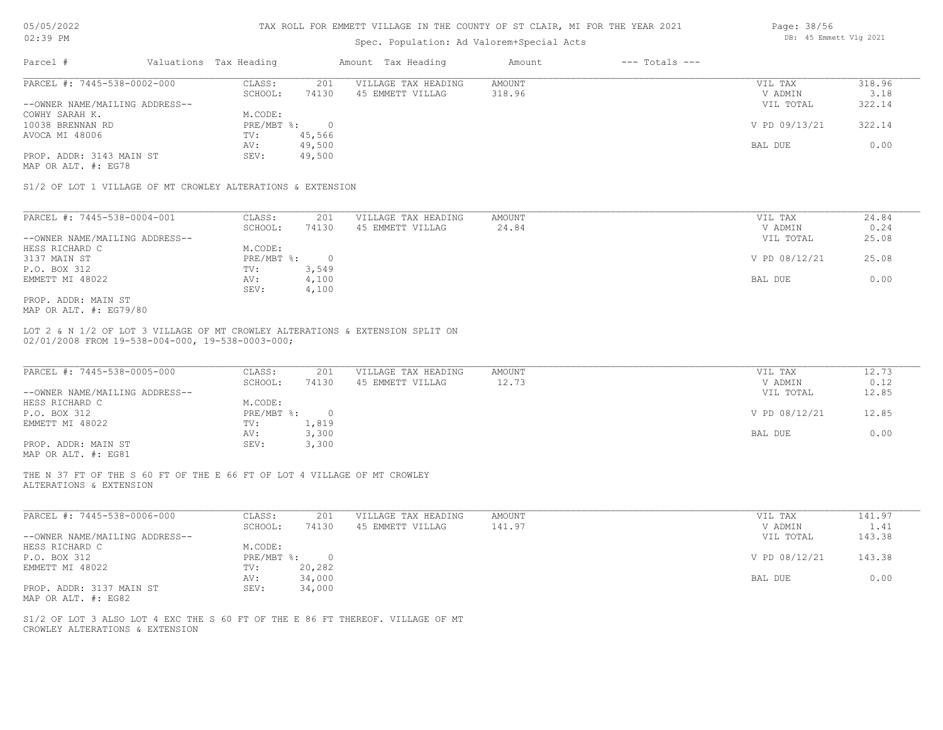| 05/05/2022 |    |
|------------|----|
| ハウ・マロ      | DМ |

| Parcel #                                                                                                                                            | Valuations Tax Heading |                  | Amount Tax Heading                      | Amount                 | $---$ Totals $---$ |                                 |                        |
|-----------------------------------------------------------------------------------------------------------------------------------------------------|------------------------|------------------|-----------------------------------------|------------------------|--------------------|---------------------------------|------------------------|
| PARCEL #: 7445-538-0002-000                                                                                                                         | CLASS:                 | 201              | VILLAGE TAX HEADING                     | AMOUNT                 |                    | VIL TAX                         | 318.96                 |
|                                                                                                                                                     | SCHOOL:                | 74130            | 45 EMMETT VILLAG                        | 318.96                 |                    | V ADMIN                         | 3.18                   |
| --OWNER NAME/MAILING ADDRESS--                                                                                                                      |                        |                  |                                         |                        |                    | VIL TOTAL                       | 322.14                 |
| COWHY SARAH K.                                                                                                                                      | M.CODE:<br>PRE/MBT %:  |                  |                                         |                        |                    |                                 |                        |
| 10038 BRENNAN RD<br>AVOCA MI 48006                                                                                                                  |                        | $\bigcirc$       |                                         |                        |                    | V PD 09/13/21                   | 322.14                 |
|                                                                                                                                                     | TV:                    | 45,566<br>49,500 |                                         |                        |                    | BAL DUE                         | 0.00                   |
| PROP. ADDR: 3143 MAIN ST                                                                                                                            | AV:<br>SEV:            | 49,500           |                                         |                        |                    |                                 |                        |
|                                                                                                                                                     |                        |                  |                                         |                        |                    |                                 |                        |
|                                                                                                                                                     |                        |                  |                                         |                        |                    |                                 |                        |
| MAP OR ALT. #: EG78<br>S1/2 OF LOT 1 VILLAGE OF MT CROWLEY ALTERATIONS & EXTENSION<br>PARCEL #: 7445-538-0004-001<br>--OWNER NAME/MAILING ADDRESS-- | CLASS:<br>SCHOOL:      | 201<br>74130     | VILLAGE TAX HEADING<br>45 EMMETT VILLAG | <b>AMOUNT</b><br>24.84 |                    | VIL TAX<br>V ADMIN<br>VIL TOTAL | 24.84<br>0.24<br>25.08 |
| HESS RICHARD C                                                                                                                                      | M.CODE:                |                  |                                         |                        |                    |                                 |                        |
| 3137 MAIN ST                                                                                                                                        | PRE/MBT %:             | $\overline{0}$   |                                         |                        |                    | V PD 08/12/21                   | 25.08                  |
| P.O. BOX 312                                                                                                                                        | TV:                    | 3,549            |                                         |                        |                    |                                 |                        |
| EMMETT MI 48022                                                                                                                                     | AV:<br>SEV:            | 4,100<br>4,100   |                                         |                        |                    | BAL DUE                         | 0.00                   |

| PARCEL #: 7445-538-0005-000    | CLASS:     | 201      | VILLAGE TAX HEADING | AMOUNT | VIL TAX       | 12.73 |
|--------------------------------|------------|----------|---------------------|--------|---------------|-------|
|                                | SCHOOL:    | 74130    | 45 EMMETT VILLAG    | 12.73  | V ADMIN       | 0.12  |
| --OWNER NAME/MAILING ADDRESS-- |            |          |                     |        | VIL TOTAL     | 12.85 |
| HESS RICHARD C                 | M.CODE:    |          |                     |        |               |       |
| P.O. BOX 312                   | PRE/MBT %: | $\Omega$ |                     |        | V PD 08/12/21 | 12.85 |
| EMMETT MI 48022                | TV:        | 1,819    |                     |        |               |       |
|                                | AV:        | 3,300    |                     |        | BAL DUE       | 0.00  |
| PROP. ADDR: MAIN ST            | SEV:       | 3,300    |                     |        |               |       |
| MAP OR ALT. #: EG81            |            |          |                     |        |               |       |

ALTERATIONS & EXTENSION THE N 37 FT OF THE S 60 FT OF THE E 66 FT OF LOT 4 VILLAGE OF MT CROWLEY

| PARCEL #: 7445-538-0006-000    | CLASS:       | 201    | VILLAGE TAX HEADING | AMOUNT | VIL TAX       | 141.97 |
|--------------------------------|--------------|--------|---------------------|--------|---------------|--------|
|                                | SCHOOL:      | 74130  | 45 EMMETT VILLAG    | 141.97 | V ADMIN       | 1.41   |
| --OWNER NAME/MAILING ADDRESS-- |              |        |                     |        | VIL TOTAL     | 143.38 |
| HESS RICHARD C                 | M.CODE:      |        |                     |        |               |        |
| P.O. BOX 312                   | $PRE/MBT$ %: |        |                     |        | V PD 08/12/21 | 143.38 |
| EMMETT MI 48022                | TV:          | 20,282 |                     |        |               |        |
|                                | AV:          | 34,000 |                     |        | BAL DUE       | 0.00   |
| PROP. ADDR: 3137 MAIN ST       | SEV:         | 34,000 |                     |        |               |        |
| MAP OR ALT. #: EG82            |              |        |                     |        |               |        |

CROWLEY ALTERATIONS & EXTENSION S1/2 OF LOT 3 ALSO LOT 4 EXC THE S 60 FT OF THE E 86 FT THEREOF. VILLAGE OF MT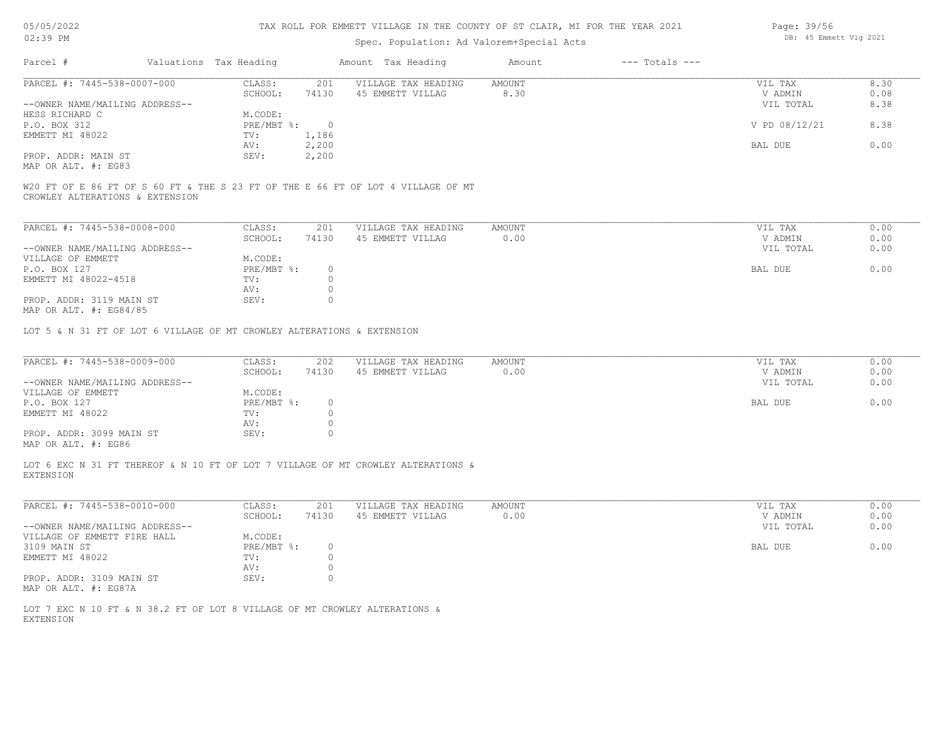| 05/05/2022 |    |
|------------|----|
| 02:39      | PN |

# Spec. Population: Ad Valorem+Special Acts

| Page: 39/56 |                        |  |
|-------------|------------------------|--|
|             | DB: 45 Emmett Vlg 2021 |  |

| Parcel #                       |                                 | Valuations Tax Heading |       | Amount Tax Heading                                                               | Amount | $---$ Totals $---$ |               |      |
|--------------------------------|---------------------------------|------------------------|-------|----------------------------------------------------------------------------------|--------|--------------------|---------------|------|
| PARCEL #: 7445-538-0007-000    |                                 | CLASS:                 | 201   | VILLAGE TAX HEADING                                                              | AMOUNT |                    | VIL TAX       | 8.30 |
|                                |                                 | SCHOOL:                | 74130 | 45 EMMETT VILLAG                                                                 | 8.30   |                    | V ADMIN       | 0.08 |
| --OWNER NAME/MAILING ADDRESS-- |                                 |                        |       |                                                                                  |        |                    | VIL TOTAL     | 8.38 |
| HESS RICHARD C                 |                                 | M.CODE:                |       |                                                                                  |        |                    |               |      |
| P.O. BOX 312                   |                                 | PRE/MBT %:             |       |                                                                                  |        |                    | V PD 08/12/21 | 8.38 |
| EMMETT MI 48022                |                                 | TV:                    | 1,186 |                                                                                  |        |                    |               |      |
|                                |                                 | AV:                    | 2,200 |                                                                                  |        |                    | BAL DUE       | 0.00 |
| PROP. ADDR: MAIN ST            |                                 | SEV:                   | 2,200 |                                                                                  |        |                    |               |      |
| MAP OR ALT. #: EG83            |                                 |                        |       |                                                                                  |        |                    |               |      |
|                                |                                 |                        |       | W20 FT OF E 86 FT OF S 60 FT & THE S 23 FT OF THE E 66 FT OF LOT 4 VILLAGE OF MT |        |                    |               |      |
|                                | CDOMIEV AITEDATIONS : EVTENSION |                        |       |                                                                                  |        |                    |               |      |

CROWLEY ALTERATIONS & EXTENSION

| PARCEL #: 7445-538-0008-000    | CLASS:     | 201   | VILLAGE TAX HEADING | AMOUNT | VIL TAX   | 0.00 |
|--------------------------------|------------|-------|---------------------|--------|-----------|------|
|                                | SCHOOL:    | 74130 | 45 EMMETT VILLAG    | 0.00   | V ADMIN   | 0.00 |
| --OWNER NAME/MAILING ADDRESS-- |            |       |                     |        | VIL TOTAL | 0.00 |
| VILLAGE OF EMMETT              | M.CODE:    |       |                     |        |           |      |
| P.O. BOX 127                   | PRE/MBT %: |       |                     |        | BAL DUE   | 0.00 |
| EMMETT MI 48022-4518           | TV:        |       |                     |        |           |      |
|                                | AV:        |       |                     |        |           |      |
| PROP. ADDR: 3119 MAIN ST       | SEV:       |       |                     |        |           |      |
| MAP OR ALT. $\#$ : EG84/85     |            |       |                     |        |           |      |

LOT 5 & N 31 FT OF LOT 6 VILLAGE OF MT CROWLEY ALTERATIONS & EXTENSION

| PARCEL #: 7445-538-0009-000          | CLASS:     | 202   | VILLAGE TAX HEADING | AMOUNT | VIL TAX   | 0.00 |
|--------------------------------------|------------|-------|---------------------|--------|-----------|------|
|                                      | SCHOOL:    | 74130 | 45 EMMETT VILLAG    | 0.00   | V ADMIN   | 0.00 |
| --OWNER NAME/MAILING ADDRESS--       |            |       |                     |        | VIL TOTAL | 0.00 |
| VILLAGE OF EMMETT                    | M.CODE:    |       |                     |        |           |      |
| P.O. BOX 127                         | PRE/MBT %: |       |                     |        | BAL DUE   | 0.00 |
| EMMETT MI 48022                      | TV:        |       |                     |        |           |      |
|                                      | AV:        |       |                     |        |           |      |
| PROP. ADDR: 3099 MAIN ST             | SEV:       |       |                     |        |           |      |
| $M3D$ $CD$ $3T$ $m$ $\pm$ , $DQ$ $C$ |            |       |                     |        |           |      |

MAP OR ALT. #: EG86

EXTENSION LOT 6 EXC N 31 FT THEREOF & N 10 FT OF LOT 7 VILLAGE OF MT CROWLEY ALTERATIONS &

| PARCEL #: 7445-538-0010-000    | CLASS:     | 201   | VILLAGE TAX HEADING | AMOUNT | 0.00<br>VIL TAX   |
|--------------------------------|------------|-------|---------------------|--------|-------------------|
|                                | SCHOOL:    | 74130 | 45 EMMETT VILLAG    | 0.00   | 0.00<br>V ADMIN   |
| --OWNER NAME/MAILING ADDRESS-- |            |       |                     |        | 0.00<br>VIL TOTAL |
| VILLAGE OF EMMETT FIRE HALL    | M.CODE:    |       |                     |        |                   |
| 3109 MAIN ST                   | PRE/MBT %: |       |                     |        | 0.00<br>BAL DUE   |
| EMMETT MI 48022                | TV:        |       |                     |        |                   |
|                                | AV:        |       |                     |        |                   |
| PROP. ADDR: 3109 MAIN ST       | SEV:       |       |                     |        |                   |
| MAP OR ALT. #: EG87A           |            |       |                     |        |                   |

EXTENSION LOT 7 EXC N 10 FT & N 38.2 FT OF LOT 8 VILLAGE OF MT CROWLEY ALTERATIONS &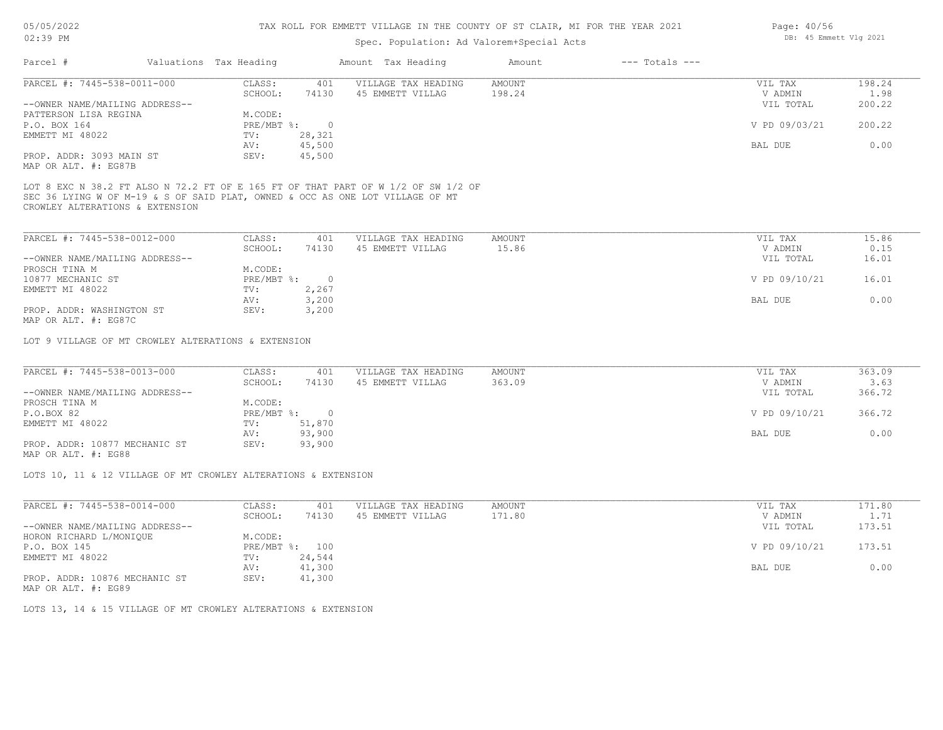## TAX ROLL FOR EMMETT VILLAGE IN THE COUNTY OF ST CLAIR, MI FOR THE YEAR 2021

# Spec. Population: Ad Valorem+Special Acts

| Parcel #                       | Valuations Tax Heading |        | Amount Tax Heading  | Amount | $---$ Totals $---$ |               |        |
|--------------------------------|------------------------|--------|---------------------|--------|--------------------|---------------|--------|
| PARCEL #: 7445-538-0011-000    | CLASS:                 | 401    | VILLAGE TAX HEADING | AMOUNT |                    | VIL TAX       | 198.24 |
|                                | SCHOOL:                | 74130  | 45 EMMETT VILLAG    | 198.24 |                    | V ADMIN       | 1.98   |
| --OWNER NAME/MAILING ADDRESS-- |                        |        |                     |        |                    | VIL TOTAL     | 200.22 |
| PATTERSON LISA REGINA          | M.CODE:                |        |                     |        |                    |               |        |
| P.O. BOX 164                   | $PRE/MBT$ %:           |        |                     |        |                    | V PD 09/03/21 | 200.22 |
| EMMETT MI 48022                | TV:                    | 28,321 |                     |        |                    |               |        |
|                                | AV:                    | 45,500 |                     |        |                    | BAL DUE       | 0.00   |
| PROP. ADDR: 3093 MAIN ST       | SEV:                   | 45,500 |                     |        |                    |               |        |
|                                |                        |        |                     |        |                    |               |        |

MAP OR ALT. #: EG87B

CROWLEY ALTERATIONS & EXTENSION SEC 36 LYING W OF M-19 & S OF SAID PLAT, OWNED & OCC AS ONE LOT VILLAGE OF MT LOT 8 EXC N 38.2 FT ALSO N 72.2 FT OF E 165 FT OF THAT PART OF W 1/2 OF SW 1/2 OF

| PARCEL #: 7445-538-0012-000    | CLASS:       | 401   | VILLAGE TAX HEADING | AMOUNT | VIL TAX       | 15.86 |
|--------------------------------|--------------|-------|---------------------|--------|---------------|-------|
|                                | SCHOOL:      | 74130 | 45 EMMETT VILLAG    | 15.86  | V ADMIN       | 0.15  |
| --OWNER NAME/MAILING ADDRESS-- |              |       |                     |        | VIL TOTAL     | 16.01 |
| PROSCH TINA M                  | M.CODE:      |       |                     |        |               |       |
| 10877 MECHANIC ST              | $PRE/MBT$ %: |       |                     |        | V PD 09/10/21 | 16.01 |
| EMMETT MI 48022                | TV:          | 2,267 |                     |        |               |       |
|                                | AV:          | 3,200 |                     |        | BAL DUE       | 0.00  |
| PROP. ADDR: WASHINGTON ST      | SEV:         | 3,200 |                     |        |               |       |
| $\cdots$                       |              |       |                     |        |               |       |

MAP OR ALT. #: EG87C

LOT 9 VILLAGE OF MT CROWLEY ALTERATIONS & EXTENSION

| PARCEL #: 7445-538-0013-000    | CLASS:       | 401    | VILLAGE TAX HEADING | AMOUNT | VIL TAX       | 363.09 |
|--------------------------------|--------------|--------|---------------------|--------|---------------|--------|
|                                | SCHOOL:      | 74130  | 45 EMMETT VILLAG    | 363.09 | V ADMIN       | 3.63   |
| --OWNER NAME/MAILING ADDRESS-- |              |        |                     |        | VIL TOTAL     | 366.72 |
| PROSCH TINA M                  | M.CODE:      |        |                     |        |               |        |
| P.O.BOX 82                     | $PRE/MBT$ %: |        |                     |        | V PD 09/10/21 | 366.72 |
| EMMETT MI 48022                | TV:          | 51,870 |                     |        |               |        |
|                                | AV:          | 93,900 |                     |        | BAL DUE       | 0.00   |
| PROP. ADDR: 10877 MECHANIC ST  | SEV:         | 93,900 |                     |        |               |        |
|                                |              |        |                     |        |               |        |

MAP OR ALT. #: EG88

LOTS 10, 11 & 12 VILLAGE OF MT CROWLEY ALTERATIONS & EXTENSION

| PARCEL #: 7445-538-0014-000    | CLASS:     | 401    | VILLAGE TAX HEADING | AMOUNT | VIL TAX       | 171.80 |
|--------------------------------|------------|--------|---------------------|--------|---------------|--------|
|                                | SCHOOL:    | 74130  | 45 EMMETT VILLAG    | 171.80 | V ADMIN       | 1.71   |
| --OWNER NAME/MAILING ADDRESS-- |            |        |                     |        | VIL TOTAL     | 173.51 |
| HORON RICHARD L/MONIQUE        | M.CODE:    |        |                     |        |               |        |
| P.O. BOX 145                   | PRE/MBT %: | 100    |                     |        | V PD 09/10/21 | 173.51 |
| EMMETT MI 48022                | TV:        | 24,544 |                     |        |               |        |
|                                | AV:        | 41,300 |                     |        | BAL DUE       | 0.00   |
| PROP. ADDR: 10876 MECHANIC ST  | SEV:       | 41,300 |                     |        |               |        |
|                                |            |        |                     |        |               |        |

MAP OR ALT. #: EG89

LOTS 13, 14 & 15 VILLAGE OF MT CROWLEY ALTERATIONS & EXTENSION

Page: 40/56 DB: 45 Emmett Vlg 2021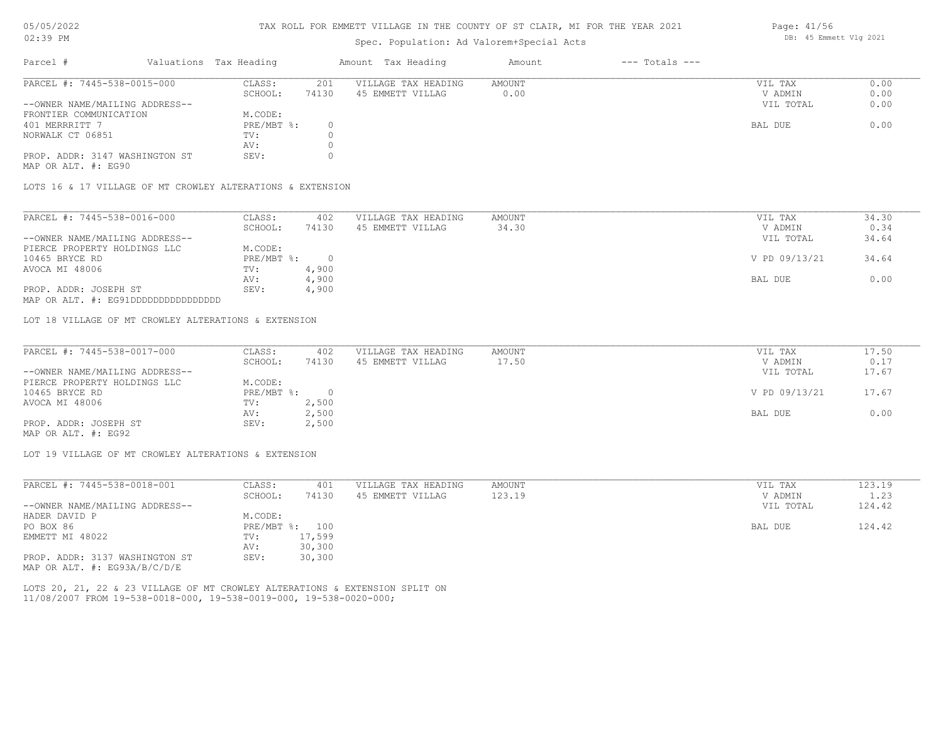## TAX ROLL FOR EMMETT VILLAGE IN THE COUNTY OF ST CLAIR, MI FOR THE YEAR 2021

# Spec. Population: Ad Valorem+Special Acts

| Parcel #                       | Valuations Tax Heading |       | Amount Tax Heading  | Amount | $---$ Totals $---$ |           |      |
|--------------------------------|------------------------|-------|---------------------|--------|--------------------|-----------|------|
| PARCEL #: 7445-538-0015-000    | CLASS:                 | 201   | VILLAGE TAX HEADING | AMOUNT |                    | VIL TAX   | 0.00 |
|                                | SCHOOL:                | 74130 | 45 EMMETT VILLAG    | 0.00   |                    | V ADMIN   | 0.00 |
| --OWNER NAME/MAILING ADDRESS-- |                        |       |                     |        |                    | VIL TOTAL | 0.00 |
| FRONTIER COMMUNICATION         | M.CODE:                |       |                     |        |                    |           |      |
| 401 MERRRITT 7                 | PRE/MBT %:             |       |                     |        |                    | BAL DUE   | 0.00 |
| NORWALK CT 06851               | TV:                    |       |                     |        |                    |           |      |
|                                | AV:                    |       |                     |        |                    |           |      |
| PROP. ADDR: 3147 WASHINGTON ST | SEV:                   |       |                     |        |                    |           |      |

MAP OR ALT. #: EG90

LOTS 16 & 17 VILLAGE OF MT CROWLEY ALTERATIONS & EXTENSION

| PARCEL #: 7445-538-0016-000    | CLASS:     | 402   | VILLAGE TAX HEADING | AMOUNT | VIL TAX       | 34.30 |
|--------------------------------|------------|-------|---------------------|--------|---------------|-------|
|                                | SCHOOL:    | 74130 | 45 EMMETT VILLAG    | 34.30  | V ADMIN       | 0.34  |
| --OWNER NAME/MAILING ADDRESS-- |            |       |                     |        | VIL TOTAL     | 34.64 |
| PIERCE PROPERTY HOLDINGS LLC   | M.CODE:    |       |                     |        |               |       |
| 10465 BRYCE RD                 | PRE/MBT %: |       |                     |        | V PD 09/13/21 | 34.64 |
| AVOCA MI 48006                 | TV:        | 4,900 |                     |        |               |       |
|                                | AV:        | 4,900 |                     |        | BAL DUE       | 0.00  |
| PROP. ADDR: JOSEPH ST          | SEV:       | 4,900 |                     |        |               |       |
|                                |            |       |                     |        |               |       |

MAP OR ALT. #: EG91DDDDDDDDDDDDDDDD

LOT 18 VILLAGE OF MT CROWLEY ALTERATIONS & EXTENSION

| PARCEL #: 7445-538-0017-000    | CLASS:     | 402   | VILLAGE TAX HEADING | AMOUNT | VIL TAX       | 17.50 |
|--------------------------------|------------|-------|---------------------|--------|---------------|-------|
|                                | SCHOOL:    | 74130 | 45 EMMETT VILLAG    | 17.50  | V ADMIN       | 0.17  |
| --OWNER NAME/MAILING ADDRESS-- |            |       |                     |        | VIL TOTAL     | 17.67 |
| PIERCE PROPERTY HOLDINGS LLC   | M.CODE:    |       |                     |        |               |       |
| 10465 BRYCE RD                 | PRE/MBT %: |       |                     |        | V PD 09/13/21 | 17.67 |
| AVOCA MI 48006                 | TV:        | 2,500 |                     |        |               |       |
|                                | AV:        | 2,500 |                     |        | BAL DUE       | 0.00  |
| PROP. ADDR: JOSEPH ST          | SEV:       | 2,500 |                     |        |               |       |

MAP OR ALT. #: EG92

LOT 19 VILLAGE OF MT CROWLEY ALTERATIONS & EXTENSION

| PARCEL #: 7445-538-0018-001    | CLASS:  | 401            | VILLAGE TAX HEADING | AMOUNT | 123.19<br>VIL TAX   |
|--------------------------------|---------|----------------|---------------------|--------|---------------------|
|                                | SCHOOL: | 74130          | 45 EMMETT VILLAG    | 123.19 | 1.23<br>V ADMIN     |
| --OWNER NAME/MAILING ADDRESS-- |         |                |                     |        | 124.42<br>VIL TOTAL |
| HADER DAVID P                  | M.CODE: |                |                     |        |                     |
| PO BOX 86                      |         | PRE/MBT %: 100 |                     |        | 124.42<br>BAL DUE   |
| EMMETT MI 48022                | TV:     | 17,599         |                     |        |                     |
|                                | AV:     | 30,300         |                     |        |                     |
| PROP. ADDR: 3137 WASHINGTON ST | SEV:    | 30,300         |                     |        |                     |
| MAP OR ALT. #: EG93A/B/C/D/E   |         |                |                     |        |                     |

11/08/2007 FROM 19-538-0018-000, 19-538-0019-000, 19-538-0020-000; LOTS 20, 21, 22 & 23 VILLAGE OF MT CROWLEY ALTERATIONS & EXTENSION SPLIT ON Page: 41/56 DB: 45 Emmett Vlg 2021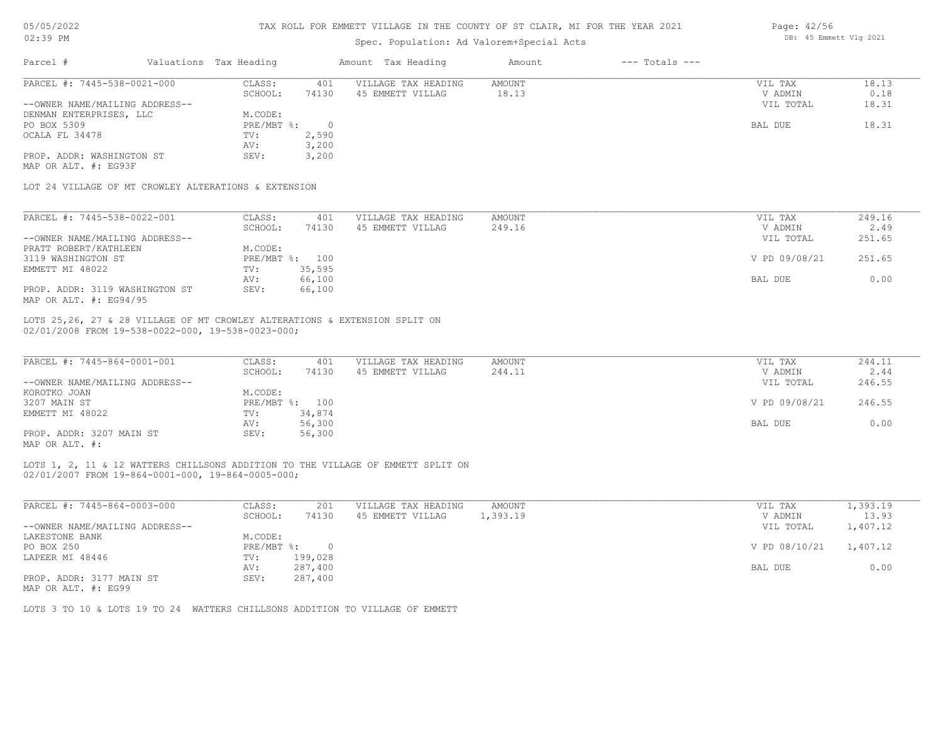| 05/05/2022 |  |  |
|------------|--|--|
|------------|--|--|

| 05/05/2022                                                                                                                                                                                                                                                                                         |                                | TAX ROLL FOR EMMETT VILLAGE IN THE COUNTY OF ST CLAIR, MI FOR THE YEAR 2021 |                | Page: 42/56<br>DB: 45 Emmett Vlg 2021                                           |               |                    |               |          |
|----------------------------------------------------------------------------------------------------------------------------------------------------------------------------------------------------------------------------------------------------------------------------------------------------|--------------------------------|-----------------------------------------------------------------------------|----------------|---------------------------------------------------------------------------------|---------------|--------------------|---------------|----------|
| $02:39$ PM                                                                                                                                                                                                                                                                                         |                                |                                                                             |                |                                                                                 |               |                    |               |          |
| Parcel #                                                                                                                                                                                                                                                                                           |                                | Valuations Tax Heading                                                      |                | Amount Tax Heading                                                              | Amount        | $---$ Totals $---$ |               |          |
| PARCEL #: 7445-538-0021-000                                                                                                                                                                                                                                                                        |                                | CLASS:                                                                      | 401            | VILLAGE TAX HEADING                                                             | AMOUNT        |                    | VIL TAX       | 18.13    |
|                                                                                                                                                                                                                                                                                                    |                                | SCHOOL:                                                                     | 74130          | 45 EMMETT VILLAG                                                                | 18.13         |                    | V ADMIN       | 0.18     |
| --OWNER NAME/MAILING ADDRESS--                                                                                                                                                                                                                                                                     |                                |                                                                             |                |                                                                                 |               |                    | VIL TOTAL     | 18.31    |
| DENMAN ENTERPRISES, LLC                                                                                                                                                                                                                                                                            |                                | M.CODE:                                                                     |                |                                                                                 |               |                    |               |          |
| PO BOX 5309                                                                                                                                                                                                                                                                                        |                                | $PRE/MBT$ $\div$                                                            | $\circ$        |                                                                                 |               |                    | BAL DUE       | 18.31    |
| OCALA FL 34478                                                                                                                                                                                                                                                                                     |                                | TV:                                                                         | 2,590          |                                                                                 |               |                    |               |          |
|                                                                                                                                                                                                                                                                                                    |                                | AV:                                                                         | 3,200          |                                                                                 |               |                    |               |          |
| PROP. ADDR: WASHINGTON ST<br>MAP OR ALT. #: EG93F                                                                                                                                                                                                                                                  |                                | SEV:                                                                        | 3,200          |                                                                                 |               |                    |               |          |
| LOT 24 VILLAGE OF MT CROWLEY ALTERATIONS & EXTENSION                                                                                                                                                                                                                                               |                                |                                                                             |                |                                                                                 |               |                    |               |          |
| PARCEL #: 7445-538-0022-001                                                                                                                                                                                                                                                                        |                                | CLASS:                                                                      | 401            | VILLAGE TAX HEADING                                                             | AMOUNT        |                    | VIL TAX       | 249.16   |
|                                                                                                                                                                                                                                                                                                    |                                | SCHOOL:                                                                     | 74130          | 45 EMMETT VILLAG                                                                | 249.16        |                    | V ADMIN       | 2.49     |
| --OWNER NAME/MAILING ADDRESS--                                                                                                                                                                                                                                                                     |                                |                                                                             |                |                                                                                 |               |                    | VIL TOTAL     | 251.65   |
| PRATT ROBERT/KATHLEEN                                                                                                                                                                                                                                                                              |                                | M.CODE:                                                                     |                |                                                                                 |               |                    |               |          |
| 3119 WASHINGTON ST                                                                                                                                                                                                                                                                                 |                                |                                                                             | PRE/MBT %: 100 |                                                                                 |               |                    | V PD 09/08/21 | 251.65   |
| EMMETT MI 48022                                                                                                                                                                                                                                                                                    |                                | TV:                                                                         | 35,595         |                                                                                 |               |                    |               |          |
|                                                                                                                                                                                                                                                                                                    |                                | AV:                                                                         | 66,100         |                                                                                 |               |                    | BAL DUE       | 0.00     |
|                                                                                                                                                                                                                                                                                                    | PROP. ADDR: 3119 WASHINGTON ST | SEV:                                                                        | 66,100         |                                                                                 |               |                    |               |          |
|                                                                                                                                                                                                                                                                                                    |                                |                                                                             |                | LOTS 25,26, 27 & 28 VILLAGE OF MT CROWLEY ALTERATIONS & EXTENSION SPLIT ON      |               |                    |               |          |
|                                                                                                                                                                                                                                                                                                    |                                | CLASS:                                                                      | 401            | VILLAGE TAX HEADING                                                             | <b>AMOUNT</b> |                    | VIL TAX       | 244.11   |
|                                                                                                                                                                                                                                                                                                    |                                | SCHOOL:                                                                     | 74130          | 45 EMMETT VILLAG                                                                | 244.11        |                    | V ADMIN       | 2.44     |
|                                                                                                                                                                                                                                                                                                    |                                |                                                                             |                |                                                                                 |               |                    | VIL TOTAL     | 246.55   |
|                                                                                                                                                                                                                                                                                                    |                                | M.CODE:                                                                     |                |                                                                                 |               |                    |               |          |
|                                                                                                                                                                                                                                                                                                    |                                |                                                                             | PRE/MBT %: 100 |                                                                                 |               |                    | V PD 09/08/21 | 246.55   |
|                                                                                                                                                                                                                                                                                                    |                                | TV:                                                                         | 34,874         |                                                                                 |               |                    |               |          |
|                                                                                                                                                                                                                                                                                                    |                                | AV:                                                                         | 56,300         |                                                                                 |               |                    | BAL DUE       | 0.00     |
|                                                                                                                                                                                                                                                                                                    |                                | SEV:                                                                        | 56,300         |                                                                                 |               |                    |               |          |
| MAP OR ALT. #: EG94/95<br>02/01/2008 FROM 19-538-0022-000, 19-538-0023-000;<br>PARCEL #: 7445-864-0001-001<br>--OWNER NAME/MAILING ADDRESS--<br>KOROTKO JOAN<br>3207 MAIN ST<br>EMMETT MI 48022<br>PROP. ADDR: 3207 MAIN ST<br>MAP OR ALT. #:<br>02/01/2007 FROM 19-864-0001-000, 19-864-0005-000; |                                |                                                                             |                | LOTS 1, 2, 11 & 12 WATTERS CHILLSONS ADDITION TO THE VILLAGE OF EMMETT SPLIT ON |               |                    |               |          |
|                                                                                                                                                                                                                                                                                                    |                                |                                                                             |                |                                                                                 |               |                    |               |          |
|                                                                                                                                                                                                                                                                                                    |                                | CLASS:                                                                      | 201            | VILLAGE TAX HEADING                                                             | AMOUNT        |                    | VIL TAX       | 1,393.19 |
|                                                                                                                                                                                                                                                                                                    |                                | SCHOOL:                                                                     | 74130          | 45 EMMETT VILLAG                                                                | 1,393.19      |                    | V ADMIN       | 13.93    |
|                                                                                                                                                                                                                                                                                                    |                                |                                                                             |                |                                                                                 |               |                    | VIL TOTAL     | 1,407.12 |
|                                                                                                                                                                                                                                                                                                    |                                | M.CODE:                                                                     |                |                                                                                 |               |                    |               |          |
|                                                                                                                                                                                                                                                                                                    |                                | PRE/MBT %:                                                                  | $\circ$        |                                                                                 |               |                    | V PD 08/10/21 | 1,407.12 |
|                                                                                                                                                                                                                                                                                                    |                                | TV:                                                                         | 199,028        |                                                                                 |               |                    |               |          |
| PARCEL #: 7445-864-0003-000<br>--OWNER NAME/MAILING ADDRESS--<br>LAKESTONE BANK<br>PO BOX 250<br>LAPEER MI 48446                                                                                                                                                                                   |                                | AV:                                                                         | 287,400        |                                                                                 |               |                    | BAL DUE       | 0.00     |
| PROP. ADDR: 3177 MAIN ST<br>MAP OR ALT. #: EG99                                                                                                                                                                                                                                                    |                                | SEV:                                                                        | 287,400        |                                                                                 |               |                    |               |          |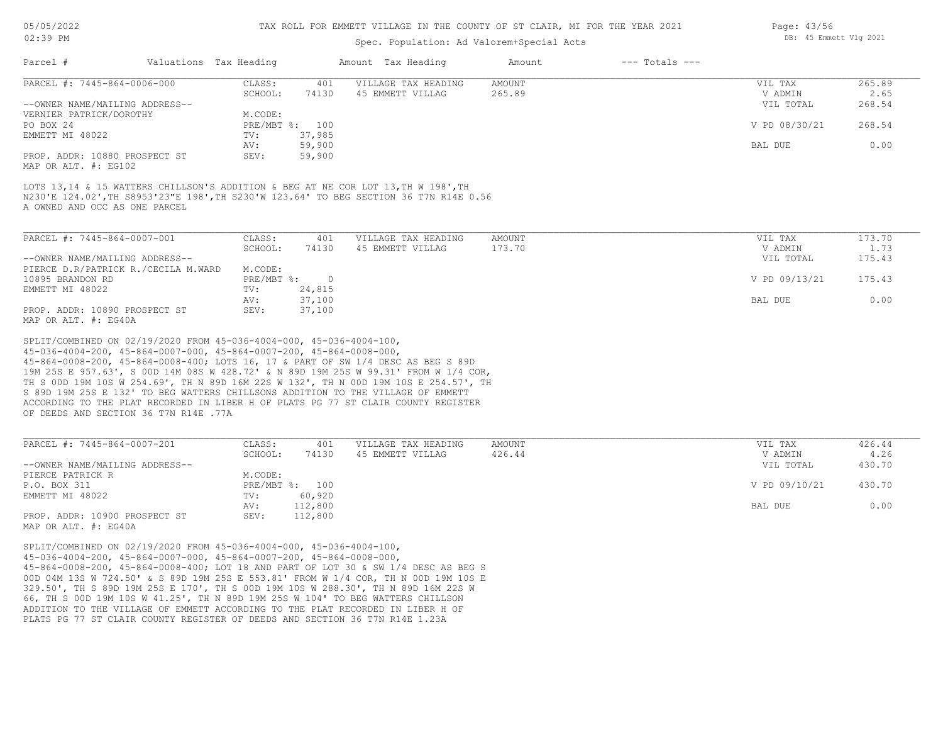#### TAX ROLL FOR EMMETT VILLAGE IN THE COUNTY OF ST CLAIR, MI FOR THE YEAR 2021

# Spec. Population: Ad Valorem+Special Acts

| Parcel #                       | Valuations Tax Heading |                | Amount Tax Heading  | Amount | $---$ Totals $---$ |               |        |
|--------------------------------|------------------------|----------------|---------------------|--------|--------------------|---------------|--------|
| PARCEL #: 7445-864-0006-000    | CLASS:                 | 401            | VILLAGE TAX HEADING | AMOUNT |                    | VIL TAX       | 265.89 |
|                                | SCHOOL:                | 74130          | 45 EMMETT VILLAG    | 265.89 |                    | V ADMIN       | 2.65   |
| --OWNER NAME/MAILING ADDRESS-- |                        |                |                     |        |                    | VIL TOTAL     | 268.54 |
| VERNIER PATRICK/DOROTHY        | M.CODE:                |                |                     |        |                    |               |        |
| PO BOX 24                      |                        | PRE/MBT %: 100 |                     |        |                    | V PD 08/30/21 | 268.54 |
| EMMETT MI 48022                | TV:                    | 37,985         |                     |        |                    |               |        |
|                                | AV:                    | 59,900         |                     |        |                    | BAL DUE       | 0.00   |
| PROP. ADDR: 10880 PROSPECT ST  | SEV:                   | 59,900         |                     |        |                    |               |        |
|                                |                        |                |                     |        |                    |               |        |

MAP OR ALT. #: EG102

A OWNED AND OCC AS ONE PARCEL N230'E 124.02',TH S8953'23"E 198',TH S230'W 123.64' TO BEG SECTION 36 T7N R14E 0.56 LOTS 13,14 & 15 WATTERS CHILLSON'S ADDITION & BEG AT NE COR LOT 13, TH W 198', TH

| PARCEL #: 7445-864-0007-001         | CLASS:       | 401    | VILLAGE TAX HEADING | AMOUNT | VIL TAX       | 173.70 |
|-------------------------------------|--------------|--------|---------------------|--------|---------------|--------|
|                                     | SCHOOL:      | 74130  | 45 EMMETT VILLAG    | 173.70 | V ADMIN       | 1.73   |
| --OWNER NAME/MAILING ADDRESS--      |              |        |                     |        | VIL TOTAL     | 175.43 |
| PIERCE D.R/PATRICK R./CECILA M.WARD | M.CODE:      |        |                     |        |               |        |
| 10895 BRANDON RD                    | $PRE/MBT$ %: |        |                     |        | V PD 09/13/21 | 175.43 |
| EMMETT MI 48022                     | TV:          | 24,815 |                     |        |               |        |
|                                     | AV:          | 37,100 |                     |        | BAL DUE       | 0.00   |
| PROP. ADDR: 10890 PROSPECT ST       | SEV:         | 37,100 |                     |        |               |        |
| MAP OR ALT, #: EG40A                |              |        |                     |        |               |        |

OF DEEDS AND SECTION 36 T7N R14E .77A ACCORDING TO THE PLAT RECORDED IN LIBER H OF PLATS PG 77 ST CLAIR COUNTY REGISTER S 89D 19M 25S E 132' TO BEG WATTERS CHILLSONS ADDITION TO THE VILLAGE OF EMMETT TH S 00D 19M 10S W 254.69', TH N 89D 16M 22S W 132', TH N 00D 19M 10S E 254.57', TH 19M 25S E 957.63', S 00D 14M 08S W 428.72' & N 89D 19M 25S W 99.31' FROM W 1/4 COR, 45-864-0008-200, 45-864-0008-400; LOTS 16, 17 & PART OF SW 1/4 DESC AS BEG S 89D 45-036-4004-200, 45-864-0007-000, 45-864-0007-200, 45-864-0008-000, SPLIT/COMBINED ON 02/19/2020 FROM 45-036-4004-000, 45-036-4004-100,

| PARCEL #: 7445-864-0007-201    | CLASS:     | 401     | VILLAGE TAX HEADING | AMOUNT | VIL TAX       | 426.44 |
|--------------------------------|------------|---------|---------------------|--------|---------------|--------|
|                                | SCHOOL:    | 74130   | 45 EMMETT VILLAG    | 426.44 | V ADMIN       | 4.26   |
| --OWNER NAME/MAILING ADDRESS-- |            |         |                     |        | VIL TOTAL     | 430.70 |
| PIERCE PATRICK R               | M.CODE:    |         |                     |        |               |        |
| P.O. BOX 311                   | PRE/MBT %: | 100     |                     |        | V PD 09/10/21 | 430.70 |
| EMMETT MI 48022                | TV:        | 60,920  |                     |        |               |        |
|                                | AV:        | 112,800 |                     |        | BAL DUE       | 0.00   |
| PROP. ADDR: 10900 PROSPECT ST  | SEV:       | 112,800 |                     |        |               |        |
|                                |            |         |                     |        |               |        |

MAP OR ALT. #: EG40A

PLATS PG 77 ST CLAIR COUNTY REGISTER OF DEEDS AND SECTION 36 T7N R14E 1.23A ADDITION TO THE VILLAGE OF EMMETT ACCORDING TO THE PLAT RECORDED IN LIBER H OF 66, TH S 00D 19M 10S W 41.25', TH N 89D 19M 25S W 104' TO BEG WATTERS CHILLSON 329.50', TH S 89D 19M 25S E 170', TH S 00D 19M 10S W 288.30', TH N 89D 16M 22S W 00D 04M 13S W 724.50' & S 89D 19M 25S E 553.81' FROM W 1/4 COR, TH N 00D 19M 10S E 45-864-0008-200, 45-864-0008-400; LOT 18 AND PART OF LOT 30 & SW 1/4 DESC AS BEG S 45-036-4004-200, 45-864-0007-000, 45-864-0007-200, 45-864-0008-000, SPLIT/COMBINED ON 02/19/2020 FROM 45-036-4004-000, 45-036-4004-100,

Page: 43/56 DB: 45 Emmett Vlg 2021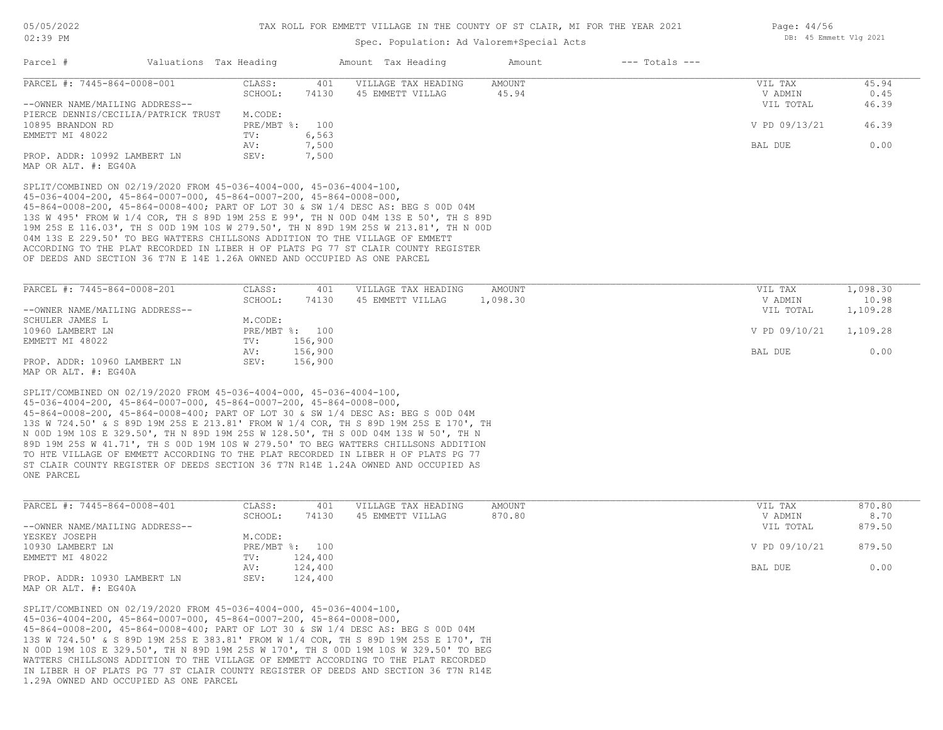Page: 44/56

DB: 45 Emmett Vlg 2021

# Spec. Population: Ad Valorem+Special Acts

|                                                                                                                                                                                                                                                                                                                    |                        |                                           | spec. ropulation. Ad valuemmapecial Acts                                                                                                                                                                                                                                                                                                                                                                                                                                                                                     |                        |                    |                      |                   |
|--------------------------------------------------------------------------------------------------------------------------------------------------------------------------------------------------------------------------------------------------------------------------------------------------------------------|------------------------|-------------------------------------------|------------------------------------------------------------------------------------------------------------------------------------------------------------------------------------------------------------------------------------------------------------------------------------------------------------------------------------------------------------------------------------------------------------------------------------------------------------------------------------------------------------------------------|------------------------|--------------------|----------------------|-------------------|
| Parcel #                                                                                                                                                                                                                                                                                                           | Valuations Tax Heading |                                           | Amount Tax Heading                                                                                                                                                                                                                                                                                                                                                                                                                                                                                                           | Amount                 | $---$ Totals $---$ |                      |                   |
| PARCEL #: 7445-864-0008-001                                                                                                                                                                                                                                                                                        |                        | CLASS:<br>401<br>SCHOOL:<br>74130         | VILLAGE TAX HEADING<br>45 EMMETT VILLAG                                                                                                                                                                                                                                                                                                                                                                                                                                                                                      | <b>AMOUNT</b><br>45.94 |                    | VIL TAX<br>V ADMIN   | 45.94<br>0.45     |
| --OWNER NAME/MAILING ADDRESS--                                                                                                                                                                                                                                                                                     |                        |                                           |                                                                                                                                                                                                                                                                                                                                                                                                                                                                                                                              |                        |                    | VIL TOTAL            | 46.39             |
| PIERCE DENNIS/CECILIA/PATRICK TRUST<br>10895 BRANDON RD<br>EMMETT MI 48022                                                                                                                                                                                                                                         |                        | M.CODE:<br>PRE/MBT %: 100<br>6,563<br>TV: |                                                                                                                                                                                                                                                                                                                                                                                                                                                                                                                              |                        |                    | V PD 09/13/21        | 46.39             |
| PROP. ADDR: 10992 LAMBERT LN                                                                                                                                                                                                                                                                                       |                        | AV:<br>7,500<br>SEV:<br>7,500             |                                                                                                                                                                                                                                                                                                                                                                                                                                                                                                                              |                        |                    | <b>BAL DUE</b>       | 0.00              |
| MAP OR ALT. #: EG40A                                                                                                                                                                                                                                                                                               |                        |                                           |                                                                                                                                                                                                                                                                                                                                                                                                                                                                                                                              |                        |                    |                      |                   |
| SPLIT/COMBINED ON 02/19/2020 FROM 45-036-4004-000, 45-036-4004-100,<br>$45-036-4004-200$ , $45-864-0007-000$ , $45-864-0007-200$ , $45-864-0008-000$ ,<br>04M 13S E 229.50' TO BEG WATTERS CHILLSONS ADDITION TO THE VILLAGE OF EMMETT<br>OF DEEDS AND SECTION 36 T7N E 14E 1.26A OWNED AND OCCUPIED AS ONE PARCEL |                        |                                           | 45-864-0008-200, 45-864-0008-400; PART OF LOT 30 & SW 1/4 DESC AS: BEG S 00D 04M<br>13S W 495' FROM W 1/4 COR, TH S 89D 19M 25S E 99', TH N 00D 04M 13S E 50', TH S 89D<br>19M 25S E 116.03', TH S 00D 19M 10S W 279.50', TH N 89D 19M 25S W 213.81', TH N 00D<br>ACCORDING TO THE PLAT RECORDED IN LIBER H OF PLATS PG 77 ST CLAIR COUNTY REGISTER                                                                                                                                                                          |                        |                    |                      |                   |
| PARCEL #: 7445-864-0008-201                                                                                                                                                                                                                                                                                        |                        | CLASS:<br>401                             | VILLAGE TAX HEADING                                                                                                                                                                                                                                                                                                                                                                                                                                                                                                          | <b>AMOUNT</b>          |                    | VIL TAX              | 1,098.30          |
| --OWNER NAME/MAILING ADDRESS--                                                                                                                                                                                                                                                                                     |                        | SCHOOL:<br>74130                          | 45 EMMETT VILLAG                                                                                                                                                                                                                                                                                                                                                                                                                                                                                                             | 1,098.30               |                    | V ADMIN<br>VIL TOTAL | 10.98<br>1,109.28 |
| SCHULER JAMES L<br>10960 LAMBERT LN                                                                                                                                                                                                                                                                                |                        | M.CODE:<br>PRE/MBT %: 100                 |                                                                                                                                                                                                                                                                                                                                                                                                                                                                                                                              |                        |                    | V PD 09/10/21        | 1,109.28          |
| EMMETT MI 48022                                                                                                                                                                                                                                                                                                    |                        | 156,900<br>TV:                            |                                                                                                                                                                                                                                                                                                                                                                                                                                                                                                                              |                        |                    |                      |                   |
| PROP. ADDR: 10960 LAMBERT LN<br>MAP OR ALT. #: EG40A                                                                                                                                                                                                                                                               |                        | 156,900<br>AV:<br>SEV:<br>156,900         |                                                                                                                                                                                                                                                                                                                                                                                                                                                                                                                              |                        |                    | BAL DUE              | 0.00              |
| SPLIT/COMBINED ON 02/19/2020 FROM 45-036-4004-000, 45-036-4004-100,<br>$45-036-4004-200$ , $45-864-0007-000$ , $45-864-0007-200$ , $45-864-0008-000$ ,<br>ONE PARCEL                                                                                                                                               |                        |                                           | 45-864-0008-200, 45-864-0008-400; PART OF LOT 30 & SW 1/4 DESC AS: BEG S 00D 04M<br>13S W 724.50' & S 89D 19M 25S E 213.81' FROM W 1/4 COR, TH S 89D 19M 25S E 170', TH<br>N 00D 19M 10S E 329.50', TH N 89D 19M 25S W 128.50', TH S 00D 04M 13S W 50', TH N<br>89D 19M 25S W 41.71', TH S 00D 19M 10S W 279.50' TO BEG WATTERS CHILLSONS ADDITION<br>TO HTE VILLAGE OF EMMETT ACCORDING TO THE PLAT RECORDED IN LIBER H OF PLATS PG 77<br>ST CLAIR COUNTY REGISTER OF DEEDS SECTION 36 T7N R14E 1.24A OWNED AND OCCUPIED AS |                        |                    |                      |                   |
| PARCEL #: 7445-864-0008-401                                                                                                                                                                                                                                                                                        |                        | CLASS:<br>401                             | VILLAGE TAX HEADING                                                                                                                                                                                                                                                                                                                                                                                                                                                                                                          | AMOUNT                 |                    | VIL TAX              | 870.80            |
|                                                                                                                                                                                                                                                                                                                    |                        | SCHOOL:<br>74130                          | 45 EMMETT VILLAG                                                                                                                                                                                                                                                                                                                                                                                                                                                                                                             | 870.80                 |                    | V ADMIN              | 8.70              |
| --OWNER NAME/MAILING ADDRESS--<br>YESKEY JOSEPH                                                                                                                                                                                                                                                                    |                        | M.CODE:                                   |                                                                                                                                                                                                                                                                                                                                                                                                                                                                                                                              |                        |                    | VIL TOTAL            | 879.50<br>879.50  |
| 10930 LAMBERT LN<br>EMMETT MI 48022                                                                                                                                                                                                                                                                                |                        | PRE/MBT %: 100<br>124,400<br>TV:          |                                                                                                                                                                                                                                                                                                                                                                                                                                                                                                                              |                        |                    | V PD 09/10/21        |                   |
|                                                                                                                                                                                                                                                                                                                    |                        | AV: 124,400                               |                                                                                                                                                                                                                                                                                                                                                                                                                                                                                                                              |                        |                    | BAL DUE              | 0.00              |

AV: 124,400 BAL DUE 0.00

MAP OR ALT. #: EG40A PROP. ADDR: 10930 LAMBERT LN SEV: 124,400

1.29A OWNED AND OCCUPIED AS ONE PARCEL IN LIBER H OF PLATS PG 77 ST CLAIR COUNTY REGISTER OF DEEDS AND SECTION 36 T7N R14E WATTERS CHILLSONS ADDITION TO THE VILLAGE OF EMMETT ACCORDING TO THE PLAT RECORDED N 00D 19M 10S E 329.50', TH N 89D 19M 25S W 170', TH S 00D 19M 10S W 329.50' TO BEG 13S W 724.50' & S 89D 19M 25S E 383.81' FROM W 1/4 COR, TH S 89D 19M 25S E 170', TH 45-864-0008-200, 45-864-0008-400; PART OF LOT 30 & SW 1/4 DESC AS: BEG S 00D 04M 45-036-4004-200, 45-864-0007-000, 45-864-0007-200, 45-864-0008-000, SPLIT/COMBINED ON 02/19/2020 FROM 45-036-4004-000, 45-036-4004-100,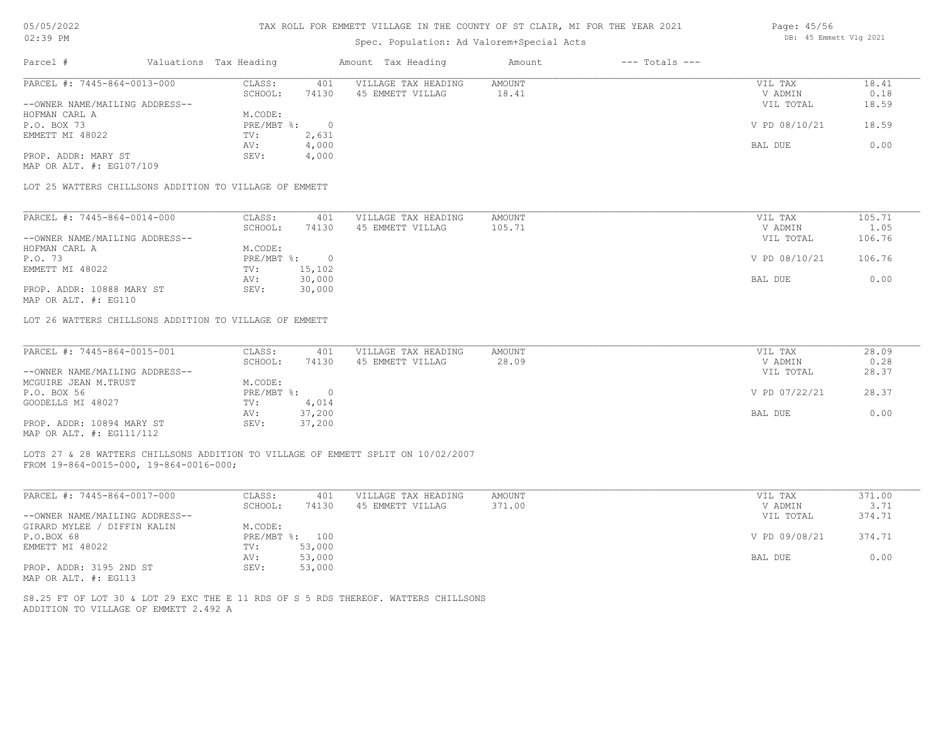## TAX ROLL FOR EMMETT VILLAGE IN THE COUNTY OF ST CLAIR, MI FOR THE YEAR 2021

## Spec. Population: Ad Valorem+Special Acts

| Parcel #                                               | Valuations Tax Heading                   |                    | Amount Tax Heading          | Amount           | $---$ Totals $---$ |                 |          |
|--------------------------------------------------------|------------------------------------------|--------------------|-----------------------------|------------------|--------------------|-----------------|----------|
| PARCEL #: 7445-864-0013-000                            | CLASS:                                   | 401                | VILLAGE TAX HEADING         | AMOUNT           |                    | VIL TAX         | 18.41    |
|                                                        | SCHOOL:                                  | 74130              | 45 EMMETT VILLAG            | 18.41            |                    | V ADMIN         | 0.18     |
| --OWNER NAME/MAILING ADDRESS--                         |                                          |                    |                             |                  |                    | VIL TOTAL       | 18.59    |
| HOFMAN CARL A                                          | M.CODE:                                  |                    |                             |                  |                    |                 |          |
| P.O. BOX 73                                            | PRE/MBT %:                               | - 0                |                             |                  |                    | V PD 08/10/21   | 18.59    |
| EMMETT MI 48022                                        | TV:                                      | 2,631              |                             |                  |                    |                 |          |
|                                                        | AV:                                      | 4,000              |                             |                  |                    | BAL DUE         | 0.00     |
| PROP. ADDR: MARY ST                                    | SEV:                                     | 4,000              |                             |                  |                    |                 |          |
| MAP OR ALT. #: EG107/109                               |                                          |                    |                             |                  |                    |                 |          |
| LOT 25 WATTERS CHILLSONS ADDITION TO VILLAGE OF EMMETT |                                          |                    |                             |                  |                    |                 |          |
|                                                        |                                          |                    |                             |                  |                    |                 |          |
| <b>DADOUT 4, 7445 064 0014 000</b>                     | $\cap$ $\Gamma$ $\cap$ $\cap$ $\Gamma$ . | $\Lambda$ $\cap$ 1 | <b>WITTIACH MAY HEADIMC</b> | <b>BACTIVITY</b> |                    | $TTTT$ $m\pi T$ | $10E$ 71 |

| PARCEL #: 7445-864-0014-000    | CLASS:     | 401    | VILLAGE TAX HEADING | AMOUNT | VIL TAX       | 105.71 |
|--------------------------------|------------|--------|---------------------|--------|---------------|--------|
|                                | SCHOOL:    | 74130  | 45 EMMETT VILLAG    | 105.71 | V ADMIN       | 1.05   |
| --OWNER NAME/MAILING ADDRESS-- |            |        |                     |        | VIL TOTAL     | 106.76 |
| HOFMAN CARL A                  | M.CODE:    |        |                     |        |               |        |
| P.O. 73                        | PRE/MBT %: | $\Box$ |                     |        | V PD 08/10/21 | 106.76 |
| EMMETT MI 48022                | TV:        | 15,102 |                     |        |               |        |
|                                | AV:        | 30,000 |                     |        | BAL DUE       | 0.00   |
| PROP. ADDR: 10888 MARY ST      | SEV:       | 30,000 |                     |        |               |        |
|                                |            |        |                     |        |               |        |

MAP OR ALT. #: EG110

LOT 26 WATTERS CHILLSONS ADDITION TO VILLAGE OF EMMETT

| PARCEL #: 7445-864-0015-001    | CLASS:     | 401    | VILLAGE TAX HEADING | AMOUNT | VIL TAX       | 28.09 |
|--------------------------------|------------|--------|---------------------|--------|---------------|-------|
|                                | SCHOOL:    | 74130  | 45 EMMETT VILLAG    | 28.09  | V ADMIN       | 0.28  |
| --OWNER NAME/MAILING ADDRESS-- |            |        |                     |        | VIL TOTAL     | 28.37 |
| MCGUIRE JEAN M.TRUST           | M.CODE:    |        |                     |        |               |       |
| P.O. BOX 56                    | PRE/MBT %: |        |                     |        | V PD 07/22/21 | 28.37 |
| GOODELLS MI 48027              | TV:        | 4,014  |                     |        |               |       |
|                                | AV:        | 37,200 |                     |        | BAL DUE       | 0.00  |
| PROP. ADDR: 10894 MARY ST      | SEV:       | 37,200 |                     |        |               |       |
| MAP OR ALT. #: EG111/112       |            |        |                     |        |               |       |

LOTS 27 & 28 WATTERS CHILLSONS ADDITION TO VILLAGE OF EMMETT SPLIT ON 10/02/2007

FROM 19-864-0015-000, 19-864-0016-000;

| PARCEL #: 7445-864-0017-000      | CLASS:  | 401            | VILLAGE TAX HEADING | AMOUNT | VIL TAX       | 371.00 |
|----------------------------------|---------|----------------|---------------------|--------|---------------|--------|
|                                  | SCHOOL: | 74130          | 45 EMMETT VILLAG    | 371.00 | V ADMIN       | 3.71   |
| --OWNER NAME/MAILING ADDRESS--   |         |                |                     |        | VIL TOTAL     | 374.71 |
| / DIFFIN KALIN<br>GIRARD MYLEE / | M.CODE: |                |                     |        |               |        |
| P.O.BOX 68                       |         | PRE/MBT %: 100 |                     |        | V PD 09/08/21 | 374.71 |
| EMMETT MI 48022                  | TV:     | 53,000         |                     |        |               |        |
|                                  | AV:     | 53,000         |                     |        | BAL DUE       | 0.00   |
| PROP. ADDR: 3195 2ND ST          | SEV:    | 53,000         |                     |        |               |        |
| MAP OR ALT. #: EG113             |         |                |                     |        |               |        |

ADDITION TO VILLAGE OF EMMETT 2.492 A S8.25 FT OF LOT 30 & LOT 29 EXC THE E 11 RDS OF S 5 RDS THEREOF. WATTERS CHILLSONS Page: 45/56 DB: 45 Emmett Vlg 2021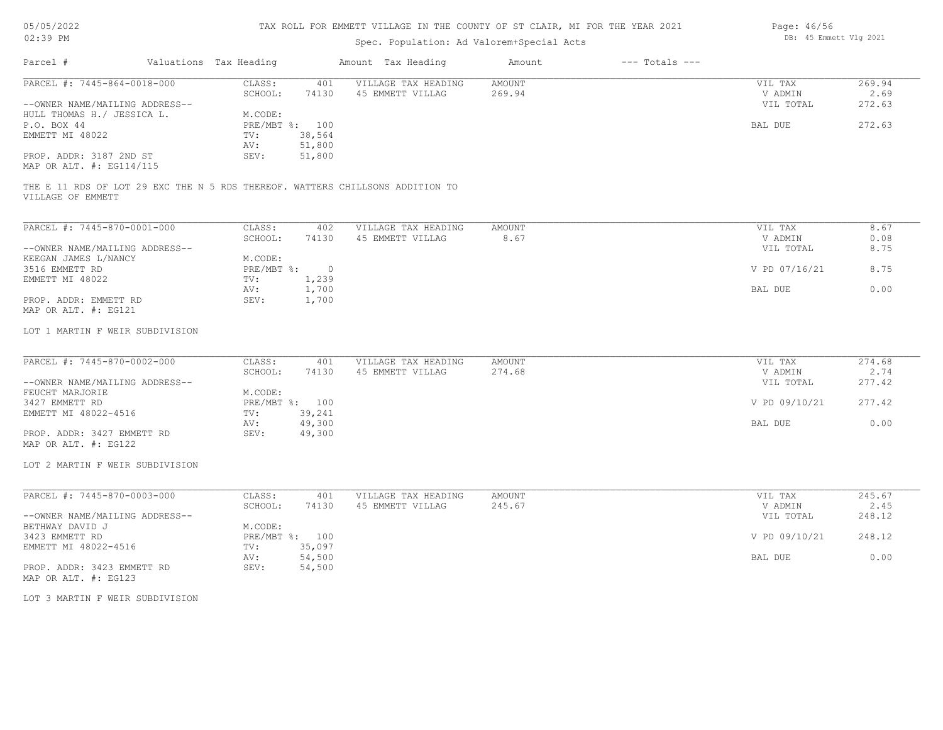|  |  | 05/05/2022 |
|--|--|------------|
|--|--|------------|

| Page: 46/56 |                        |  |
|-------------|------------------------|--|
|             | DB: 45 Emmett Vlg 2021 |  |

| Parcel #<br>Valuations Tax Heading<br>Amount Tax Heading<br>Amount<br>$---$ Totals $---$<br>PARCEL #: 7445-864-0018-000<br>CLASS:<br>VILLAGE TAX HEADING<br><b>AMOUNT</b><br>VIL TAX<br>269.94<br>401<br>SCHOOL:<br>74130<br>45 EMMETT VILLAG<br>269.94<br>V ADMIN<br>2.69<br>272.63<br>--OWNER NAME/MAILING ADDRESS--<br>VIL TOTAL<br>HULL THOMAS H./ JESSICA L.<br>M.CODE:<br>PRE/MBT %: 100<br>272.63<br>P.O. BOX 44<br>BAL DUE<br>EMMETT MI 48022<br>38,564<br>TV:<br>51,800<br>AV:<br>PROP. ADDR: 3187 2ND ST<br>51,800<br>SEV:<br>MAP OR ALT. #: EG114/115<br>THE E 11 RDS OF LOT 29 EXC THE N 5 RDS THEREOF. WATTERS CHILLSONS ADDITION TO<br>VILLAGE OF EMMETT<br>PARCEL #: 7445-870-0001-000<br>CLASS:<br>VILLAGE TAX HEADING<br>AMOUNT<br>8.67<br>402<br>VIL TAX<br>SCHOOL:<br>74130<br>45 EMMETT VILLAG<br>8.67<br>0.08<br>V ADMIN<br>8.75<br>--OWNER NAME/MAILING ADDRESS--<br>VIL TOTAL<br>KEEGAN JAMES L/NANCY<br>M.CODE:<br>8.75<br>3516 EMMETT RD<br>$PRE/MBT$ %:<br>$\overline{0}$<br>V PD 07/16/21<br>1,239<br>EMMETT MI 48022<br>TV:<br>1,700<br>0.00<br><b>BAL DUE</b><br>AV:<br>PROP. ADDR: EMMETT RD<br>SEV:<br>1,700<br>MAP OR ALT. #: EG121<br>LOT 1 MARTIN F WEIR SUBDIVISION<br>PARCEL #: 7445-870-0002-000<br>CLASS:<br>AMOUNT<br>274.68<br>VILLAGE TAX HEADING<br>VIL TAX<br>401<br>SCHOOL:<br>74130<br>274.68<br>2.74<br>45 EMMETT VILLAG<br>V ADMIN<br>277.42<br>--OWNER NAME/MAILING ADDRESS--<br>VIL TOTAL<br>FEUCHT MARJORIE<br>M.CODE:<br>277.42<br>3427 EMMETT RD<br>PRE/MBT %: 100<br>V PD 09/10/21<br>39,241<br>EMMETT MI 48022-4516<br>TV:<br>49,300<br>0.00<br>BAL DUE<br>AV:<br>PROP. ADDR: 3427 EMMETT RD<br>SEV:<br>49,300<br>MAP OR ALT. #: EG122<br>LOT 2 MARTIN F WEIR SUBDIVISION<br>PARCEL #: 7445-870-0003-000<br>245.67<br>CLASS:<br>401<br>VILLAGE TAX HEADING<br><b>AMOUNT</b><br>VIL TAX<br>SCHOOL:<br>245.67<br>V ADMIN<br>2.45<br>74130<br>45 EMMETT VILLAG<br>--OWNER NAME/MAILING ADDRESS--<br>VIL TOTAL<br>248.12<br>BETHWAY DAVID J<br>M.CODE:<br>248.12<br>3423 EMMETT RD<br>PRE/MBT %: 100<br>V PD 09/10/21<br>EMMETT MI 48022-4516<br>35,097<br>TV:<br>0.00<br>AV:<br>54,500<br>BAL DUE<br>PROP. ADDR: 3423 EMMETT RD<br>SEV:<br>54,500<br>MAP OR ALT. #: EG123<br>LOT 3 MARTIN F WEIR SUBDIVISION | 02:39 PM | Spec. Population: Ad Valorem+Special Acts |  |  |  |  |  |  |
|-----------------------------------------------------------------------------------------------------------------------------------------------------------------------------------------------------------------------------------------------------------------------------------------------------------------------------------------------------------------------------------------------------------------------------------------------------------------------------------------------------------------------------------------------------------------------------------------------------------------------------------------------------------------------------------------------------------------------------------------------------------------------------------------------------------------------------------------------------------------------------------------------------------------------------------------------------------------------------------------------------------------------------------------------------------------------------------------------------------------------------------------------------------------------------------------------------------------------------------------------------------------------------------------------------------------------------------------------------------------------------------------------------------------------------------------------------------------------------------------------------------------------------------------------------------------------------------------------------------------------------------------------------------------------------------------------------------------------------------------------------------------------------------------------------------------------------------------------------------------------------------------------------------------------------------------------------------------------------------------------------------------------------------------------------------------------------------------------------------------------------------------------------------------------------------------------------------------------------------------------------------------|----------|-------------------------------------------|--|--|--|--|--|--|
|                                                                                                                                                                                                                                                                                                                                                                                                                                                                                                                                                                                                                                                                                                                                                                                                                                                                                                                                                                                                                                                                                                                                                                                                                                                                                                                                                                                                                                                                                                                                                                                                                                                                                                                                                                                                                                                                                                                                                                                                                                                                                                                                                                                                                                                                 |          |                                           |  |  |  |  |  |  |
|                                                                                                                                                                                                                                                                                                                                                                                                                                                                                                                                                                                                                                                                                                                                                                                                                                                                                                                                                                                                                                                                                                                                                                                                                                                                                                                                                                                                                                                                                                                                                                                                                                                                                                                                                                                                                                                                                                                                                                                                                                                                                                                                                                                                                                                                 |          |                                           |  |  |  |  |  |  |
|                                                                                                                                                                                                                                                                                                                                                                                                                                                                                                                                                                                                                                                                                                                                                                                                                                                                                                                                                                                                                                                                                                                                                                                                                                                                                                                                                                                                                                                                                                                                                                                                                                                                                                                                                                                                                                                                                                                                                                                                                                                                                                                                                                                                                                                                 |          |                                           |  |  |  |  |  |  |
|                                                                                                                                                                                                                                                                                                                                                                                                                                                                                                                                                                                                                                                                                                                                                                                                                                                                                                                                                                                                                                                                                                                                                                                                                                                                                                                                                                                                                                                                                                                                                                                                                                                                                                                                                                                                                                                                                                                                                                                                                                                                                                                                                                                                                                                                 |          |                                           |  |  |  |  |  |  |
|                                                                                                                                                                                                                                                                                                                                                                                                                                                                                                                                                                                                                                                                                                                                                                                                                                                                                                                                                                                                                                                                                                                                                                                                                                                                                                                                                                                                                                                                                                                                                                                                                                                                                                                                                                                                                                                                                                                                                                                                                                                                                                                                                                                                                                                                 |          |                                           |  |  |  |  |  |  |
|                                                                                                                                                                                                                                                                                                                                                                                                                                                                                                                                                                                                                                                                                                                                                                                                                                                                                                                                                                                                                                                                                                                                                                                                                                                                                                                                                                                                                                                                                                                                                                                                                                                                                                                                                                                                                                                                                                                                                                                                                                                                                                                                                                                                                                                                 |          |                                           |  |  |  |  |  |  |
|                                                                                                                                                                                                                                                                                                                                                                                                                                                                                                                                                                                                                                                                                                                                                                                                                                                                                                                                                                                                                                                                                                                                                                                                                                                                                                                                                                                                                                                                                                                                                                                                                                                                                                                                                                                                                                                                                                                                                                                                                                                                                                                                                                                                                                                                 |          |                                           |  |  |  |  |  |  |
|                                                                                                                                                                                                                                                                                                                                                                                                                                                                                                                                                                                                                                                                                                                                                                                                                                                                                                                                                                                                                                                                                                                                                                                                                                                                                                                                                                                                                                                                                                                                                                                                                                                                                                                                                                                                                                                                                                                                                                                                                                                                                                                                                                                                                                                                 |          |                                           |  |  |  |  |  |  |
|                                                                                                                                                                                                                                                                                                                                                                                                                                                                                                                                                                                                                                                                                                                                                                                                                                                                                                                                                                                                                                                                                                                                                                                                                                                                                                                                                                                                                                                                                                                                                                                                                                                                                                                                                                                                                                                                                                                                                                                                                                                                                                                                                                                                                                                                 |          |                                           |  |  |  |  |  |  |
|                                                                                                                                                                                                                                                                                                                                                                                                                                                                                                                                                                                                                                                                                                                                                                                                                                                                                                                                                                                                                                                                                                                                                                                                                                                                                                                                                                                                                                                                                                                                                                                                                                                                                                                                                                                                                                                                                                                                                                                                                                                                                                                                                                                                                                                                 |          |                                           |  |  |  |  |  |  |
|                                                                                                                                                                                                                                                                                                                                                                                                                                                                                                                                                                                                                                                                                                                                                                                                                                                                                                                                                                                                                                                                                                                                                                                                                                                                                                                                                                                                                                                                                                                                                                                                                                                                                                                                                                                                                                                                                                                                                                                                                                                                                                                                                                                                                                                                 |          |                                           |  |  |  |  |  |  |
|                                                                                                                                                                                                                                                                                                                                                                                                                                                                                                                                                                                                                                                                                                                                                                                                                                                                                                                                                                                                                                                                                                                                                                                                                                                                                                                                                                                                                                                                                                                                                                                                                                                                                                                                                                                                                                                                                                                                                                                                                                                                                                                                                                                                                                                                 |          |                                           |  |  |  |  |  |  |
|                                                                                                                                                                                                                                                                                                                                                                                                                                                                                                                                                                                                                                                                                                                                                                                                                                                                                                                                                                                                                                                                                                                                                                                                                                                                                                                                                                                                                                                                                                                                                                                                                                                                                                                                                                                                                                                                                                                                                                                                                                                                                                                                                                                                                                                                 |          |                                           |  |  |  |  |  |  |
|                                                                                                                                                                                                                                                                                                                                                                                                                                                                                                                                                                                                                                                                                                                                                                                                                                                                                                                                                                                                                                                                                                                                                                                                                                                                                                                                                                                                                                                                                                                                                                                                                                                                                                                                                                                                                                                                                                                                                                                                                                                                                                                                                                                                                                                                 |          |                                           |  |  |  |  |  |  |
|                                                                                                                                                                                                                                                                                                                                                                                                                                                                                                                                                                                                                                                                                                                                                                                                                                                                                                                                                                                                                                                                                                                                                                                                                                                                                                                                                                                                                                                                                                                                                                                                                                                                                                                                                                                                                                                                                                                                                                                                                                                                                                                                                                                                                                                                 |          |                                           |  |  |  |  |  |  |
|                                                                                                                                                                                                                                                                                                                                                                                                                                                                                                                                                                                                                                                                                                                                                                                                                                                                                                                                                                                                                                                                                                                                                                                                                                                                                                                                                                                                                                                                                                                                                                                                                                                                                                                                                                                                                                                                                                                                                                                                                                                                                                                                                                                                                                                                 |          |                                           |  |  |  |  |  |  |
|                                                                                                                                                                                                                                                                                                                                                                                                                                                                                                                                                                                                                                                                                                                                                                                                                                                                                                                                                                                                                                                                                                                                                                                                                                                                                                                                                                                                                                                                                                                                                                                                                                                                                                                                                                                                                                                                                                                                                                                                                                                                                                                                                                                                                                                                 |          |                                           |  |  |  |  |  |  |
|                                                                                                                                                                                                                                                                                                                                                                                                                                                                                                                                                                                                                                                                                                                                                                                                                                                                                                                                                                                                                                                                                                                                                                                                                                                                                                                                                                                                                                                                                                                                                                                                                                                                                                                                                                                                                                                                                                                                                                                                                                                                                                                                                                                                                                                                 |          |                                           |  |  |  |  |  |  |
|                                                                                                                                                                                                                                                                                                                                                                                                                                                                                                                                                                                                                                                                                                                                                                                                                                                                                                                                                                                                                                                                                                                                                                                                                                                                                                                                                                                                                                                                                                                                                                                                                                                                                                                                                                                                                                                                                                                                                                                                                                                                                                                                                                                                                                                                 |          |                                           |  |  |  |  |  |  |
|                                                                                                                                                                                                                                                                                                                                                                                                                                                                                                                                                                                                                                                                                                                                                                                                                                                                                                                                                                                                                                                                                                                                                                                                                                                                                                                                                                                                                                                                                                                                                                                                                                                                                                                                                                                                                                                                                                                                                                                                                                                                                                                                                                                                                                                                 |          |                                           |  |  |  |  |  |  |
|                                                                                                                                                                                                                                                                                                                                                                                                                                                                                                                                                                                                                                                                                                                                                                                                                                                                                                                                                                                                                                                                                                                                                                                                                                                                                                                                                                                                                                                                                                                                                                                                                                                                                                                                                                                                                                                                                                                                                                                                                                                                                                                                                                                                                                                                 |          |                                           |  |  |  |  |  |  |
|                                                                                                                                                                                                                                                                                                                                                                                                                                                                                                                                                                                                                                                                                                                                                                                                                                                                                                                                                                                                                                                                                                                                                                                                                                                                                                                                                                                                                                                                                                                                                                                                                                                                                                                                                                                                                                                                                                                                                                                                                                                                                                                                                                                                                                                                 |          |                                           |  |  |  |  |  |  |
|                                                                                                                                                                                                                                                                                                                                                                                                                                                                                                                                                                                                                                                                                                                                                                                                                                                                                                                                                                                                                                                                                                                                                                                                                                                                                                                                                                                                                                                                                                                                                                                                                                                                                                                                                                                                                                                                                                                                                                                                                                                                                                                                                                                                                                                                 |          |                                           |  |  |  |  |  |  |
|                                                                                                                                                                                                                                                                                                                                                                                                                                                                                                                                                                                                                                                                                                                                                                                                                                                                                                                                                                                                                                                                                                                                                                                                                                                                                                                                                                                                                                                                                                                                                                                                                                                                                                                                                                                                                                                                                                                                                                                                                                                                                                                                                                                                                                                                 |          |                                           |  |  |  |  |  |  |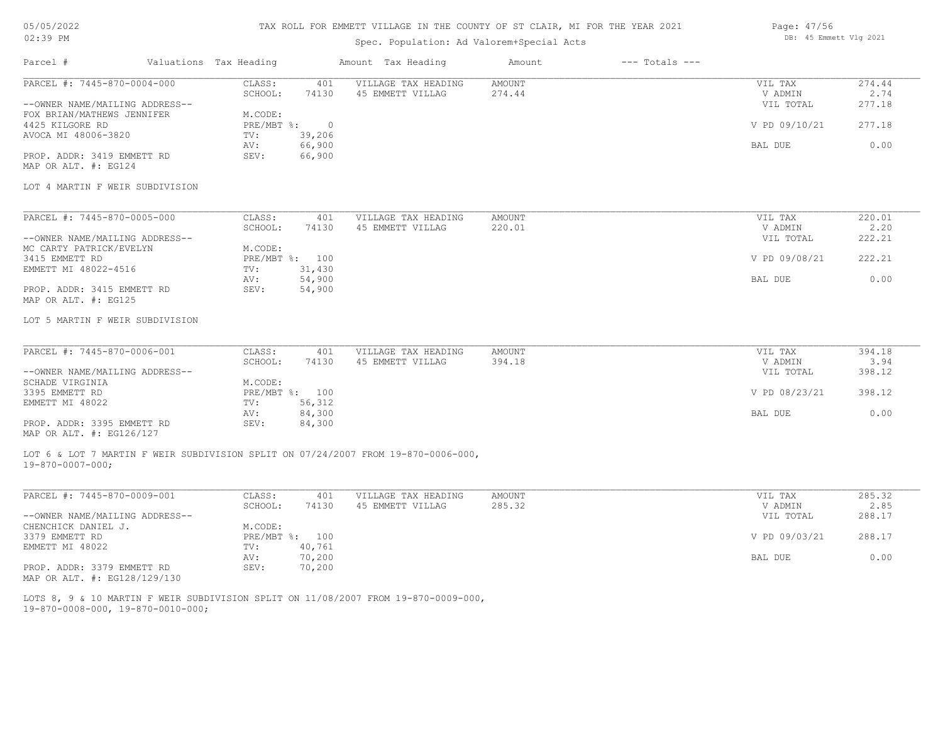# TAX ROLL FOR EMMETT VILLAGE IN THE COUNTY OF ST CLAIR, MI FOR THE YEAR 2021

# Spec. Population: Ad Valorem+Special Acts

| Page: 47/56 |                        |  |
|-------------|------------------------|--|
|             | DB: 45 Emmett Vlg 2021 |  |

| Parcel #                                                     | Valuations Tax Heading |                  | Amount Tax Heading                                                                 | Amount                  | $---$ Totals $---$ |                    |                |
|--------------------------------------------------------------|------------------------|------------------|------------------------------------------------------------------------------------|-------------------------|--------------------|--------------------|----------------|
| PARCEL #: 7445-870-0004-000                                  | CLASS:<br>SCHOOL:      | 401<br>74130     | VILLAGE TAX HEADING<br>45 EMMETT VILLAG                                            | <b>AMOUNT</b><br>274.44 |                    | VIL TAX<br>V ADMIN | 274.44<br>2.74 |
| --OWNER NAME/MAILING ADDRESS--<br>FOX BRIAN/MATHEWS JENNIFER | M.CODE:                |                  |                                                                                    |                         |                    | VIL TOTAL          | 277.18         |
| 4425 KILGORE RD                                              | PRE/MBT %:             | $\overline{0}$   |                                                                                    |                         |                    | V PD 09/10/21      | 277.18         |
| AVOCA MI 48006-3820                                          | TV:                    | 39,206           |                                                                                    |                         |                    |                    |                |
| PROP. ADDR: 3419 EMMETT RD                                   | AV:<br>SEV:            | 66,900<br>66,900 |                                                                                    |                         |                    | BAL DUE            | 0.00           |
| MAP OR ALT. #: EG124                                         |                        |                  |                                                                                    |                         |                    |                    |                |
|                                                              |                        |                  |                                                                                    |                         |                    |                    |                |
| LOT 4 MARTIN F WEIR SUBDIVISION                              |                        |                  |                                                                                    |                         |                    |                    |                |
| PARCEL #: 7445-870-0005-000                                  | CLASS:                 | 401              | VILLAGE TAX HEADING                                                                | <b>AMOUNT</b>           |                    | VIL TAX            | 220.01         |
|                                                              | SCHOOL:                | 74130            | 45 EMMETT VILLAG                                                                   | 220.01                  |                    | V ADMIN            | 2.20           |
| --OWNER NAME/MAILING ADDRESS--                               |                        |                  |                                                                                    |                         |                    | VIL TOTAL          | 222.21         |
| MC CARTY PATRICK/EVELYN                                      | M.CODE:                |                  |                                                                                    |                         |                    |                    |                |
| 3415 EMMETT RD<br>EMMETT MI 48022-4516                       | PRE/MBT %: 100<br>TV:  | 31,430           |                                                                                    |                         |                    | V PD 09/08/21      | 222.21         |
|                                                              | AV:                    | 54,900           |                                                                                    |                         |                    | BAL DUE            | 0.00           |
| PROP. ADDR: 3415 EMMETT RD                                   | SEV:                   | 54,900           |                                                                                    |                         |                    |                    |                |
| MAP OR ALT. #: EG125                                         |                        |                  |                                                                                    |                         |                    |                    |                |
| LOT 5 MARTIN F WEIR SUBDIVISION                              |                        |                  |                                                                                    |                         |                    |                    |                |
|                                                              |                        |                  |                                                                                    |                         |                    |                    |                |
| PARCEL #: 7445-870-0006-001                                  | CLASS:<br>SCHOOL:      | 401<br>74130     | VILLAGE TAX HEADING<br>45 EMMETT VILLAG                                            | <b>AMOUNT</b><br>394.18 |                    | VIL TAX<br>V ADMIN | 394.18<br>3.94 |
| --OWNER NAME/MAILING ADDRESS--                               |                        |                  |                                                                                    |                         |                    | VIL TOTAL          | 398.12         |
| SCHADE VIRGINIA                                              | M.CODE:                |                  |                                                                                    |                         |                    |                    |                |
| 3395 EMMETT RD                                               | PRE/MBT %: 100         |                  |                                                                                    |                         |                    | V PD 08/23/21      | 398.12         |
| EMMETT MI 48022                                              | TV:                    | 56,312           |                                                                                    |                         |                    |                    |                |
| PROP. ADDR: 3395 EMMETT RD                                   | AV:<br>SEV:            | 84,300<br>84,300 |                                                                                    |                         |                    | BAL DUE            | 0.00           |
| MAP OR ALT. #: EG126/127                                     |                        |                  |                                                                                    |                         |                    |                    |                |
|                                                              |                        |                  | LOT 6 & LOT 7 MARTIN F WEIR SUBDIVISION SPLIT ON 07/24/2007 FROM 19-870-0006-000,  |                         |                    |                    |                |
| $19 - 870 - 0007 - 000$ ;                                    |                        |                  |                                                                                    |                         |                    |                    |                |
| PARCEL #: 7445-870-0009-001                                  | CLASS:                 | 401              | VILLAGE TAX HEADING                                                                | AMOUNT                  |                    | VIL TAX            | 285.32         |
|                                                              | SCHOOL:                | 74130            | 45 EMMETT VILLAG                                                                   | 285.32                  |                    | V ADMIN            | 2.85           |
| --OWNER NAME/MAILING ADDRESS--                               |                        |                  |                                                                                    |                         |                    | VIL TOTAL          | 288.17         |
| CHENCHICK DANIEL J.                                          | M.CODE:                |                  |                                                                                    |                         |                    |                    |                |
| 3379 EMMETT RD                                               | PRE/MBT %: 100         |                  |                                                                                    |                         |                    | V PD 09/03/21      | 288.17         |
| EMMETT MI 48022                                              | TV:<br>AV:             | 40,761<br>70,200 |                                                                                    |                         |                    | BAL DUE            | 0.00           |
| PROP. ADDR: 3379 EMMETT RD                                   | SEV:                   | 70,200           |                                                                                    |                         |                    |                    |                |
| MAP OR ALT. #: EG128/129/130                                 |                        |                  |                                                                                    |                         |                    |                    |                |
|                                                              |                        |                  | LOTS 8, 9 & 10 MARTIN F WEIR SUBDIVISION SPLIT ON 11/08/2007 FROM 19-870-0009-000, |                         |                    |                    |                |
|                                                              |                        |                  |                                                                                    |                         |                    |                    |                |

19-870-0008-000, 19-870-0010-000;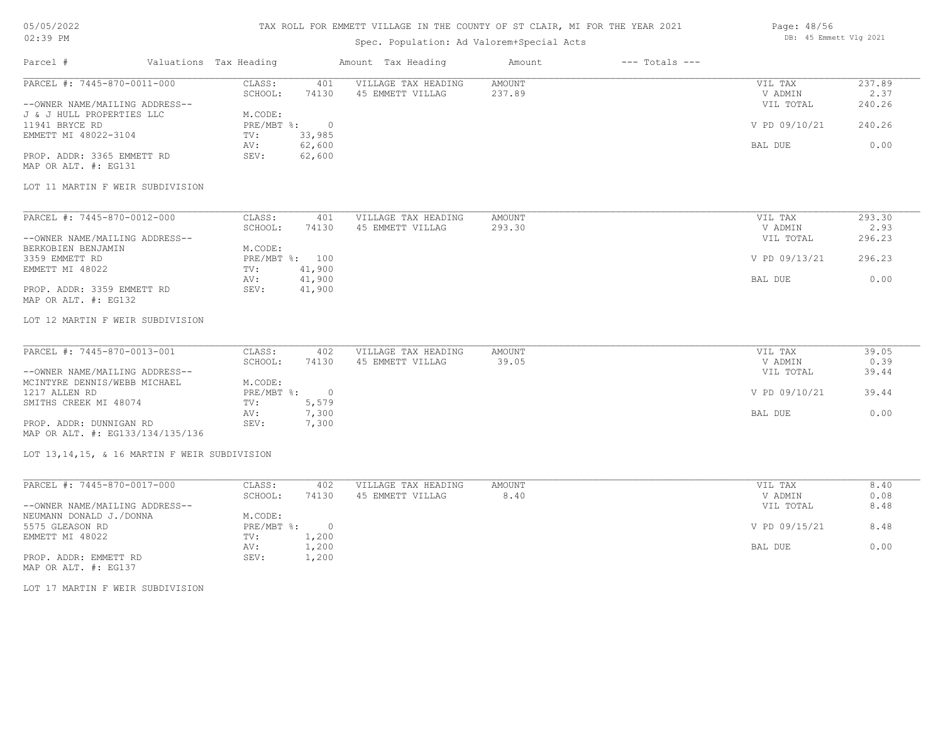# 05/05/2022

# 02:39 PM

# TAX ROLL FOR EMMETT VILLAGE IN THE COUNTY OF ST CLAIR, MI FOR THE YEAR 2021

# Spec. Population: Ad Valorem+Special Acts

#### Page: 48/56 DB: 45 Emmett Vlg 2021

| Parcel #                       | Valuations Tax Heading |        | Amount Tax Heading  | Amount | $---$ Totals $---$ |               |        |
|--------------------------------|------------------------|--------|---------------------|--------|--------------------|---------------|--------|
| PARCEL #: 7445-870-0011-000    | CLASS:                 | 401    | VILLAGE TAX HEADING | AMOUNT |                    | VIL TAX       | 237.89 |
|                                | SCHOOL:                | 74130  | 45 EMMETT VILLAG    | 237.89 |                    | V ADMIN       | 2.37   |
| --OWNER NAME/MAILING ADDRESS-- |                        |        |                     |        |                    | VIL TOTAL     | 240.26 |
| J & J HULL PROPERTIES LLC      | M.CODE:                |        |                     |        |                    |               |        |
| 11941 BRYCE RD                 | PRE/MBT %:             |        |                     |        |                    | V PD 09/10/21 | 240.26 |
| EMMETT MI 48022-3104           | TV:                    | 33,985 |                     |        |                    |               |        |
|                                | AV:                    | 62,600 |                     |        |                    | BAL DUE       | 0.00   |
| PROP. ADDR: 3365 EMMETT RD     | SEV:                   | 62,600 |                     |        |                    |               |        |
| MAP OR ALT. #: EG131           |                        |        |                     |        |                    |               |        |

#### LOT 11 MARTIN F WEIR SUBDIVISION

| PARCEL #: 7445-870-0012-000    | CLASS:  | 401            | VILLAGE TAX HEADING | AMOUNT | VIL TAX       | 293.30 |
|--------------------------------|---------|----------------|---------------------|--------|---------------|--------|
|                                | SCHOOL: | 74130          | 45 EMMETT VILLAG    | 293.30 | V ADMIN       | 2.93   |
| --OWNER NAME/MAILING ADDRESS-- |         |                |                     |        | VIL TOTAL     | 296.23 |
| BERKOBIEN BENJAMIN             | M.CODE: |                |                     |        |               |        |
| 3359 EMMETT RD                 |         | PRE/MBT %: 100 |                     |        | V PD 09/13/21 | 296.23 |
| EMMETT MI 48022                | TV:     | 41,900         |                     |        |               |        |
|                                | AV:     | 41,900         |                     |        | BAL DUE       | 0.00   |
| PROP. ADDR: 3359 EMMETT RD     | SEV:    | 41,900         |                     |        |               |        |
| MAP OR ALT. #: EG132           |         |                |                     |        |               |        |

## LOT 12 MARTIN F WEIR SUBDIVISION

| PARCEL #: 7445-870-0013-001      | CLASS:       | 402   | VILLAGE TAX HEADING | AMOUNT | VIL TAX       | 39.05 |
|----------------------------------|--------------|-------|---------------------|--------|---------------|-------|
|                                  | SCHOOL:      | 74130 | 45 EMMETT VILLAG    | 39.05  | V ADMIN       | 0.39  |
| --OWNER NAME/MAILING ADDRESS--   |              |       |                     |        | VIL TOTAL     | 39.44 |
| MCINTYRE DENNIS/WEBB MICHAEL     | M.CODE:      |       |                     |        |               |       |
| 1217 ALLEN RD                    | $PRE/MBT$ %: |       |                     |        | V PD 09/10/21 | 39.44 |
| SMITHS CREEK MI 48074            | TV:          | 5,579 |                     |        |               |       |
|                                  | AV:          | 7,300 |                     |        | BAL DUE       | 0.00  |
| PROP. ADDR: DUNNIGAN RD          | SEV:         | 7,300 |                     |        |               |       |
| MAP OR ALT. #: EG133/134/135/136 |              |       |                     |        |               |       |

## LOT 13,14,15, & 16 MARTIN F WEIR SUBDIVISION

| PARCEL #: 7445-870-0017-000    | CLASS:     | 402   | VILLAGE TAX HEADING  | AMOUNT | VIL TAX       | 8.40 |
|--------------------------------|------------|-------|----------------------|--------|---------------|------|
|                                | SCHOOL:    | 74130 | EMMETT VILLAG<br>4.5 | 8.40   | V ADMIN       | 0.08 |
| --OWNER NAME/MAILING ADDRESS-- |            |       |                      |        | VIL TOTAL     | 8.48 |
| NEUMANN DONALD J./DONNA        | M.CODE:    |       |                      |        |               |      |
| 5575 GLEASON RD                | PRE/MBT %: |       |                      |        | V PD 09/15/21 | 8.48 |
| EMMETT MI 48022                | TV:        | 200ء  |                      |        |               |      |
|                                | AV:        | .200  |                      |        | BAL DUE       | 0.00 |
| PROP. ADDR: EMMETT RD          | SEV:       | 1,200 |                      |        |               |      |

MAP OR ALT. #: EG137

LOT 17 MARTIN F WEIR SUBDIVISION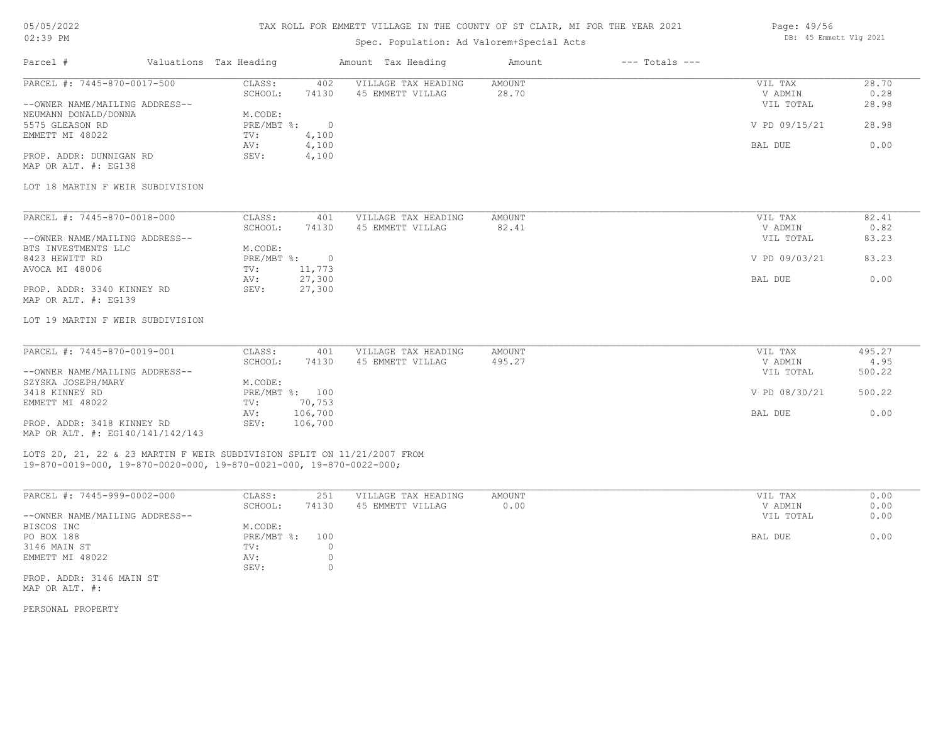## TAX ROLL FOR EMMETT VILLAGE IN THE COUNTY OF ST CLAIR, MI FOR THE YEAR 2021

# Spec. Population: Ad Valorem+Special Acts

| Parcel #                       | Valuations Tax Heading |       | Amount Tax Heading  | Amount | $---$ Totals $---$ |               |       |
|--------------------------------|------------------------|-------|---------------------|--------|--------------------|---------------|-------|
| PARCEL #: 7445-870-0017-500    | CLASS:                 | 402   | VILLAGE TAX HEADING | AMOUNT |                    | VIL TAX       | 28.70 |
|                                | SCHOOL:                | 74130 | 45 EMMETT VILLAG    | 28.70  |                    | V ADMIN       | 0.28  |
| --OWNER NAME/MAILING ADDRESS-- |                        |       |                     |        |                    | VIL TOTAL     | 28.98 |
| NEUMANN DONALD/DONNA           | M.CODE:                |       |                     |        |                    |               |       |
| 5575 GLEASON RD                | PRE/MBT %:             |       |                     |        |                    | V PD 09/15/21 | 28.98 |
| EMMETT MI 48022                | TV:                    | 4,100 |                     |        |                    |               |       |
|                                | AV:                    | 4,100 |                     |        |                    | BAL DUE       | 0.00  |
| PROP. ADDR: DUNNIGAN RD        | SEV:                   | 4,100 |                     |        |                    |               |       |
|                                |                        |       |                     |        |                    |               |       |

MAP OR ALT. #: EG138

#### LOT 18 MARTIN F WEIR SUBDIVISION

| PARCEL #: 7445-870-0018-000    | CLASS:     | 401    | VILLAGE TAX HEADING | AMOUNT | VIL TAX       | 82.41 |
|--------------------------------|------------|--------|---------------------|--------|---------------|-------|
|                                | SCHOOL:    | 74130  | 45 EMMETT VILLAG    | 82.41  | V ADMIN       | 0.82  |
| --OWNER NAME/MAILING ADDRESS-- |            |        |                     |        | VIL TOTAL     | 83.23 |
| BTS INVESTMENTS LLC            | M.CODE:    |        |                     |        |               |       |
| 8423 HEWITT RD                 | PRE/MBT %: |        |                     |        | V PD 09/03/21 | 83.23 |
| AVOCA MI 48006                 | TV:        | 11,773 |                     |        |               |       |
|                                | AV:        | 27,300 |                     |        | BAL DUE       | 0.00  |
| PROP. ADDR: 3340 KINNEY RD     | SEV:       | 27,300 |                     |        |               |       |
| MAP OR ALT. #: EG139           |            |        |                     |        |               |       |

## LOT 19 MARTIN F WEIR SUBDIVISION

| PARCEL #: 7445-870-0019-001      | CLASS:  | 401            | VILLAGE TAX HEADING | AMOUNT | VIL TAX       | 495.27 |
|----------------------------------|---------|----------------|---------------------|--------|---------------|--------|
|                                  | SCHOOL: | 74130          | 45 EMMETT VILLAG    | 495.27 | V ADMIN       | 4.95   |
| --OWNER NAME/MAILING ADDRESS--   |         |                |                     |        | VIL TOTAL     | 500.22 |
| SZYSKA JOSEPH/MARY               | M.CODE: |                |                     |        |               |        |
| 3418 KINNEY RD                   |         | PRE/MBT %: 100 |                     |        | V PD 08/30/21 | 500.22 |
| EMMETT MI 48022                  | TV:     | 70,753         |                     |        |               |        |
|                                  | AV:     | 106,700        |                     |        | BAL DUE       | 0.00   |
| PROP. ADDR: 3418 KINNEY RD       | SEV:    | 106,700        |                     |        |               |        |
| MAP OR ALT. #: EG140/141/142/143 |         |                |                     |        |               |        |

## 19-870-0019-000, 19-870-0020-000, 19-870-0021-000, 19-870-0022-000; LOTS 20, 21, 22 & 23 MARTIN F WEIR SUBDIVISION SPLIT ON 11/21/2007 FROM

| PARCEL #: 7445-999-0002-000    | CLASS:         | 251   | VILLAGE TAX HEADING | AMOUNT | VIL TAX   | 0.00 |
|--------------------------------|----------------|-------|---------------------|--------|-----------|------|
|                                | SCHOOL:        | 74130 | 45 EMMETT VILLAG    | 0.00   | V ADMIN   | 0.00 |
| --OWNER NAME/MAILING ADDRESS-- |                |       |                     |        | VIL TOTAL | 0.00 |
| BISCOS INC                     | M.CODE:        |       |                     |        |           |      |
| PO BOX 188                     | PRE/MBT %: 100 |       |                     |        | BAL DUE   | 0.00 |
| 3146 MAIN ST                   | TV:            |       |                     |        |           |      |
| EMMETT MI 48022                | AV:            |       |                     |        |           |      |
|                                | SEV:           |       |                     |        |           |      |
| PROP. ADDR: 3146 MAIN ST       |                |       |                     |        |           |      |

MAP OR ALT. #:

PERSONAL PROPERTY

Page: 49/56 DB: 45 Emmett Vlg 2021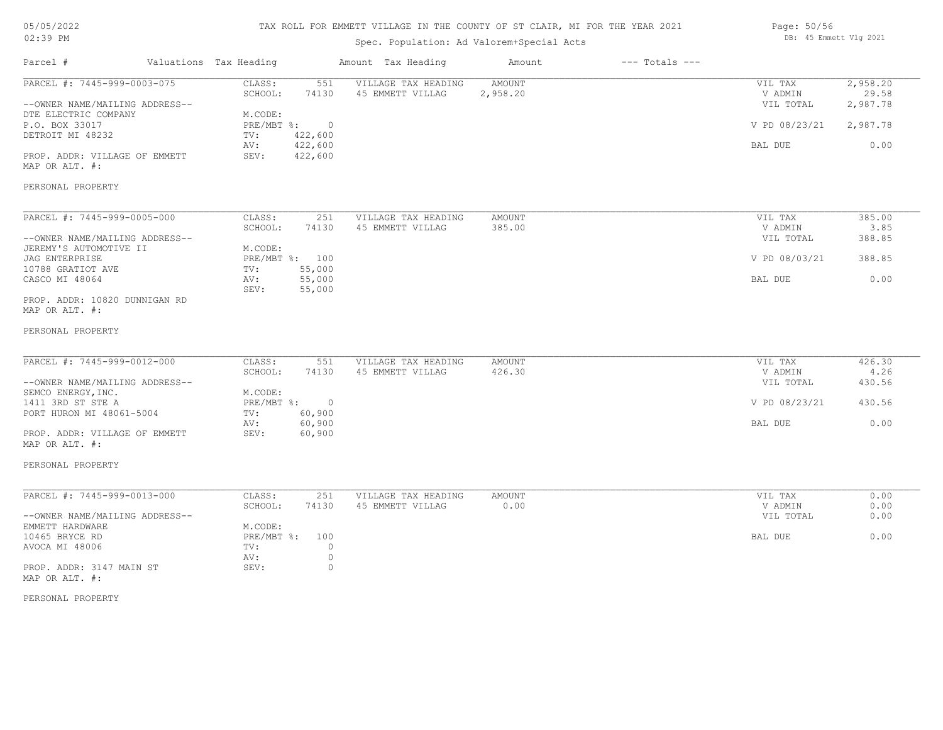# TAX ROLL FOR EMMETT VILLAGE IN THE COUNTY OF ST CLAIR, MI FOR THE YEAR 2021

# Spec. Population: Ad Valorem+Special Acts

| Page: 50/56 |                        |  |
|-------------|------------------------|--|
|             | DB: 45 Emmett Vlg 2021 |  |

| Parcel #                                                                                                                                                                                            | Valuations Tax Heading                                                   |                                                                 | Amount Tax Heading                      | Amount                    | $---$ Totals $---$ |                                                             |                                                   |
|-----------------------------------------------------------------------------------------------------------------------------------------------------------------------------------------------------|--------------------------------------------------------------------------|-----------------------------------------------------------------|-----------------------------------------|---------------------------|--------------------|-------------------------------------------------------------|---------------------------------------------------|
| PARCEL #: 7445-999-0003-075<br>--OWNER NAME/MAILING ADDRESS--<br>DTE ELECTRIC COMPANY<br>P.O. BOX 33017<br>DETROIT MI 48232<br>PROP. ADDR: VILLAGE OF EMMETT<br>MAP OR ALT. #:                      | CLASS:<br>SCHOOL:<br>M.CODE:<br>$PRE/MBT$ $\div$ :<br>TV:<br>AV:<br>SEV: | 551<br>74130<br>$\overline{0}$<br>422,600<br>422,600<br>422,600 | VILLAGE TAX HEADING<br>45 EMMETT VILLAG | <b>AMOUNT</b><br>2,958.20 |                    | VIL TAX<br>V ADMIN<br>VIL TOTAL<br>V PD 08/23/21<br>BAL DUE | 2,958.20<br>29.58<br>2,987.78<br>2,987.78<br>0.00 |
| PERSONAL PROPERTY                                                                                                                                                                                   |                                                                          |                                                                 |                                         |                           |                    |                                                             |                                                   |
| PARCEL #: 7445-999-0005-000<br>--OWNER NAME/MAILING ADDRESS--<br>JEREMY'S AUTOMOTIVE II<br>JAG ENTERPRISE<br>10788 GRATIOT AVE<br>CASCO MI 48064<br>PROP. ADDR: 10820 DUNNIGAN RD<br>MAP OR ALT. #: | CLASS:<br>SCHOOL:<br>M.CODE:<br>PRE/MBT %: 100<br>TV:<br>AV:<br>SEV:     | 251<br>74130<br>55,000<br>55,000<br>55,000                      | VILLAGE TAX HEADING<br>45 EMMETT VILLAG | AMOUNT<br>385.00          |                    | VIL TAX<br>V ADMIN<br>VIL TOTAL<br>V PD 08/03/21<br>BAL DUE | 385.00<br>3.85<br>388.85<br>388.85<br>0.00        |
| PERSONAL PROPERTY<br>PARCEL #: 7445-999-0012-000                                                                                                                                                    | CLASS:<br>SCHOOL:                                                        | 551<br>74130                                                    | VILLAGE TAX HEADING<br>45 EMMETT VILLAG | <b>AMOUNT</b><br>426.30   |                    | VIL TAX<br>V ADMIN                                          | 426.30<br>4.26                                    |
| --OWNER NAME/MAILING ADDRESS--<br>SEMCO ENERGY, INC.<br>1411 3RD ST STE A                                                                                                                           | M.CODE:<br>PRE/MBT %: 0                                                  |                                                                 |                                         |                           |                    | VIL TOTAL<br>V PD 08/23/21                                  | 430.56<br>430.56                                  |
| PORT HURON MI 48061-5004<br>PROP. ADDR: VILLAGE OF EMMETT<br>MAP OR ALT. #:                                                                                                                         | TV:<br>AV:<br>SEV:                                                       | 60,900<br>60,900<br>60,900                                      |                                         |                           |                    | BAL DUE                                                     | 0.00                                              |
| PERSONAL PROPERTY                                                                                                                                                                                   |                                                                          |                                                                 |                                         |                           |                    |                                                             |                                                   |
| PARCEL #: 7445-999-0013-000<br>--OWNER NAME/MAILING ADDRESS--                                                                                                                                       | CLASS:<br>SCHOOL:                                                        | 251<br>74130                                                    | VILLAGE TAX HEADING<br>45 EMMETT VILLAG | AMOUNT<br>0.00            |                    | VIL TAX<br>V ADMIN<br>VIL TOTAL                             | 0.00<br>0.00<br>0.00                              |
| EMMETT HARDWARE<br>10465 BRYCE RD<br>AVOCA MI 48006<br>PROP. ADDR: 3147 MAIN ST                                                                                                                     | M.CODE:<br>PRE/MBT %:<br>TV:<br>AV:<br>SEV:                              | 100<br>$\circ$<br>$\circ$<br>$\circ$                            |                                         |                           |                    | BAL DUE                                                     | 0.00                                              |
| MAP OR ALT. #:                                                                                                                                                                                      |                                                                          |                                                                 |                                         |                           |                    |                                                             |                                                   |

PERSONAL PROPERTY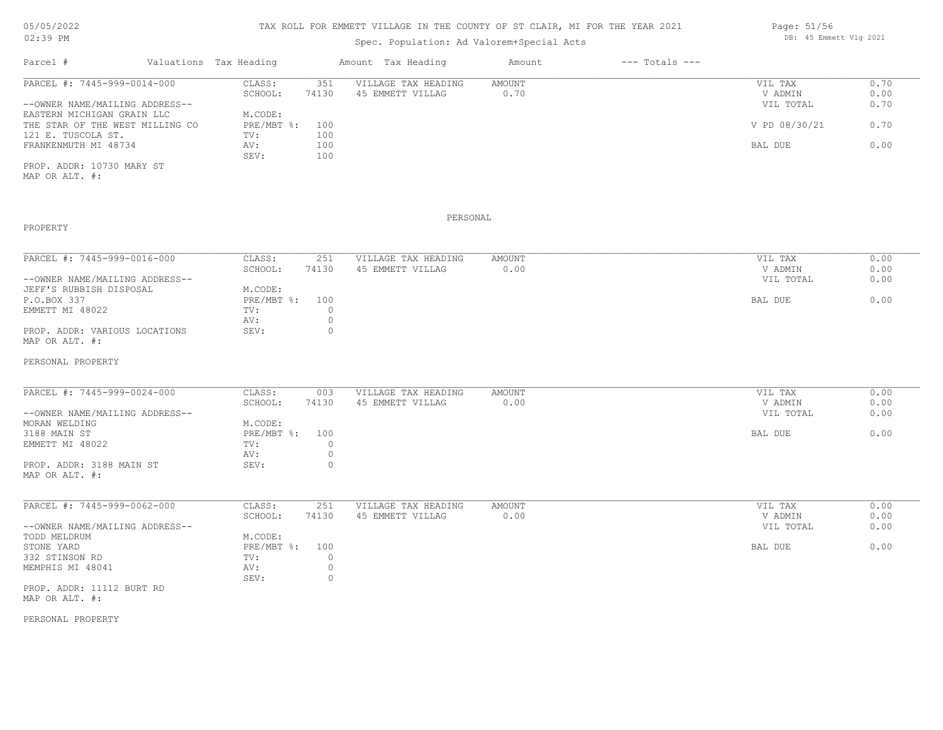# 05/05/2022

02:39 PM

# TAX ROLL FOR EMMETT VILLAGE IN THE COUNTY OF ST CLAIR, MI FOR THE YEAR 2021

# Spec. Population: Ad Valorem+Special Acts

| Parcel #                        | Valuations Tax Heading |       | Amount Tax Heading  | Amount | $---$ Totals $---$ |               |      |
|---------------------------------|------------------------|-------|---------------------|--------|--------------------|---------------|------|
| PARCEL #: 7445-999-0014-000     | CLASS:                 | 351   | VILLAGE TAX HEADING | AMOUNT |                    | VIL TAX       | 0.70 |
|                                 | SCHOOL:                | 74130 | 45 EMMETT VILLAG    | 0.70   |                    | V ADMIN       | 0.00 |
| --OWNER NAME/MAILING ADDRESS--  |                        |       |                     |        |                    | VIL TOTAL     | 0.70 |
| EASTERN MICHIGAN GRAIN LLC      | M.CODE:                |       |                     |        |                    |               |      |
| THE STAR OF THE WEST MILLING CO | $PRE/MBT$ %:           | 100   |                     |        |                    | V PD 08/30/21 | 0.70 |
| 121 E. TUSCOLA ST.              | TV:                    | 100   |                     |        |                    |               |      |
| FRANKENMUTH MI 48734            | AV:                    | 100   |                     |        |                    | BAL DUE       | 0.00 |
|                                 | SEV:                   | 100   |                     |        |                    |               |      |
|                                 |                        |       |                     |        |                    |               |      |

MAP OR ALT. #: PROP. ADDR: 10730 MARY ST

PROPERTY

#### PERSONAL

| PARCEL #: 7445-999-0016-000    | CLASS:         | 251   | VILLAGE TAX HEADING | AMOUNT | VIL TAX   | 0.00 |
|--------------------------------|----------------|-------|---------------------|--------|-----------|------|
|                                | SCHOOL:        | 74130 | 45 EMMETT VILLAG    | 0.00   | V ADMIN   | 0.00 |
| --OWNER NAME/MAILING ADDRESS-- |                |       |                     |        | VIL TOTAL | 0.00 |
| JEFF'S RUBBISH DISPOSAL        | M.CODE:        |       |                     |        |           |      |
| P.O.BOX 337                    | PRE/MBT %: 100 |       |                     |        | BAL DUE   | 0.00 |
| EMMETT MI 48022                | TV:            |       |                     |        |           |      |
|                                | AV:            |       |                     |        |           |      |
| PROP. ADDR: VARIOUS LOCATIONS  | SEV:           |       |                     |        |           |      |
| MAP OR ALT. #:                 |                |       |                     |        |           |      |

#### PERSONAL PROPERTY

| PARCEL #: 7445-999-0024-000    | CLASS:         | 003   | VILLAGE TAX HEADING | AMOUNT | VIL TAX   | 0.00 |
|--------------------------------|----------------|-------|---------------------|--------|-----------|------|
|                                | SCHOOL:        | 74130 | 45 EMMETT VILLAG    | 0.00   | V ADMIN   | 0.00 |
| --OWNER NAME/MAILING ADDRESS-- |                |       |                     |        | VIL TOTAL | 0.00 |
| MORAN WELDING                  | M.CODE:        |       |                     |        |           |      |
| 3188 MAIN ST                   | PRE/MBT %: 100 |       |                     |        | BAL DUE   | 0.00 |
| EMMETT MI 48022                | TV:            |       |                     |        |           |      |
|                                | AV:            |       |                     |        |           |      |
| PROP. ADDR: 3188 MAIN ST       | SEV:           |       |                     |        |           |      |
| MAP OR ALT. #:                 |                |       |                     |        |           |      |

| PARCEL #: 7445-999-0062-000    | CLASS:     | 251   | VILLAGE TAX HEADING | AMOUNT | 0.00<br>VIL TAX   |  |
|--------------------------------|------------|-------|---------------------|--------|-------------------|--|
|                                | SCHOOL:    | 74130 | 45 EMMETT VILLAG    | 0.00   | 0.00<br>V ADMIN   |  |
| --OWNER NAME/MAILING ADDRESS-- |            |       |                     |        | 0.00<br>VIL TOTAL |  |
| TODD MELDRUM                   | M.CODE:    |       |                     |        |                   |  |
| STONE YARD                     | PRE/MBT %: | 100   |                     |        | 0.00<br>BAL DUE   |  |
| 332 STINSON RD                 | TV:        |       |                     |        |                   |  |
| MEMPHIS MI 48041               | AV:        |       |                     |        |                   |  |
|                                | SEV:       |       |                     |        |                   |  |
| PROP. ADDR: 11112 BURT RD      |            |       |                     |        |                   |  |
| MAP OR ALT. #:                 |            |       |                     |        |                   |  |

PERSONAL PROPERTY

Page: 51/56 DB: 45 Emmett Vlg 2021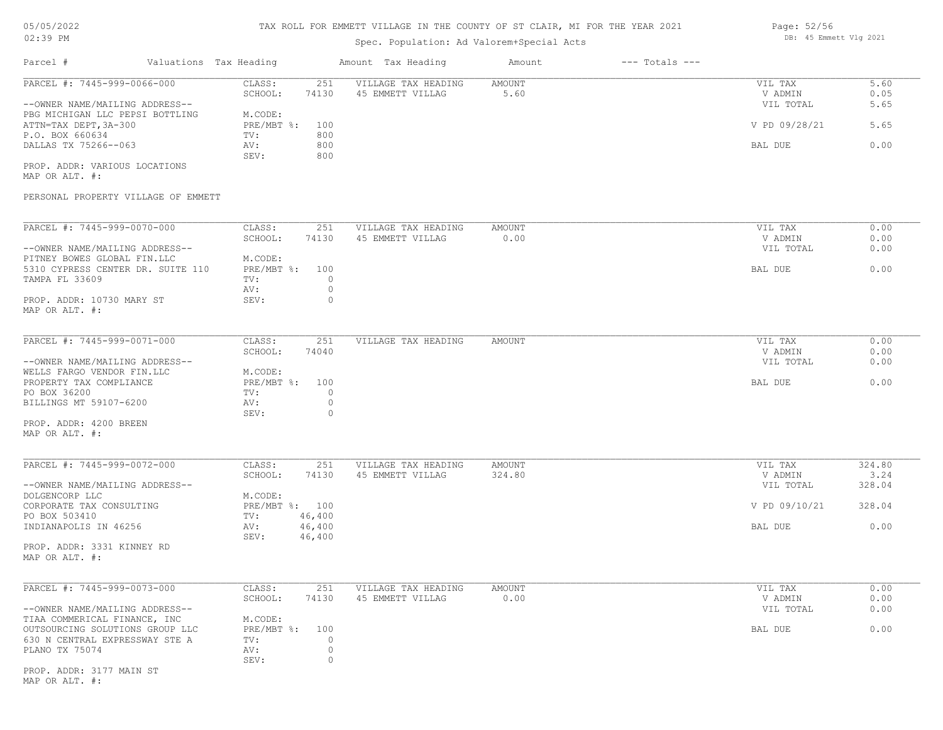# TAX ROLL FOR EMMETT VILLAGE IN THE COUNTY OF ST CLAIR, MI FOR THE YEAR 2021

# Spec. Population: Ad Valorem+Special Acts

| Page: 52/56 |                        |  |
|-------------|------------------------|--|
|             | DB: 45 Emmett Vlg 2021 |  |

| Parcel #                                                                                                | Valuations Tax Heading                         | Amount Tax Heading                          | Amount                | $---$ Totals $---$ |                                 |                      |
|---------------------------------------------------------------------------------------------------------|------------------------------------------------|---------------------------------------------|-----------------------|--------------------|---------------------------------|----------------------|
| PARCEL #: 7445-999-0066-000<br>--OWNER NAME/MAILING ADDRESS--                                           | CLASS:<br>251<br>SCHOOL:<br>74130              | VILLAGE TAX HEADING<br>45 EMMETT VILLAG     | <b>AMOUNT</b><br>5.60 |                    | VIL TAX<br>V ADMIN<br>VIL TOTAL | 5.60<br>0.05<br>5.65 |
| PBG MICHIGAN LLC PEPSI BOTTLING<br>ATTN=TAX DEPT, 3A-300                                                | M.CODE:<br>$PRE/MBT$ $\frac{1}{6}$ :<br>100    |                                             |                       |                    | V PD 09/28/21                   | 5.65                 |
| P.O. BOX 660634<br>DALLAS TX 75266--063                                                                 | 800<br>TV:<br>800<br>AV:<br>SEV:<br>800        |                                             |                       |                    | BAL DUE                         | 0.00                 |
| PROP. ADDR: VARIOUS LOCATIONS<br>MAP OR ALT. #:                                                         |                                                |                                             |                       |                    |                                 |                      |
| PERSONAL PROPERTY VILLAGE OF EMMETT                                                                     |                                                |                                             |                       |                    |                                 |                      |
| PARCEL #: 7445-999-0070-000                                                                             | CLASS:<br>251<br>SCHOOL:<br>74130              | VILLAGE TAX HEADING<br>45 EMMETT VILLAG     | AMOUNT<br>0.00        |                    | VIL TAX<br>V ADMIN              | 0.00<br>0.00         |
| --OWNER NAME/MAILING ADDRESS--                                                                          |                                                |                                             |                       |                    | VIL TOTAL                       | 0.00                 |
| PITNEY BOWES GLOBAL FIN.LLC                                                                             | M.CODE:                                        |                                             |                       |                    |                                 |                      |
| 5310 CYPRESS CENTER DR. SUITE 110                                                                       | $PRE/MBT$ $\div$<br>100                        |                                             |                       |                    | BAL DUE                         | 0.00                 |
| TAMPA FL 33609                                                                                          | $\circ$<br>TV:<br>$\circ$<br>AV:               |                                             |                       |                    |                                 |                      |
| PROP. ADDR: 10730 MARY ST<br>MAP OR ALT. #:                                                             | 0<br>SEV:                                      |                                             |                       |                    |                                 |                      |
| PARCEL #: 7445-999-0071-000                                                                             | CLASS:<br>251                                  | VILLAGE TAX HEADING                         | AMOUNT                |                    | VIL TAX                         | 0.00                 |
|                                                                                                         | SCHOOL:<br>74040                               |                                             |                       |                    | V ADMIN                         | 0.00                 |
| --OWNER NAME/MAILING ADDRESS--<br>WELLS FARGO VENDOR FIN.LLC<br>PROPERTY TAX COMPLIANCE<br>PO BOX 36200 | M.CODE:<br>PRE/MBT %:<br>100<br>$\circ$<br>TV: |                                             |                       |                    | VIL TOTAL<br>BAL DUE            | 0.00<br>0.00         |
| BILLINGS MT 59107-6200                                                                                  | AV:<br>$\circ$<br>SEV:<br>0                    |                                             |                       |                    |                                 |                      |
| PROP. ADDR: 4200 BREEN<br>MAP OR ALT. #:                                                                |                                                |                                             |                       |                    |                                 |                      |
| PARCEL #: 7445-999-0072-000                                                                             | CLASS:<br>251                                  | VILLAGE TAX HEADING                         | AMOUNT                |                    | VIL TAX                         | 324.80               |
| --OWNER NAME/MAILING ADDRESS--                                                                          | SCHOOL:<br>74130                               | 45 EMMETT VILLAG                            | 324.80                |                    | V ADMIN<br>VIL TOTAL            | 3.24<br>328.04       |
| DOLGENCORP LLC                                                                                          | M.CODE:                                        |                                             |                       |                    |                                 |                      |
| CORPORATE TAX CONSULTING                                                                                | PRE/MBT %: 100                                 |                                             |                       |                    | V PD 09/10/21                   | 328.04               |
| PO BOX 503410<br>INDIANAPOLIS IN 46256                                                                  | 46,400<br>TV:<br>46,400<br>AV:                 |                                             |                       |                    | BAL DUE                         | 0.00                 |
|                                                                                                         | SEV:<br>46,400                                 |                                             |                       |                    |                                 |                      |
| PROP. ADDR: 3331 KINNEY RD<br>MAP OR ALT. #:                                                            |                                                |                                             |                       |                    |                                 |                      |
|                                                                                                         |                                                |                                             |                       |                    |                                 |                      |
| PARCEL #: 7445-999-0073-000                                                                             | CLASS:<br>SCHOOL:<br>74130                     | 251 VILLAGE TAX HEADING<br>45 EMMETT VILLAG | AMOUNT<br>0.00        |                    | VIL TAX<br>V ADMIN              | 0.00<br>0.00         |
| --OWNER NAME/MAILING ADDRESS--                                                                          |                                                |                                             |                       |                    | VIL TOTAL                       | 0.00                 |
| TIAA COMMERICAL FINANCE, INC                                                                            | M.CODE:                                        |                                             |                       |                    |                                 |                      |
| OUTSOURCING SOLUTIONS GROUP LLC                                                                         | PRE/MBT %:<br>100                              |                                             |                       |                    | BAL DUE                         | 0.00                 |
| 630 N CENTRAL EXPRESSWAY STE A<br>PLANO TX 75074                                                        | $\circ$<br>TV:<br>$\circ$<br>AV:               |                                             |                       |                    |                                 |                      |
|                                                                                                         | $\circ$<br>SEV:                                |                                             |                       |                    |                                 |                      |
| PROP. ADDR: 3177 MAIN ST<br>MAP OR ALT. #:                                                              |                                                |                                             |                       |                    |                                 |                      |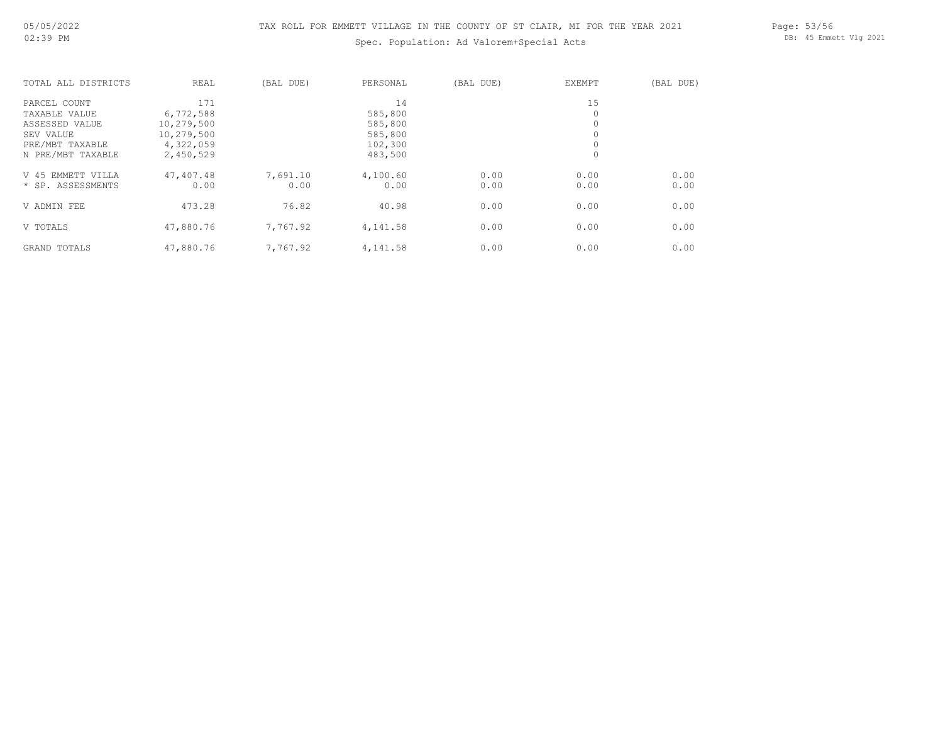# Spec. Population: Ad Valorem+Special Acts

Page: 53/56 DB: 45 Emmett Vlg 2021

| TOTAL ALL DISTRICTS  | REAL       | (BAL DUE) | PERSONAL | (BAL DUE) | <b>EXEMPT</b> | (BAL DUE) |
|----------------------|------------|-----------|----------|-----------|---------------|-----------|
| PARCEL COUNT         | 171        |           | 14       |           | 15            |           |
| TAXABLE VALUE        | 6,772,588  |           | 585,800  |           |               |           |
| ASSESSED VALUE       | 10,279,500 |           | 585,800  |           |               |           |
| SEV VALUE            | 10,279,500 |           | 585,800  |           |               |           |
| PRE/MBT TAXABLE      | 4,322,059  |           | 102,300  |           |               |           |
| N PRE/MBT TAXABLE    | 2,450,529  |           | 483,500  |           | $\circ$       |           |
| EMMETT VILLA<br>V 45 | 47,407.48  | 7,691.10  | 4,100.60 | 0.00      | 0.00          | 0.00      |
| * SP. ASSESSMENTS    | 0.00       | 0.00      | 0.00     | 0.00      | 0.00          | 0.00      |
| V ADMIN FEE          | 473.28     | 76.82     | 40.98    | 0.00      | 0.00          | 0.00      |
| V TOTALS             | 47,880.76  | 7,767.92  | 4,141.58 | 0.00      | 0.00          | 0.00      |
| GRAND TOTALS         | 47,880.76  | 7,767.92  | 4,141.58 | 0.00      | 0.00          | 0.00      |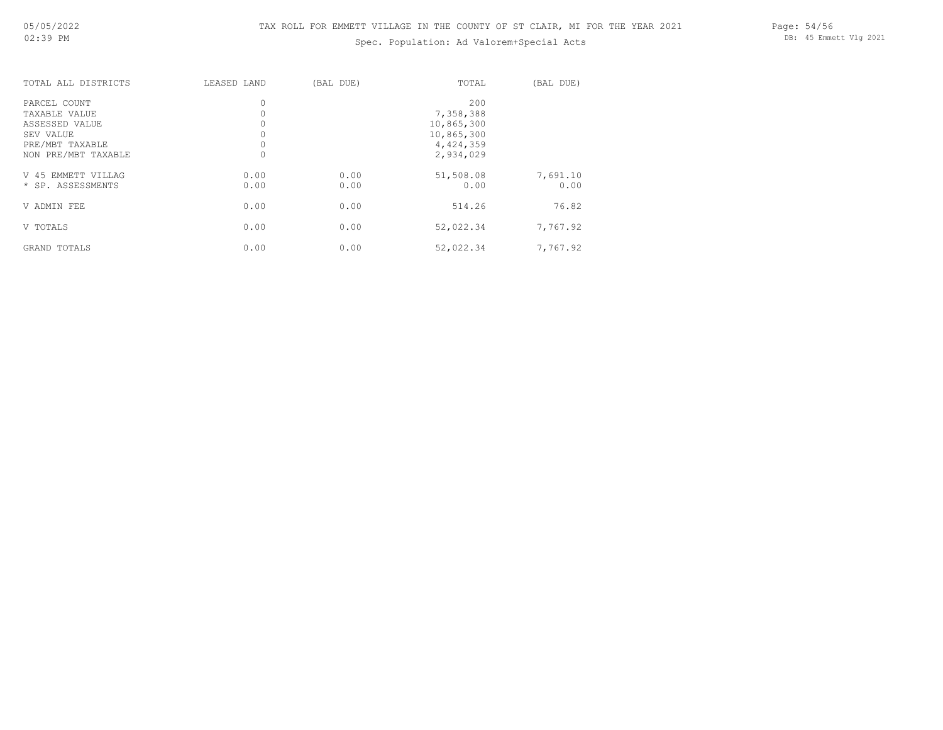# Spec. Population: Ad Valorem+Special Acts

Page: 54/56 DB: 45 Emmett Vlg 2021

| TOTAL ALL DISTRICTS                                                             | LEASED LAND  | (BAL DUE)    | TOTAL                                                     | (BAL DUE)        |
|---------------------------------------------------------------------------------|--------------|--------------|-----------------------------------------------------------|------------------|
| PARCEL COUNT<br>TAXABLE VALUE<br>ASSESSED VALUE<br>SEV VALUE<br>PRE/MBT TAXABLE |              |              | 200<br>7,358,388<br>10,865,300<br>10,865,300<br>4,424,359 |                  |
| NON PRE/MBT TAXABLE                                                             |              |              | 2,934,029                                                 |                  |
| V 45 EMMETT VILLAG<br>* SP. ASSESSMENTS                                         | 0.00<br>0.00 | 0.00<br>0.00 | 51,508.08<br>0.00                                         | 7,691.10<br>0.00 |
| V ADMIN FEE                                                                     | 0.00         | 0.00         | 514.26                                                    | 76.82            |
| V TOTALS                                                                        | 0.00         | 0.00         | 52,022.34                                                 | 7,767.92         |
| TOTALS<br>GRAND                                                                 | 0.00         | 0.00         | 52,022.34                                                 | 7,767.92         |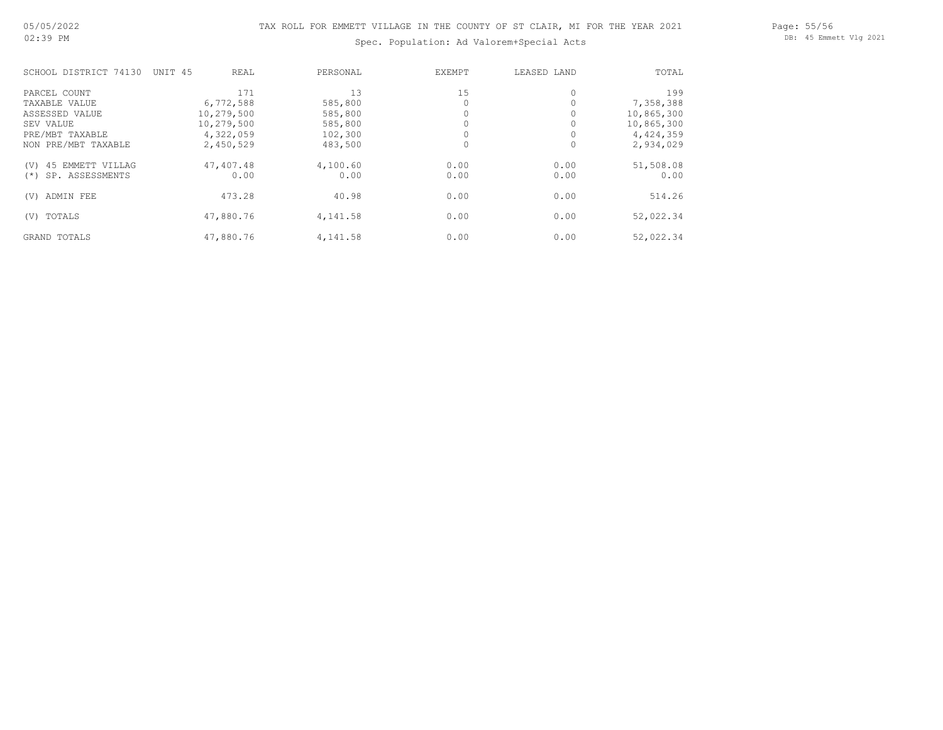## Page: 55/56 DB: 45 Emmett Vlg 2021

# Spec. Population: Ad Valorem+Special Acts

| SCHOOL DISTRICT 74130     | UNIT 45<br>REAL | PERSONAL | EXEMPT | LEASED LAND | TOTAL      |
|---------------------------|-----------------|----------|--------|-------------|------------|
| PARCEL COUNT              | 171             | 13       | 15     |             | 199        |
| TAXABLE VALUE             | 6,772,588       | 585,800  |        |             | 7,358,388  |
| ASSESSED VALUE            | 10,279,500      | 585,800  |        |             | 10,865,300 |
| SEV VALUE                 | 10,279,500      | 585,800  |        |             | 10,865,300 |
| PRE/MBT TAXABLE           | 4,322,059       | 102,300  |        |             | 4,424,359  |
| NON PRE/MBT TAXABLE       | 2,450,529       | 483,500  | 0      |             | 2,934,029  |
| 45 EMMETT VILLAG<br>(V)   | 47,407.48       | 4,100.60 | 0.00   | 0.00        | 51,508.08  |
| SP. ASSESSMENTS<br>$(* )$ | 0.00            | 0.00     | 0.00   | 0.00        | 0.00       |
| ADMIN FEE<br>(V)          | 473.28          | 40.98    | 0.00   | 0.00        | 514.26     |
| TOTALS<br>(V)             | 47,880.76       | 4,141.58 | 0.00   | 0.00        | 52,022.34  |
| GRAND TOTALS              | 47,880.76       | 4,141.58 | 0.00   | 0.00        | 52,022.34  |